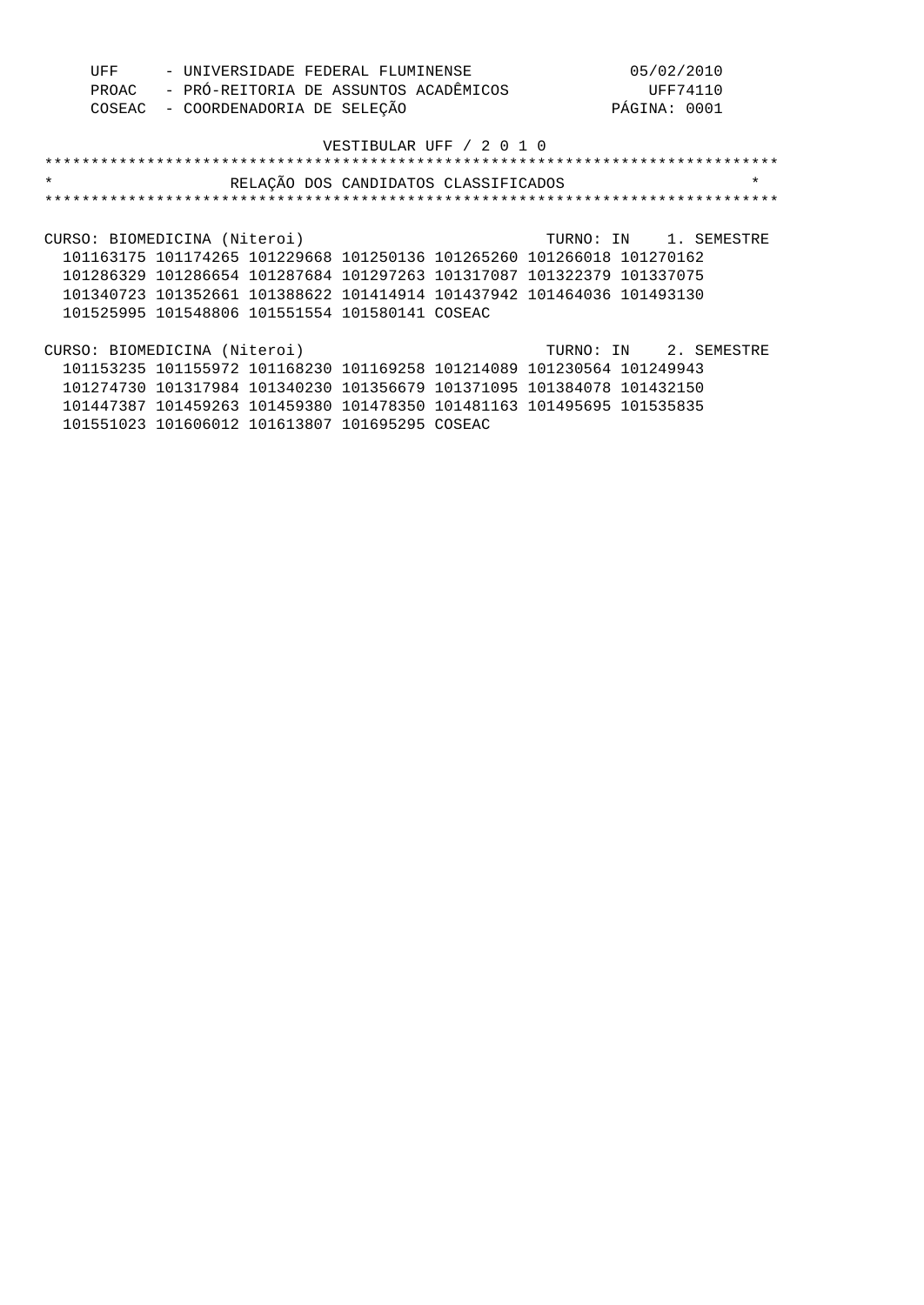| UFF     |       |                              | - UNIVERSIDADE FEDERAL FLUMINENSE                                     |                          | 05/02/2010   |                       |  |
|---------|-------|------------------------------|-----------------------------------------------------------------------|--------------------------|--------------|-----------------------|--|
|         | PROAC |                              | - PRÓ-REITORIA DE ASSUNTOS ACADÊMICOS                                 |                          |              | UFF74110              |  |
|         |       |                              | COSEAC - COORDENADORIA DE SELEÇÃO                                     |                          | PÁGINA: 0001 |                       |  |
|         |       |                              |                                                                       | VESTIBULAR UFF / 2 0 1 0 |              |                       |  |
|         |       |                              |                                                                       |                          |              |                       |  |
| $\star$ |       |                              |                                                                       |                          |              | $\star$               |  |
|         |       |                              | RELAÇÃO DOS CANDIDATOS CLASSIFICADOS                                  |                          |              |                       |  |
|         |       |                              |                                                                       |                          |              |                       |  |
|         |       |                              |                                                                       |                          |              |                       |  |
|         |       | CURSO: BIOMEDICINA (Niteroi) |                                                                       |                          |              | TURNO: IN 1. SEMESTRE |  |
|         |       |                              | 101163175 101174265 101229668 101250136 101265260 101266018 101270162 |                          |              |                       |  |
|         |       |                              | 101286329 101286654 101287684 101297263 101317087 101322379 101337075 |                          |              |                       |  |
|         |       |                              | 101340723 101352661 101388622 101414914 101437942 101464036 101493130 |                          |              |                       |  |
|         |       |                              | 101525995 101548806 101551554 101580141 COSEAC                        |                          |              |                       |  |
|         |       |                              |                                                                       |                          |              |                       |  |
|         |       | CURSO: BIOMEDICINA (Niteroi) |                                                                       |                          |              | TURNO: IN 2. SEMESTRE |  |
|         |       |                              | 101153235 101155972 101168230 101169258 101214089 101230564 101249943 |                          |              |                       |  |
|         |       |                              | 101274730 101317984 101340230 101356679 101371095 101384078 101432150 |                          |              |                       |  |
|         |       |                              | 101447387 101459263 101459380 101478350 101481163 101495695 101535835 |                          |              |                       |  |
|         |       |                              | 101551023 101606012 101613807 101695295 COSEAC                        |                          |              |                       |  |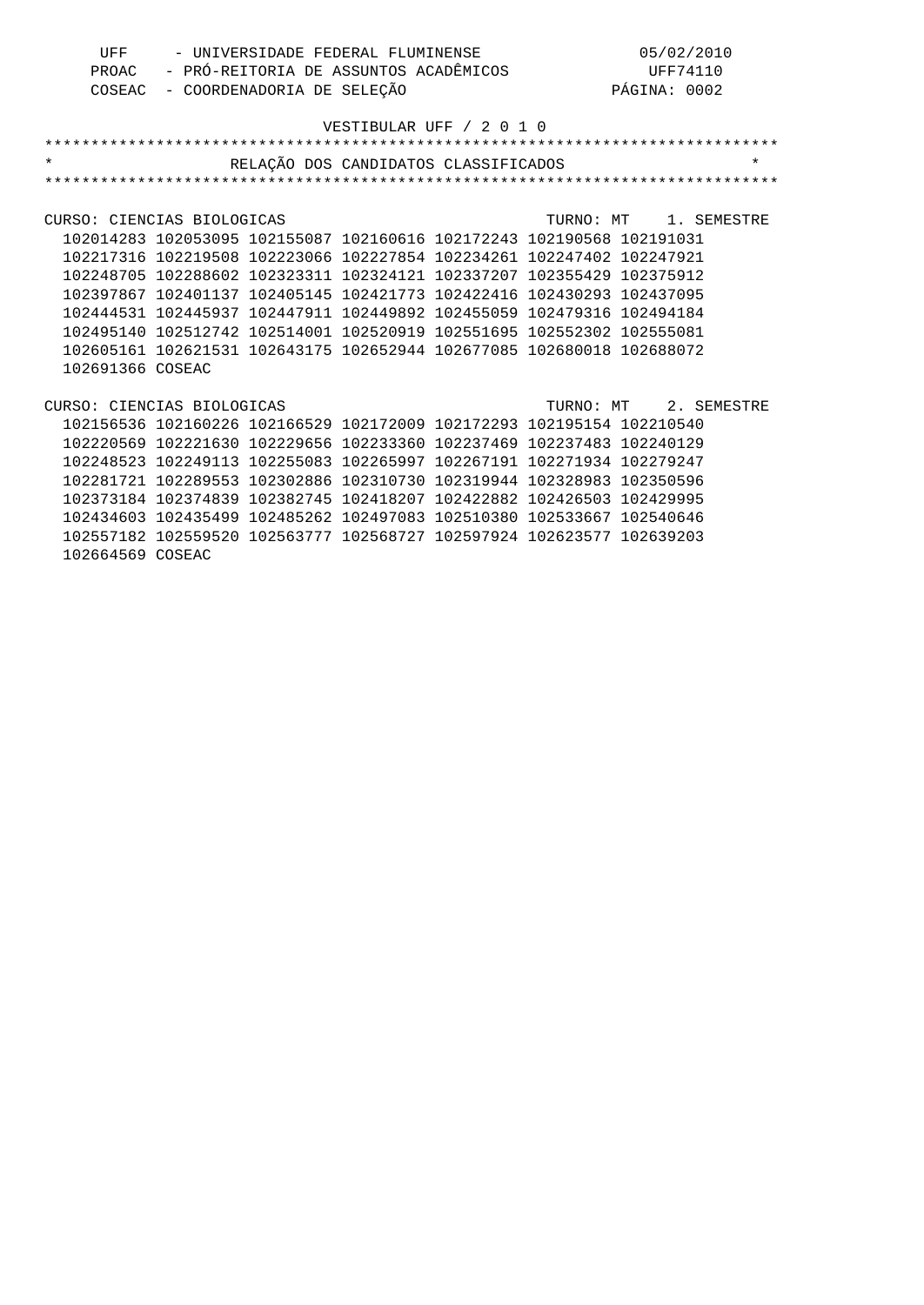| UFF | - UNIVERSIDADE FEDERAL FLUMINENSE           | 05/02/2010   |
|-----|---------------------------------------------|--------------|
|     | PROAC - PRÓ-REITORIA DE ASSUNTOS ACADÊMICOS | UFF74110     |
|     | COSEAC - COORDENADORIA DE SELEÇÃO           | PÁGINA: 0002 |

| $\star$ and $\star$                               |                                                                       |  | RELAÇÃO DOS CANDIDATOS CLASSIFICADOS | $\star$ |
|---------------------------------------------------|-----------------------------------------------------------------------|--|--------------------------------------|---------|
|                                                   |                                                                       |  |                                      |         |
|                                                   |                                                                       |  |                                      |         |
| CURSO: CIENCIAS BIOLOGICAS                        |                                                                       |  | TURNO: MT 1. SEMESTRE                |         |
|                                                   | 102014283 102053095 102155087 102160616 102172243 102190568 102191031 |  |                                      |         |
|                                                   | 102217316 102219508 102223066 102227854 102234261 102247402 102247921 |  |                                      |         |
|                                                   | 102248705 102288602 102323311 102324121 102337207 102355429 102375912 |  |                                      |         |
|                                                   | 102397867 102401137 102405145 102421773 102422416 102430293 102437095 |  |                                      |         |
|                                                   | 102444531 102445937 102447911 102449892 102455059 102479316 102494184 |  |                                      |         |
|                                                   | 102495140 102512742 102514001 102520919 102551695 102552302 102555081 |  |                                      |         |
|                                                   | 102605161 102621531 102643175 102652944 102677085 102680018 102688072 |  |                                      |         |
| 102691366 COSEAC                                  |                                                                       |  |                                      |         |
|                                                   |                                                                       |  |                                      |         |
| CURSO: CIENCIAS BIOLOGICAS (TURNO: MT 2. SEMESTRE |                                                                       |  |                                      |         |
|                                                   | 102156536 102160226 102166529 102172009 102172293 102195154 102210540 |  |                                      |         |
|                                                   | 102220569 102221630 102229656 102233360 102237469 102237483 102240129 |  |                                      |         |
|                                                   | 102248523 102249113 102255083 102265997 102267191 102271934 102279247 |  |                                      |         |
|                                                   | 102281721 102289553 102302886 102310730 102319944 102328983 102350596 |  |                                      |         |
|                                                   | 102373184 102374839 102382745 102418207 102422882 102426503 102429995 |  |                                      |         |
|                                                   | 102434603 102435499 102485262 102497083 102510380 102533667 102540646 |  |                                      |         |
|                                                   | 102557182 102559520 102563777 102568727 102597924 102623577 102639203 |  |                                      |         |

102664569 COSEAC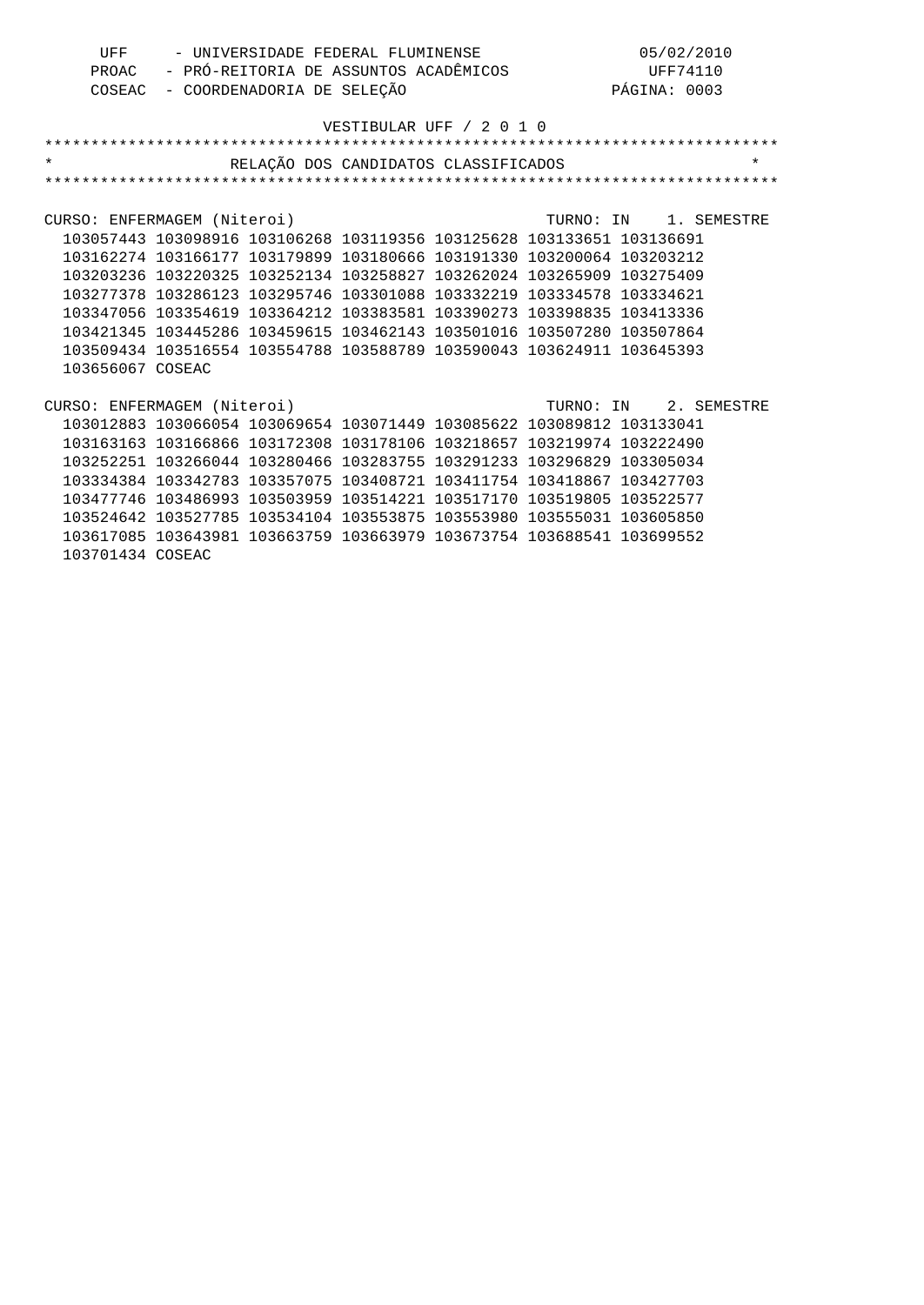| UFF | - UNIVERSIDADE FEDERAL FLUMINENSE           | 05/02/2010   |
|-----|---------------------------------------------|--------------|
|     | PROAC - PRÓ-REITORIA DE ASSUNTOS ACADÊMICOS | UFF74110     |
|     | COSEAC - COORDENADORIA DE SELEÇÃO           | PÁGINA: 0003 |

| $\star$                                           |                                                                       | RELAÇÃO DOS CANDIDATOS CLASSIFICADOS |  |  | $\star$ |
|---------------------------------------------------|-----------------------------------------------------------------------|--------------------------------------|--|--|---------|
|                                                   |                                                                       |                                      |  |  |         |
|                                                   |                                                                       |                                      |  |  |         |
| CURSO: ENFERMAGEM (Niteroi) CURSO: IN 1. SEMESTRE |                                                                       |                                      |  |  |         |
|                                                   | 103057443 103098916 103106268 103119356 103125628 103133651 103136691 |                                      |  |  |         |
|                                                   | 103162274 103166177 103179899 103180666 103191330 103200064 103203212 |                                      |  |  |         |
|                                                   | 103203236 103220325 103252134 103258827 103262024 103265909 103275409 |                                      |  |  |         |
|                                                   | 103277378 103286123 103295746 103301088 103332219 103334578 103334621 |                                      |  |  |         |
|                                                   | 103347056 103354619 103364212 103383581 103390273 103398835 103413336 |                                      |  |  |         |
|                                                   | 103421345 103445286 103459615 103462143 103501016 103507280 103507864 |                                      |  |  |         |
|                                                   | 103509434 103516554 103554788 103588789 103590043 103624911 103645393 |                                      |  |  |         |
| 103656067 COSEAC                                  |                                                                       |                                      |  |  |         |
|                                                   |                                                                       |                                      |  |  |         |
| CURSO: ENFERMAGEM (Niteroi) TURNO: IN 2. SEMESTRE |                                                                       |                                      |  |  |         |
|                                                   | 103012883 103066054 103069654 103071449 103085622 103089812 103133041 |                                      |  |  |         |
|                                                   | 103163163 103166866 103172308 103178106 103218657 103219974 103222490 |                                      |  |  |         |
|                                                   | 103252251 103266044 103280466 103283755 103291233 103296829 103305034 |                                      |  |  |         |
|                                                   | 103334384 103342783 103357075 103408721 103411754 103418867 103427703 |                                      |  |  |         |
|                                                   | 103477746 103486993 103503959 103514221 103517170 103519805 103522577 |                                      |  |  |         |
|                                                   | 103524642 103527785 103534104 103553875 103553980 103555031 103605850 |                                      |  |  |         |
|                                                   | 103617085 103643981 103663759 103663979 103673754 103688541 103699552 |                                      |  |  |         |
| 103701434 COSEAC                                  |                                                                       |                                      |  |  |         |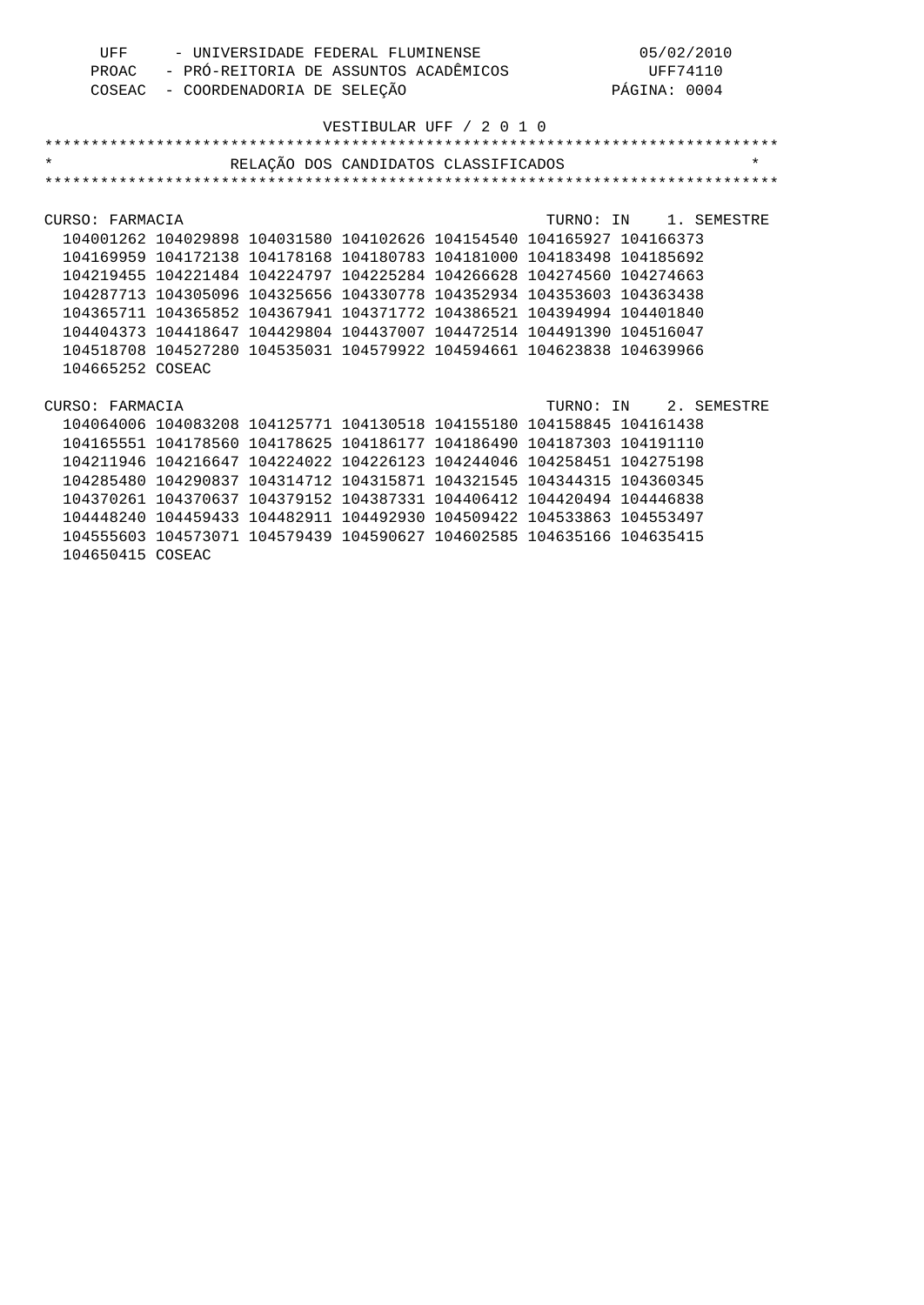| UFF | - UNIVERSIDADE FEDERAL FLUMINENSE           | 05/02/2010   |
|-----|---------------------------------------------|--------------|
|     | PROAC - PRÓ-REITORIA DE ASSUNTOS ACADÊMICOS | UFF74110     |
|     | COSEAC - COORDENADORIA DE SELEÇÃO           | PÁGINA: 0004 |

| $\star$          |                                                                       | RELAÇÃO DOS CANDIDATOS CLASSIFICADOS |  |                       |                       | $\star$ |
|------------------|-----------------------------------------------------------------------|--------------------------------------|--|-----------------------|-----------------------|---------|
|                  |                                                                       |                                      |  |                       |                       |         |
|                  |                                                                       |                                      |  |                       |                       |         |
| CURSO: FARMACIA  |                                                                       |                                      |  | TURNO: IN 1. SEMESTRE |                       |         |
|                  | 104001262 104029898 104031580 104102626 104154540 104165927 104166373 |                                      |  |                       |                       |         |
|                  | 104169959 104172138 104178168 104180783 104181000 104183498 104185692 |                                      |  |                       |                       |         |
|                  | 104219455 104221484 104224797 104225284 104266628 104274560 104274663 |                                      |  |                       |                       |         |
|                  | 104287713 104305096 104325656 104330778 104352934 104353603 104363438 |                                      |  |                       |                       |         |
|                  | 104365711 104365852 104367941 104371772 104386521 104394994 104401840 |                                      |  |                       |                       |         |
|                  | 104404373 104418647 104429804 104437007 104472514 104491390 104516047 |                                      |  |                       |                       |         |
|                  | 104518708 104527280 104535031 104579922 104594661 104623838 104639966 |                                      |  |                       |                       |         |
| 104665252 COSEAC |                                                                       |                                      |  |                       |                       |         |
|                  |                                                                       |                                      |  |                       |                       |         |
| CURSO: FARMACIA  |                                                                       |                                      |  |                       | TURNO: IN 2. SEMESTRE |         |
|                  | 104064006 104083208 104125771 104130518 104155180 104158845 104161438 |                                      |  |                       |                       |         |
|                  | 104165551 104178560 104178625 104186177 104186490 104187303 104191110 |                                      |  |                       |                       |         |
|                  | 104211946 104216647 104224022 104226123 104244046 104258451 104275198 |                                      |  |                       |                       |         |
|                  | 104285480 104290837 104314712 104315871 104321545 104344315 104360345 |                                      |  |                       |                       |         |
|                  | 104370261 104370637 104379152 104387331 104406412 104420494 104446838 |                                      |  |                       |                       |         |
|                  | 104448240 104459433 104482911 104492930 104509422 104533863 104553497 |                                      |  |                       |                       |         |
|                  | 104555603 104573071 104579439 104590627 104602585 104635166 104635415 |                                      |  |                       |                       |         |
| 104650415 COSEAC |                                                                       |                                      |  |                       |                       |         |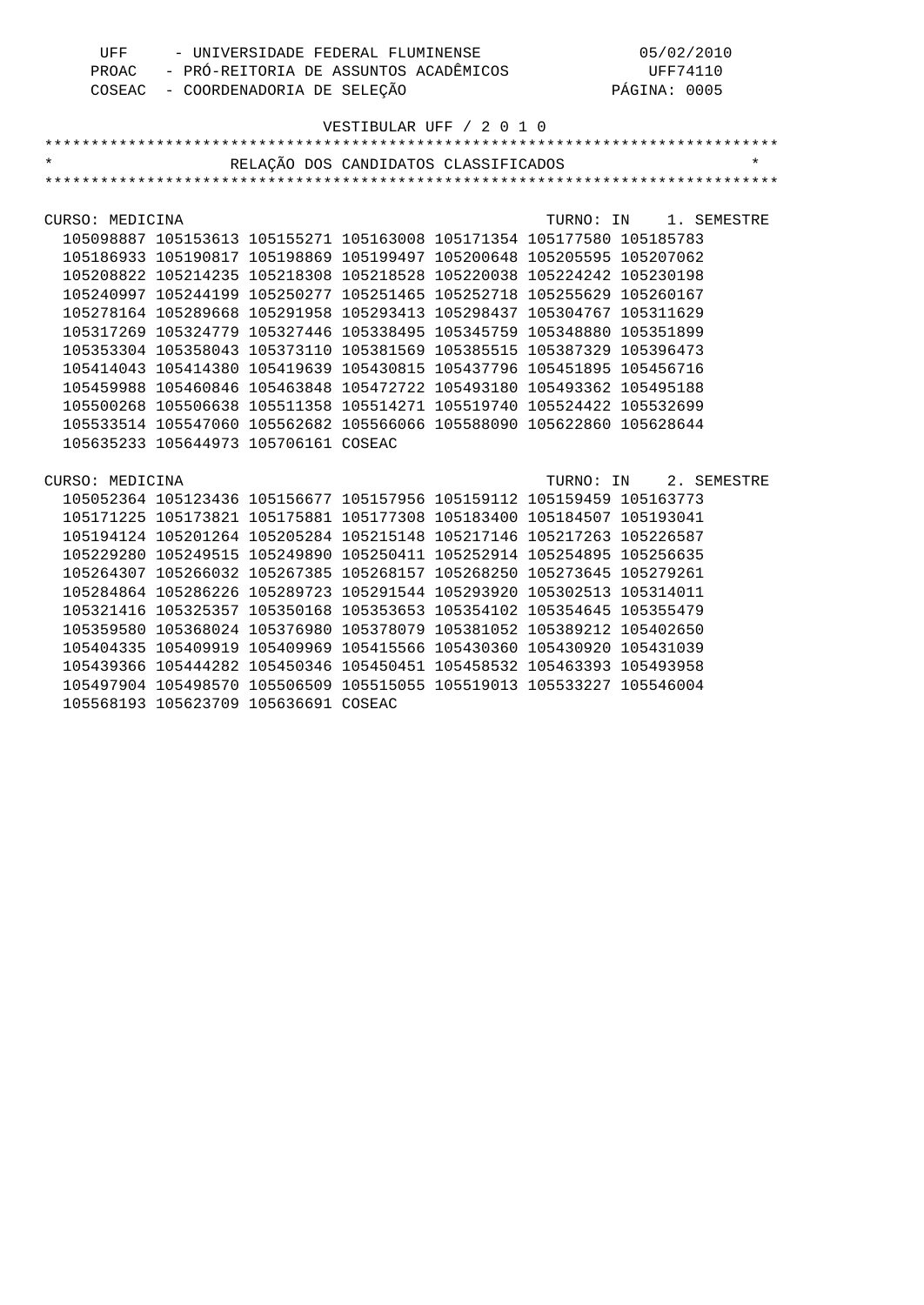| TIFF F | - UNIVERSIDADE FEDERAL FLUMINENSE           | 05/02/2010   |
|--------|---------------------------------------------|--------------|
|        | PROAC - PRÓ-REITORIA DE ASSUNTOS ACADÊMICOS | UFF74110     |
|        | COSEAC - COORDENADORIA DE SELEÇÃO           | PÁGINA: 0005 |

| $\star$         |                                      | RELAÇÃO DOS CANDIDATOS CLASSIFICADOS                                  |  |                       | $\star$ |
|-----------------|--------------------------------------|-----------------------------------------------------------------------|--|-----------------------|---------|
|                 |                                      |                                                                       |  |                       |         |
|                 |                                      |                                                                       |  |                       |         |
| CURSO: MEDICINA |                                      |                                                                       |  | TURNO: IN 1. SEMESTRE |         |
|                 |                                      | 105098887 105153613 105155271 105163008 105171354 105177580 105185783 |  |                       |         |
|                 |                                      | 105186933 105190817 105198869 105199497 105200648 105205595 105207062 |  |                       |         |
|                 |                                      | 105208822 105214235 105218308 105218528 105220038 105224242 105230198 |  |                       |         |
|                 |                                      | 105240997 105244199 105250277 105251465 105252718 105255629 105260167 |  |                       |         |
|                 |                                      | 105278164 105289668 105291958 105293413 105298437 105304767 105311629 |  |                       |         |
|                 |                                      | 105317269 105324779 105327446 105338495 105345759 105348880 105351899 |  |                       |         |
|                 |                                      | 105353304 105358043 105373110 105381569 105385515 105387329 105396473 |  |                       |         |
|                 |                                      | 105414043 105414380 105419639 105430815 105437796 105451895 105456716 |  |                       |         |
|                 |                                      | 105459988 105460846 105463848 105472722 105493180 105493362 105495188 |  |                       |         |
|                 |                                      | 105500268 105506638 105511358 105514271 105519740 105524422 105532699 |  |                       |         |
|                 |                                      | 105533514 105547060 105562682 105566066 105588090 105622860 105628644 |  |                       |         |
|                 | 105635233 105644973 105706161 COSEAC |                                                                       |  |                       |         |
|                 |                                      |                                                                       |  |                       |         |
| CURSO: MEDICINA |                                      |                                                                       |  | TURNO: IN 2. SEMESTRE |         |
|                 |                                      | 105052364 105123436 105156677 105157956 105159112 105159459 105163773 |  |                       |         |
|                 |                                      | 105171225 105173821 105175881 105177308 105183400 105184507 105193041 |  |                       |         |
|                 |                                      | 105194124 105201264 105205284 105215148 105217146 105217263 105226587 |  |                       |         |
|                 |                                      | 105229280 105249515 105249890 105250411 105252914 105254895 105256635 |  |                       |         |
|                 |                                      | 105264307 105266032 105267385 105268157 105268250 105273645 105279261 |  |                       |         |
|                 |                                      | 105284864 105286226 105289723 105291544 105293920 105302513 105314011 |  |                       |         |
|                 |                                      | 105321416 105325357 105350168 105353653 105354102 105354645 105355479 |  |                       |         |
|                 |                                      | 105359580 105368024 105376980 105378079 105381052 105389212 105402650 |  |                       |         |
|                 |                                      | 105404335 105409919 105409969 105415566 105430360 105430920 105431039 |  |                       |         |
|                 |                                      | 105439366 105444282 105450346 105450451 105458532 105463393 105493958 |  |                       |         |
|                 |                                      | 105497904 105498570 105506509 105515055 105519013 105533227 105546004 |  |                       |         |
|                 | 105568193 105623709 105636691 COSEAC |                                                                       |  |                       |         |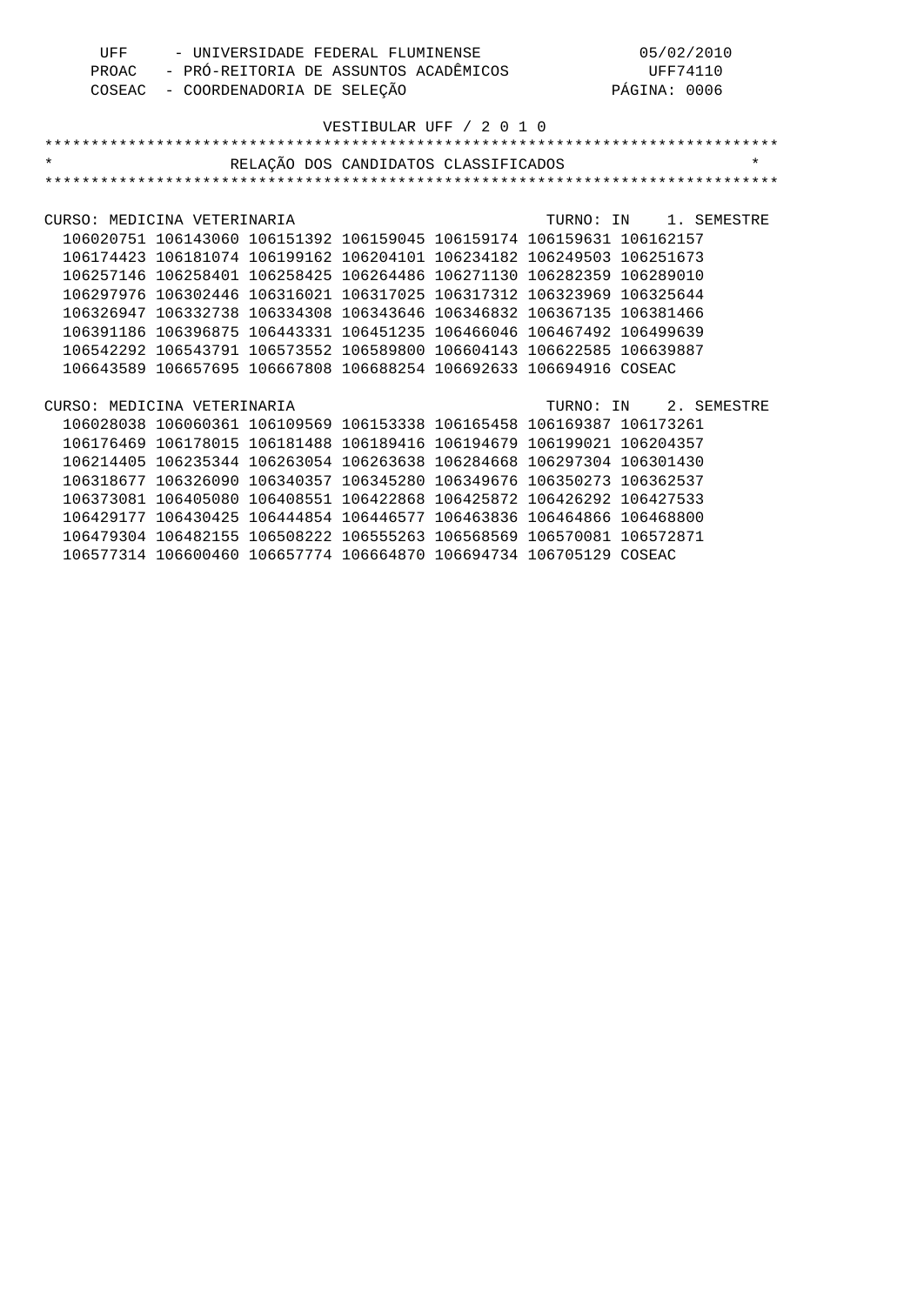| UFF | - UNIVERSIDADE FEDERAL FLUMINENSE           | 05/02/2010   |
|-----|---------------------------------------------|--------------|
|     | PROAC - PRÓ-REITORIA DE ASSUNTOS ACADÊMICOS | UFF74110     |
|     | COSEAC - COORDENADORIA DE SELEÇÃO           | PÁGINA: 0006 |

| $\star$                                                                                  |                                                                       | RELAÇÃO DOS CANDIDATOS CLASSIFICADOS |  | $\star$ |
|------------------------------------------------------------------------------------------|-----------------------------------------------------------------------|--------------------------------------|--|---------|
|                                                                                          |                                                                       |                                      |  |         |
|                                                                                          |                                                                       |                                      |  |         |
| CURSO: MEDICINA VETERINARIA (2008) (2009) TURNO: IN 2. SEMESTRE                          |                                                                       |                                      |  |         |
|                                                                                          | 106020751 106143060 106151392 106159045 106159174 106159631 106162157 |                                      |  |         |
|                                                                                          | 106174423 106181074 106199162 106204101 106234182 106249503 106251673 |                                      |  |         |
|                                                                                          | 106257146 106258401 106258425 106264486 106271130 106282359 106289010 |                                      |  |         |
|                                                                                          | 106297976 106302446 106316021 106317025 106317312 106323969 106325644 |                                      |  |         |
|                                                                                          | 106326947 106332738 106334308 106343646 106346832 106367135 106381466 |                                      |  |         |
|                                                                                          | 106391186 106396875 106443331 106451235 106466046 106467492 106499639 |                                      |  |         |
|                                                                                          | 106542292 106543791 106573552 106589800 106604143 106622585 106639887 |                                      |  |         |
|                                                                                          | 106643589 106657695 106667808 106688254 106692633 106694916 COSEAC    |                                      |  |         |
|                                                                                          |                                                                       |                                      |  |         |
| CURSO: MEDICINA VETERINARIA CONSERVATO CONSERVATO CONSIDERATION OF TURNO: IN 2. SEMESTRE |                                                                       |                                      |  |         |
|                                                                                          | 106028038 106060361 106109569 106153338 106165458 106169387 106173261 |                                      |  |         |
|                                                                                          | 106176469 106178015 106181488 106189416 106194679 106199021 106204357 |                                      |  |         |
|                                                                                          | 106214405 106235344 106263054 106263638 106284668 106297304 106301430 |                                      |  |         |
|                                                                                          | 106318677 106326090 106340357 106345280 106349676 106350273 106362537 |                                      |  |         |
|                                                                                          | 106373081 106405080 106408551 106422868 106425872 106426292 106427533 |                                      |  |         |
|                                                                                          | 106429177 106430425 106444854 106446577 106463836 106464866 106468800 |                                      |  |         |
|                                                                                          | 106479304 106482155 106508222 106555263 106568569 106570081 106572871 |                                      |  |         |
|                                                                                          | 106577314 106600460 106657774 106664870 106694734 106705129 COSEAC    |                                      |  |         |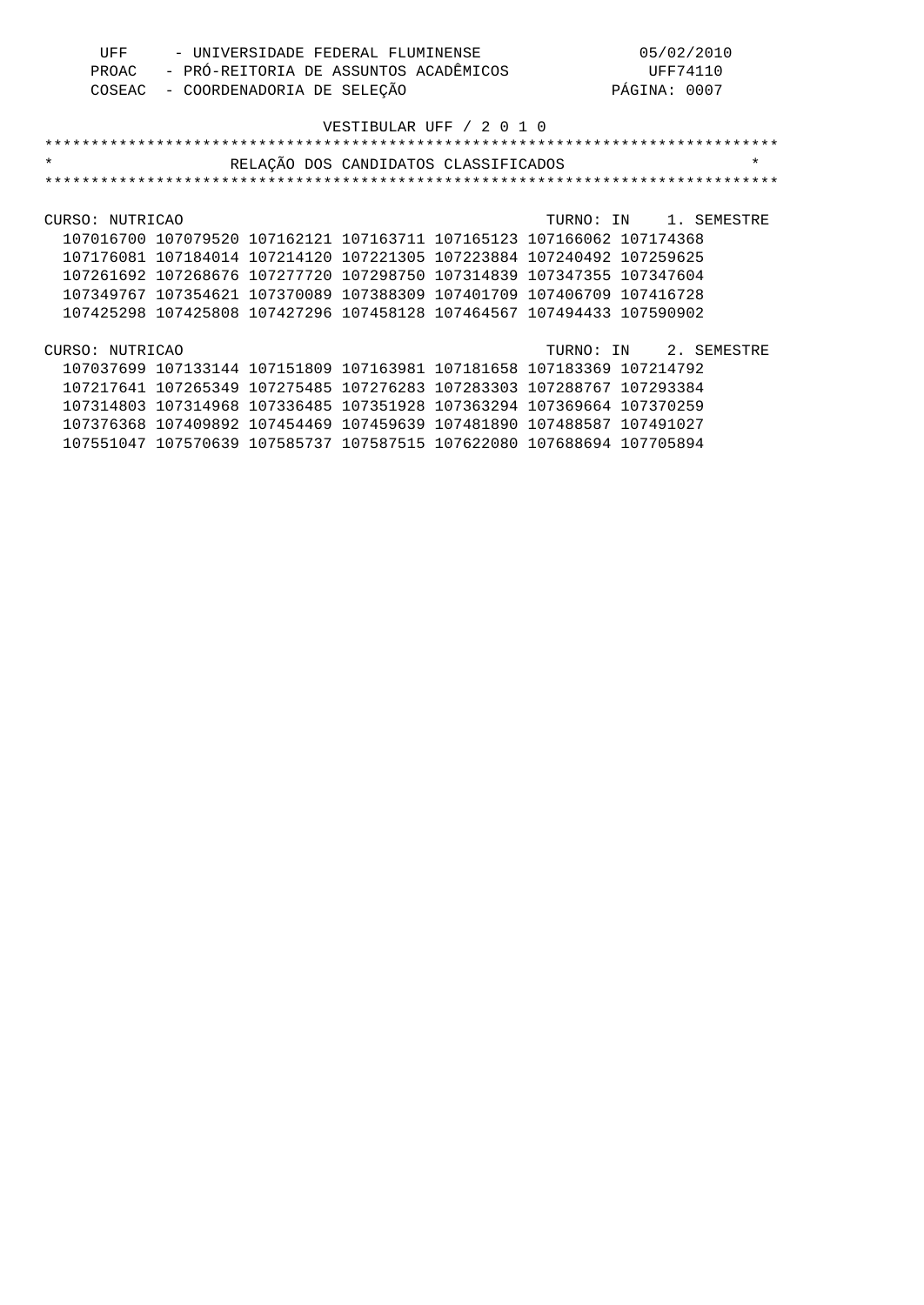| UFF | - UNIVERSIDADE FEDERAL FLUMINENSE           | 05/02/2010   |
|-----|---------------------------------------------|--------------|
|     | PROAC - PRÓ-REITORIA DE ASSUNTOS ACADÊMICOS | UFF74110     |
|     | COSEAC - COORDENADORIA DE SELEÇÃO           | PÁGINA: 0007 |

| $\star$                                                               | RELAÇÃO DOS CANDIDATOS CLASSIFICADOS                        |  |                       | $^\star$ |
|-----------------------------------------------------------------------|-------------------------------------------------------------|--|-----------------------|----------|
|                                                                       |                                                             |  |                       |          |
|                                                                       |                                                             |  |                       |          |
| CURSO: NUTRICAO                                                       |                                                             |  | TURNO: IN 1. SEMESTRE |          |
| 107016700 107079520 107162121 107163711 107165123 107166062 107174368 |                                                             |  |                       |          |
| 107176081 107184014 107214120 107221305 107223884 107240492 107259625 |                                                             |  |                       |          |
| 107261692 107268676 107277720 107298750 107314839 107347355 107347604 |                                                             |  |                       |          |
| 107349767 107354621 107370089 107388309 107401709 107406709 107416728 |                                                             |  |                       |          |
| 107425298 107425808 107427296 107458128 107464567 107494433 107590902 |                                                             |  |                       |          |
|                                                                       |                                                             |  |                       |          |
| CURSO: NUTRICAO                                                       |                                                             |  | TURNO: IN 2. SEMESTRE |          |
| 107037699 107133144 107151809 107163981 107181658 107183369 107214792 |                                                             |  |                       |          |
| 107217641 107265349 107275485 107276283 107283303 107288767 107293384 |                                                             |  |                       |          |
| 107314803 107314968 107336485 107351928 107363294 107369664 107370259 |                                                             |  |                       |          |
| 107376368                                                             | 107409892 107454469 107459639 107481890 107488587 107491027 |  |                       |          |
| 107551047 107570639 107585737 107587515 107622080 107688694 107705894 |                                                             |  |                       |          |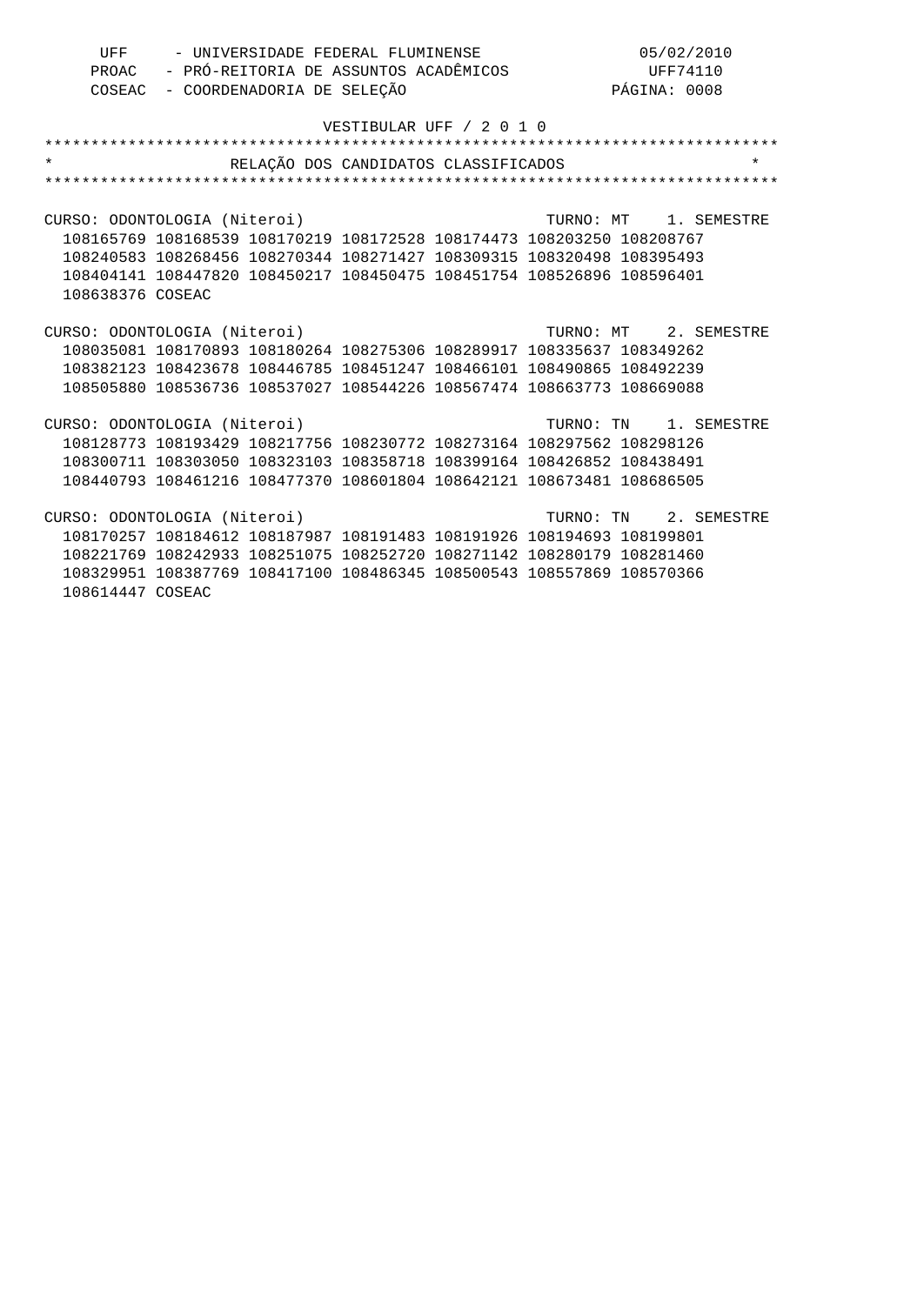| UFF | - UNIVERSIDADE FEDERAL FLUMINENSE           | 05/02/2010   |
|-----|---------------------------------------------|--------------|
|     | PROAC - PRÓ-REITORIA DE ASSUNTOS ACADÊMICOS | UFF74110     |
|     | COSEAC - COORDENADORIA DE SELEÇÃO           | PÁGINA: 0008 |

| $\star$                                                               | RELAÇÃO DOS CANDIDATOS CLASSIFICADOS | $\star$ |
|-----------------------------------------------------------------------|--------------------------------------|---------|
|                                                                       |                                      |         |
|                                                                       |                                      |         |
| CURSO: ODONTOLOGIA (Niteroi) TURNO: MT 1. SEMESTRE                    |                                      |         |
| 108165769 108168539 108170219 108172528 108174473 108203250 108208767 |                                      |         |
| 108240583 108268456 108270344 108271427 108309315 108320498 108395493 |                                      |         |
| 108404141 108447820 108450217 108450475 108451754 108526896 108596401 |                                      |         |
| 108638376 COSEAC                                                      |                                      |         |
|                                                                       |                                      |         |
| CURSO: ODONTOLOGIA (Niteroi) TURNO: MT 2. SEMESTRE                    |                                      |         |
| 108035081 108170893 108180264 108275306 108289917 108335637 108349262 |                                      |         |
| 108382123 108423678 108446785 108451247 108466101 108490865 108492239 |                                      |         |
| 108505880 108536736 108537027 108544226 108567474 108663773 108669088 |                                      |         |
|                                                                       |                                      |         |
| CURSO: ODONTOLOGIA (Niteroi)                                          | TURNO: TN 1. SEMESTRE                |         |
| 108128773 108193429 108217756 108230772 108273164 108297562 108298126 |                                      |         |
| 108300711 108303050 108323103 108358718 108399164 108426852 108438491 |                                      |         |
| 108440793 108461216 108477370 108601804 108642121 108673481 108686505 |                                      |         |
|                                                                       |                                      |         |
| CURSO: ODONTOLOGIA (Niteroi) TURNO: TN 2. SEMESTRE                    |                                      |         |
| 108170257 108184612 108187987 108191483 108191926 108194693 108199801 |                                      |         |
| 108221769 108242933 108251075 108252720 108271142 108280179 108281460 |                                      |         |
| 108329951 108387769 108417100 108486345 108500543 108557869 108570366 |                                      |         |
| 108614447 COSEAC                                                      |                                      |         |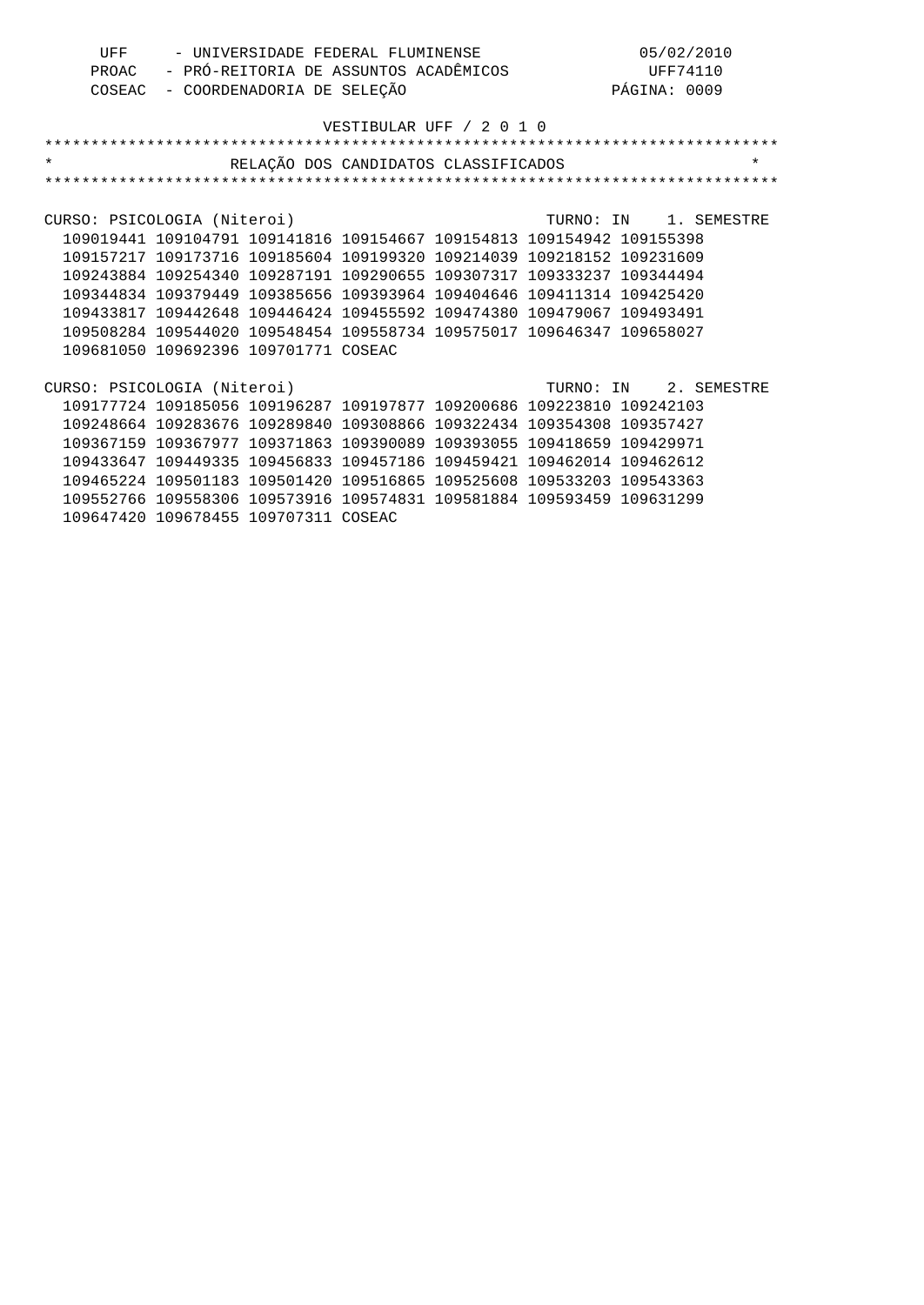| UFF | - UNIVERSIDADE FEDERAL FLUMINENSE           | 05/02/2010   |
|-----|---------------------------------------------|--------------|
|     | PROAC - PRÓ-REITORIA DE ASSUNTOS ACADÊMICOS | UFF74110     |
|     | COSEAC - COORDENADORIA DE SELEÇÃO           | PÁGINA: 0009 |

| $\star$                     |                                                                       | RELAÇÃO DOS CANDIDATOS CLASSIFICADOS |                               |                       | $\star$ |
|-----------------------------|-----------------------------------------------------------------------|--------------------------------------|-------------------------------|-----------------------|---------|
|                             |                                                                       |                                      |                               |                       |         |
|                             |                                                                       |                                      |                               |                       |         |
| CURSO: PSICOLOGIA (Niteroi) |                                                                       |                                      |                               | TURNO: IN 1. SEMESTRE |         |
|                             | 109019441 109104791 109141816 109154667 109154813 109154942 109155398 |                                      |                               |                       |         |
|                             | 109157217 109173716 109185604 109199320 109214039 109218152 109231609 |                                      |                               |                       |         |
|                             | 109243884 109254340 109287191 109290655 109307317 109333237 109344494 |                                      |                               |                       |         |
|                             | 109344834 109379449 109385656 109393964 109404646 109411314 109425420 |                                      |                               |                       |         |
|                             | 109433817 109442648 109446424 109455592 109474380 109479067 109493491 |                                      |                               |                       |         |
|                             | 109508284 109544020 109548454 109558734 109575017 109646347 109658027 |                                      |                               |                       |         |
|                             | 109681050 109692396 109701771 COSEAC                                  |                                      |                               |                       |         |
|                             |                                                                       |                                      |                               |                       |         |
| CURSO: PSICOLOGIA (Niteroi) |                                                                       |                                      |                               | TURNO: IN 2. SEMESTRE |         |
|                             | 109177724 109185056 109196287 109197877 109200686 109223810 109242103 |                                      |                               |                       |         |
|                             | 109248664 109283676 109289840 109308866 109322434 109354308 109357427 |                                      |                               |                       |         |
|                             | 109367159 109367977 109371863 109390089 109393055 109418659 109429971 |                                      |                               |                       |         |
|                             | 109433647 109449335 109456833 109457186                               |                                      | 109459421 109462014 109462612 |                       |         |
|                             | 109465224 109501183 109501420 109516865 109525608 109533203 109543363 |                                      |                               |                       |         |
|                             | 109552766 109558306 109573916 109574831 109581884 109593459 109631299 |                                      |                               |                       |         |
|                             | 109647420 109678455 109707311 COSEAC                                  |                                      |                               |                       |         |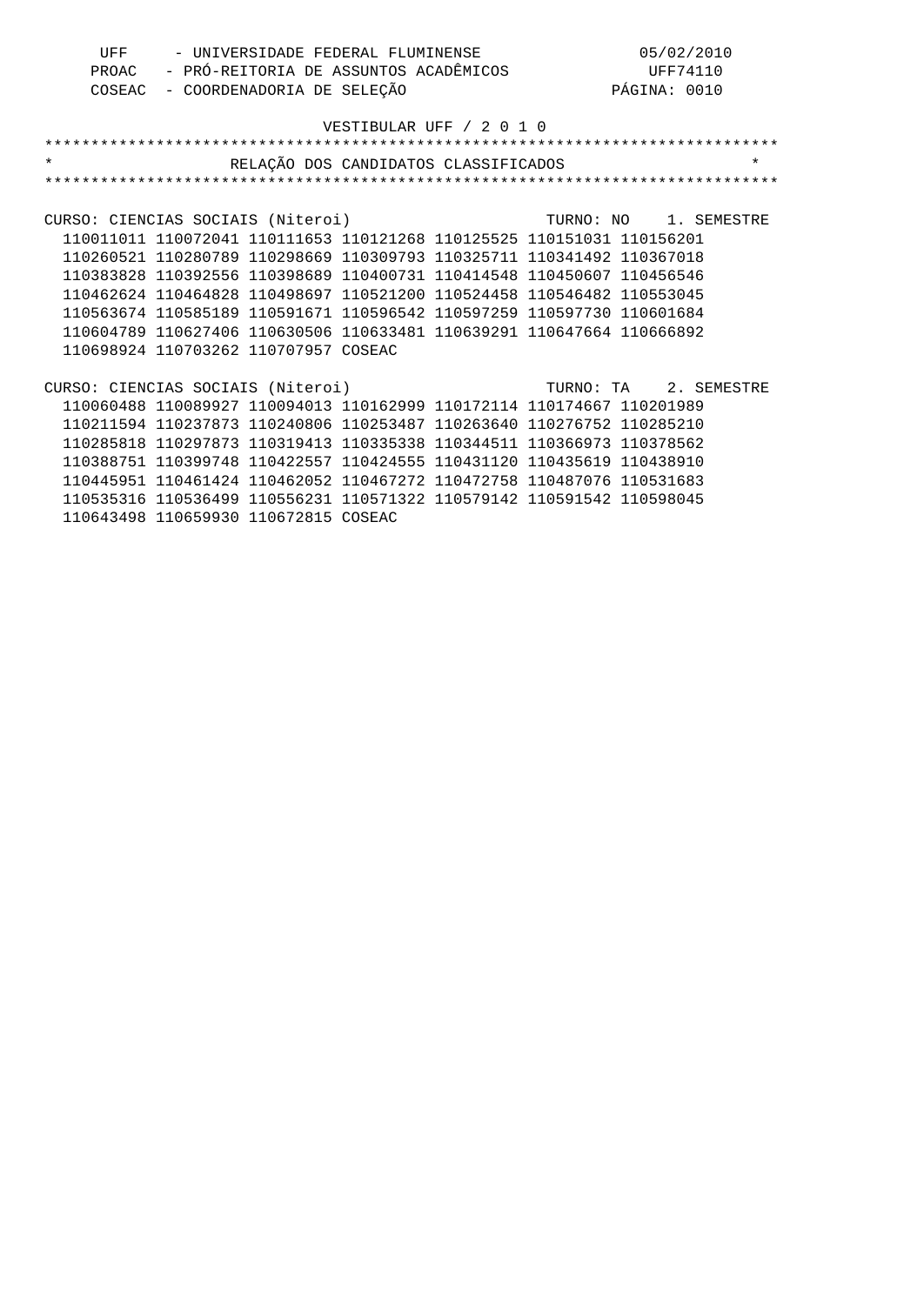| UFF | - UNIVERSIDADE FEDERAL FLUMINENSE           | 05/02/2010   |
|-----|---------------------------------------------|--------------|
|     | PROAC - PRÓ-REITORIA DE ASSUNTOS ACADÊMICOS | UFF74110     |
|     | COSEAC - COORDENADORIA DE SELEÇÃO           | PÁGINA: 0010 |

| $\star$                                                 |                                                                       | RELAÇÃO DOS CANDIDATOS CLASSIFICADOS |                       |  | $\star$ |
|---------------------------------------------------------|-----------------------------------------------------------------------|--------------------------------------|-----------------------|--|---------|
|                                                         |                                                                       |                                      |                       |  |         |
|                                                         |                                                                       |                                      |                       |  |         |
| CURSO: CIENCIAS SOCIAIS (Niteroi)                       |                                                                       |                                      | TURNO: NO 1. SEMESTRE |  |         |
|                                                         | 110011011 110072041 110111653 110121268 110125525 110151031 110156201 |                                      |                       |  |         |
|                                                         | 110260521 110280789 110298669 110309793 110325711 110341492 110367018 |                                      |                       |  |         |
|                                                         | 110383828 110392556 110398689 110400731 110414548 110450607 110456546 |                                      |                       |  |         |
|                                                         | 110462624 110464828 110498697 110521200 110524458 110546482 110553045 |                                      |                       |  |         |
|                                                         | 110563674 110585189 110591671 110596542 110597259 110597730 110601684 |                                      |                       |  |         |
|                                                         | 110604789 110627406 110630506 110633481 110639291 110647664 110666892 |                                      |                       |  |         |
|                                                         | 110698924 110703262 110707957 COSEAC                                  |                                      |                       |  |         |
|                                                         |                                                                       |                                      |                       |  |         |
| CURSO: CIENCIAS SOCIAIS (Niteroi) TURNO: TA 2. SEMESTRE |                                                                       |                                      |                       |  |         |
|                                                         | 110060488 110089927 110094013 110162999 110172114 110174667 110201989 |                                      |                       |  |         |
|                                                         | 110211594 110237873 110240806 110253487 110263640 110276752 110285210 |                                      |                       |  |         |
|                                                         | 110285818 110297873 110319413 110335338 110344511 110366973 110378562 |                                      |                       |  |         |
|                                                         | 110388751 110399748 110422557 110424555 110431120 110435619 110438910 |                                      |                       |  |         |
|                                                         | 110445951 110461424 110462052 110467272 110472758 110487076 110531683 |                                      |                       |  |         |
|                                                         | 110535316 110536499 110556231 110571322 110579142 110591542 110598045 |                                      |                       |  |         |
|                                                         | 110643498 110659930 110672815 COSEAC                                  |                                      |                       |  |         |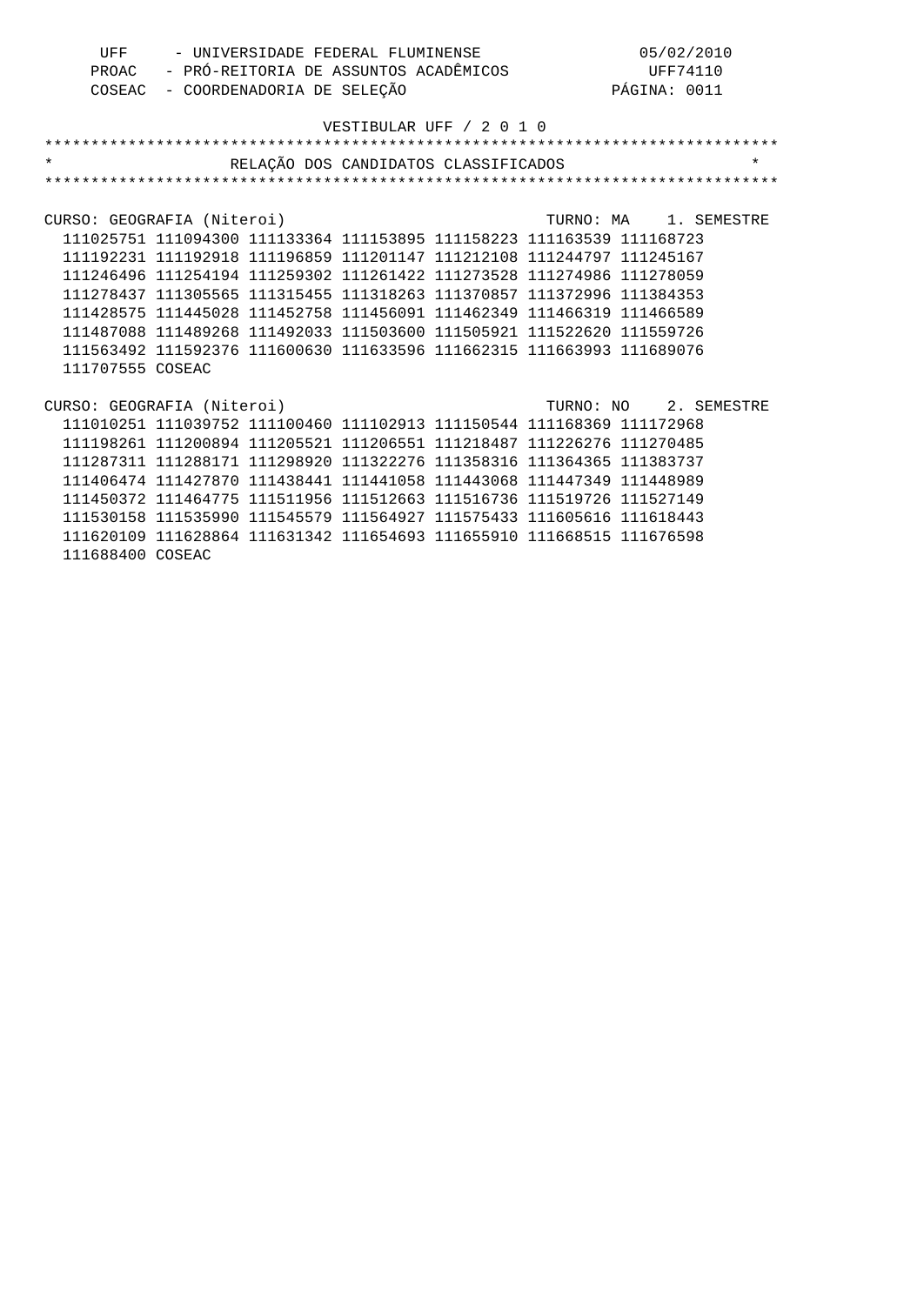| UFF | - UNIVERSIDADE FEDERAL FLUMINENSE           | 05/02/2010   |
|-----|---------------------------------------------|--------------|
|     | PROAC - PRÓ-REITORIA DE ASSUNTOS ACADÊMICOS | UFF74110     |
|     | COSEAC - COORDENADORIA DE SELEÇÃO           | PÁGINA: 0011 |

| $\star$                    |                                                                       | RELAÇÃO DOS CANDIDATOS CLASSIFICADOS |  |                       | $\star$ |
|----------------------------|-----------------------------------------------------------------------|--------------------------------------|--|-----------------------|---------|
|                            |                                                                       |                                      |  |                       |         |
|                            |                                                                       |                                      |  |                       |         |
| CURSO: GEOGRAFIA (Niteroi) |                                                                       |                                      |  | TURNO: MA 1. SEMESTRE |         |
|                            | 111025751 111094300 111133364 111153895 111158223 111163539 111168723 |                                      |  |                       |         |
|                            | 111192231 111192918 111196859 111201147 111212108 111244797 111245167 |                                      |  |                       |         |
|                            | 111246496 111254194 111259302 111261422 111273528 111274986 111278059 |                                      |  |                       |         |
|                            | 111278437 111305565 111315455 111318263 111370857 111372996 111384353 |                                      |  |                       |         |
|                            | 111428575 111445028 111452758 111456091 111462349 111466319 111466589 |                                      |  |                       |         |
|                            | 111487088 111489268 111492033 111503600 111505921 111522620 111559726 |                                      |  |                       |         |
|                            | 111563492 111592376 111600630 111633596 111662315 111663993 111689076 |                                      |  |                       |         |
| 111707555 COSEAC           |                                                                       |                                      |  |                       |         |
|                            |                                                                       |                                      |  |                       |         |
| CURSO: GEOGRAFIA (Niteroi) |                                                                       |                                      |  | TURNO: NO 2. SEMESTRE |         |
|                            | 111010251 111039752 111100460 111102913 111150544 111168369 111172968 |                                      |  |                       |         |
|                            | 111198261 111200894 111205521 111206551 111218487 111226276 111270485 |                                      |  |                       |         |
|                            | 111287311 111288171 111298920 111322276 111358316 111364365 111383737 |                                      |  |                       |         |
|                            | 111406474 111427870 111438441 111441058 111443068 111447349 111448989 |                                      |  |                       |         |
|                            | 111450372 111464775 111511956 111512663 111516736 111519726 111527149 |                                      |  |                       |         |
|                            | 111530158 111535990 111545579 111564927 111575433 111605616 111618443 |                                      |  |                       |         |
|                            | 111620109 111628864 111631342 111654693 111655910 111668515 111676598 |                                      |  |                       |         |
| 111688400 COSEAC           |                                                                       |                                      |  |                       |         |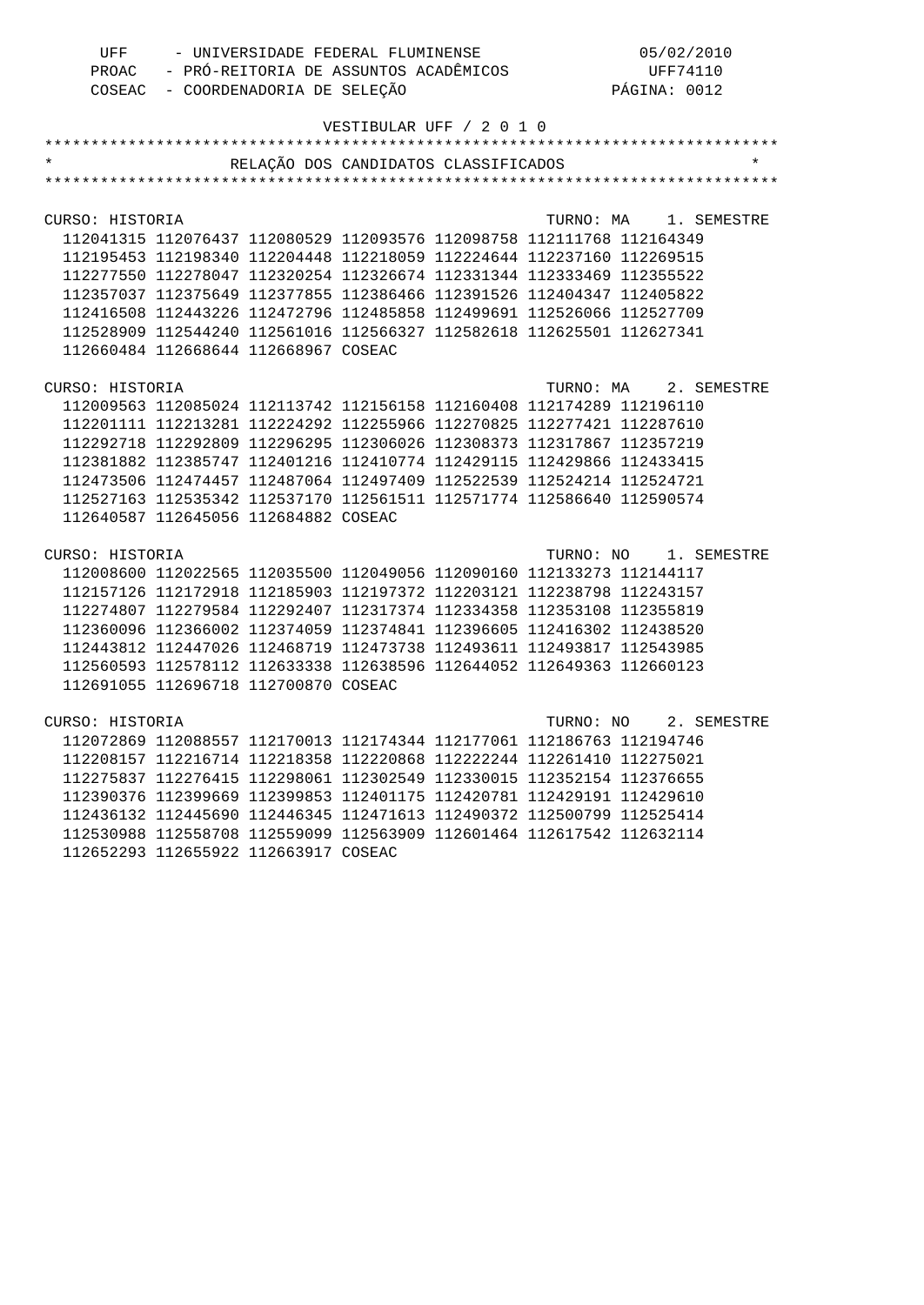| UFF | - UNIVERSIDADE FEDERAL FLUMINENSE           | 05/02/2010   |
|-----|---------------------------------------------|--------------|
|     | PROAC - PRÓ-REITORIA DE ASSUNTOS ACADÊMICOS | UFF74110     |
|     | COSEAC - COORDENADORIA DE SELEÇÃO           | PÁGINA: 0012 |

|                 |                                      | VESTIBULAR UFF / 2 0 1 0                                              |           |                       |             |
|-----------------|--------------------------------------|-----------------------------------------------------------------------|-----------|-----------------------|-------------|
|                 |                                      |                                                                       |           |                       |             |
|                 |                                      | RELAÇÃO DOS CANDIDATOS CLASSIFICADOS                                  |           |                       |             |
|                 |                                      |                                                                       |           |                       |             |
|                 |                                      |                                                                       |           |                       |             |
| CURSO: HISTORIA |                                      |                                                                       | TURNO: MA |                       | 1. SEMESTRE |
|                 |                                      | 112041315 112076437 112080529 112093576 112098758 112111768 112164349 |           |                       |             |
|                 |                                      | 112195453 112198340 112204448 112218059 112224644 112237160 112269515 |           |                       |             |
|                 |                                      | 112277550 112278047 112320254 112326674 112331344 112333469 112355522 |           |                       |             |
|                 |                                      | 112357037 112375649 112377855 112386466 112391526 112404347 112405822 |           |                       |             |
|                 |                                      | 112416508 112443226 112472796 112485858 112499691 112526066 112527709 |           |                       |             |
|                 |                                      | 112528909 112544240 112561016 112566327 112582618 112625501 112627341 |           |                       |             |
|                 | 112660484 112668644 112668967 COSEAC |                                                                       |           |                       |             |
|                 |                                      |                                                                       |           |                       |             |
| CURSO: HISTORIA |                                      |                                                                       | TURNO: MA |                       | 2. SEMESTRE |
|                 |                                      | 112009563 112085024 112113742 112156158 112160408 112174289 112196110 |           |                       |             |
|                 |                                      | 112201111 112213281 112224292 112255966 112270825 112277421 112287610 |           |                       |             |
|                 |                                      | 112292718 112292809 112296295 112306026 112308373 112317867 112357219 |           |                       |             |
|                 |                                      | 112381882 112385747 112401216 112410774 112429115 112429866 112433415 |           |                       |             |
|                 |                                      | 112473506 112474457 112487064 112497409 112522539 112524214 112524721 |           |                       |             |
|                 |                                      | 112527163 112535342 112537170 112561511 112571774 112586640 112590574 |           |                       |             |
|                 | 112640587 112645056 112684882 COSEAC |                                                                       |           |                       |             |
| CURSO: HISTORIA |                                      |                                                                       |           | TURNO: NO 1. SEMESTRE |             |
|                 |                                      | 112008600 112022565 112035500 112049056 112090160 112133273 112144117 |           |                       |             |
|                 |                                      | 112157126 112172918 112185903 112197372 112203121 112238798 112243157 |           |                       |             |
|                 |                                      | 112274807 112279584 112292407 112317374 112334358 112353108 112355819 |           |                       |             |
|                 |                                      | 112360096 112366002 112374059 112374841 112396605 112416302 112438520 |           |                       |             |
|                 |                                      | 112443812 112447026 112468719 112473738 112493611 112493817 112543985 |           |                       |             |
|                 |                                      | 112560593 112578112 112633338 112638596 112644052 112649363 112660123 |           |                       |             |
|                 | 112691055 112696718 112700870 COSEAC |                                                                       |           |                       |             |
|                 |                                      |                                                                       |           |                       |             |
| CURSO: HISTORIA |                                      |                                                                       |           | TURNO: NO 2. SEMESTRE |             |
|                 |                                      | 112072869 112088557 112170013 112174344 112177061 112186763 112194746 |           |                       |             |
|                 |                                      | 112208157 112216714 112218358 112220868 112222244 112261410 112275021 |           |                       |             |
|                 |                                      | 112275837 112276415 112298061 112302549 112330015 112352154 112376655 |           |                       |             |
|                 |                                      | 112390376 112399669 112399853 112401175 112420781 112429191 112429610 |           |                       |             |
|                 |                                      | 112436132 112445690 112446345 112471613 112490372 112500799 112525414 |           |                       |             |
|                 |                                      | 112530988 112558708 112559099 112563909 112601464 112617542 112632114 |           |                       |             |

112652293 112655922 112663917 COSEAC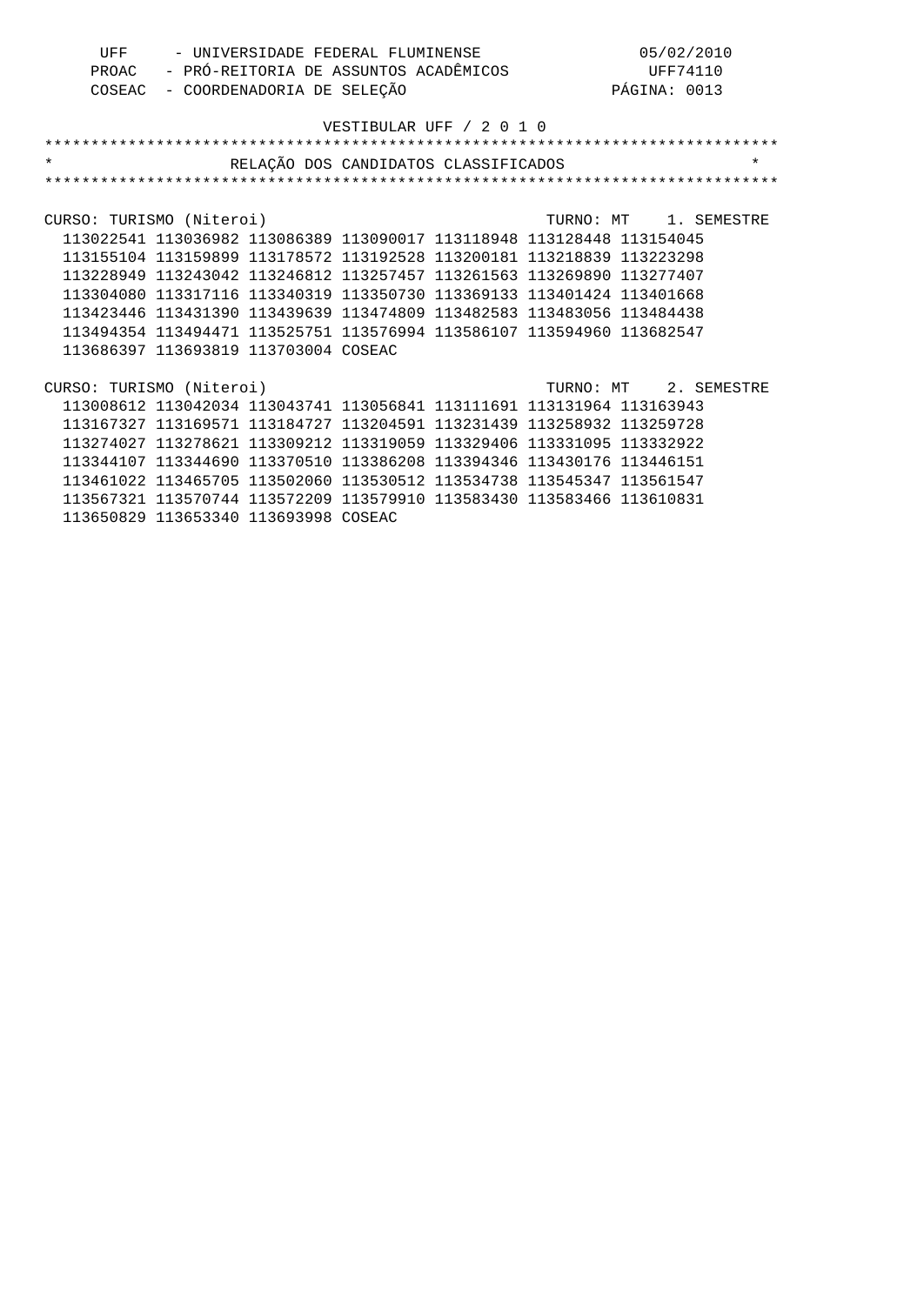| UFF | - UNIVERSIDADE FEDERAL FLUMINENSE           | 05/02/2010   |
|-----|---------------------------------------------|--------------|
|     | PROAC - PRÓ-REITORIA DE ASSUNTOS ACADÊMICOS | UFF74110     |
|     | COSEAC - COORDENADORIA DE SELEÇÃO           | PÁGINA: 0013 |

| $\star$                  |                                                                       | RELAÇÃO DOS CANDIDATOS CLASSIFICADOS |  |                       | $\star$ |
|--------------------------|-----------------------------------------------------------------------|--------------------------------------|--|-----------------------|---------|
|                          |                                                                       |                                      |  |                       |         |
|                          |                                                                       |                                      |  |                       |         |
| CURSO: TURISMO (Niteroi) |                                                                       |                                      |  | TURNO: MT 1. SEMESTRE |         |
|                          | 113022541 113036982 113086389 113090017 113118948 113128448 113154045 |                                      |  |                       |         |
|                          | 113155104 113159899 113178572 113192528 113200181 113218839 113223298 |                                      |  |                       |         |
|                          | 113228949 113243042 113246812 113257457 113261563 113269890 113277407 |                                      |  |                       |         |
|                          | 113304080 113317116 113340319 113350730 113369133 113401424 113401668 |                                      |  |                       |         |
|                          | 113423446 113431390 113439639 113474809 113482583 113483056 113484438 |                                      |  |                       |         |
|                          | 113494354 113494471 113525751 113576994 113586107 113594960 113682547 |                                      |  |                       |         |
|                          | 113686397 113693819 113703004 COSEAC                                  |                                      |  |                       |         |
|                          |                                                                       |                                      |  |                       |         |
| CURSO: TURISMO (Niteroi) |                                                                       |                                      |  | TURNO: MT 2. SEMESTRE |         |
|                          | 113008612 113042034 113043741 113056841 113111691 113131964 113163943 |                                      |  |                       |         |
|                          | 113167327 113169571 113184727 113204591 113231439 113258932 113259728 |                                      |  |                       |         |
|                          | 113274027 113278621 113309212 113319059 113329406 113331095           |                                      |  | 113332922             |         |
|                          | 113344107 113344690 113370510 113386208 113394346 113430176 113446151 |                                      |  |                       |         |
|                          | 113461022 113465705 113502060 113530512 113534738 113545347 113561547 |                                      |  |                       |         |
|                          | 113567321 113570744 113572209 113579910 113583430 113583466 113610831 |                                      |  |                       |         |
|                          | 113650829 113653340 113693998 COSEAC                                  |                                      |  |                       |         |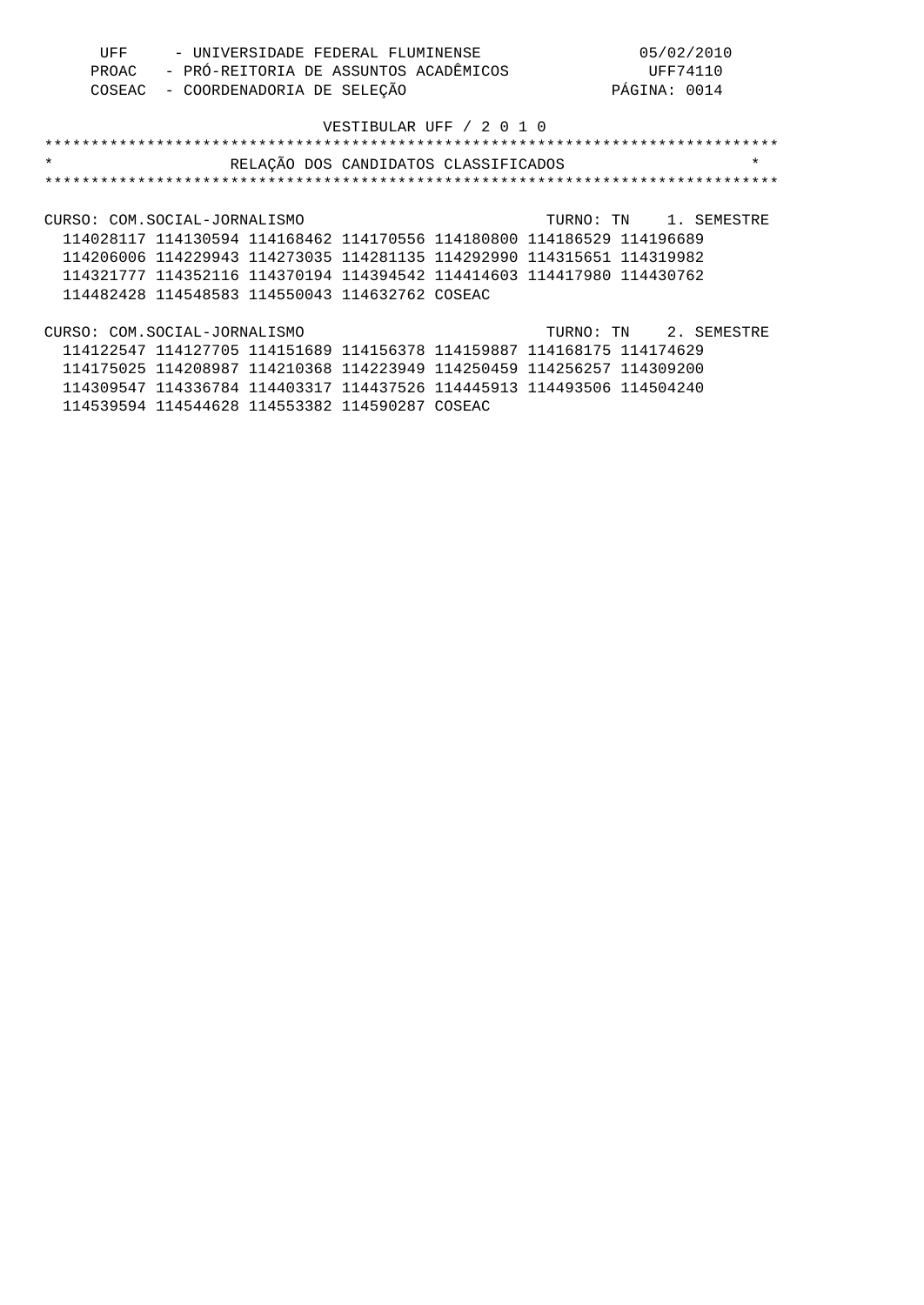| UFF | - UNIVERSIDADE FEDERAL FLUMINENSE           | 05/02/2010   |
|-----|---------------------------------------------|--------------|
|     | PROAC - PRÓ-REITORIA DE ASSUNTOS ACADÊMICOS | UFF74110     |
|     | COSEAC - COORDENADORIA DE SELEÇÃO           | PÁGINA: 0014 |

| $\star$                                                               | RELAÇÃO DOS CANDIDATOS CLASSIFICADOS | $\star$               |
|-----------------------------------------------------------------------|--------------------------------------|-----------------------|
|                                                                       |                                      |                       |
|                                                                       |                                      |                       |
| CURSO: COM.SOCIAL-JORNALISMO                                          |                                      | TURNO: TN 1. SEMESTRE |
| 114028117 114130594 114168462 114170556 114180800 114186529 114196689 |                                      |                       |
| 114206006 114229943 114273035 114281135 114292990 114315651 114319982 |                                      |                       |
| 114321777 114352116 114370194 114394542 114414603 114417980 114430762 |                                      |                       |
| 114482428 114548583 114550043 114632762 COSEAC                        |                                      |                       |
|                                                                       |                                      |                       |
| CURSO: COM.SOCIAL-JORNALISMO                                          |                                      | TURNO: TN 2. SEMESTRE |
| 114122547 114127705 114151689 114156378 114159887 114168175 114174629 |                                      |                       |
| 114175025 114208987 114210368 114223949 114250459 114256257 114309200 |                                      |                       |
|                                                                       |                                      |                       |

 114309547 114336784 114403317 114437526 114445913 114493506 114504240 114539594 114544628 114553382 114590287 COSEAC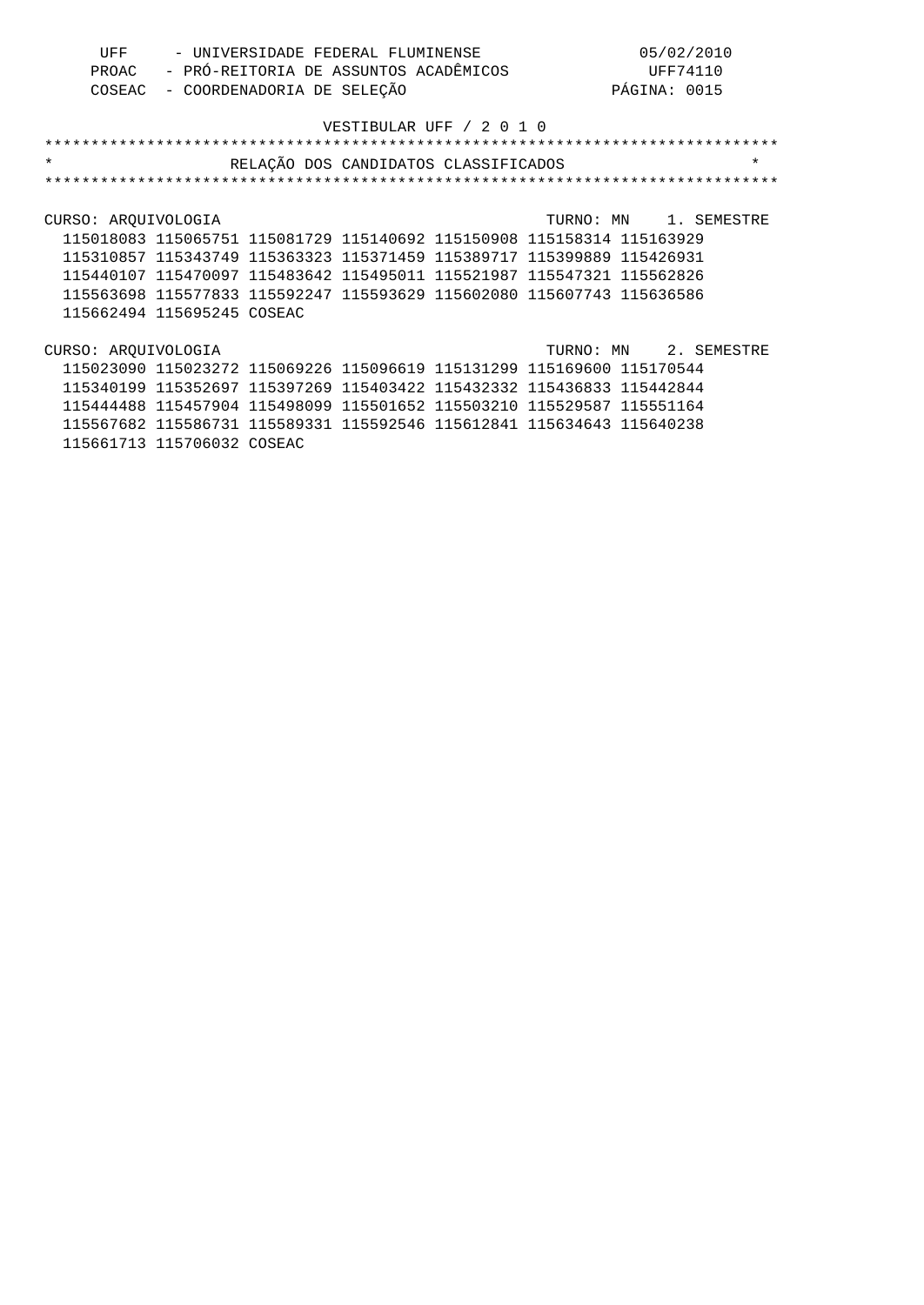| UFF | - UNIVERSIDADE FEDERAL FLUMINENSE           | 05/02/2010   |
|-----|---------------------------------------------|--------------|
|     | PROAC - PRÓ-REITORIA DE ASSUNTOS ACADÊMICOS | UFF74110     |
|     | COSEAC - COORDENADORIA DE SELEÇÃO           | PÁGINA: 0015 |

| $\star$             |                                                                       | RELAÇÃO DOS CANDIDATOS CLASSIFICADOS |  | $\star$               |
|---------------------|-----------------------------------------------------------------------|--------------------------------------|--|-----------------------|
|                     |                                                                       |                                      |  |                       |
|                     |                                                                       |                                      |  |                       |
| CURSO: ARQUIVOLOGIA |                                                                       |                                      |  | TURNO: MN 1. SEMESTRE |
|                     | 115018083 115065751 115081729 115140692 115150908 115158314 115163929 |                                      |  |                       |
|                     | 115310857 115343749 115363323 115371459 115389717 115399889 115426931 |                                      |  |                       |
|                     | 115440107 115470097 115483642 115495011 115521987 115547321 115562826 |                                      |  |                       |
|                     | 115563698 115577833 115592247 115593629 115602080 115607743 115636586 |                                      |  |                       |
|                     | 115662494 115695245 COSEAC                                            |                                      |  |                       |
|                     |                                                                       |                                      |  |                       |
| CURSO: AROUIVOLOGIA |                                                                       |                                      |  | TURNO: MN 2. SEMESTRE |
|                     | 115023090 115023272 115069226 115096619 115131299 115169600 115170544 |                                      |  |                       |
|                     | 115340199 115352697 115397269 115403422 115432332 115436833 115442844 |                                      |  |                       |
|                     | 115444488 115457904 115498099 115501652 115503210 115529587 115551164 |                                      |  |                       |
|                     | 115567682 115586731 115589331 115592546 115612841 115634643 115640238 |                                      |  |                       |
|                     |                                                                       |                                      |  |                       |

115661713 115706032 COSEAC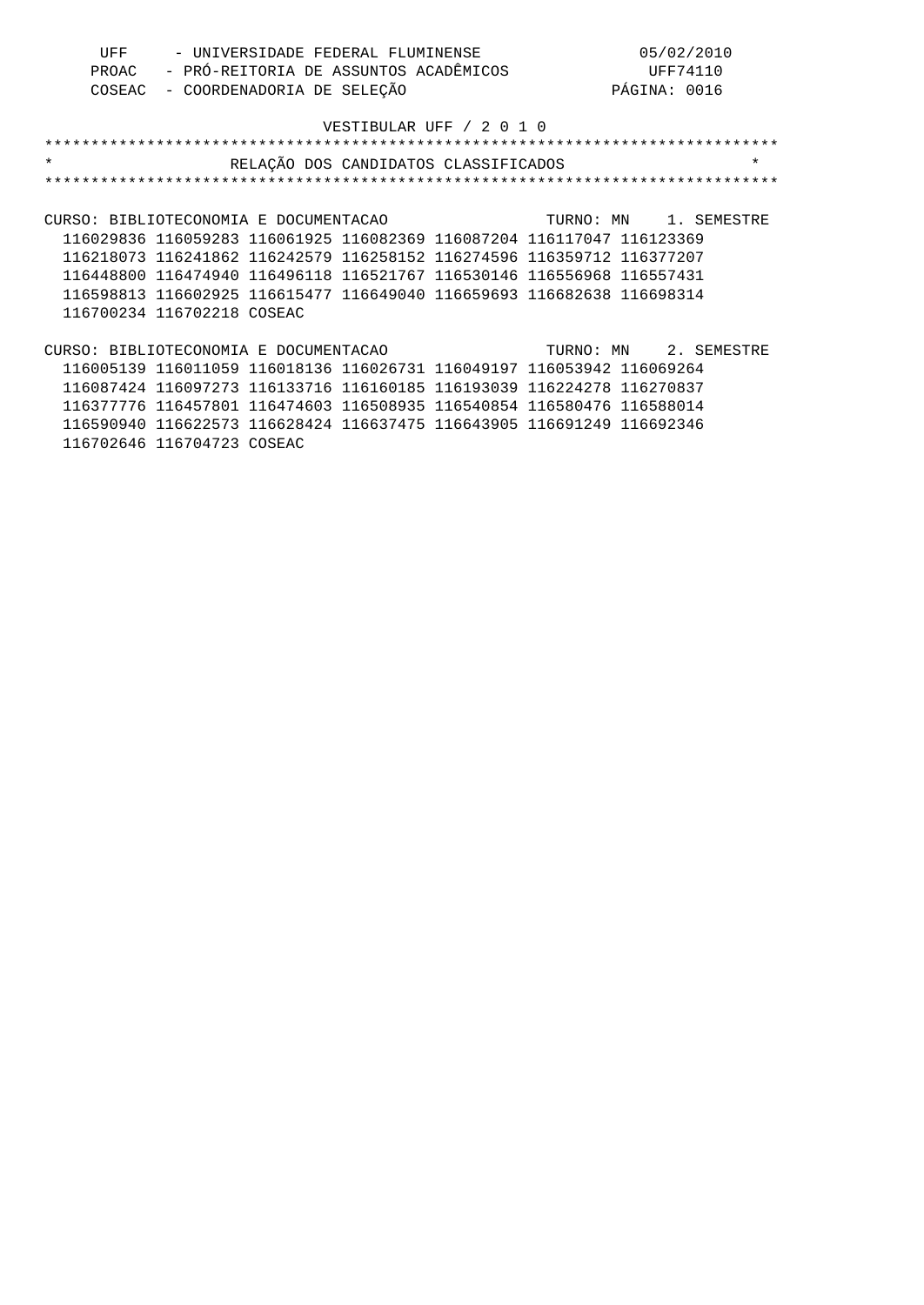| UFF | - UNIVERSIDADE FEDERAL FLUMINENSE           | 05/02/2010   |
|-----|---------------------------------------------|--------------|
|     | PROAC - PRÓ-REITORIA DE ASSUNTOS ACADÊMICOS | UFF74110     |
|     | COSEAC - COORDENADORIA DE SELEÇÃO           | PÁGINA: 0016 |

| $\star$                                                               | RELAÇÃO DOS CANDIDATOS CLASSIFICADOS |  |  | $\star$               |
|-----------------------------------------------------------------------|--------------------------------------|--|--|-----------------------|
|                                                                       |                                      |  |  |                       |
|                                                                       |                                      |  |  |                       |
| CURSO: BIBLIOTECONOMIA E DOCUMENTACAO                                 |                                      |  |  | TURNO: MN 1. SEMESTRE |
| 116029836 116059283 116061925 116082369 116087204 116117047 116123369 |                                      |  |  |                       |
| 116218073 116241862 116242579 116258152 116274596 116359712 116377207 |                                      |  |  |                       |
| 116448800 116474940 116496118 116521767 116530146 116556968 116557431 |                                      |  |  |                       |
| 116598813 116602925 116615477 116649040 116659693 116682638 116698314 |                                      |  |  |                       |
| 116700234 116702218 COSEAC                                            |                                      |  |  |                       |
|                                                                       |                                      |  |  |                       |
| CURSO: BIBLIOTECONOMIA E DOCUMENTACAO                                 |                                      |  |  | TURNO: MN 2. SEMESTRE |
| 116005139 116011059 116018136 116026731 116049197 116053942 116069264 |                                      |  |  |                       |
| 116087424 116097273 116133716 116160185 116193039 116224278 116270837 |                                      |  |  |                       |
| 116377776 116457801 116474603 116508935 116540854 116580476 116588014 |                                      |  |  |                       |
| 116590940 116622573 116628424 116637475 116643905 116691249 116692346 |                                      |  |  |                       |

116702646 116704723 COSEAC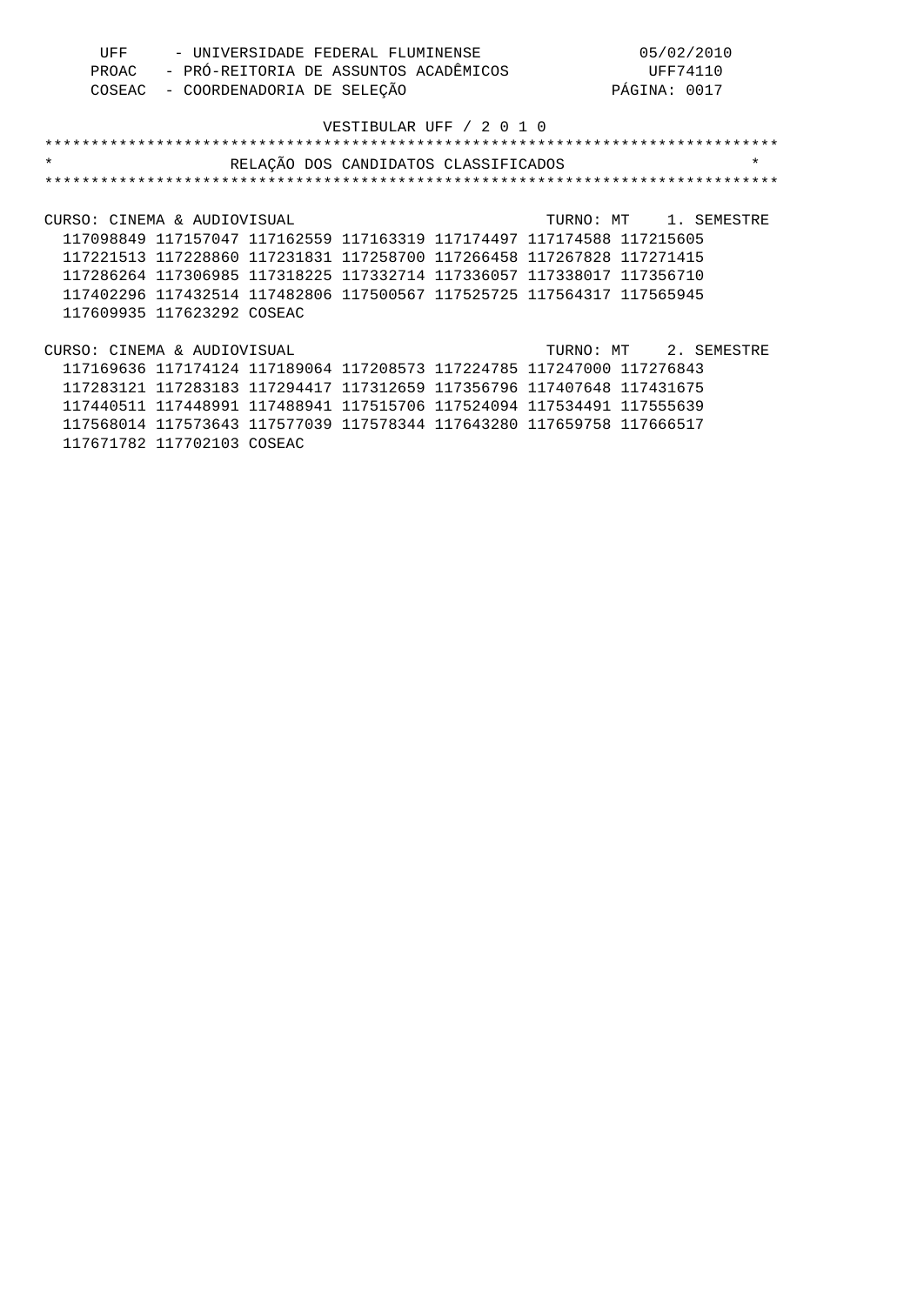| UFF | - UNIVERSIDADE FEDERAL FLUMINENSE           | 05/02/2010   |
|-----|---------------------------------------------|--------------|
|     | PROAC - PRÓ-REITORIA DE ASSUNTOS ACADÊMICOS | UFF74110     |
|     | COSEAC - COORDENADORIA DE SELEÇÃO           | PÁGINA: 0017 |

|  |                                                                                                                        |  |                                      | $\star$                                                                                                                                                                                                                                                                                                                                                                                                                                                                                                                                                                                                                                                |
|--|------------------------------------------------------------------------------------------------------------------------|--|--------------------------------------|--------------------------------------------------------------------------------------------------------------------------------------------------------------------------------------------------------------------------------------------------------------------------------------------------------------------------------------------------------------------------------------------------------------------------------------------------------------------------------------------------------------------------------------------------------------------------------------------------------------------------------------------------------|
|  |                                                                                                                        |  |                                      |                                                                                                                                                                                                                                                                                                                                                                                                                                                                                                                                                                                                                                                        |
|  |                                                                                                                        |  |                                      |                                                                                                                                                                                                                                                                                                                                                                                                                                                                                                                                                                                                                                                        |
|  |                                                                                                                        |  |                                      |                                                                                                                                                                                                                                                                                                                                                                                                                                                                                                                                                                                                                                                        |
|  |                                                                                                                        |  |                                      |                                                                                                                                                                                                                                                                                                                                                                                                                                                                                                                                                                                                                                                        |
|  |                                                                                                                        |  |                                      |                                                                                                                                                                                                                                                                                                                                                                                                                                                                                                                                                                                                                                                        |
|  |                                                                                                                        |  |                                      |                                                                                                                                                                                                                                                                                                                                                                                                                                                                                                                                                                                                                                                        |
|  |                                                                                                                        |  |                                      |                                                                                                                                                                                                                                                                                                                                                                                                                                                                                                                                                                                                                                                        |
|  |                                                                                                                        |  |                                      |                                                                                                                                                                                                                                                                                                                                                                                                                                                                                                                                                                                                                                                        |
|  |                                                                                                                        |  |                                      |                                                                                                                                                                                                                                                                                                                                                                                                                                                                                                                                                                                                                                                        |
|  |                                                                                                                        |  |                                      |                                                                                                                                                                                                                                                                                                                                                                                                                                                                                                                                                                                                                                                        |
|  |                                                                                                                        |  |                                      |                                                                                                                                                                                                                                                                                                                                                                                                                                                                                                                                                                                                                                                        |
|  |                                                                                                                        |  |                                      |                                                                                                                                                                                                                                                                                                                                                                                                                                                                                                                                                                                                                                                        |
|  |                                                                                                                        |  |                                      |                                                                                                                                                                                                                                                                                                                                                                                                                                                                                                                                                                                                                                                        |
|  |                                                                                                                        |  |                                      |                                                                                                                                                                                                                                                                                                                                                                                                                                                                                                                                                                                                                                                        |
|  |                                                                                                                        |  |                                      |                                                                                                                                                                                                                                                                                                                                                                                                                                                                                                                                                                                                                                                        |
|  | CURSO: CINEMA & AUDIOVISUAL<br>117609935 117623292 COSEAC<br>CURSO: CINEMA & AUDIOVISUAL<br>117671782 117702103 COSEAC |  | RELAÇÃO DOS CANDIDATOS CLASSIFICADOS | TURNO: MT 1. SEMESTRE<br>117098849 117157047 117162559 117163319 117174497 117174588 117215605<br>117221513 117228860 117231831 117258700 117266458 117267828 117271415<br>117286264 117306985 117318225 117332714 117336057 117338017 117356710<br>117402296 117432514 117482806 117500567 117525725 117564317 117565945<br>TURNO: MT 2. SEMESTRE<br>117169636 117174124 117189064 117208573 117224785 117247000 117276843<br>117283121 117283183 117294417 117312659 117356796 117407648 117431675<br>117440511 117448991 117488941 117515706 117524094 117534491 117555639<br>117568014 117573643 117577039 117578344 117643280 117659758 117666517 |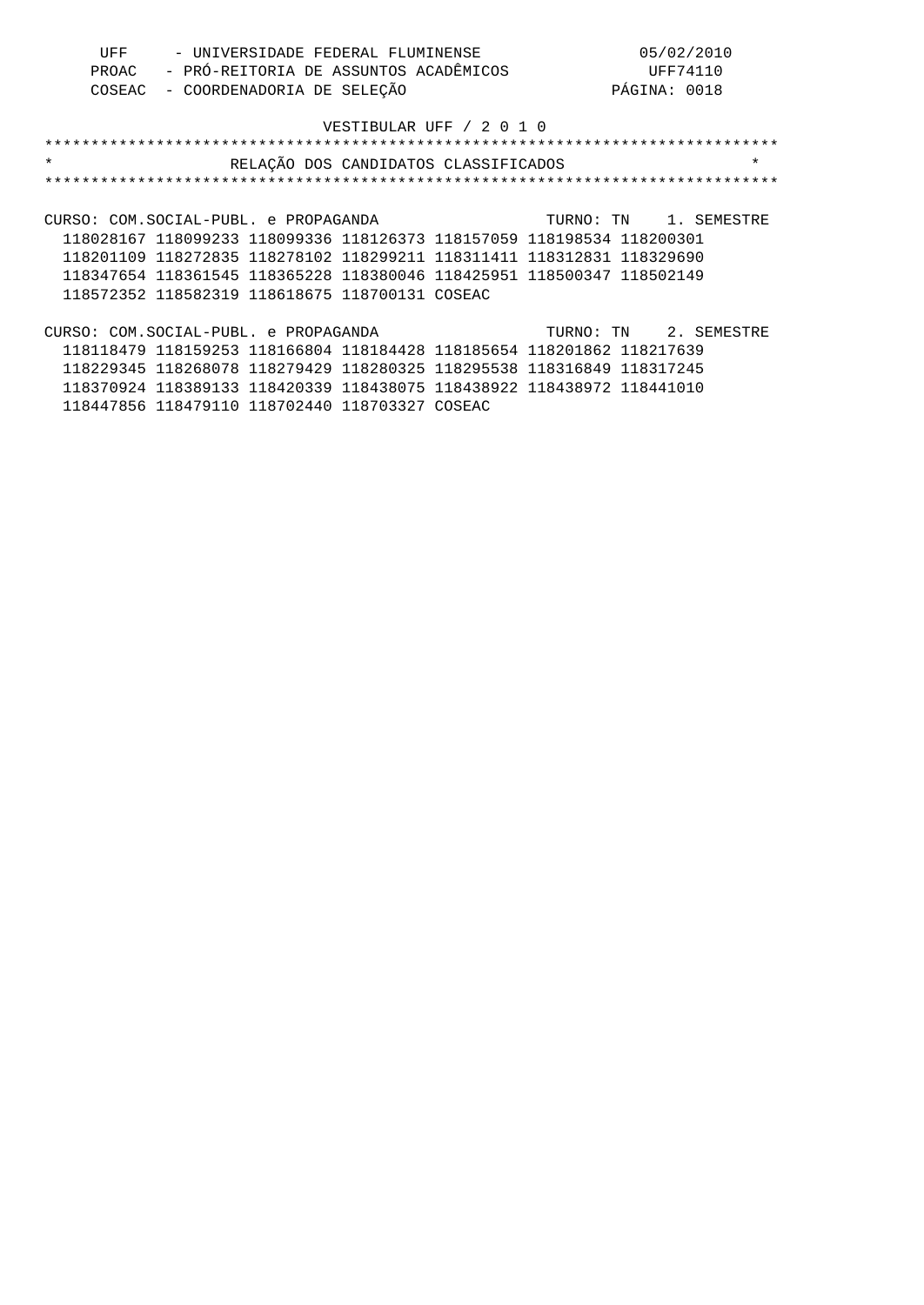| UFF | - UNIVERSIDADE FEDERAL FLUMINENSE           | 05/02/2010   |
|-----|---------------------------------------------|--------------|
|     | PROAC - PRÓ-REITORIA DE ASSUNTOS ACADÊMICOS | UFF74110     |
|     | COSEAC - COORDENADORIA DE SELEÇÃO           | PÁGINA: 0018 |

| $\star$<br>RELAÇÃO DOS CANDIDATOS CLASSIFICADOS                       | $\star$               |
|-----------------------------------------------------------------------|-----------------------|
|                                                                       |                       |
|                                                                       |                       |
| CURSO: COM.SOCIAL-PUBL, e PROPAGANDA                                  | TURNO: TN 1. SEMESTRE |
| 118028167 118099233 118099336 118126373 118157059 118198534 118200301 |                       |
| 118201109 118272835 118278102 118299211 118311411 118312831 118329690 |                       |
| 118347654 118361545 118365228 118380046 118425951 118500347 118502149 |                       |
| 118572352 118582319 118618675 118700131 COSEAC                        |                       |
|                                                                       |                       |
| CURSO: COM.SOCIAL-PUBL, e PROPAGANDA                                  | TURNO: TN 2. SEMESTRE |
| 118118479 118159253 118166804 118184428 118185654 118201862 118217639 |                       |

 118229345 118268078 118279429 118280325 118295538 118316849 118317245 118370924 118389133 118420339 118438075 118438922 118438972 118441010 118447856 118479110 118702440 118703327 COSEAC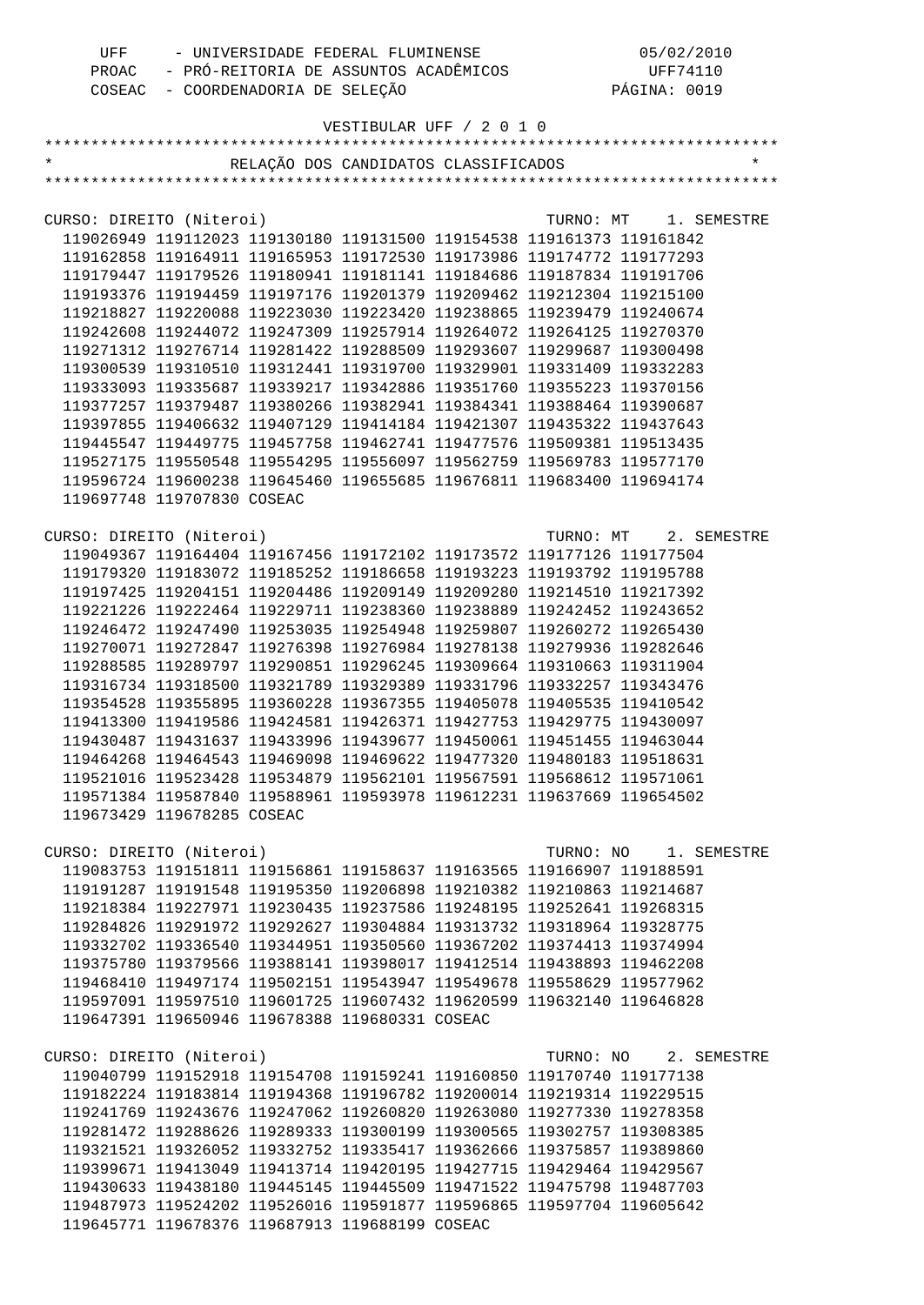| UFF | - UNIVERSIDADE FEDERAL FLUMINENSE           | 05/02/2010   |
|-----|---------------------------------------------|--------------|
|     | PROAC - PRÓ-REITORIA DE ASSUNTOS ACADÊMICOS | UFF74110     |
|     | COSEAC - COORDENADORIA DE SELEÇÃO           | PÁGINA: 0019 |

| $\star$                  |                            | RELAÇÃO DOS CANDIDATOS CLASSIFICADOS                                                                                                           |           |                       |             |
|--------------------------|----------------------------|------------------------------------------------------------------------------------------------------------------------------------------------|-----------|-----------------------|-------------|
|                          |                            |                                                                                                                                                |           |                       |             |
|                          |                            |                                                                                                                                                |           |                       |             |
| CURSO: DIREITO (Niteroi) |                            |                                                                                                                                                |           | TURNO: MT 1. SEMESTRE |             |
|                          |                            | 119026949 119112023 119130180 119131500 119154538 119161373 119161842                                                                          |           |                       |             |
|                          |                            | 119162858 119164911 119165953 119172530 119173986 119174772 119177293                                                                          |           |                       |             |
|                          |                            | 119179447 119179526 119180941 119181141 119184686 119187834 119191706                                                                          |           |                       |             |
|                          |                            | 119193376 119194459 119197176 119201379 119209462 119212304 119215100                                                                          |           |                       |             |
|                          |                            | 119218827 119220088 119223030 119223420 119238865 119239479 119240674                                                                          |           |                       |             |
|                          |                            |                                                                                                                                                |           |                       |             |
|                          |                            | 119242608 119244072 119247309 119257914 119264072 119264125 119270370<br>119271312 119276714 119281422 119288509 119293607 119299687 119300498 |           |                       |             |
|                          |                            |                                                                                                                                                |           |                       |             |
|                          |                            | 119300539 119310510 119312441 119319700 119329901 119331409 119332283                                                                          |           |                       |             |
|                          |                            | 119333093 119335687 119339217 119342886 119351760 119355223 119370156                                                                          |           |                       |             |
|                          |                            | 119377257 119379487 119380266 119382941 119384341 119388464 119390687                                                                          |           |                       |             |
|                          |                            | 119397855 119406632 119407129 119414184 119421307 119435322 119437643                                                                          |           |                       |             |
|                          |                            | 119445547 119449775 119457758 119462741 119477576 119509381 119513435                                                                          |           |                       |             |
|                          |                            | 119527175 119550548 119554295 119556097 119562759 119569783 119577170                                                                          |           |                       |             |
|                          |                            | 119596724 119600238 119645460 119655685 119676811 119683400 119694174                                                                          |           |                       |             |
|                          | 119697748 119707830 COSEAC |                                                                                                                                                |           |                       |             |
|                          |                            |                                                                                                                                                |           |                       |             |
| CURSO: DIREITO (Niteroi) |                            |                                                                                                                                                |           | TURNO: MT 2. SEMESTRE |             |
|                          |                            | 119049367 119164404 119167456 119172102 119173572 119177126 119177504                                                                          |           |                       |             |
|                          |                            | 119179320 119183072 119185252 119186658 119193223 119193792 119195788                                                                          |           |                       |             |
|                          |                            | 119197425 119204151 119204486 119209149 119209280 119214510 119217392                                                                          |           |                       |             |
|                          |                            | 119221226 119222464 119229711 119238360 119238889 119242452 119243652                                                                          |           |                       |             |
|                          |                            | 119246472 119247490 119253035 119254948 119259807 119260272 119265430                                                                          |           |                       |             |
|                          |                            | 119270071 119272847 119276398 119276984 119278138 119279936 119282646                                                                          |           |                       |             |
|                          |                            | 119288585 119289797 119290851 119296245 119309664 119310663 119311904                                                                          |           |                       |             |
|                          |                            | 119316734 119318500 119321789 119329389 119331796 119332257 119343476                                                                          |           |                       |             |
|                          |                            | 119354528 119355895 119360228 119367355 119405078 119405535 119410542                                                                          |           |                       |             |
|                          |                            | 119413300 119419586 119424581 119426371 119427753 119429775 119430097                                                                          |           |                       |             |
|                          |                            | 119430487 119431637 119433996 119439677 119450061 119451455 119463044                                                                          |           |                       |             |
|                          |                            | 119464268 119464543 119469098 119469622 119477320 119480183 119518631                                                                          |           |                       |             |
|                          |                            | 119521016 119523428 119534879 119562101 119567591 119568612 119571061                                                                          |           |                       |             |
|                          |                            | 119571384 119587840 119588961 119593978 119612231 119637669 119654502                                                                          |           |                       |             |
|                          | 119673429 119678285 COSEAC |                                                                                                                                                |           |                       |             |
|                          |                            |                                                                                                                                                |           |                       |             |
| CURSO: DIREITO (Niteroi) |                            |                                                                                                                                                | TURNO: NO |                       | 1. SEMESTRE |
|                          |                            | 119083753 119151811 119156861 119158637 119163565 119166907 119188591                                                                          |           |                       |             |
|                          |                            | 119191287 119191548 119195350 119206898 119210382 119210863 119214687                                                                          |           |                       |             |
|                          |                            | 119218384 119227971 119230435 119237586 119248195 119252641 119268315                                                                          |           |                       |             |
|                          |                            | 119284826 119291972 119292627 119304884 119313732 119318964 119328775                                                                          |           |                       |             |
|                          |                            | 119332702 119336540 119344951 119350560 119367202 119374413 119374994                                                                          |           |                       |             |
|                          |                            | 119375780 119379566 119388141 119398017 119412514 119438893 119462208                                                                          |           |                       |             |
|                          |                            | 119468410 119497174 119502151 119543947 119549678 119558629 119577962                                                                          |           |                       |             |
|                          |                            | 119597091 119597510 119601725 119607432 119620599 119632140 119646828                                                                          |           |                       |             |
|                          |                            | 119647391 119650946 119678388 119680331 COSEAC                                                                                                 |           |                       |             |
|                          |                            |                                                                                                                                                |           |                       |             |
| CURSO: DIREITO (Niteroi) |                            |                                                                                                                                                |           | TURNO: NO 2. SEMESTRE |             |
|                          |                            | 119040799 119152918 119154708 119159241 119160850 119170740 119177138                                                                          |           |                       |             |
|                          |                            | 119182224 119183814 119194368 119196782 119200014 119219314 119229515                                                                          |           |                       |             |
|                          |                            |                                                                                                                                                |           |                       |             |
|                          |                            | 119241769 119243676 119247062 119260820 119263080 119277330 119278358                                                                          |           |                       |             |
|                          |                            | 119281472 119288626 119289333 119300199 119300565 119302757 119308385                                                                          |           |                       |             |
|                          |                            | 119321521 119326052 119332752 119335417 119362666 119375857 119389860                                                                          |           |                       |             |
|                          |                            | 119399671 119413049 119413714 119420195 119427715 119429464 119429567                                                                          |           |                       |             |
|                          |                            | 119430633 119438180 119445145 119445509 119471522 119475798 119487703                                                                          |           |                       |             |
|                          |                            | 119487973 119524202 119526016 119591877 119596865 119597704 119605642                                                                          |           |                       |             |
|                          |                            | 119645771 119678376 119687913 119688199 COSEAC                                                                                                 |           |                       |             |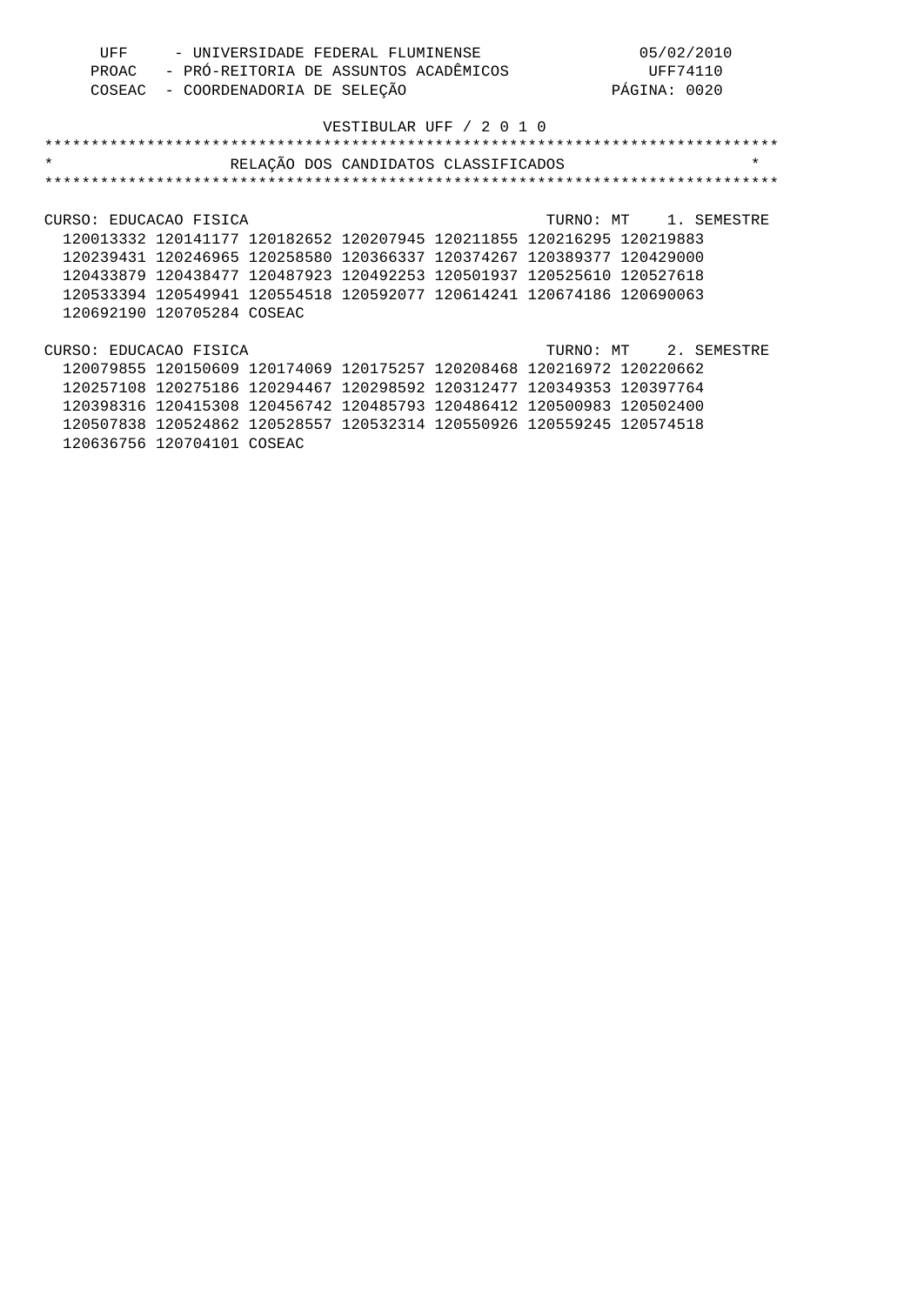| UFF | - UNIVERSIDADE FEDERAL FLUMINENSE           | 05/02/2010   |
|-----|---------------------------------------------|--------------|
|     | PROAC - PRÓ-REITORIA DE ASSUNTOS ACADÊMICOS | UFF74110     |
|     | COSEAC - COORDENADORIA DE SELEÇÃO           | PÁGINA: 0020 |

| $\star$                |                                                                       | RELAÇÃO DOS CANDIDATOS CLASSIFICADOS |  |  | $\star$               |
|------------------------|-----------------------------------------------------------------------|--------------------------------------|--|--|-----------------------|
|                        |                                                                       |                                      |  |  |                       |
|                        |                                                                       |                                      |  |  |                       |
| CURSO: EDUCACAO FISICA |                                                                       |                                      |  |  | TURNO: MT 1. SEMESTRE |
|                        | 120013332 120141177 120182652 120207945 120211855 120216295 120219883 |                                      |  |  |                       |
|                        | 120239431 120246965 120258580 120366337 120374267 120389377 120429000 |                                      |  |  |                       |
|                        | 120433879 120438477 120487923 120492253 120501937 120525610 120527618 |                                      |  |  |                       |
|                        | 120533394 120549941 120554518 120592077 120614241 120674186 120690063 |                                      |  |  |                       |
|                        | 120692190 120705284 COSEAC                                            |                                      |  |  |                       |
|                        |                                                                       |                                      |  |  |                       |
| CURSO: EDUCACAO FISICA |                                                                       |                                      |  |  | TURNO: MT 2. SEMESTRE |
|                        | 120079855 120150609 120174069 120175257 120208468 120216972 120220662 |                                      |  |  |                       |
|                        | 120257108 120275186 120294467 120298592 120312477 120349353 120397764 |                                      |  |  |                       |
|                        | 120398316 120415308 120456742 120485793 120486412 120500983 120502400 |                                      |  |  |                       |
|                        | 120507838 120524862 120528557 120532314 120550926 120559245 120574518 |                                      |  |  |                       |

120636756 120704101 COSEAC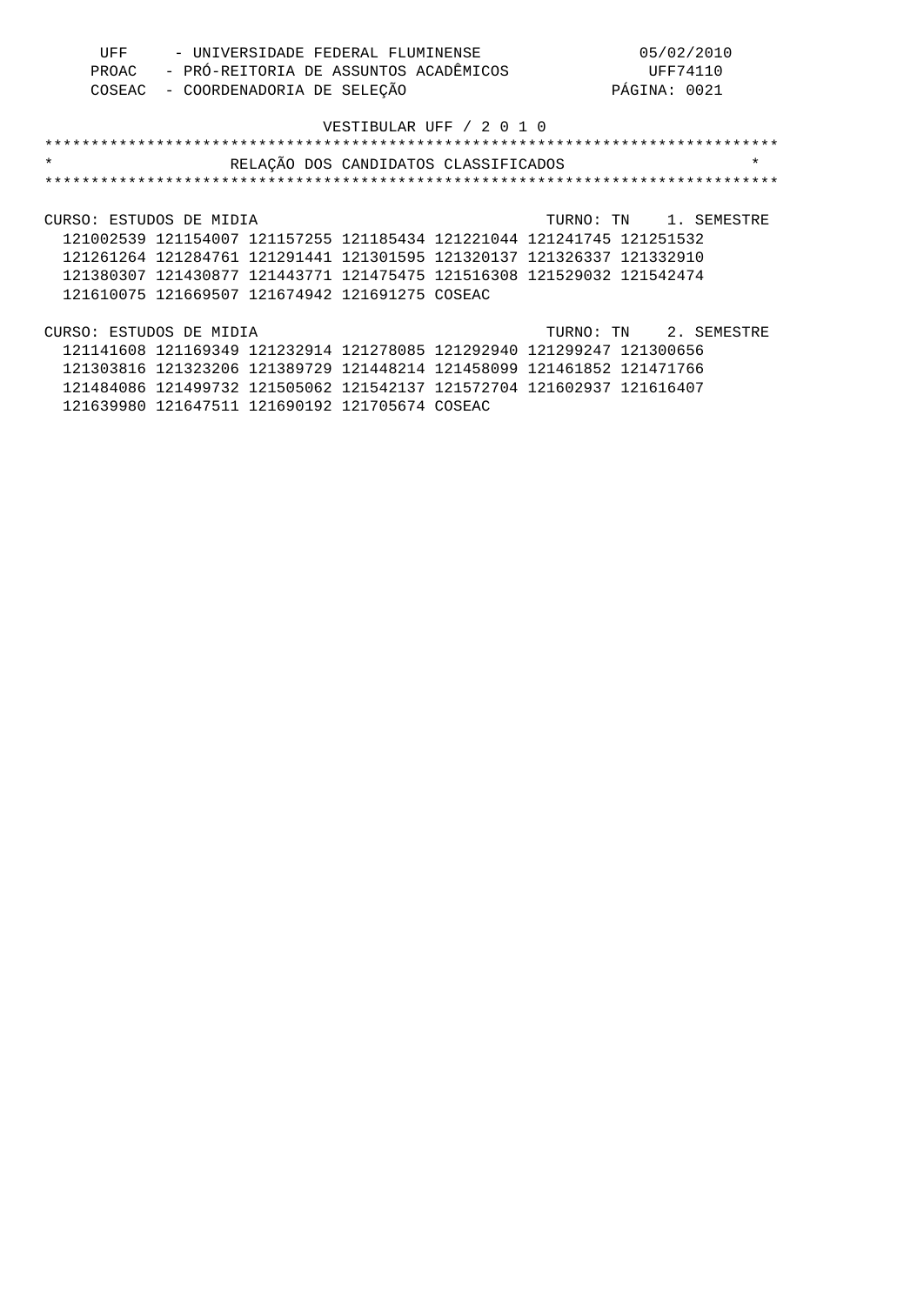| UFF | - UNIVERSIDADE FEDERAL FLUMINENSE           | 05/02/2010   |
|-----|---------------------------------------------|--------------|
|     | PROAC - PRÓ-REITORIA DE ASSUNTOS ACADÊMICOS | UFF74110     |
|     | COSEAC - COORDENADORIA DE SELEÇÃO           | PÁGINA: 0021 |

| $\star$                                                               | RELAÇÃO DOS CANDIDATOS CLASSIFICADOS |  |                       | $\star$ |
|-----------------------------------------------------------------------|--------------------------------------|--|-----------------------|---------|
|                                                                       |                                      |  |                       |         |
|                                                                       |                                      |  |                       |         |
| CURSO: ESTUDOS DE MIDIA                                               |                                      |  | TURNO: TN 1. SEMESTRE |         |
| 121002539 121154007 121157255 121185434 121221044 121241745 121251532 |                                      |  |                       |         |
| 121261264 121284761 121291441 121301595 121320137 121326337 121332910 |                                      |  |                       |         |
| 121380307 121430877 121443771 121475475 121516308 121529032 121542474 |                                      |  |                       |         |
| 121610075 121669507 121674942 121691275 COSEAC                        |                                      |  |                       |         |
|                                                                       |                                      |  |                       |         |
| CURSO: ESTUDOS DE MIDIA                                               |                                      |  | TURNO: TN 2. SEMESTRE |         |
| 121141608 121169349 121232914 121278085 121292940 121299247 121300656 |                                      |  |                       |         |
| 121303816 121323206 121389729 121448214 121458099 121461852 121471766 |                                      |  |                       |         |

 121484086 121499732 121505062 121542137 121572704 121602937 121616407 121639980 121647511 121690192 121705674 COSEAC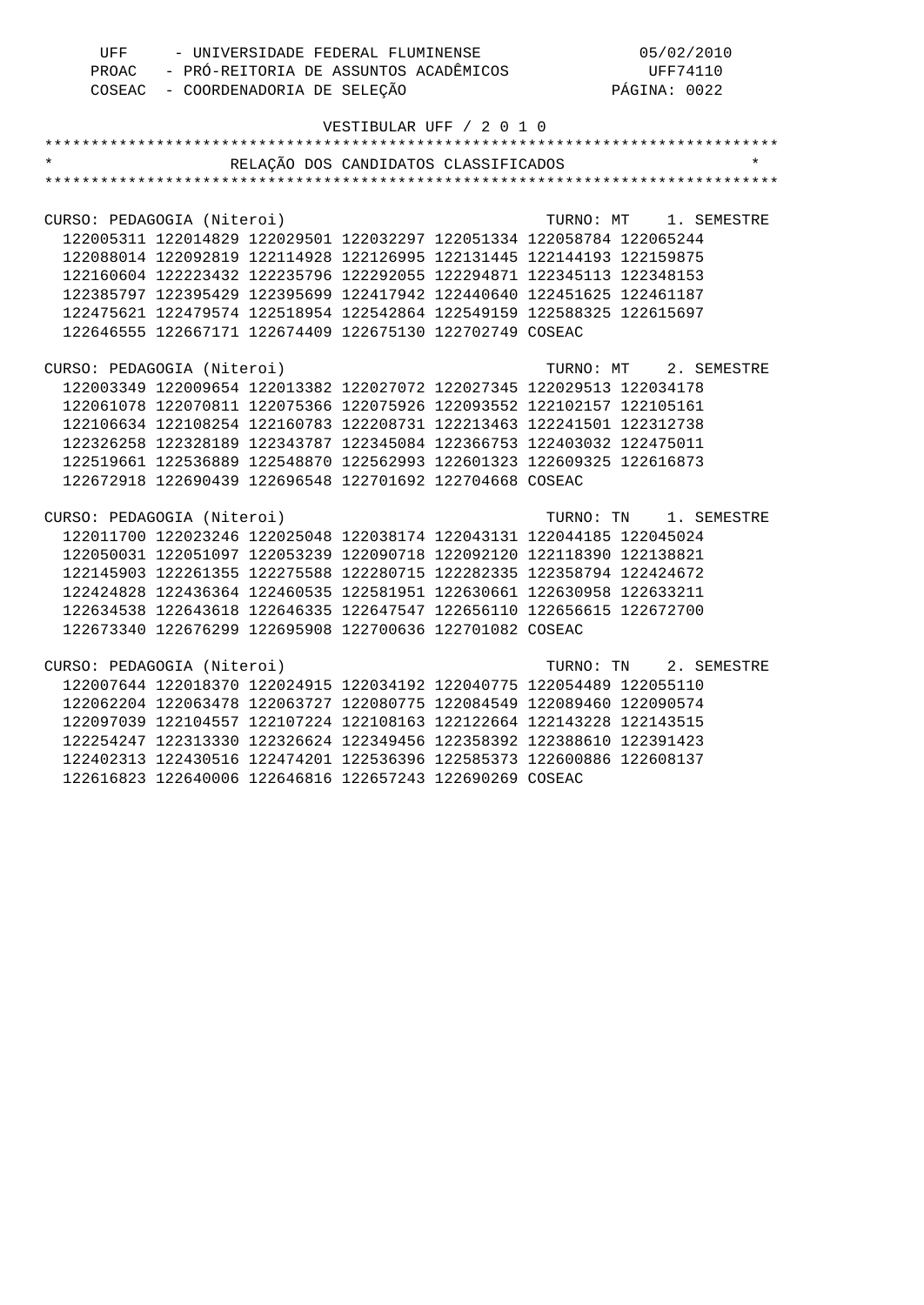| UFF | - UNIVERSIDADE FEDERAL FLUMINENSE           | 05/02/2010   |
|-----|---------------------------------------------|--------------|
|     | PROAC - PRÓ-REITORIA DE ASSUNTOS ACADÊMICOS | UFF74110     |
|     | COSEAC - COORDENADORIA DE SELEÇÃO           | PÁGINA: 0022 |

|                                                                       | RELAÇÃO DOS CANDIDATOS CLASSIFICADOS |                       |
|-----------------------------------------------------------------------|--------------------------------------|-----------------------|
|                                                                       |                                      |                       |
|                                                                       |                                      |                       |
| CURSO: PEDAGOGIA (Niteroi)                                            |                                      | TURNO: MT 1. SEMESTRE |
| 122005311 122014829 122029501 122032297 122051334 122058784 122065244 |                                      |                       |
| 122088014 122092819 122114928 122126995 122131445 122144193 122159875 |                                      |                       |
| 122160604 122223432 122235796 122292055 122294871 122345113 122348153 |                                      |                       |
| 122385797 122395429 122395699 122417942 122440640 122451625 122461187 |                                      |                       |
| 122475621 122479574 122518954 122542864 122549159 122588325 122615697 |                                      |                       |
| 122646555 122667171 122674409 122675130 122702749 COSEAC              |                                      |                       |
|                                                                       |                                      |                       |
| CURSO: PEDAGOGIA (Niteroi)                                            |                                      | TURNO: MT 2. SEMESTRE |
| 122003349 122009654 122013382 122027072 122027345 122029513 122034178 |                                      |                       |
| 122061078 122070811 122075366 122075926 122093552 122102157 122105161 |                                      |                       |
| 122106634 122108254 122160783 122208731 122213463 122241501 122312738 |                                      |                       |
| 122326258 122328189 122343787 122345084 122366753 122403032 122475011 |                                      |                       |
| 122519661 122536889 122548870 122562993 122601323 122609325 122616873 |                                      |                       |
| 122672918 122690439 122696548 122701692 122704668 COSEAC              |                                      |                       |
|                                                                       |                                      |                       |
| CURSO: PEDAGOGIA (Niteroi)                                            |                                      | TURNO: TN 1. SEMESTRE |
| 122011700 122023246 122025048 122038174 122043131 122044185 122045024 |                                      |                       |
| 122050031 122051097 122053239 122090718 122092120 122118390 122138821 |                                      |                       |
| 122145903 122261355 122275588 122280715 122282335 122358794 122424672 |                                      |                       |
| 122424828 122436364 122460535 122581951 122630661 122630958 122633211 |                                      |                       |
| 122634538 122643618 122646335 122647547 122656110 122656615 122672700 |                                      |                       |
| 122673340 122676299 122695908 122700636 122701082 COSEAC              |                                      |                       |
|                                                                       |                                      |                       |
| CURSO: PEDAGOGIA (Niteroi)                                            |                                      | TURNO: TN 2. SEMESTRE |
| 122007644 122018370 122024915 122034192 122040775 122054489 122055110 |                                      |                       |
| 122062204 122063478 122063727 122080775 122084549 122089460 122090574 |                                      |                       |
| 122097039 122104557 122107224 122108163 122122664 122143228 122143515 |                                      |                       |
| 122254247 122313330 122326624 122349456 122358392 122388610 122391423 |                                      |                       |
| 122402313 122430516 122474201 122536396 122585373 122600886 122608137 |                                      |                       |
| 122616823 122640006 122646816 122657243 122690269 COSEAC              |                                      |                       |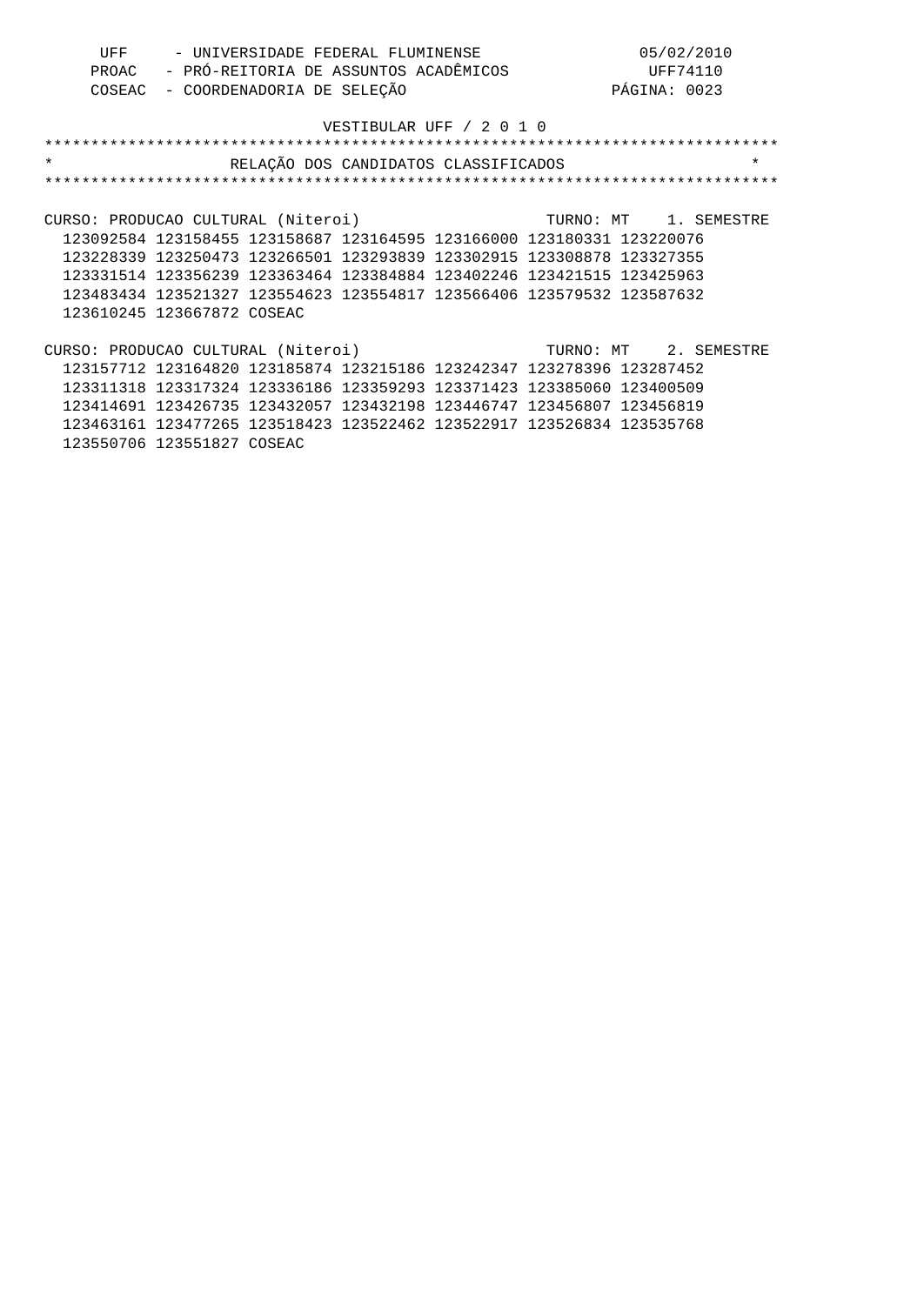| UFF | - UNIVERSIDADE FEDERAL FLUMINENSE           | 05/02/2010   |
|-----|---------------------------------------------|--------------|
|     | PROAC - PRÓ-REITORIA DE ASSUNTOS ACADÊMICOS | UFF74110     |
|     | COSEAC - COORDENADORIA DE SELEÇÃO           | PÁGINA: 0023 |

| $\star$ | RELAÇÃO DOS CANDIDATOS CLASSIFICADOS                                         |  |                       | $\star$ |
|---------|------------------------------------------------------------------------------|--|-----------------------|---------|
|         |                                                                              |  |                       |         |
|         |                                                                              |  |                       |         |
|         | CURSO: PRODUCAO CULTURAL (Niteroi)                                           |  | TURNO: MT 1. SEMESTRE |         |
|         | 123092584 123158455 123158687 123164595 123166000 123180331 123220076        |  |                       |         |
|         | 123228339 123250473 123266501 123293839 123302915 123308878 123327355        |  |                       |         |
|         | 123331514 123356239 123363464 123384884 123402246 123421515 123425963        |  |                       |         |
|         | 123483434 123521327 123554623 123554817 123566406 123579532 123587632        |  |                       |         |
|         | 123610245 123667872 COSEAC                                                   |  |                       |         |
|         |                                                                              |  |                       |         |
|         | CURSO: PRODUCAO CULTURAL (Niteroi) <a>&gt; TURNO: MT <a> 2. SEMESTRE</a></a> |  |                       |         |
|         | 123157712 123164820 123185874 123215186 123242347 123278396 123287452        |  |                       |         |
|         | 123311318 123317324 123336186 123359293 123371423 123385060 123400509        |  |                       |         |
|         | 123414691 123426735 123432057 123432198 123446747 123456807 123456819        |  |                       |         |
|         | 123463161 123477265 123518423 123522462 123522917 123526834 123535768        |  |                       |         |
|         | 123550706 123551827 COSEAC                                                   |  |                       |         |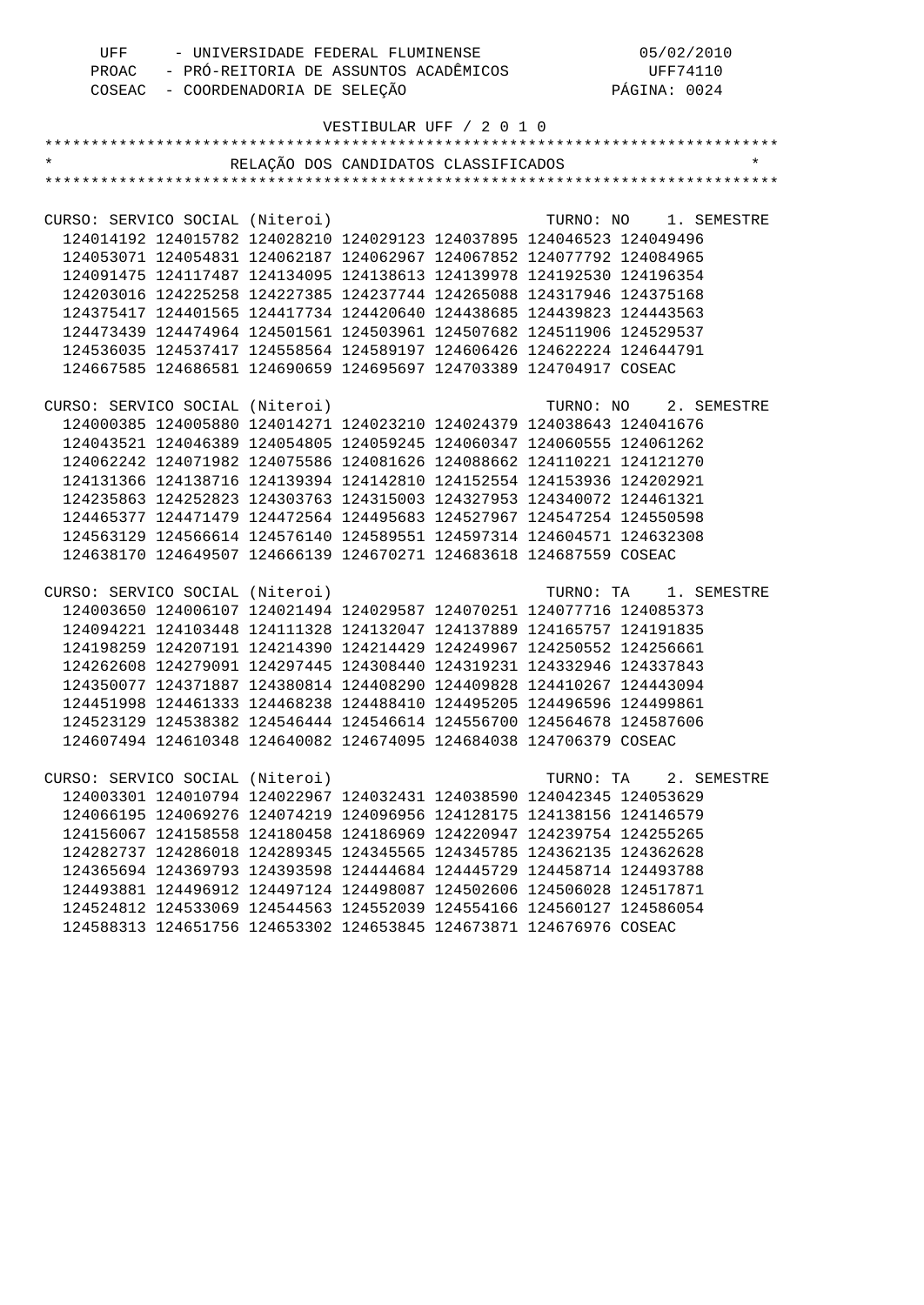| UFF                             | - UNIVERSIDADE FEDERAL FLUMINENSE                                     |  |                          | 05/02/2010            |  |
|---------------------------------|-----------------------------------------------------------------------|--|--------------------------|-----------------------|--|
|                                 | PROAC - PRÓ-REITORIA DE ASSUNTOS ACADÊMICOS                           |  | UFF74110                 |                       |  |
|                                 | COSEAC - COORDENADORIA DE SELEÇÃO                                     |  |                          | PÁGINA: 0024          |  |
|                                 |                                                                       |  |                          |                       |  |
|                                 |                                                                       |  | VESTIBULAR UFF / 2 0 1 0 |                       |  |
|                                 |                                                                       |  |                          |                       |  |
|                                 | RELAÇÃO DOS CANDIDATOS CLASSIFICADOS                                  |  |                          |                       |  |
|                                 |                                                                       |  |                          |                       |  |
|                                 |                                                                       |  |                          |                       |  |
| CURSO: SERVICO SOCIAL (Niteroi) |                                                                       |  |                          | TURNO: NO 1. SEMESTRE |  |
|                                 | 124014192 124015782 124028210 124029123 124037895 124046523 124049496 |  |                          |                       |  |
|                                 | 124053071 124054831 124062187 124062967 124067852 124077792 124084965 |  |                          |                       |  |
|                                 | 124091475 124117487 124134095 124138613 124139978 124192530 124196354 |  |                          |                       |  |
|                                 | 124203016 124225258 124227385 124237744 124265088 124317946 124375168 |  |                          |                       |  |
|                                 | 124375417 124401565 124417734 124420640 124438685 124439823 124443563 |  |                          |                       |  |
|                                 | 124473439 124474964 124501561 124503961 124507682 124511906 124529537 |  |                          |                       |  |
|                                 | 124536035 124537417 124558564 124589197 124606426 124622224 124644791 |  |                          |                       |  |
|                                 | 124667585 124686581 124690659 124695697 124703389 124704917 COSEAC    |  |                          |                       |  |
|                                 |                                                                       |  |                          |                       |  |
| CURSO: SERVICO SOCIAL (Niteroi) |                                                                       |  |                          | TURNO: NO 2. SEMESTRE |  |
|                                 | 124000385 124005880 124014271 124023210 124024379 124038643 124041676 |  |                          |                       |  |
|                                 | 124043521 124046389 124054805 124059245 124060347 124060555 124061262 |  |                          |                       |  |
|                                 | 124062242 124071982 124075586 124081626 124088662 124110221 124121270 |  |                          |                       |  |
|                                 | 124131366 124138716 124139394 124142810 124152554 124153936 124202921 |  |                          |                       |  |
|                                 | 124235863 124252823 124303763 124315003 124327953 124340072 124461321 |  |                          |                       |  |
|                                 | 124465377 124471479 124472564 124495683 124527967 124547254 124550598 |  |                          |                       |  |
|                                 | 124563129 124566614 124576140 124589551 124597314 124604571 124632308 |  |                          |                       |  |
|                                 | 124638170 124649507 124666139 124670271 124683618 124687559 COSEAC    |  |                          |                       |  |
|                                 |                                                                       |  |                          |                       |  |
|                                 |                                                                       |  |                          |                       |  |
| CURSO: SERVICO SOCIAL (Niteroi) |                                                                       |  |                          | TURNO: TA 1. SEMESTRE |  |
|                                 | 124003650 124006107 124021494 124029587 124070251 124077716 124085373 |  |                          |                       |  |
|                                 | 124094221 124103448 124111328 124132047 124137889 124165757 124191835 |  |                          |                       |  |
|                                 | 124198259 124207191 124214390 124214429 124249967 124250552 124256661 |  |                          |                       |  |
|                                 | 124262608 124279091 124297445 124308440 124319231 124332946 124337843 |  |                          |                       |  |
|                                 | 124350077 124371887 124380814 124408290 124409828 124410267 124443094 |  |                          |                       |  |
|                                 | 124451998 124461333 124468238 124488410 124495205 124496596 124499861 |  |                          |                       |  |
|                                 | 124523129 124538382 124546444 124546614 124556700 124564678 124587606 |  |                          |                       |  |
|                                 | 124607494 124610348 124640082 124674095 124684038 124706379 COSEAC    |  |                          |                       |  |
|                                 |                                                                       |  |                          |                       |  |
| CURSO: SERVICO SOCIAL (Niteroi) |                                                                       |  |                          | TURNO: TA 2. SEMESTRE |  |
|                                 | 124003301 124010794 124022967 124032431 124038590 124042345 124053629 |  |                          |                       |  |
|                                 | 124066195 124069276 124074219 124096956 124128175 124138156 124146579 |  |                          |                       |  |
|                                 | 124156067 124158558 124180458 124186969 124220947 124239754 124255265 |  |                          |                       |  |
|                                 | 124282737 124286018 124289345 124345565 124345785 124362135 124362628 |  |                          |                       |  |
|                                 | 124365694 124369793 124393598 124444684 124445729 124458714 124493788 |  |                          |                       |  |
|                                 | 124493881 124496912 124497124 124498087 124502606 124506028 124517871 |  |                          |                       |  |
|                                 | 124524812 124533069 124544563 124552039 124554166 124560127 124586054 |  |                          |                       |  |
|                                 | 124588313 124651756 124653302 124653845 124673871 124676976 COSEAC    |  |                          |                       |  |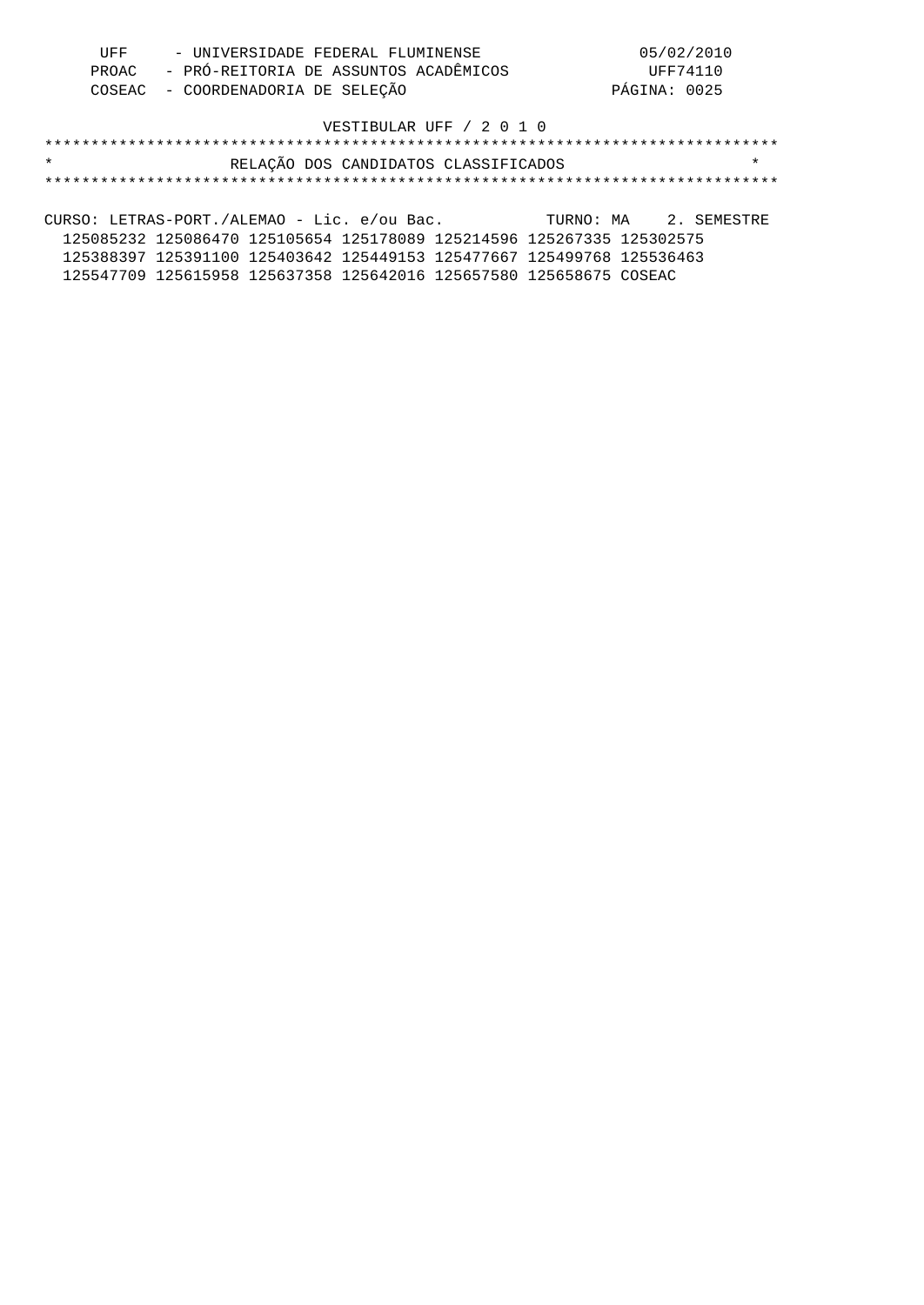| UFF | - UNIVERSIDADE FEDERAL FLUMINENSE           | 05/02/2010   |
|-----|---------------------------------------------|--------------|
|     | PROAC - PRÓ-REITORIA DE ASSUNTOS ACADÊMICOS | UFF74110     |
|     | COSEAC - COORDENADORIA DE SELEÇÃO           | PÁGINA: 0025 |

## \*\*\*\*\*\*\*\*\*\*\*\*\*\*\*\*\*\*\*\*\*\*\*\*\*\*\*\*\*\*\*\*\*\*\*\*\*\*\*\*\*\*\*\*\*\*\*\*\*\*\*\*\*\*\*\*\*\*\*\*\*\*\*\*\*\*\*\*\*\*\*\*\*\*\*\*\*\*\* \* RELAÇÃO DOS CANDIDATOS CLASSIFICADOS \* \*\*\*\*\*\*\*\*\*\*\*\*\*\*\*\*\*\*\*\*\*\*\*\*\*\*\*\*\*\*\*\*\*\*\*\*\*\*\*\*\*\*\*\*\*\*\*\*\*\*\*\*\*\*\*\*\*\*\*\*\*\*\*\*\*\*\*\*\*\*\*\*\*\*\*\*\*\*\*

CURSO: LETRAS-PORT./ALEMAO - Lic. e/ou Bac. TURNO: MA 2. SEMESTRE 125085232 125086470 125105654 125178089 125214596 125267335 125302575 125388397 125391100 125403642 125449153 125477667 125499768 125536463 125547709 125615958 125637358 125642016 125657580 125658675 COSEAC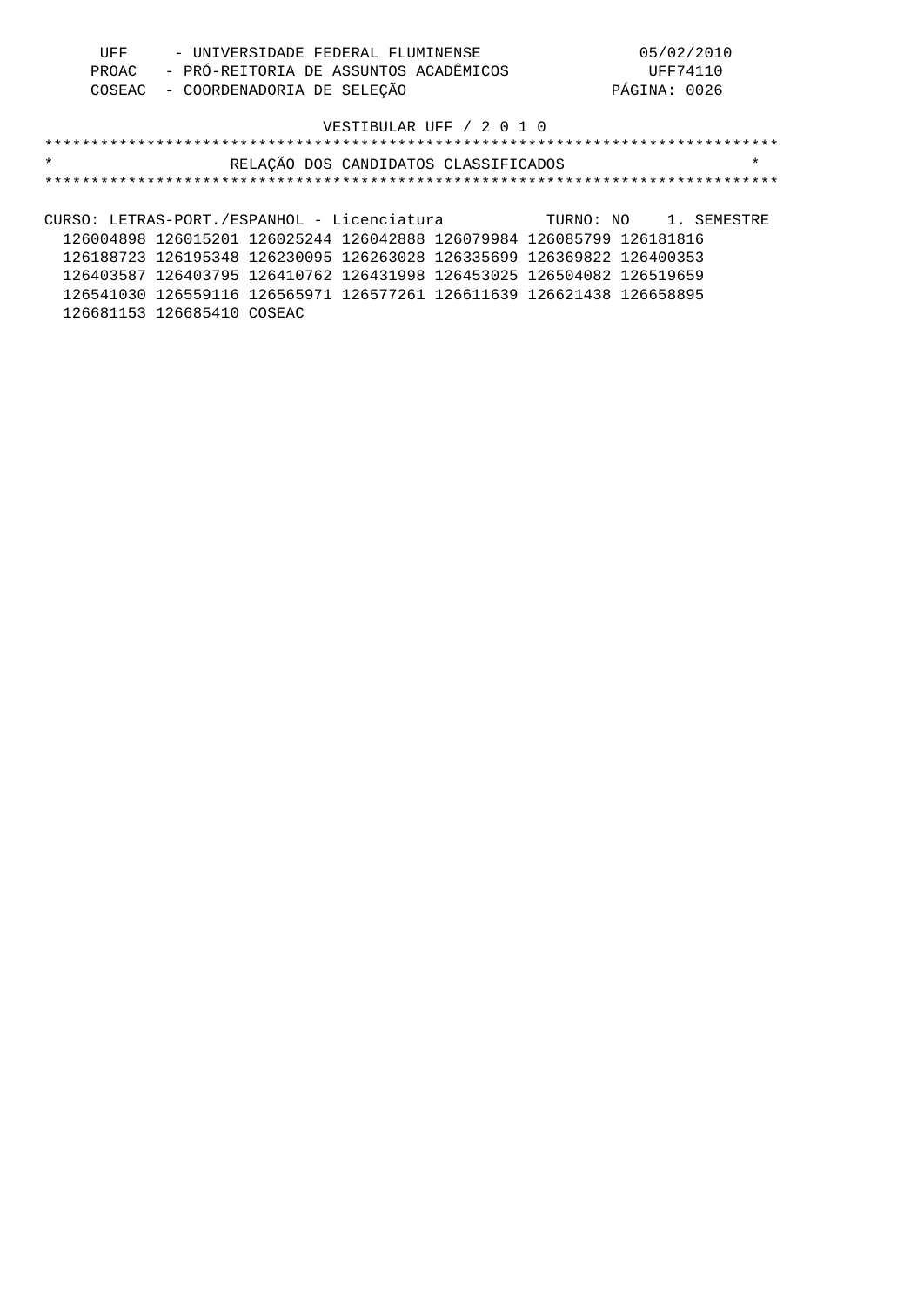| UFF | - UNIVERSIDADE FEDERAL FLUMINENSE           | 05/02/2010   |
|-----|---------------------------------------------|--------------|
|     | PROAC - PRÓ-REITORIA DE ASSUNTOS ACADÊMICOS | UFF74110     |
|     | COSEAC - COORDENADORIA DE SELEÇÃO           | PÁGINA: 0026 |

| $\star$ | RELAÇÃO DOS CANDIDATOS CLASSIFICADOS        | *                     |
|---------|---------------------------------------------|-----------------------|
|         |                                             |                       |
|         | CURSO: LETRAS-PORT./ESPANHOL - Licenciatura | TURNO: NO 1. SEMESTRE |

 126004898 126015201 126025244 126042888 126079984 126085799 126181816 126188723 126195348 126230095 126263028 126335699 126369822 126400353 126403587 126403795 126410762 126431998 126453025 126504082 126519659 126541030 126559116 126565971 126577261 126611639 126621438 126658895 126681153 126685410 COSEAC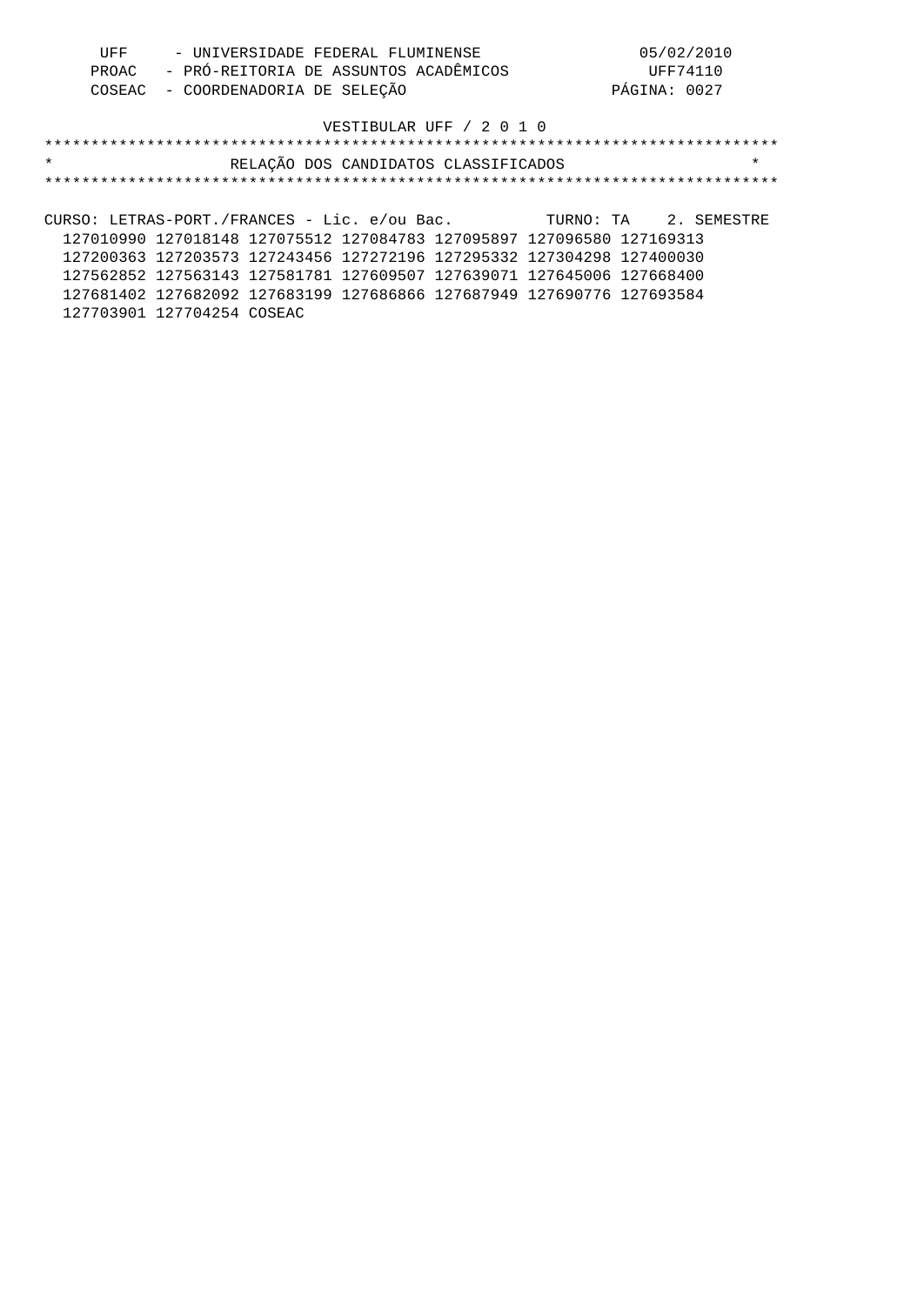| UFF | - UNIVERSIDADE FEDERAL FLUMINENSE           | 05/02/2010   |
|-----|---------------------------------------------|--------------|
|     | PROAC - PRÓ-REITORIA DE ASSUNTOS ACADÊMICOS | UFF74110     |
|     | COSEAC - COORDENADORIA DE SELEÇÃO           | PÁGINA: 0027 |

# \*\*\*\*\*\*\*\*\*\*\*\*\*\*\*\*\*\*\*\*\*\*\*\*\*\*\*\*\*\*\*\*\*\*\*\*\*\*\*\*\*\*\*\*\*\*\*\*\*\*\*\*\*\*\*\*\*\*\*\*\*\*\*\*\*\*\*\*\*\*\*\*\*\*\*\*\*\*\* \* RELAÇÃO DOS CANDIDATOS CLASSIFICADOS \* \*\*\*\*\*\*\*\*\*\*\*\*\*\*\*\*\*\*\*\*\*\*\*\*\*\*\*\*\*\*\*\*\*\*\*\*\*\*\*\*\*\*\*\*\*\*\*\*\*\*\*\*\*\*\*\*\*\*\*\*\*\*\*\*\*\*\*\*\*\*\*\*\*\*\*\*\*\*\* CURSO: LETRAS-PORT./FRANCES - Lic. e/ou Bac. TURNO: TA 2. SEMESTRE

 127010990 127018148 127075512 127084783 127095897 127096580 127169313 127200363 127203573 127243456 127272196 127295332 127304298 127400030 127562852 127563143 127581781 127609507 127639071 127645006 127668400 127681402 127682092 127683199 127686866 127687949 127690776 127693584 127703901 127704254 COSEAC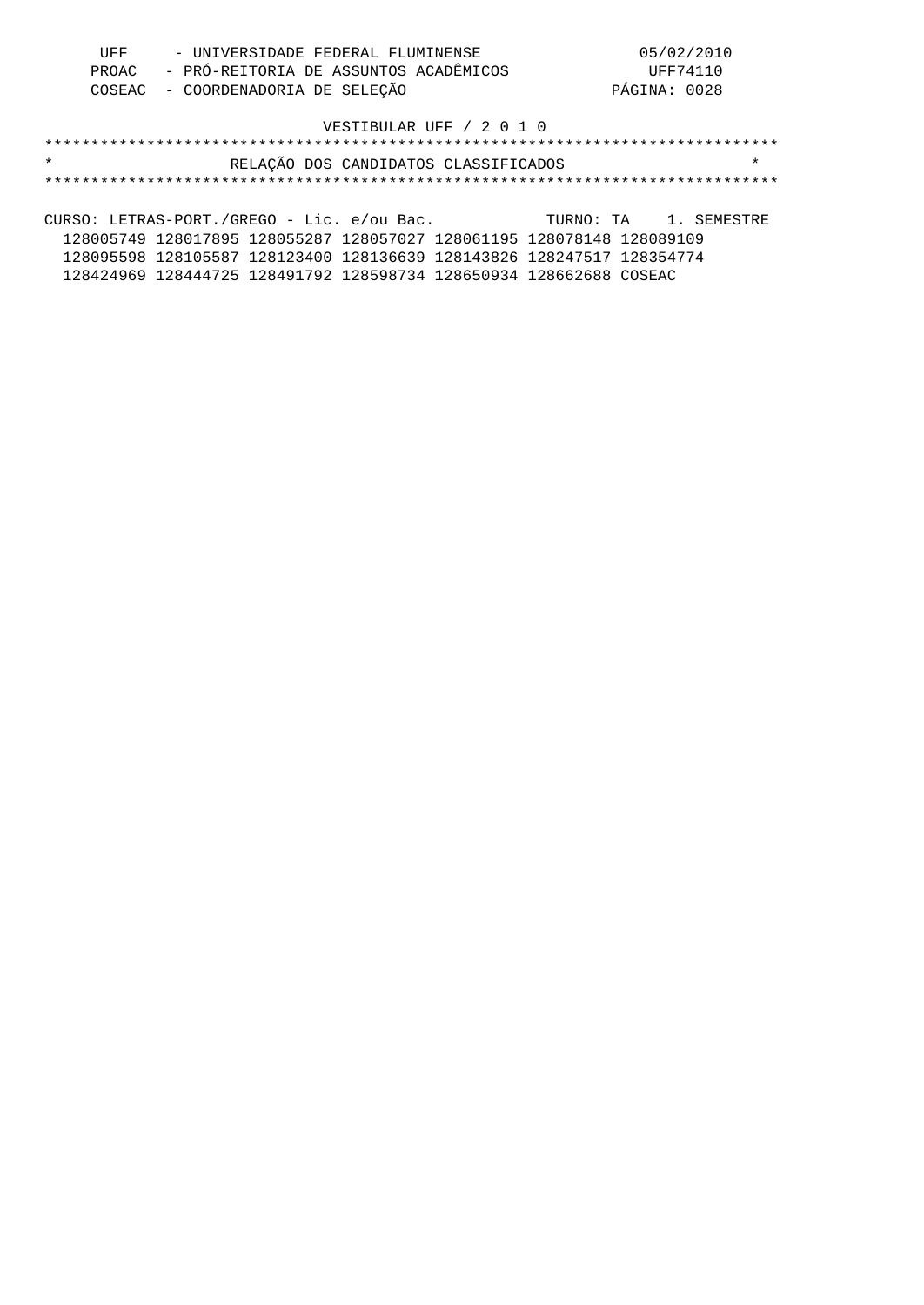| UFF | - UNIVERSIDADE FEDERAL FLUMINENSE           | 05/02/2010   |
|-----|---------------------------------------------|--------------|
|     | PROAC - PRÓ-REITORIA DE ASSUNTOS ACADÊMICOS | UFF74110     |
|     | COSEAC - COORDENADORIA DE SELEÇÃO           | PÁGINA: 0028 |

## \*\*\*\*\*\*\*\*\*\*\*\*\*\*\*\*\*\*\*\*\*\*\*\*\*\*\*\*\*\*\*\*\*\*\*\*\*\*\*\*\*\*\*\*\*\*\*\*\*\*\*\*\*\*\*\*\*\*\*\*\*\*\*\*\*\*\*\*\*\*\*\*\*\*\*\*\*\*\* \* RELAÇÃO DOS CANDIDATOS CLASSIFICADOS \* \*\*\*\*\*\*\*\*\*\*\*\*\*\*\*\*\*\*\*\*\*\*\*\*\*\*\*\*\*\*\*\*\*\*\*\*\*\*\*\*\*\*\*\*\*\*\*\*\*\*\*\*\*\*\*\*\*\*\*\*\*\*\*\*\*\*\*\*\*\*\*\*\*\*\*\*\*\*\*

CURSO: LETRAS-PORT./GREGO - Lic. e/ou Bac. TURNO: TA 1. SEMESTRE 128005749 128017895 128055287 128057027 128061195 128078148 128089109 128095598 128105587 128123400 128136639 128143826 128247517 128354774 128424969 128444725 128491792 128598734 128650934 128662688 COSEAC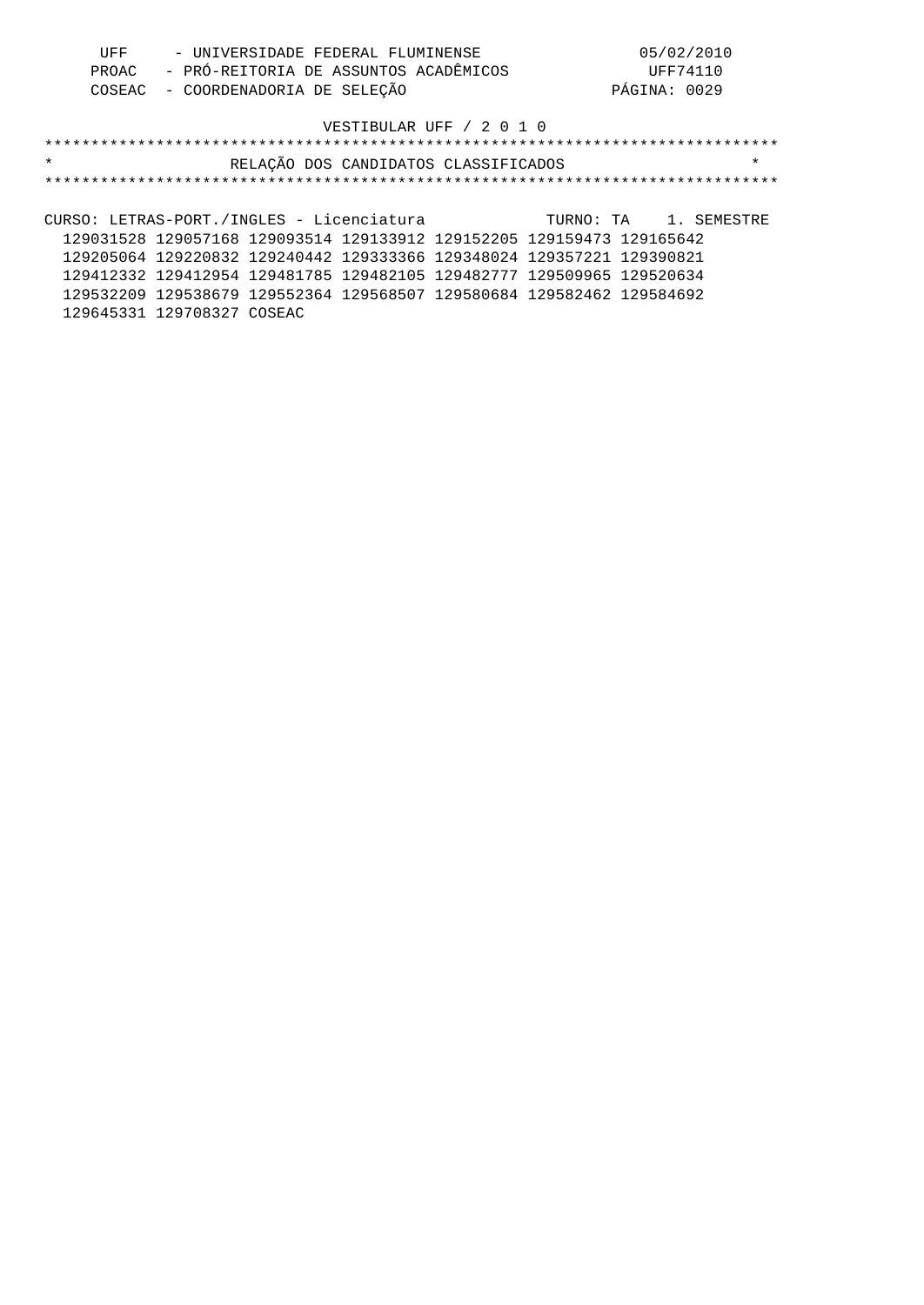| UFF | - UNIVERSIDADE FEDERAL FLUMINENSE           | 05/02/2010   |
|-----|---------------------------------------------|--------------|
|     | PROAC - PRÓ-REITORIA DE ASSUNTOS ACADÊMICOS | UFF74110     |
|     | COSEAC - COORDENADORIA DE SELEÇÃO           | PÁGINA: 0029 |

| $\star$                                                               | RELAÇÃO DOS CANDIDATOS CLASSIFICADOS |  |                       | $\star$ |
|-----------------------------------------------------------------------|--------------------------------------|--|-----------------------|---------|
|                                                                       |                                      |  |                       |         |
|                                                                       |                                      |  |                       |         |
| CURSO: LETRAS-PORT./INGLES - Licenciatura                             |                                      |  | TURNO: TA 1. SEMESTRE |         |
| 129031528 129057168 129093514 129133912 129152205 129159473 129165642 |                                      |  |                       |         |
| 129205064 129220832 129240442 129333366 129348024 129357221 129390821 |                                      |  |                       |         |
| 129412332 129412954 129481785 129482105 129482777 129509965 129520634 |                                      |  |                       |         |
| 129532209 129538679 129552364 129568507 129580684 129582462 129584692 |                                      |  |                       |         |
| 129645331 129708327 COSEAC                                            |                                      |  |                       |         |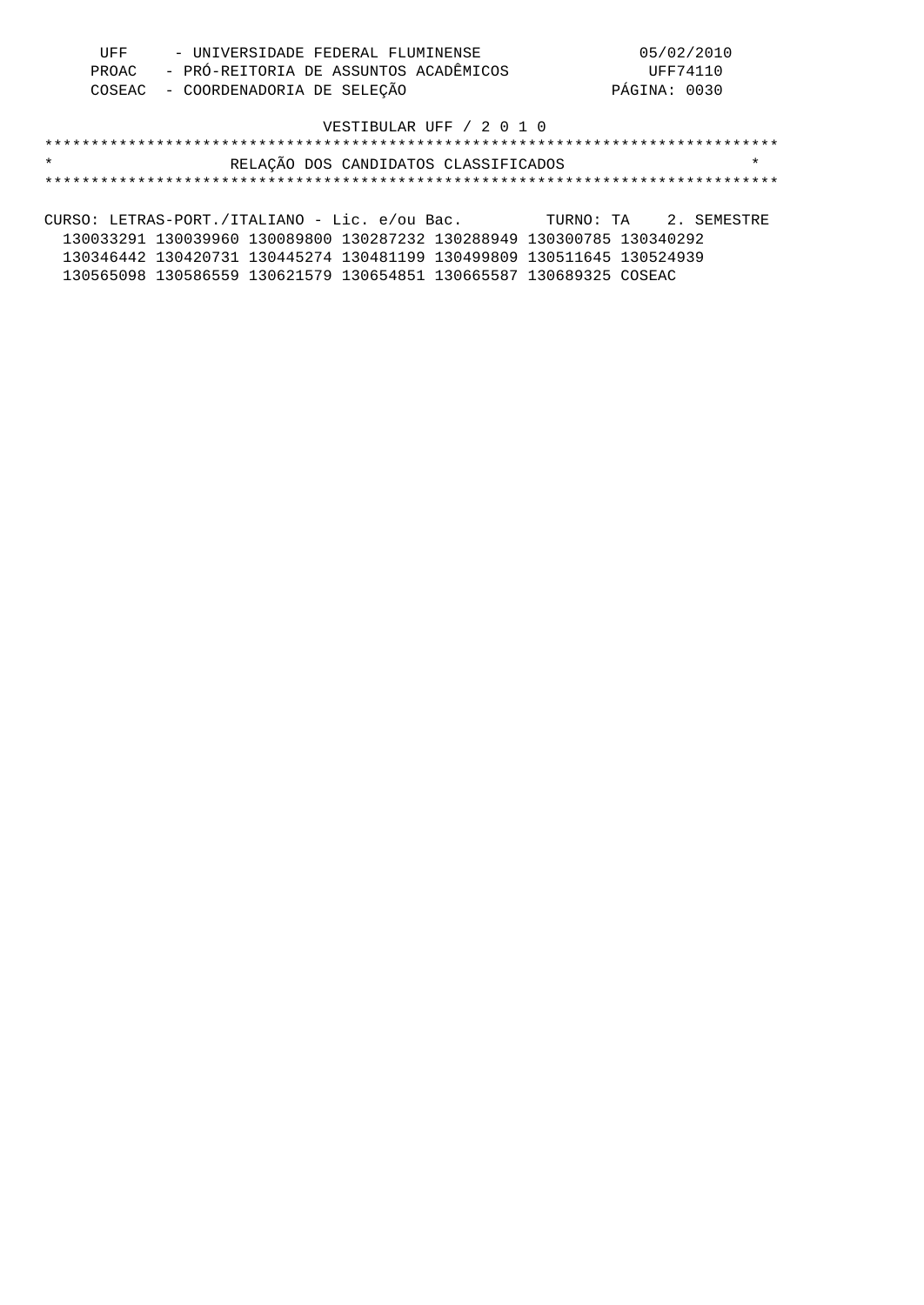| UFF | - UNIVERSIDADE FEDERAL FLUMINENSE           | 05/02/2010   |
|-----|---------------------------------------------|--------------|
|     | PROAC - PRÓ-REITORIA DE ASSUNTOS ACADÊMICOS | UFF74110     |
|     | COSEAC - COORDENADORIA DE SELEÇÃO           | PÁGINA: 0030 |

## \*\*\*\*\*\*\*\*\*\*\*\*\*\*\*\*\*\*\*\*\*\*\*\*\*\*\*\*\*\*\*\*\*\*\*\*\*\*\*\*\*\*\*\*\*\*\*\*\*\*\*\*\*\*\*\*\*\*\*\*\*\*\*\*\*\*\*\*\*\*\*\*\*\*\*\*\*\*\* \* RELAÇÃO DOS CANDIDATOS CLASSIFICADOS \* \*\*\*\*\*\*\*\*\*\*\*\*\*\*\*\*\*\*\*\*\*\*\*\*\*\*\*\*\*\*\*\*\*\*\*\*\*\*\*\*\*\*\*\*\*\*\*\*\*\*\*\*\*\*\*\*\*\*\*\*\*\*\*\*\*\*\*\*\*\*\*\*\*\*\*\*\*\*\*

CURSO: LETRAS-PORT./ITALIANO - Lic. e/ou Bac. TURNO: TA 2. SEMESTRE 130033291 130039960 130089800 130287232 130288949 130300785 130340292 130346442 130420731 130445274 130481199 130499809 130511645 130524939 130565098 130586559 130621579 130654851 130665587 130689325 COSEAC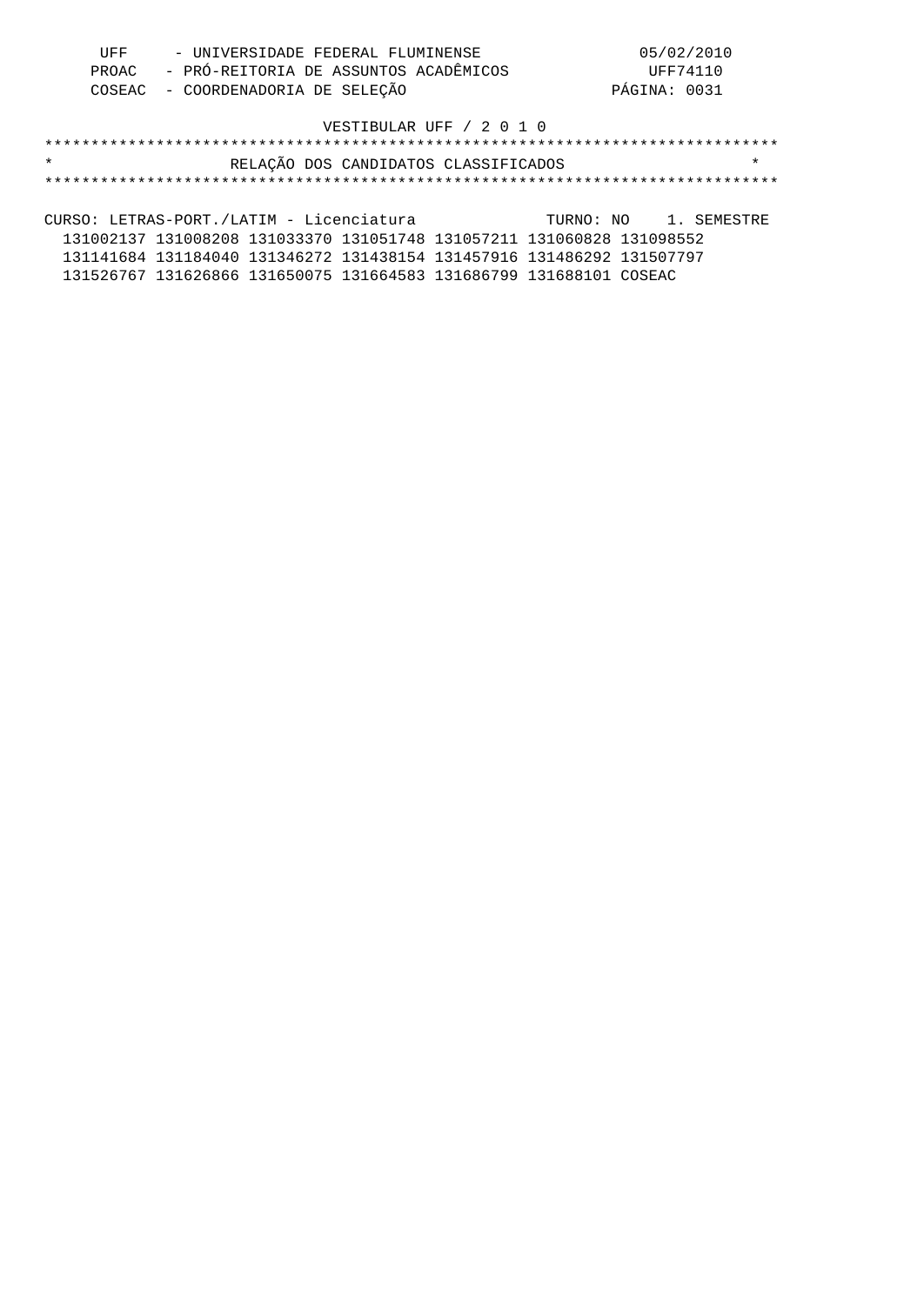| UFF | - UNIVERSIDADE FEDERAL FLUMINENSE           | 05/02/2010   |
|-----|---------------------------------------------|--------------|
|     | PROAC - PRÓ-REITORIA DE ASSUNTOS ACADÊMICOS | UFF74110     |
|     | COSEAC - COORDENADORIA DE SELEÇÃO           | PÁGINA: 0031 |

## \*\*\*\*\*\*\*\*\*\*\*\*\*\*\*\*\*\*\*\*\*\*\*\*\*\*\*\*\*\*\*\*\*\*\*\*\*\*\*\*\*\*\*\*\*\*\*\*\*\*\*\*\*\*\*\*\*\*\*\*\*\*\*\*\*\*\*\*\*\*\*\*\*\*\*\*\*\*\* \* RELAÇÃO DOS CANDIDATOS CLASSIFICADOS \* \*\*\*\*\*\*\*\*\*\*\*\*\*\*\*\*\*\*\*\*\*\*\*\*\*\*\*\*\*\*\*\*\*\*\*\*\*\*\*\*\*\*\*\*\*\*\*\*\*\*\*\*\*\*\*\*\*\*\*\*\*\*\*\*\*\*\*\*\*\*\*\*\*\*\*\*\*\*\*

CURSO: LETRAS-PORT./LATIM - Licenciatura TURNO: NO 1. SEMESTRE 131002137 131008208 131033370 131051748 131057211 131060828 131098552 131141684 131184040 131346272 131438154 131457916 131486292 131507797 131526767 131626866 131650075 131664583 131686799 131688101 COSEAC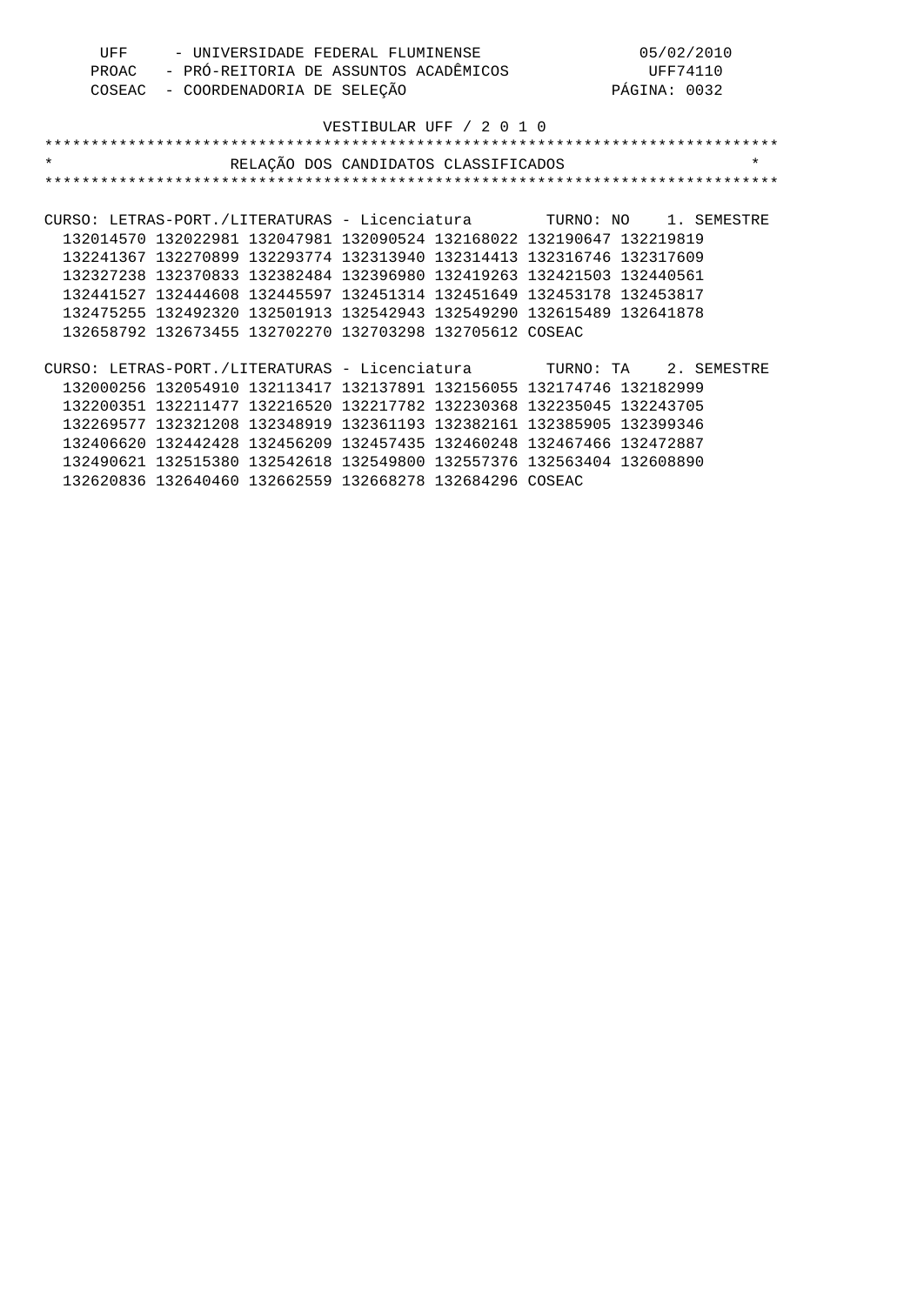| UFF     | - UNIVERSIDADE FEDERAL FLUMINENSE                                       | 05/02/2010   |  |
|---------|-------------------------------------------------------------------------|--------------|--|
| PROAC   | - PRÓ-REITORIA DE ASSUNTOS ACADÊMICOS                                   | UFF74110     |  |
| COSEAC  | - COORDENADORIA DE SELEÇÃO                                              | PÁGINA: 0032 |  |
|         | VESTIBULAR UFF / 2 0 1 0                                                |              |  |
|         |                                                                         |              |  |
| $\star$ | RELAÇÃO DOS CANDIDATOS CLASSIFICADOS                                    | $\star$      |  |
|         |                                                                         |              |  |
|         | CURSO: LETRAS-PORT./LITERATURAS - Licenciatura<br>TURNO: NO 1. SEMESTRE |              |  |
|         | 132014570 132022981 132047981 132090524 132168022 132190647 132219819   |              |  |

 132241367 132270899 132293774 132313940 132314413 132316746 132317609 132327238 132370833 132382484 132396980 132419263 132421503 132440561 132441527 132444608 132445597 132451314 132451649 132453178 132453817 132475255 132492320 132501913 132542943 132549290 132615489 132641878 132658792 132673455 132702270 132703298 132705612 COSEAC

CURSO: LETRAS-PORT./LITERATURAS - Licenciatura TURNO: TA 2. SEMESTRE 132000256 132054910 132113417 132137891 132156055 132174746 132182999 132200351 132211477 132216520 132217782 132230368 132235045 132243705 132269577 132321208 132348919 132361193 132382161 132385905 132399346 132406620 132442428 132456209 132457435 132460248 132467466 132472887 132490621 132515380 132542618 132549800 132557376 132563404 132608890 132620836 132640460 132662559 132668278 132684296 COSEAC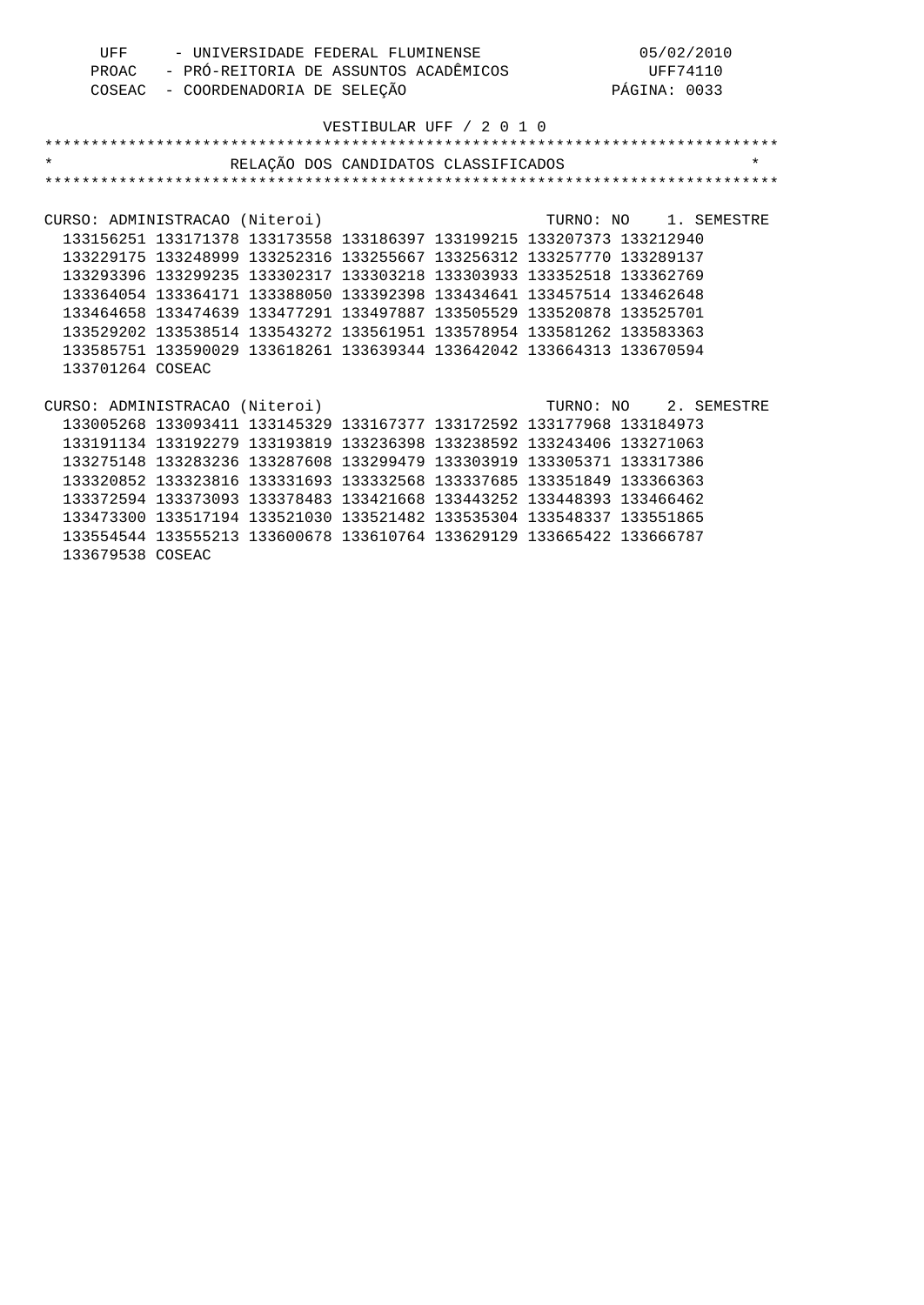| UFF | - UNIVERSIDADE FEDERAL FLUMINENSE           | 05/02/2010   |
|-----|---------------------------------------------|--------------|
|     | PROAC - PRÓ-REITORIA DE ASSUNTOS ACADÊMICOS | UFF74110     |
|     | COSEAC - COORDENADORIA DE SELEÇÃO           | PÁGINA: 0033 |

| $\star$                        |                                                                       | RELAÇÃO DOS CANDIDATOS CLASSIFICADOS |  |                       | $\star$ |
|--------------------------------|-----------------------------------------------------------------------|--------------------------------------|--|-----------------------|---------|
|                                |                                                                       |                                      |  |                       |         |
|                                |                                                                       |                                      |  |                       |         |
| CURSO: ADMINISTRACAO (Niteroi) |                                                                       |                                      |  | TURNO: NO 1. SEMESTRE |         |
|                                | 133156251 133171378 133173558 133186397 133199215 133207373 133212940 |                                      |  |                       |         |
|                                | 133229175 133248999 133252316 133255667 133256312 133257770           |                                      |  | 133289137             |         |
|                                | 133293396 133299235 133302317 133303218 133303933 133352518 133362769 |                                      |  |                       |         |
|                                | 133364054 133364171 133388050 133392398 133434641 133457514 133462648 |                                      |  |                       |         |
|                                | 133464658 133474639 133477291 133497887 133505529 133520878 133525701 |                                      |  |                       |         |
|                                | 133529202 133538514 133543272 133561951 133578954 133581262 133583363 |                                      |  |                       |         |
|                                | 133585751 133590029 133618261 133639344 133642042 133664313 133670594 |                                      |  |                       |         |
| 133701264 COSEAC               |                                                                       |                                      |  |                       |         |
|                                |                                                                       |                                      |  |                       |         |
| CURSO: ADMINISTRACAO (Niteroi) |                                                                       |                                      |  | TURNO: NO 2. SEMESTRE |         |
|                                | 133005268 133093411 133145329 133167377 133172592 133177968 133184973 |                                      |  |                       |         |
|                                | 133191134 133192279 133193819 133236398 133238592 133243406           |                                      |  | 133271063             |         |
|                                | 133275148 133283236 133287608 133299479 133303919 133305371 133317386 |                                      |  |                       |         |
|                                | 133320852 133323816 133331693 133332568 133337685 133351849 133366363 |                                      |  |                       |         |
|                                | 133372594 133373093 133378483 133421668 133443252 133448393 133466462 |                                      |  |                       |         |
|                                | 133473300 133517194 133521030 133521482 133535304 133548337 133551865 |                                      |  |                       |         |
|                                | 133554544 133555213 133600678 133610764 133629129 133665422 133666787 |                                      |  |                       |         |
| 133679538 COSEAC               |                                                                       |                                      |  |                       |         |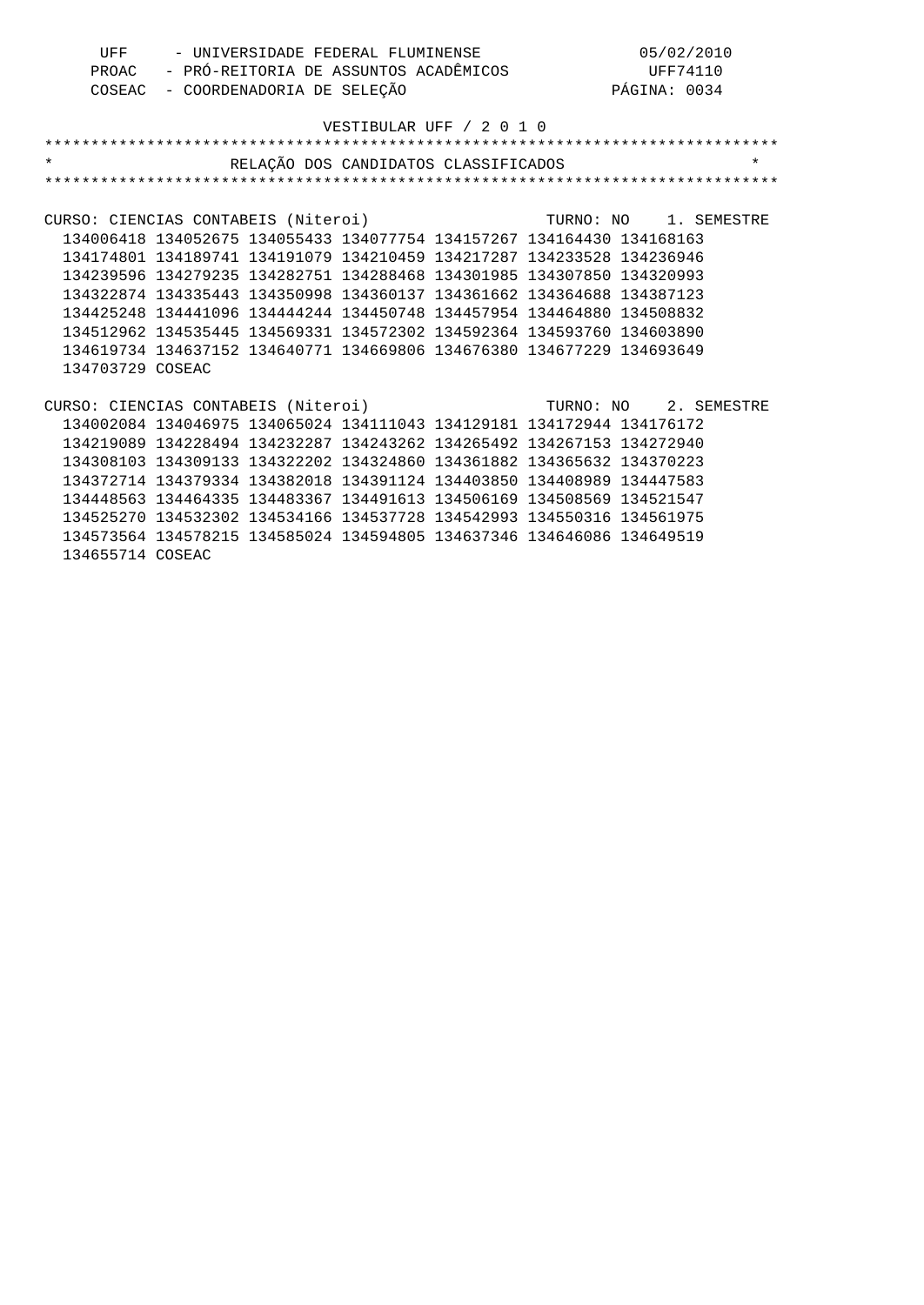| UFF                                 | - UNIVERSIDADE FEDERAL FLUMINENSE<br>- PRÓ-REITORIA DE ASSUNTOS ACADÊMICOS<br>PROAC<br>- COORDENADORIA DE SELEÇÃO<br>COSEAC |  |                                      |                       | 05/02/2010<br>UFF74110<br>PÁGINA: 0034 |          |
|-------------------------------------|-----------------------------------------------------------------------------------------------------------------------------|--|--------------------------------------|-----------------------|----------------------------------------|----------|
|                                     |                                                                                                                             |  | VESTIBULAR UFF / 2 0 1 0             |                       |                                        |          |
| $\star$                             |                                                                                                                             |  |                                      |                       |                                        |          |
|                                     |                                                                                                                             |  | RELAÇÃO DOS CANDIDATOS CLASSIFICADOS |                       |                                        | $^\star$ |
|                                     |                                                                                                                             |  |                                      |                       |                                        |          |
| CURSO: CIENCIAS CONTABEIS (Niteroi) |                                                                                                                             |  |                                      | TURNO: NO 1. SEMESTRE |                                        |          |
|                                     | 134006418 134052675 134055433 134077754 134157267 134164430 134168163                                                       |  |                                      |                       |                                        |          |
|                                     | 134174801 134189741 134191079 134210459 134217287 134233528 134236946                                                       |  |                                      |                       |                                        |          |
|                                     | 134239596 134279235 134282751 134288468 134301985 134307850 134320993                                                       |  |                                      |                       |                                        |          |
|                                     | 134322874 134335443 134350998 134360137 134361662 134364688 134387123                                                       |  |                                      |                       |                                        |          |
|                                     | 134425248 134441096 134444244 134450748 134457954 134464880 134508832                                                       |  |                                      |                       |                                        |          |
|                                     | 134512962 134535445 134569331 134572302 134592364 134593760 134603890                                                       |  |                                      |                       |                                        |          |
|                                     | 134619734 134637152 134640771 134669806 134676380 134677229 134693649                                                       |  |                                      |                       |                                        |          |
| 134703729 COSEAC                    |                                                                                                                             |  |                                      |                       |                                        |          |
|                                     |                                                                                                                             |  |                                      |                       |                                        |          |
| CURSO: CIENCIAS CONTABEIS (Niteroi) |                                                                                                                             |  |                                      | TURNO: NO 2. SEMESTRE |                                        |          |
|                                     | 134002084 134046975 134065024 134111043 134129181 134172944 134176172                                                       |  |                                      |                       |                                        |          |
|                                     | 134219089 134228494 134232287 134243262 134265492 134267153 134272940                                                       |  |                                      |                       |                                        |          |
|                                     | 134308103 134309133 134322202 134324860 134361882 134365632 134370223                                                       |  |                                      |                       |                                        |          |
|                                     | 134372714 134379334 134382018 134391124 134403850 134408989 134447583                                                       |  |                                      |                       |                                        |          |
|                                     | 134448563 134464335 134483367 134491613 134506169 134508569 134521547                                                       |  |                                      |                       |                                        |          |
|                                     | 134525270 134532302 134534166 134537728 134542993 134550316 134561975                                                       |  |                                      |                       |                                        |          |
|                                     | 134573564 134578215 134585024 134594805 134637346 134646086 134649519                                                       |  |                                      |                       |                                        |          |

134655714 COSEAC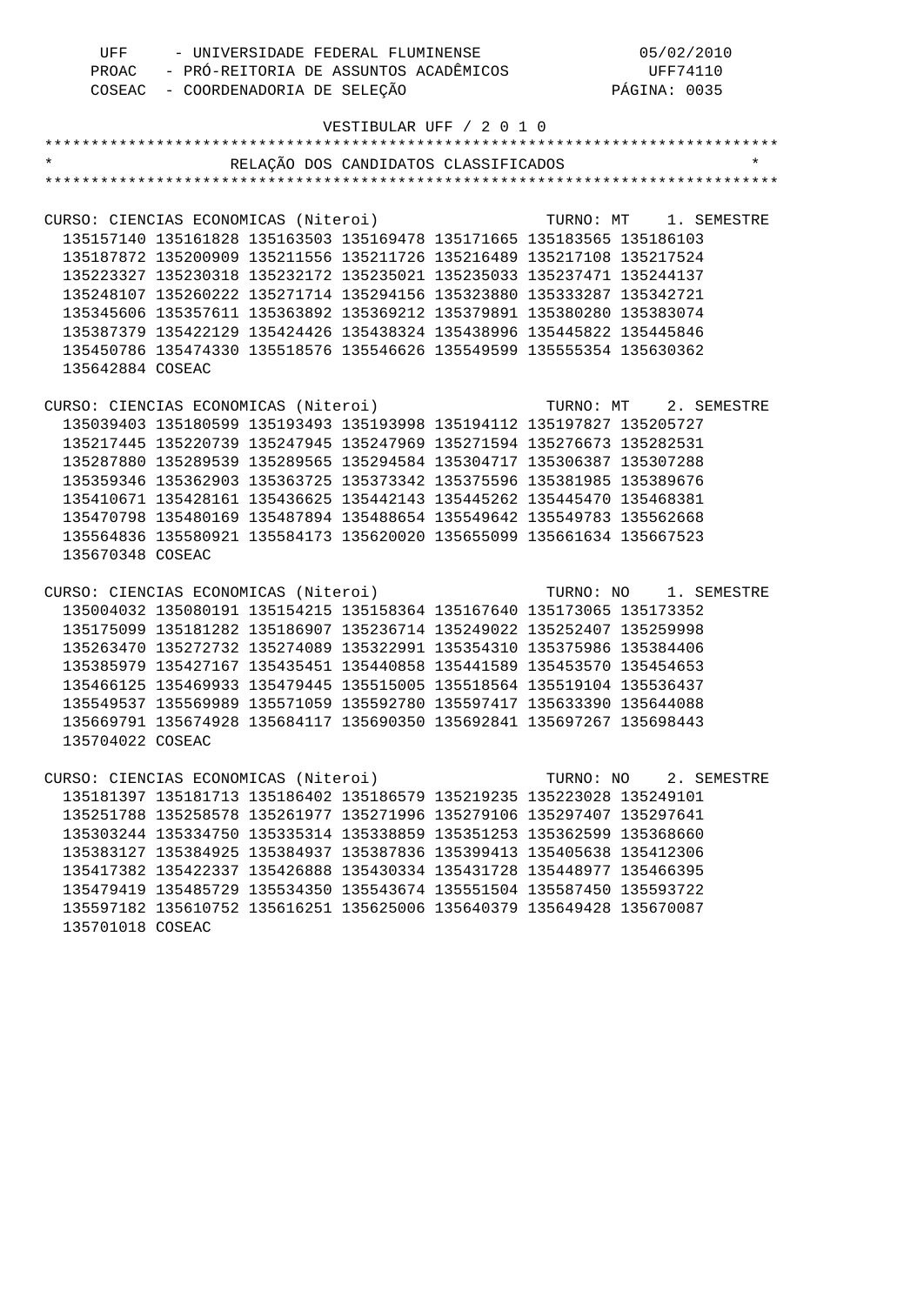| - UNIVERSIDADE FEDERAL FLUMINENSE<br>UFF |                                   | 05/02/2010                                                            |  |           |              |                       |
|------------------------------------------|-----------------------------------|-----------------------------------------------------------------------|--|-----------|--------------|-----------------------|
|                                          |                                   | PROAC - PRÓ-REITORIA DE ASSUNTOS ACADÊMICOS                           |  |           |              | UFF74110              |
|                                          | COSEAC - COORDENADORIA DE SELEÇÃO |                                                                       |  |           | PÁGINA: 0035 |                       |
|                                          |                                   |                                                                       |  |           |              |                       |
|                                          |                                   | VESTIBULAR UFF / 2 0 1 0                                              |  |           |              |                       |
|                                          |                                   |                                                                       |  |           |              |                       |
| $^\star$                                 |                                   | RELAÇÃO DOS CANDIDATOS CLASSIFICADOS                                  |  |           |              | $\star$               |
|                                          |                                   |                                                                       |  |           |              |                       |
|                                          |                                   |                                                                       |  |           |              |                       |
| CURSO: CIENCIAS ECONOMICAS (Niteroi)     |                                   |                                                                       |  | TURNO: MT |              | 1. SEMESTRE           |
|                                          |                                   | 135157140 135161828 135163503 135169478 135171665 135183565 135186103 |  |           |              |                       |
|                                          |                                   | 135187872 135200909 135211556 135211726 135216489 135217108 135217524 |  |           |              |                       |
|                                          |                                   | 135223327 135230318 135232172 135235021 135235033 135237471 135244137 |  |           |              |                       |
|                                          |                                   | 135248107 135260222 135271714 135294156 135323880 135333287 135342721 |  |           |              |                       |
|                                          |                                   | 135345606 135357611 135363892 135369212 135379891 135380280 135383074 |  |           |              |                       |
|                                          |                                   | 135387379 135422129 135424426 135438324 135438996 135445822 135445846 |  |           |              |                       |
|                                          |                                   | 135450786 135474330 135518576 135546626 135549599 135555354 135630362 |  |           |              |                       |
| 135642884 COSEAC                         |                                   |                                                                       |  |           |              |                       |
|                                          |                                   |                                                                       |  |           |              |                       |
| CURSO: CIENCIAS ECONOMICAS (Niteroi)     |                                   |                                                                       |  |           |              | TURNO: MT 2. SEMESTRE |
|                                          |                                   | 135039403 135180599 135193493 135193998 135194112 135197827 135205727 |  |           |              |                       |
|                                          |                                   | 135217445 135220739 135247945 135247969 135271594 135276673 135282531 |  |           |              |                       |
|                                          |                                   | 135287880 135289539 135289565 135294584 135304717 135306387 135307288 |  |           |              |                       |
|                                          |                                   | 135359346 135362903 135363725 135373342 135375596 135381985 135389676 |  |           |              |                       |
|                                          |                                   | 135410671 135428161 135436625 135442143 135445262 135445470 135468381 |  |           |              |                       |
|                                          |                                   | 135470798 135480169 135487894 135488654 135549642 135549783 135562668 |  |           |              |                       |
|                                          |                                   | 135564836 135580921 135584173 135620020 135655099 135661634 135667523 |  |           |              |                       |
| 135670348 COSEAC                         |                                   |                                                                       |  |           |              |                       |
|                                          |                                   |                                                                       |  |           |              |                       |
| CURSO: CIENCIAS ECONOMICAS (Niteroi)     |                                   |                                                                       |  | TURNO: NO |              | 1. SEMESTRE           |
|                                          |                                   | 135004032 135080191 135154215 135158364 135167640 135173065 135173352 |  |           |              |                       |
|                                          |                                   | 135175099 135181282 135186907 135236714 135249022 135252407 135259998 |  |           |              |                       |
|                                          |                                   | 135263470 135272732 135274089 135322991 135354310 135375986 135384406 |  |           |              |                       |
|                                          |                                   | 135385979 135427167 135435451 135440858 135441589 135453570 135454653 |  |           |              |                       |
|                                          |                                   | 135466125 135469933 135479445 135515005 135518564 135519104 135536437 |  |           |              |                       |
|                                          |                                   | 135549537 135569989 135571059 135592780 135597417 135633390 135644088 |  |           |              |                       |
|                                          |                                   | 135669791 135674928 135684117 135690350 135692841 135697267 135698443 |  |           |              |                       |
| 135704022 COSEAC                         |                                   |                                                                       |  |           |              |                       |
|                                          |                                   |                                                                       |  |           |              |                       |
| CURSO: CIENCIAS ECONOMICAS (Niteroi)     |                                   |                                                                       |  |           |              | TURNO: NO 2. SEMESTRE |
|                                          |                                   | 135181397 135181713 135186402 135186579 135219235 135223028 135249101 |  |           |              |                       |
|                                          |                                   | 135251788 135258578 135261977 135271996 135279106 135297407 135297641 |  |           |              |                       |
|                                          |                                   | 135303244 135334750 135335314 135338859 135351253 135362599 135368660 |  |           |              |                       |
|                                          |                                   | 135383127 135384925 135384937 135387836 135399413 135405638 135412306 |  |           |              |                       |
|                                          |                                   | 135417382 135422337 135426888 135430334 135431728 135448977 135466395 |  |           |              |                       |
|                                          |                                   | 135479419 135485729 135534350 135543674 135551504 135587450 135593722 |  |           |              |                       |
|                                          |                                   | 135597182 135610752 135616251 135625006 135640379 135649428 135670087 |  |           |              |                       |
| 135701018 COSEAC                         |                                   |                                                                       |  |           |              |                       |
|                                          |                                   |                                                                       |  |           |              |                       |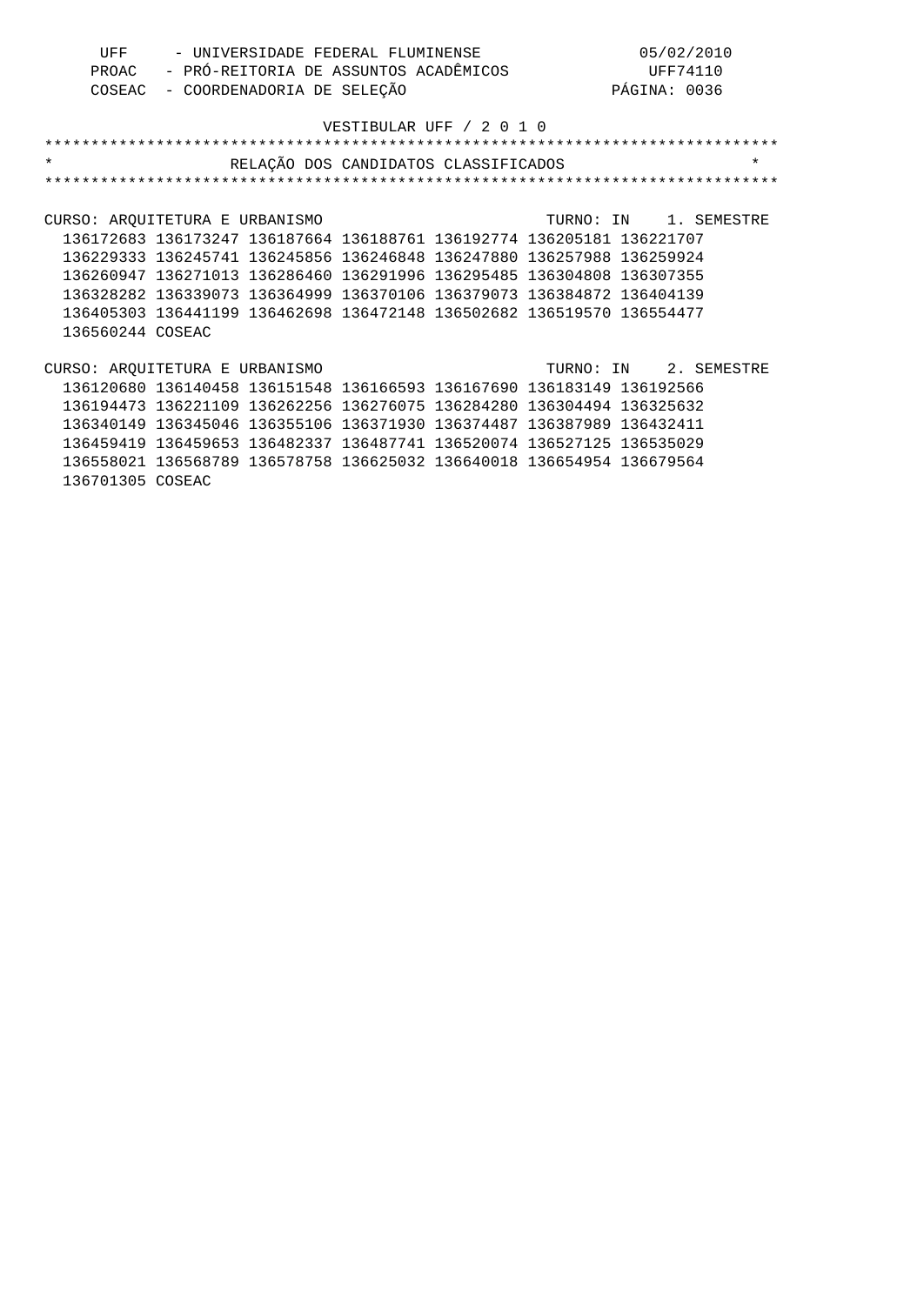| UFF | - UNIVERSIDADE FEDERAL FLUMINENSE           | 05/02/2010   |
|-----|---------------------------------------------|--------------|
|     | PROAC - PRÓ-REITORIA DE ASSUNTOS ACADÊMICOS | UFF74110     |
|     | COSEAC - COORDENADORIA DE SELEÇÃO           | PÁGINA: 0036 |

| $\star$                                                 |                                                                       | RELAÇÃO DOS CANDIDATOS CLASSIFICADOS |  |  |  |                       | $\star$ |  |  |
|---------------------------------------------------------|-----------------------------------------------------------------------|--------------------------------------|--|--|--|-----------------------|---------|--|--|
|                                                         |                                                                       |                                      |  |  |  |                       |         |  |  |
|                                                         |                                                                       |                                      |  |  |  |                       |         |  |  |
| CURSO: AROUITETURA E URBANISMO                          |                                                                       |                                      |  |  |  | TURNO: IN 1. SEMESTRE |         |  |  |
|                                                         | 136172683 136173247 136187664 136188761 136192774 136205181 136221707 |                                      |  |  |  |                       |         |  |  |
|                                                         | 136229333 136245741 136245856 136246848 136247880 136257988 136259924 |                                      |  |  |  |                       |         |  |  |
|                                                         | 136260947 136271013 136286460 136291996 136295485 136304808 136307355 |                                      |  |  |  |                       |         |  |  |
|                                                         | 136328282 136339073 136364999 136370106 136379073 136384872 136404139 |                                      |  |  |  |                       |         |  |  |
|                                                         | 136405303 136441199 136462698 136472148 136502682 136519570 136554477 |                                      |  |  |  |                       |         |  |  |
| 136560244 COSEAC                                        |                                                                       |                                      |  |  |  |                       |         |  |  |
|                                                         |                                                                       |                                      |  |  |  |                       |         |  |  |
| CURSO: AROUITETURA E URBANISMO<br>TURNO: IN 2. SEMESTRE |                                                                       |                                      |  |  |  |                       |         |  |  |
|                                                         | 136120680 136140458 136151548 136166593 136167690 136183149 136192566 |                                      |  |  |  |                       |         |  |  |
|                                                         | 136194473 136221109 136262256 136276075 136284280 136304494 136325632 |                                      |  |  |  |                       |         |  |  |
|                                                         | 136340149 136345046 136355106 136371930 136374487 136387989 136432411 |                                      |  |  |  |                       |         |  |  |
|                                                         | 136459419 136459653 136482337 136487741 136520074 136527125 136535029 |                                      |  |  |  |                       |         |  |  |
|                                                         | 136558021 136568789 136578758 136625032 136640018 136654954 136679564 |                                      |  |  |  |                       |         |  |  |
| 136701305 COSEAC                                        |                                                                       |                                      |  |  |  |                       |         |  |  |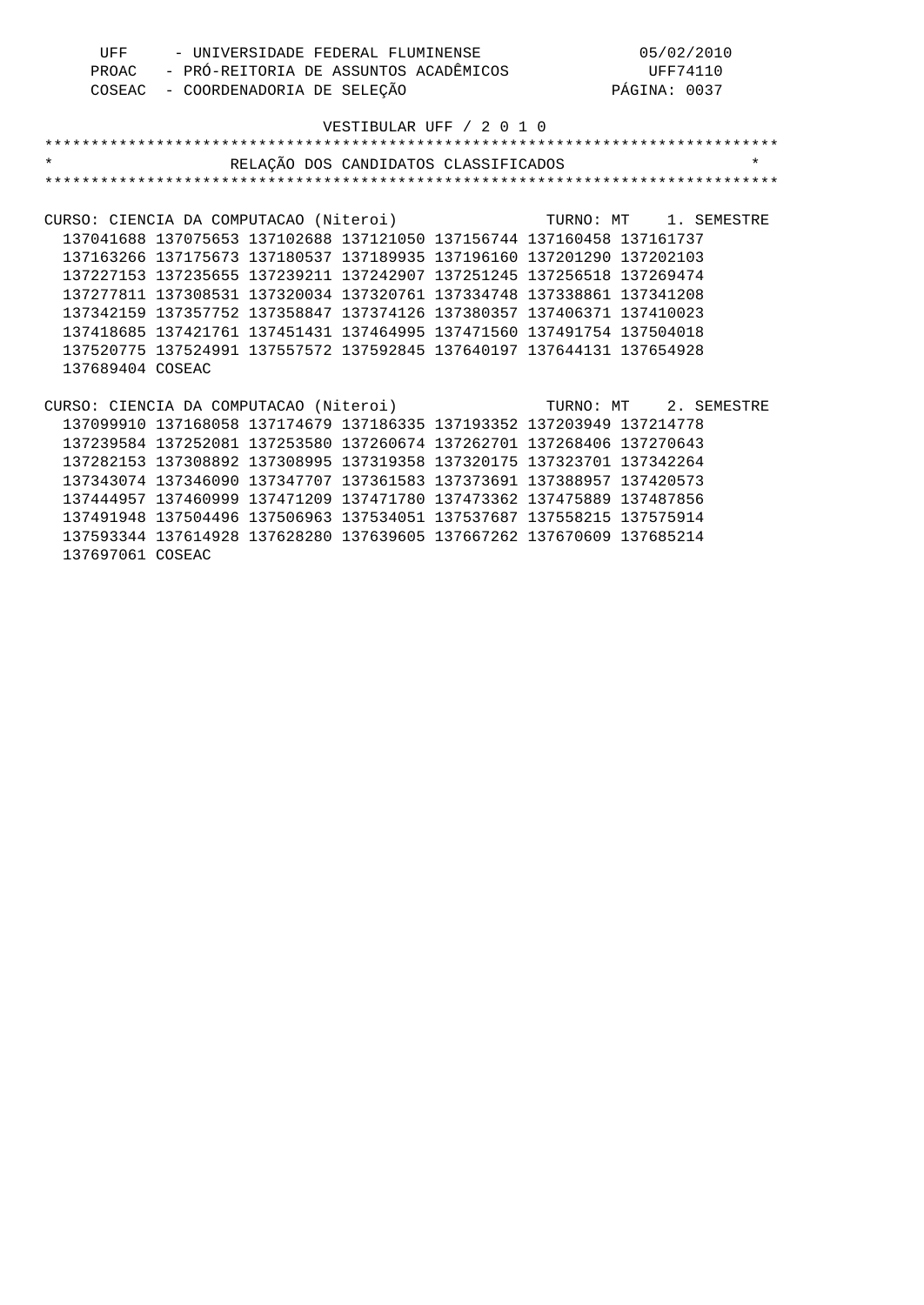| UFF<br>PROAC<br>COSEAC                                       | - UNIVERSIDADE FEDERAL FLUMINENSE                                     | - COORDENADORIA DE SELEÇÃO | - PRÓ-REITORIA DE ASSUNTOS ACADÊMICOS |                                      |  | 05/02/2010<br>UFF74110<br>PÁGINA: 0037 |          |
|--------------------------------------------------------------|-----------------------------------------------------------------------|----------------------------|---------------------------------------|--------------------------------------|--|----------------------------------------|----------|
|                                                              |                                                                       |                            |                                       | VESTIBULAR UFF / 2 0 1 0             |  |                                        |          |
|                                                              |                                                                       |                            |                                       |                                      |  |                                        |          |
| $\star$                                                      |                                                                       |                            |                                       | RELAÇÃO DOS CANDIDATOS CLASSIFICADOS |  |                                        | $^\star$ |
|                                                              |                                                                       |                            |                                       |                                      |  |                                        |          |
|                                                              |                                                                       |                            |                                       |                                      |  |                                        |          |
| CURSO: CIENCIA DA COMPUTACAO (Niteroi)                       |                                                                       |                            |                                       | TURNO: MT 1. SEMESTRE                |  |                                        |          |
|                                                              | 137041688 137075653 137102688 137121050 137156744 137160458 137161737 |                            |                                       |                                      |  |                                        |          |
|                                                              | 137163266 137175673 137180537 137189935 137196160 137201290 137202103 |                            |                                       |                                      |  |                                        |          |
|                                                              | 137227153 137235655 137239211 137242907 137251245 137256518 137269474 |                            |                                       |                                      |  |                                        |          |
|                                                              | 137277811 137308531 137320034 137320761 137334748 137338861 137341208 |                            |                                       |                                      |  |                                        |          |
|                                                              | 137342159 137357752 137358847 137374126 137380357 137406371 137410023 |                            |                                       |                                      |  |                                        |          |
|                                                              | 137418685 137421761 137451431 137464995 137471560 137491754 137504018 |                            |                                       |                                      |  |                                        |          |
|                                                              | 137520775 137524991 137557572 137592845 137640197 137644131 137654928 |                            |                                       |                                      |  |                                        |          |
| 137689404 COSEAC                                             |                                                                       |                            |                                       |                                      |  |                                        |          |
|                                                              |                                                                       |                            |                                       |                                      |  |                                        |          |
| CURSO: CIENCIA DA COMPUTACAO (Niteroi) TURNO: MT 2. SEMESTRE |                                                                       |                            |                                       |                                      |  |                                        |          |
|                                                              | 137099910 137168058 137174679 137186335 137193352 137203949 137214778 |                            |                                       |                                      |  |                                        |          |
|                                                              | 137239584 137252081 137253580 137260674 137262701 137268406 137270643 |                            |                                       |                                      |  |                                        |          |
|                                                              | 137282153 137308892 137308995 137319358 137320175 137323701 137342264 |                            |                                       |                                      |  |                                        |          |
|                                                              | 137343074 137346090 137347707 137361583 137373691 137388957 137420573 |                            |                                       |                                      |  |                                        |          |
|                                                              | 137444957 137460999 137471209 137471780 137473362 137475889 137487856 |                            |                                       |                                      |  |                                        |          |
|                                                              | 137491948 137504496 137506963 137534051 137537687 137558215 137575914 |                            |                                       |                                      |  |                                        |          |
|                                                              | 137593344 137614928 137628280 137639605 137667262 137670609 137685214 |                            |                                       |                                      |  |                                        |          |

137697061 COSEAC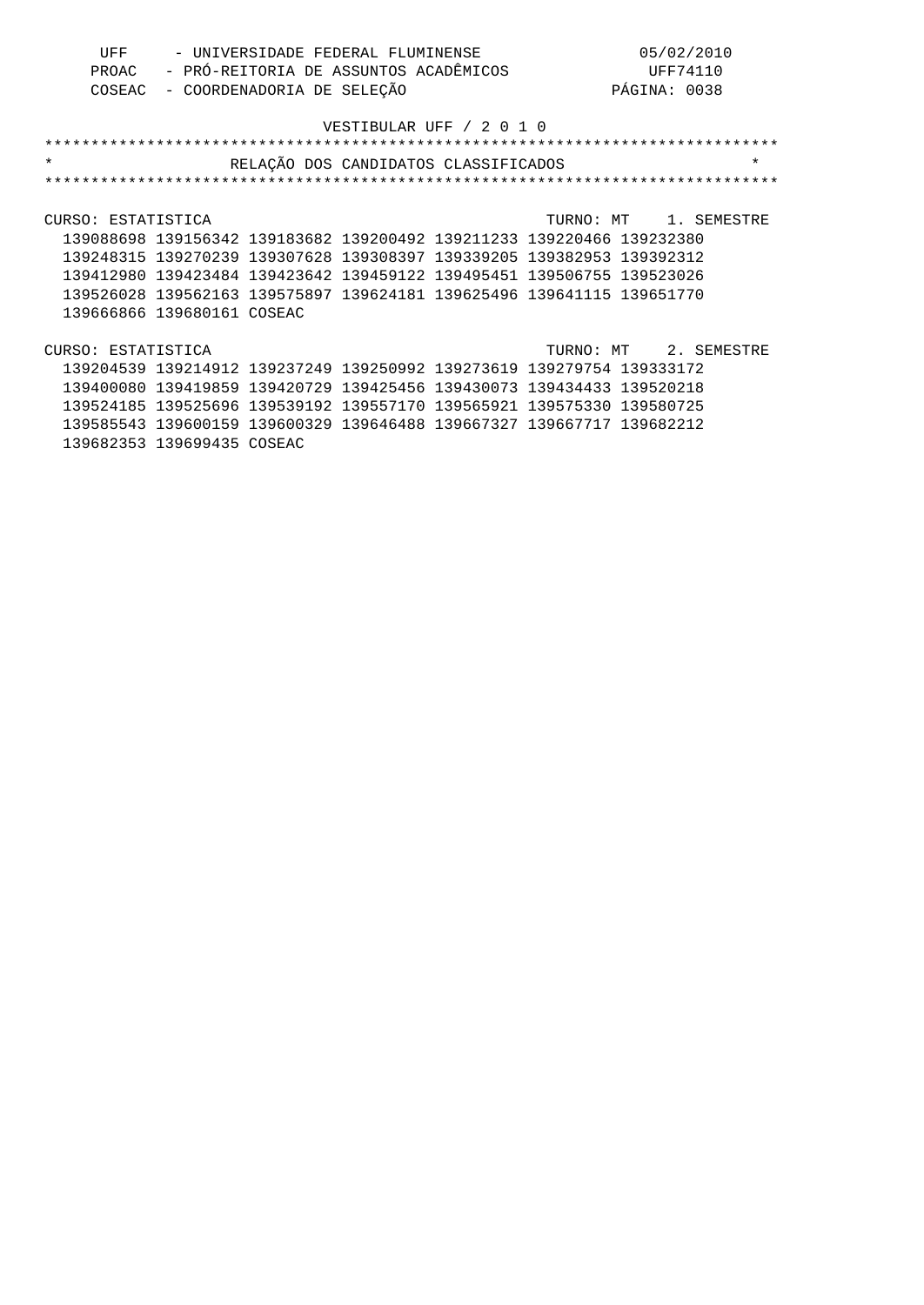| UFF | - UNIVERSIDADE FEDERAL FLUMINENSE           | 05/02/2010   |
|-----|---------------------------------------------|--------------|
|     | PROAC - PRÓ-REITORIA DE ASSUNTOS ACADÊMICOS | UFF74110     |
|     | COSEAC - COORDENADORIA DE SELEÇÃO           | PÁGINA: 0038 |

| $\star$                                                               | RELAÇÃO DOS CANDIDATOS CLASSIFICADOS |  |                       | $\star$ |
|-----------------------------------------------------------------------|--------------------------------------|--|-----------------------|---------|
|                                                                       |                                      |  |                       |         |
|                                                                       |                                      |  |                       |         |
| CURSO: ESTATISTICA                                                    |                                      |  | TURNO: MT 1. SEMESTRE |         |
| 139088698 139156342 139183682 139200492 139211233 139220466 139232380 |                                      |  |                       |         |
| 139248315 139270239 139307628 139308397 139339205 139382953 139392312 |                                      |  |                       |         |
| 139412980 139423484 139423642 139459122 139495451 139506755 139523026 |                                      |  |                       |         |
| 139526028 139562163 139575897 139624181 139625496 139641115 139651770 |                                      |  |                       |         |
| 139666866 139680161 COSEAC                                            |                                      |  |                       |         |
|                                                                       |                                      |  |                       |         |
| CURSO: ESTATISTICA                                                    |                                      |  | TURNO: MT 2. SEMESTRE |         |
| 139204539 139214912 139237249 139250992 139273619 139279754 139333172 |                                      |  |                       |         |
| 139400080 139419859 139420729 139425456 139430073 139434433 139520218 |                                      |  |                       |         |
| 139524185 139525696 139539192 139557170 139565921 139575330 139580725 |                                      |  |                       |         |
| 139585543 139600159 139600329 139646488 139667327 139667717 139682212 |                                      |  |                       |         |

139682353 139699435 COSEAC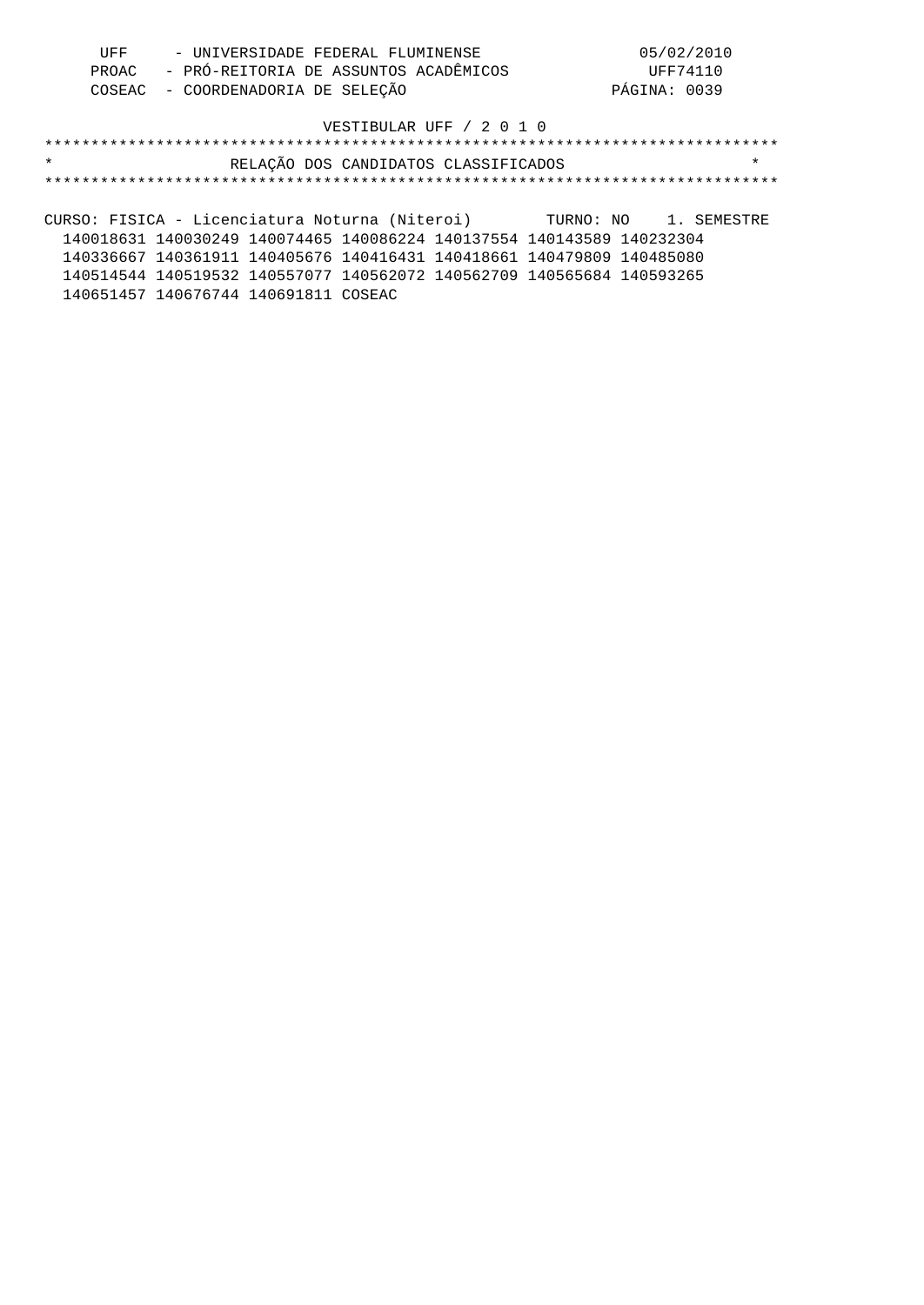| UFF | - UNIVERSIDADE FEDERAL FLUMINENSE           | 05/02/2010   |
|-----|---------------------------------------------|--------------|
|     | PROAC - PRÓ-REITORIA DE ASSUNTOS ACADÊMICOS | UFF74110     |
|     | COSEAC - COORDENADORIA DE SELEÇÃO           | PÁGINA: 0039 |

## \*\*\*\*\*\*\*\*\*\*\*\*\*\*\*\*\*\*\*\*\*\*\*\*\*\*\*\*\*\*\*\*\*\*\*\*\*\*\*\*\*\*\*\*\*\*\*\*\*\*\*\*\*\*\*\*\*\*\*\*\*\*\*\*\*\*\*\*\*\*\*\*\*\*\*\*\*\*\* \* RELAÇÃO DOS CANDIDATOS CLASSIFICADOS \* \*\*\*\*\*\*\*\*\*\*\*\*\*\*\*\*\*\*\*\*\*\*\*\*\*\*\*\*\*\*\*\*\*\*\*\*\*\*\*\*\*\*\*\*\*\*\*\*\*\*\*\*\*\*\*\*\*\*\*\*\*\*\*\*\*\*\*\*\*\*\*\*\*\*\*\*\*\*\*

CURSO: FISICA - Licenciatura Noturna (Niteroi) TURNO: NO 1. SEMESTRE 140018631 140030249 140074465 140086224 140137554 140143589 140232304 140336667 140361911 140405676 140416431 140418661 140479809 140485080 140514544 140519532 140557077 140562072 140562709 140565684 140593265 140651457 140676744 140691811 COSEAC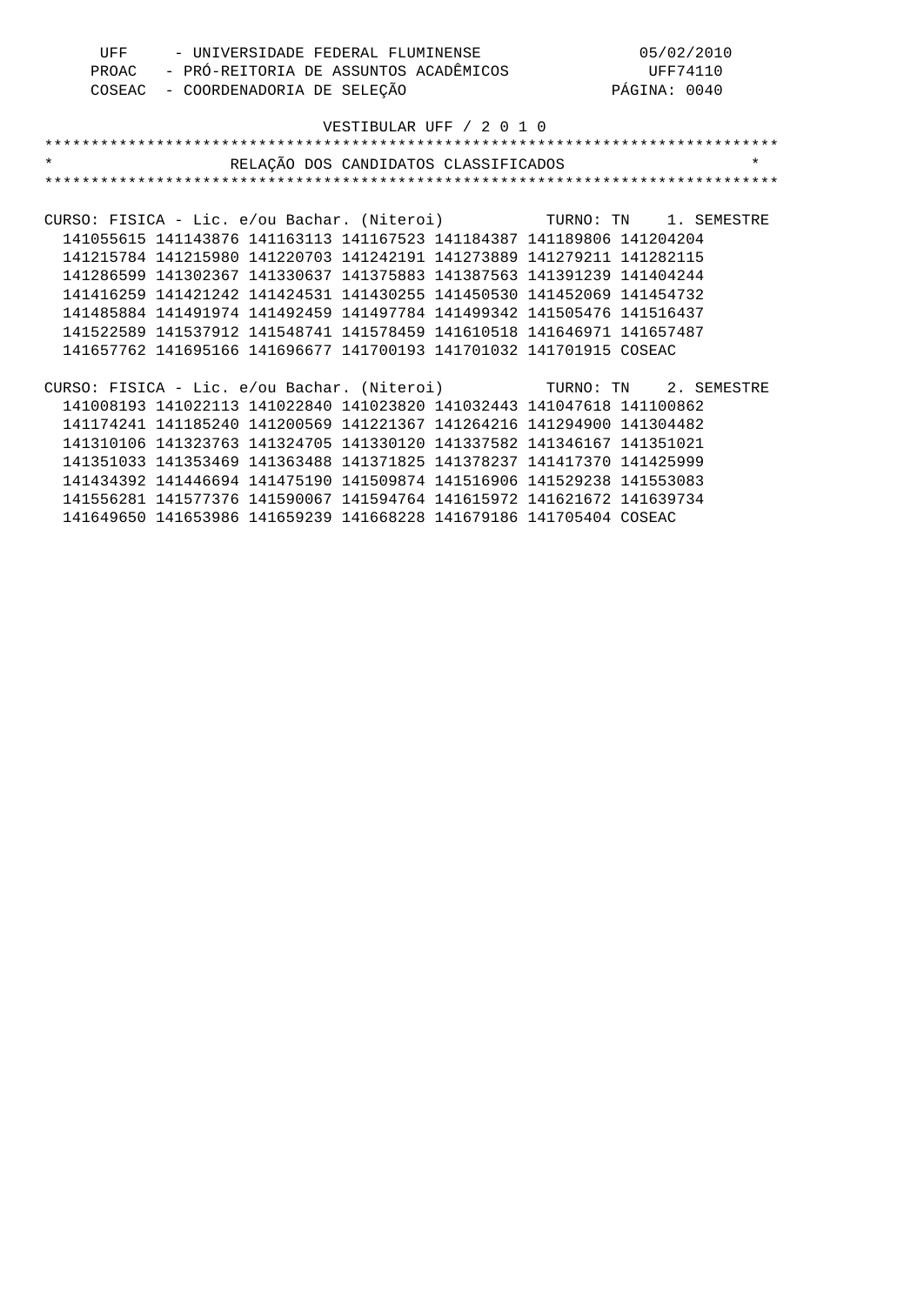| UFF - UNIVERSIDADE FEDERAL FLUMINENSE                                 | 05/02/2010                                                                                               |
|-----------------------------------------------------------------------|----------------------------------------------------------------------------------------------------------|
|                                                                       |                                                                                                          |
|                                                                       | PROAC - PRÓ-REITORIA DE ASSUNTOS ACADÊMICOS (UFF74110<br>COSEAC - COORDENADORIA DE SELEÇÃO (PÁGINA: 0040 |
|                                                                       |                                                                                                          |
|                                                                       | VESTIBULAR UFF / 2 0 1 0                                                                                 |
|                                                                       |                                                                                                          |
| $\star$                                                               | RELAÇÃO DOS CANDIDATOS CLASSIFICADOS<br>$\star$                                                          |
|                                                                       |                                                                                                          |
|                                                                       |                                                                                                          |
|                                                                       | CURSO: FISICA - Lic. e/ou Bachar. (Niteroi) TURNO: TN 1. SEMESTRE                                        |
|                                                                       | 141055615 141143876 141163113 141167523 141184387 141189806 141204204                                    |
| 141215784 141215980 141220703 141242191 141273889 141279211 141282115 |                                                                                                          |
| 141286599 141302367 141330637 141375883 141387563 141391239 141404244 |                                                                                                          |
| 141416259 141421242 141424531 141430255 141450530 141452069 141454732 |                                                                                                          |
| 141485884 141491974 141492459 141497784 141499342 141505476 141516437 |                                                                                                          |
|                                                                       | 141522589 141537912 141548741 141578459 141610518 141646971 141657487                                    |
| 141657762 141695166 141696677 141700193 141701032 141701915 COSEAC    |                                                                                                          |
|                                                                       |                                                                                                          |
|                                                                       | CURSO: FISICA - Lic. e/ou Bachar. (Niteroi) TURNO: TN 2. SEMESTRE                                        |
|                                                                       | 141008193 141022113 141022840 141023820 141032443 141047618 141100862                                    |
|                                                                       | 141174241 141185240 141200569 141221367 141264216 141294900 141304482                                    |
| 141310106 141323763 141324705 141330120 141337582 141346167 141351021 |                                                                                                          |
| 141351033 141353469 141363488 141371825 141378237 141417370 141425999 |                                                                                                          |
| 141434392 141446694 141475190 141509874 141516906 141529238 141553083 |                                                                                                          |
|                                                                       | 141556281 141577376 141590067 141594764 141615972 141621672 141639734                                    |
| 141649650 141653986 141659239 141668228 141679186 141705404 COSEAC    |                                                                                                          |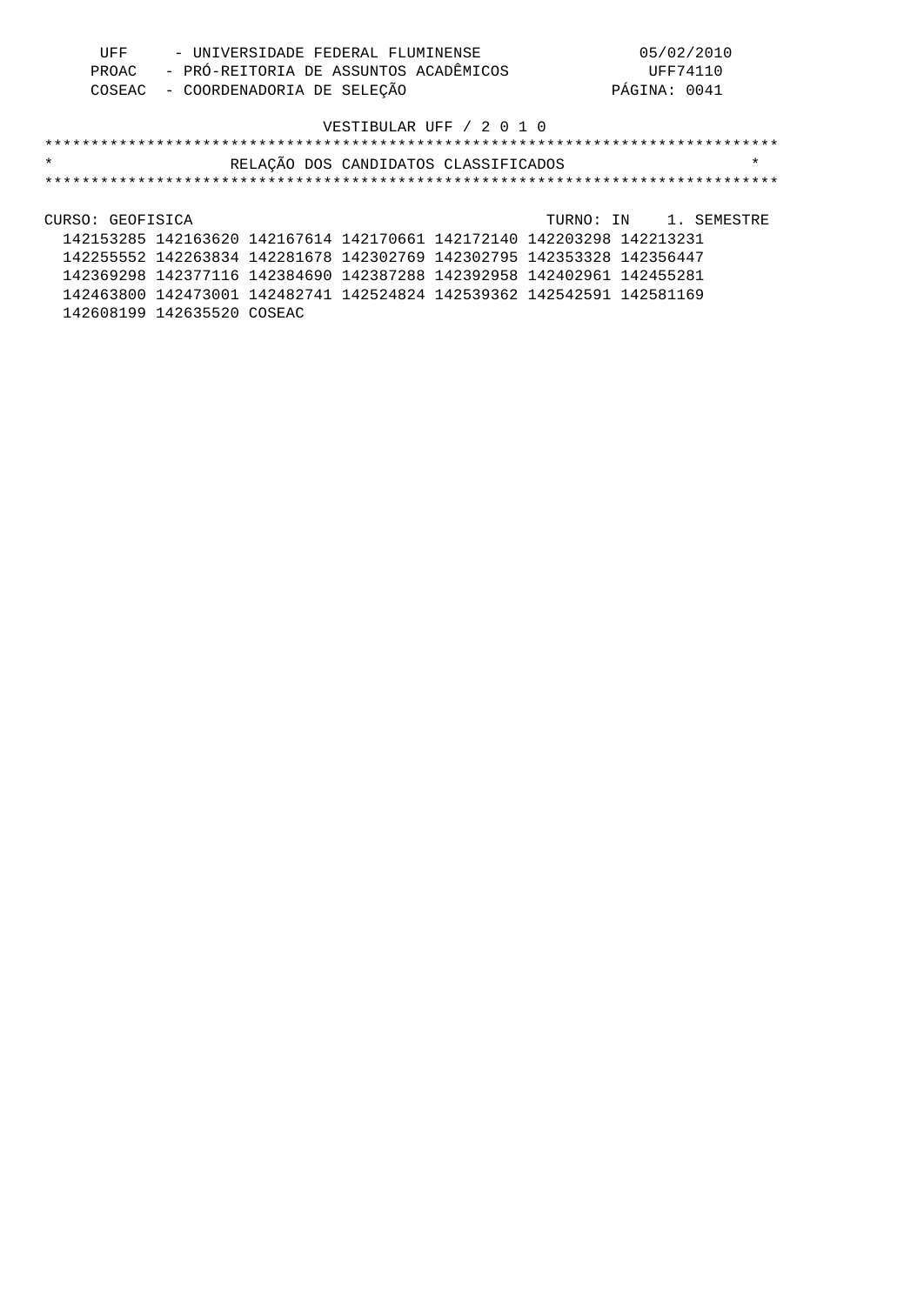| UFF | - UNIVERSIDADE FEDERAL FLUMINENSE           | 05/02/2010   |
|-----|---------------------------------------------|--------------|
|     | PROAC - PRÓ-REITORIA DE ASSUNTOS ACADÊMICOS | UFF74110     |
|     | COSEAC - COORDENADORIA DE SELEÇÃO           | PÁGINA: 0041 |

| $\star$          |                                                                       |  | RELAÇÃO DOS CANDIDATOS CLASSIFICADOS |                       | $\star$ |
|------------------|-----------------------------------------------------------------------|--|--------------------------------------|-----------------------|---------|
|                  |                                                                       |  |                                      |                       |         |
|                  |                                                                       |  |                                      |                       |         |
| CURSO: GEOFISICA |                                                                       |  |                                      | TURNO: IN 1. SEMESTRE |         |
|                  | 142153285 142163620 142167614 142170661 142172140 142203298 142213231 |  |                                      |                       |         |
|                  | 142255552 142263834 142281678 142302769 142302795 142353328 142356447 |  |                                      |                       |         |
|                  | 142369298 142377116 142384690 142387288 142392958 142402961 142455281 |  |                                      |                       |         |
|                  | 142463800 142473001 142482741 142524824 142539362 142542591 142581169 |  |                                      |                       |         |
|                  | 142608199 142635520 COSEAC                                            |  |                                      |                       |         |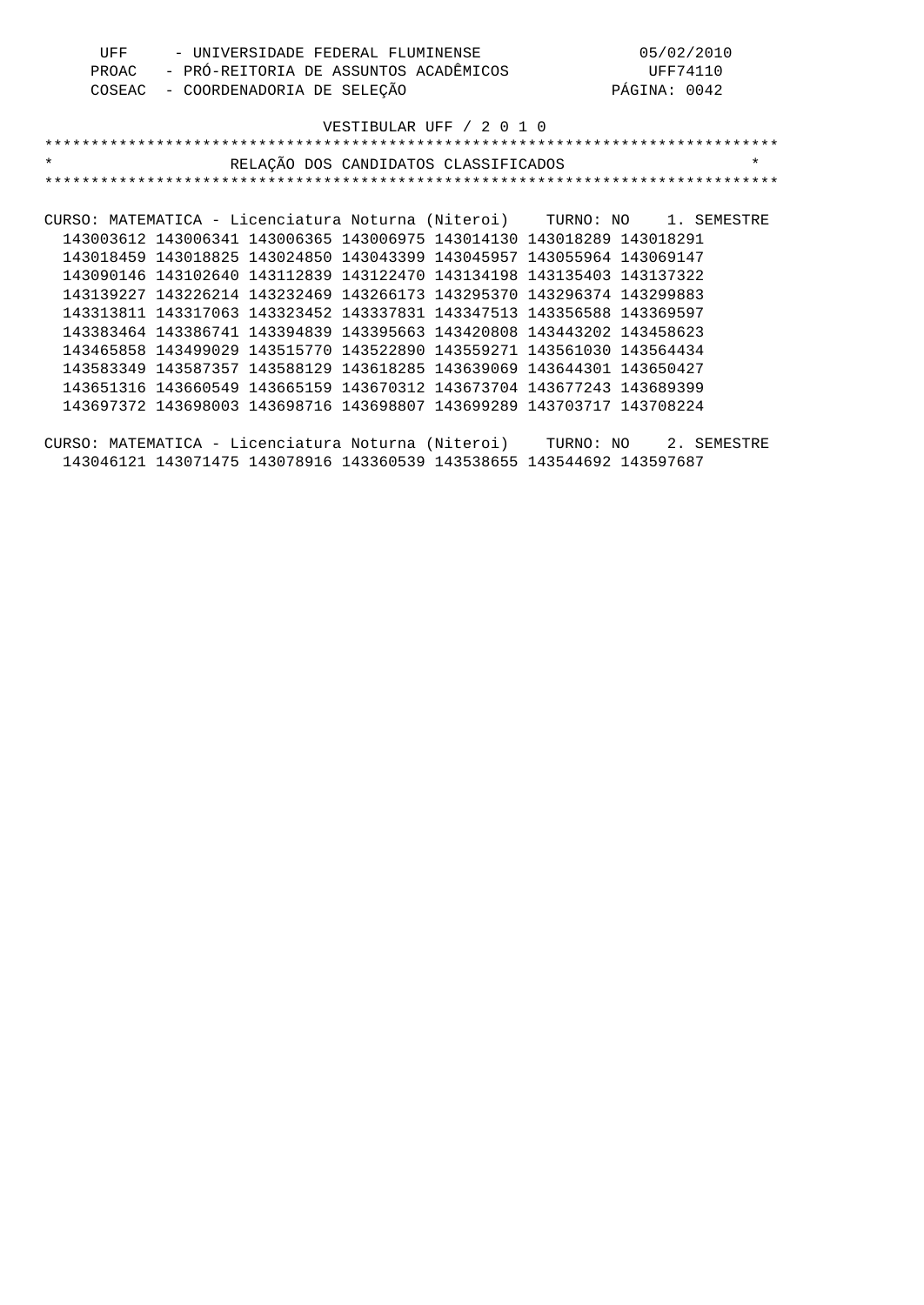| UFF   | - UNIVERSIDADE FEDERAL FLUMINENSE     | 05/02/2010   |
|-------|---------------------------------------|--------------|
| PROAC | - PRÓ-REITORIA DE ASSUNTOS ACADÊMICOS | UFF74110     |
|       | COSEAC - COORDENADORIA DE SELEÇÃO     | PÁGINA: 0042 |

| $\star$                                                                  | RELAÇÃO DOS CANDIDATOS CLASSIFICADOS | $\star$ |
|--------------------------------------------------------------------------|--------------------------------------|---------|
|                                                                          |                                      |         |
|                                                                          |                                      |         |
| CURSO: MATEMATICA - Licenciatura Noturna (Niteroi) TURNO: NO 1. SEMESTRE |                                      |         |
| 143003612 143006341 143006365 143006975 143014130 143018289 143018291    |                                      |         |
| 143018459 143018825 143024850 143043399 143045957 143055964 143069147    |                                      |         |
| 143090146 143102640 143112839 143122470 143134198 143135403 143137322    |                                      |         |
| 143139227 143226214 143232469 143266173 143295370 143296374 143299883    |                                      |         |
| 143313811 143317063 143323452 143337831 143347513 143356588 143369597    |                                      |         |
| 143383464 143386741 143394839 143395663 143420808 143443202 143458623    |                                      |         |
| 143465858 143499029 143515770 143522890 143559271 143561030 143564434    |                                      |         |
| 143583349 143587357 143588129 143618285 143639069 143644301 143650427    |                                      |         |
| 143651316 143660549 143665159 143670312 143673704 143677243 143689399    |                                      |         |

CURSO: MATEMATICA - Licenciatura Noturna (Niteroi) TURNO: NO 2. SEMESTRE 143046121 143071475 143078916 143360539 143538655 143544692 143597687

143697372 143698003 143698716 143698807 143699289 143703717 143708224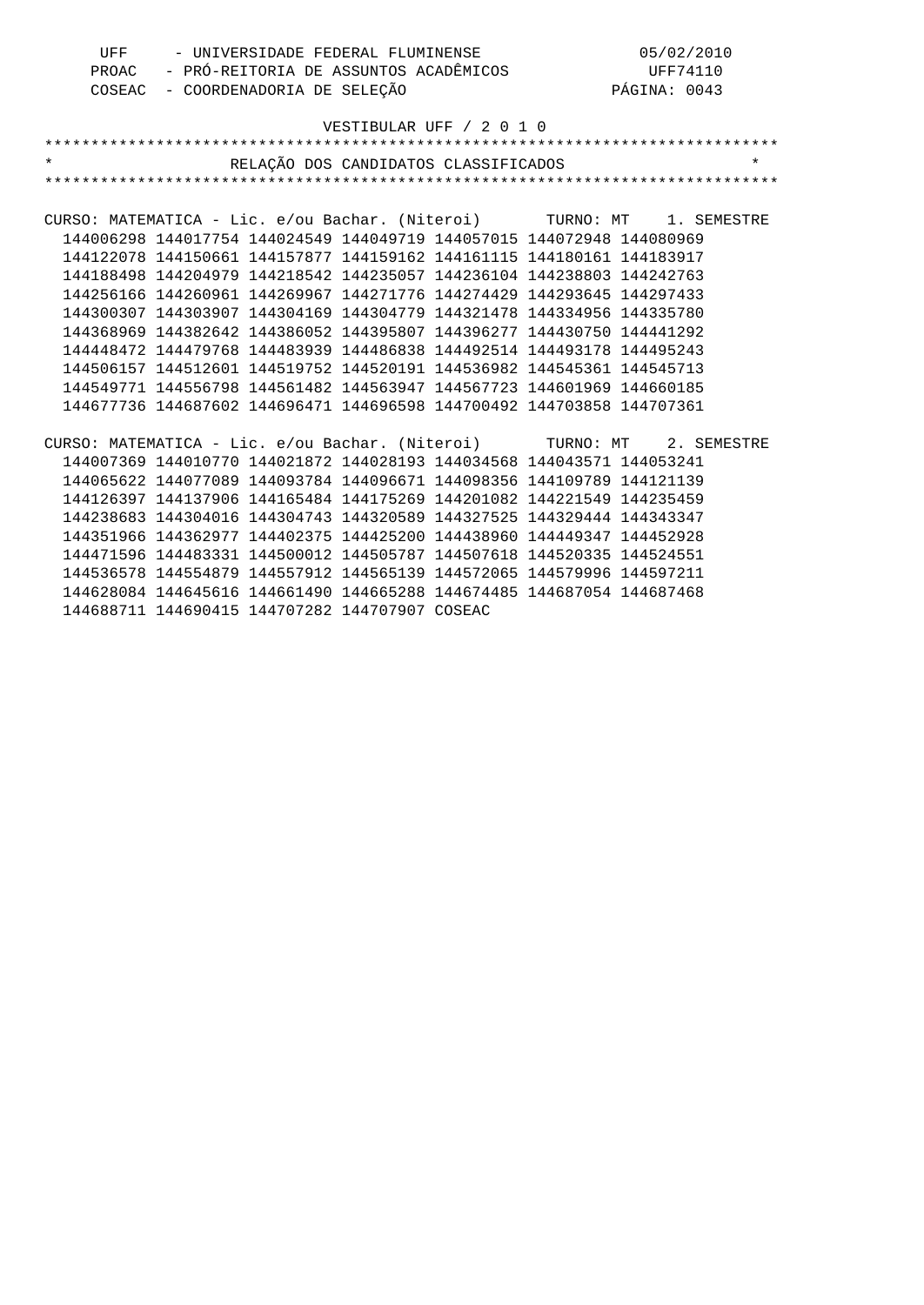| UFF                                                                   |                                             |                            | - UNIVERSIDADE FEDERAL FLUMINENSE              |                                                                       |          | 05/02/2010   |         |
|-----------------------------------------------------------------------|---------------------------------------------|----------------------------|------------------------------------------------|-----------------------------------------------------------------------|----------|--------------|---------|
|                                                                       | PROAC - PRÓ-REITORIA DE ASSUNTOS ACADÊMICOS |                            |                                                |                                                                       | UFF74110 |              |         |
| COSEAC                                                                |                                             | - COORDENADORIA DE SELEÇÃO |                                                |                                                                       |          | PÁGINA: 0043 |         |
|                                                                       |                                             |                            |                                                |                                                                       |          |              |         |
|                                                                       |                                             |                            |                                                | VESTIBULAR UFF / 2 0 1 0                                              |          |              |         |
|                                                                       |                                             |                            |                                                |                                                                       |          |              |         |
| $\star$                                                               |                                             |                            |                                                | RELAÇÃO DOS CANDIDATOS CLASSIFICADOS                                  |          |              | $\star$ |
|                                                                       |                                             |                            |                                                |                                                                       |          |              |         |
|                                                                       |                                             |                            |                                                |                                                                       |          |              |         |
| CURSO: MATEMATICA - Lic. e/ou Bachar. (Niteroi) TURNO: MT 1. SEMESTRE |                                             |                            |                                                |                                                                       |          |              |         |
|                                                                       |                                             |                            |                                                | 144006298 144017754 144024549 144049719 144057015 144072948 144080969 |          |              |         |
|                                                                       |                                             |                            |                                                | 144122078 144150661 144157877 144159162 144161115 144180161 144183917 |          |              |         |
|                                                                       |                                             |                            |                                                | 144188498 144204979 144218542 144235057 144236104 144238803 144242763 |          |              |         |
|                                                                       |                                             |                            |                                                | 144256166 144260961 144269967 144271776 144274429 144293645 144297433 |          |              |         |
|                                                                       |                                             |                            |                                                | 144300307 144303907 144304169 144304779 144321478 144334956 144335780 |          |              |         |
|                                                                       |                                             |                            |                                                | 144368969 144382642 144386052 144395807 144396277 144430750 144441292 |          |              |         |
|                                                                       |                                             |                            |                                                | 144448472 144479768 144483939 144486838 144492514 144493178 144495243 |          |              |         |
|                                                                       |                                             |                            |                                                | 144506157 144512601 144519752 144520191 144536982 144545361 144545713 |          |              |         |
|                                                                       |                                             |                            |                                                | 144549771 144556798 144561482 144563947 144567723 144601969 144660185 |          |              |         |
|                                                                       |                                             |                            |                                                | 144677736 144687602 144696471 144696598 144700492 144703858 144707361 |          |              |         |
|                                                                       |                                             |                            |                                                |                                                                       |          |              |         |
| CURSO: MATEMATICA - Lic. e/ou Bachar. (Niteroi) TURNO: MT 2. SEMESTRE |                                             |                            |                                                |                                                                       |          |              |         |
|                                                                       |                                             |                            |                                                | 144007369 144010770 144021872 144028193 144034568 144043571 144053241 |          |              |         |
|                                                                       |                                             |                            |                                                | 144065622 144077089 144093784 144096671 144098356 144109789 144121139 |          |              |         |
|                                                                       |                                             |                            |                                                | 144126397 144137906 144165484 144175269 144201082 144221549 144235459 |          |              |         |
|                                                                       |                                             |                            |                                                | 144238683 144304016 144304743 144320589 144327525 144329444 144343347 |          |              |         |
|                                                                       |                                             |                            |                                                | 144351966 144362977 144402375 144425200 144438960 144449347 144452928 |          |              |         |
|                                                                       |                                             |                            |                                                | 144471596 144483331 144500012 144505787 144507618 144520335 144524551 |          |              |         |
|                                                                       |                                             |                            |                                                | 144536578 144554879 144557912 144565139 144572065 144579996 144597211 |          |              |         |
|                                                                       |                                             |                            |                                                | 144628084 144645616 144661490 144665288 144674485 144687054 144687468 |          |              |         |
|                                                                       |                                             |                            | 144688711 144690415 144707282 144707907 COSEAC |                                                                       |          |              |         |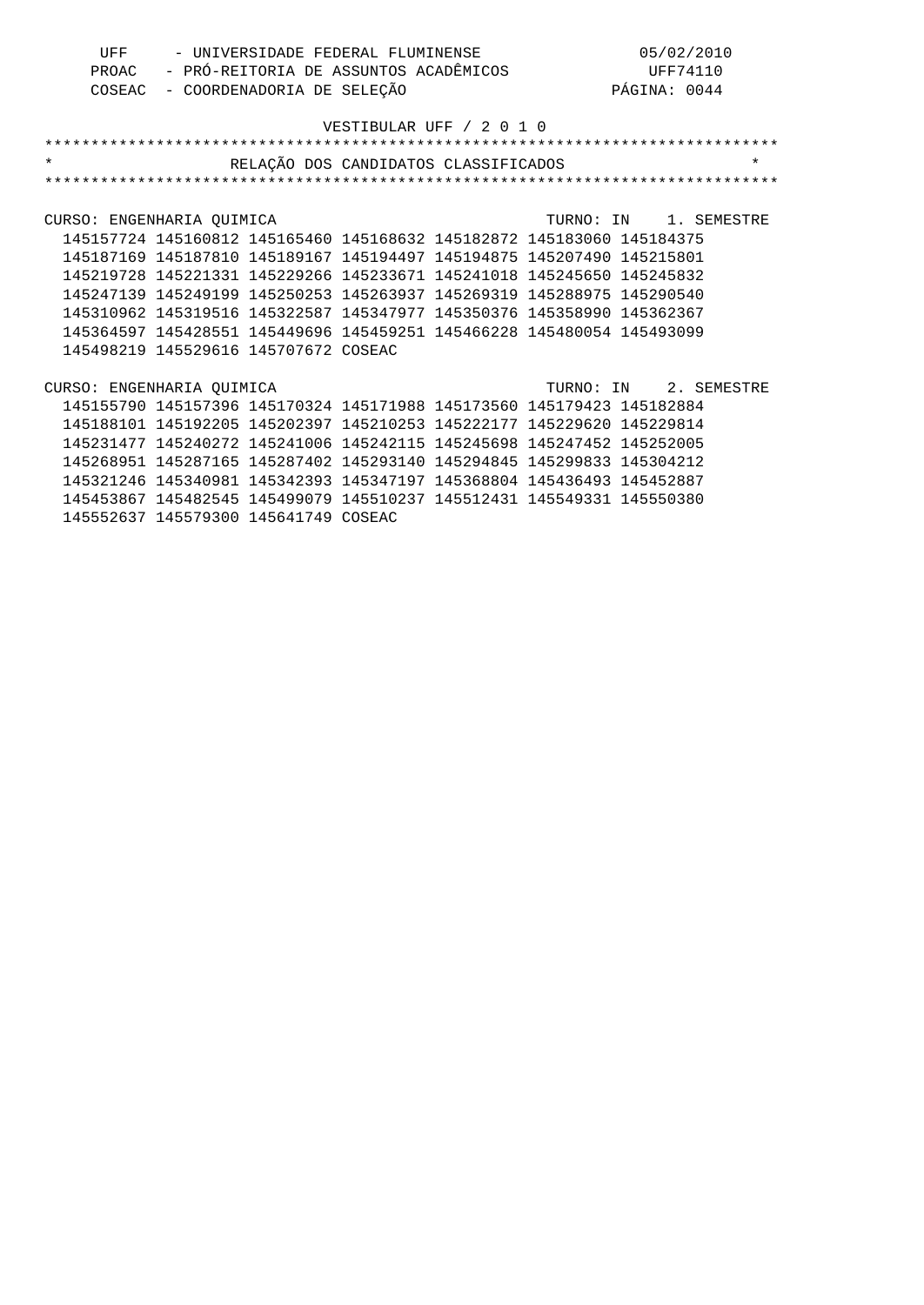| UFF | - UNIVERSIDADE FEDERAL FLUMINENSE           | 05/02/2010   |
|-----|---------------------------------------------|--------------|
|     | PROAC - PRÓ-REITORIA DE ASSUNTOS ACADÊMICOS | UFF74110     |
|     | COSEAC - COORDENADORIA DE SELEÇÃO           | PÁGINA: 0044 |

| $\star$                                                               | RELAÇÃO DOS CANDIDATOS CLASSIFICADOS |  |                       | $\star$ |
|-----------------------------------------------------------------------|--------------------------------------|--|-----------------------|---------|
|                                                                       |                                      |  |                       |         |
|                                                                       |                                      |  |                       |         |
| CURSO: ENGENHARIA OUIMICA                                             |                                      |  | TURNO: IN 1. SEMESTRE |         |
| 145157724 145160812 145165460 145168632 145182872 145183060 145184375 |                                      |  |                       |         |
| 145187169 145187810 145189167 145194497 145194875 145207490 145215801 |                                      |  |                       |         |
| 145219728 145221331 145229266 145233671 145241018 145245650 145245832 |                                      |  |                       |         |
| 145247139 145249199 145250253 145263937 145269319 145288975 145290540 |                                      |  |                       |         |
| 145310962 145319516 145322587 145347977 145350376 145358990 145362367 |                                      |  |                       |         |
| 145364597 145428551 145449696 145459251 145466228 145480054 145493099 |                                      |  |                       |         |
| 145498219 145529616 145707672 COSEAC                                  |                                      |  |                       |         |
|                                                                       |                                      |  |                       |         |
| CURSO: ENGENHARIA OUIMICA                                             |                                      |  | TURNO: IN 2. SEMESTRE |         |
| 145155790 145157396 145170324 145171988 145173560 145179423 145182884 |                                      |  |                       |         |
| 145188101 145192205 145202397 145210253 145222177 145229620 145229814 |                                      |  |                       |         |
| 145231477 145240272 145241006 145242115 145245698 145247452 145252005 |                                      |  |                       |         |
| 145268951 145287165 145287402 145293140 145294845 145299833 145304212 |                                      |  |                       |         |
| 145321246 145340981 145342393 145347197 145368804 145436493 145452887 |                                      |  |                       |         |
| 145453867 145482545 145499079 145510237 145512431 145549331 145550380 |                                      |  |                       |         |
| 145552637 145579300 145641749 COSEAC                                  |                                      |  |                       |         |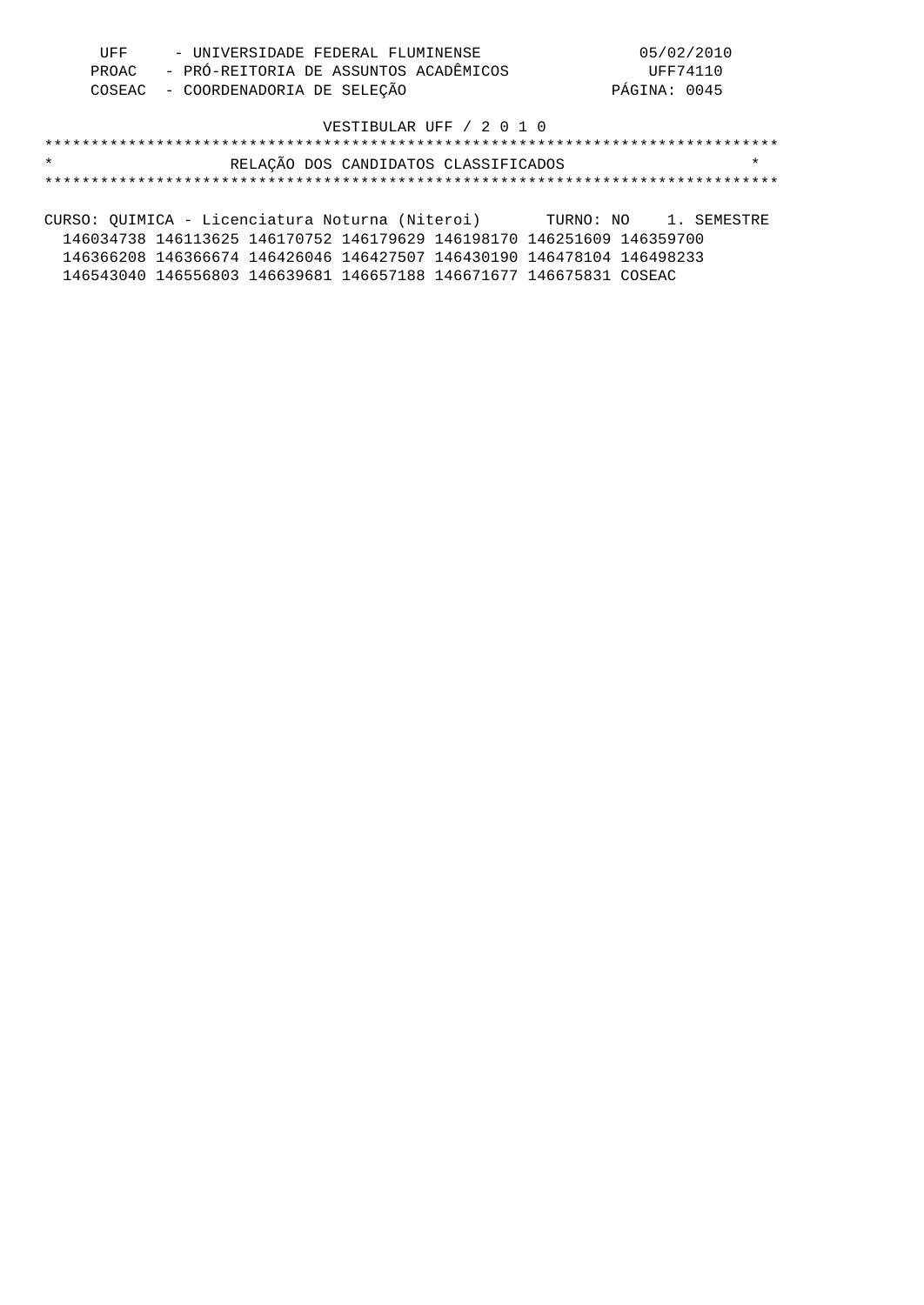| UFF | - UNIVERSIDADE FEDERAL FLUMINENSE           | 05/02/2010   |
|-----|---------------------------------------------|--------------|
|     | PROAC - PRÓ-REITORIA DE ASSUNTOS ACADÊMICOS | UFF74110     |
|     | COSEAC - COORDENADORIA DE SELEÇÃO           | PÁGINA: 0045 |

### \*\*\*\*\*\*\*\*\*\*\*\*\*\*\*\*\*\*\*\*\*\*\*\*\*\*\*\*\*\*\*\*\*\*\*\*\*\*\*\*\*\*\*\*\*\*\*\*\*\*\*\*\*\*\*\*\*\*\*\*\*\*\*\*\*\*\*\*\*\*\*\*\*\*\*\*\*\*\* \* RELAÇÃO DOS CANDIDATOS CLASSIFICADOS \* \*\*\*\*\*\*\*\*\*\*\*\*\*\*\*\*\*\*\*\*\*\*\*\*\*\*\*\*\*\*\*\*\*\*\*\*\*\*\*\*\*\*\*\*\*\*\*\*\*\*\*\*\*\*\*\*\*\*\*\*\*\*\*\*\*\*\*\*\*\*\*\*\*\*\*\*\*\*\*

CURSO: QUIMICA - Licenciatura Noturna (Niteroi) TURNO: NO 1. SEMESTRE 146034738 146113625 146170752 146179629 146198170 146251609 146359700 146366208 146366674 146426046 146427507 146430190 146478104 146498233 146543040 146556803 146639681 146657188 146671677 146675831 COSEAC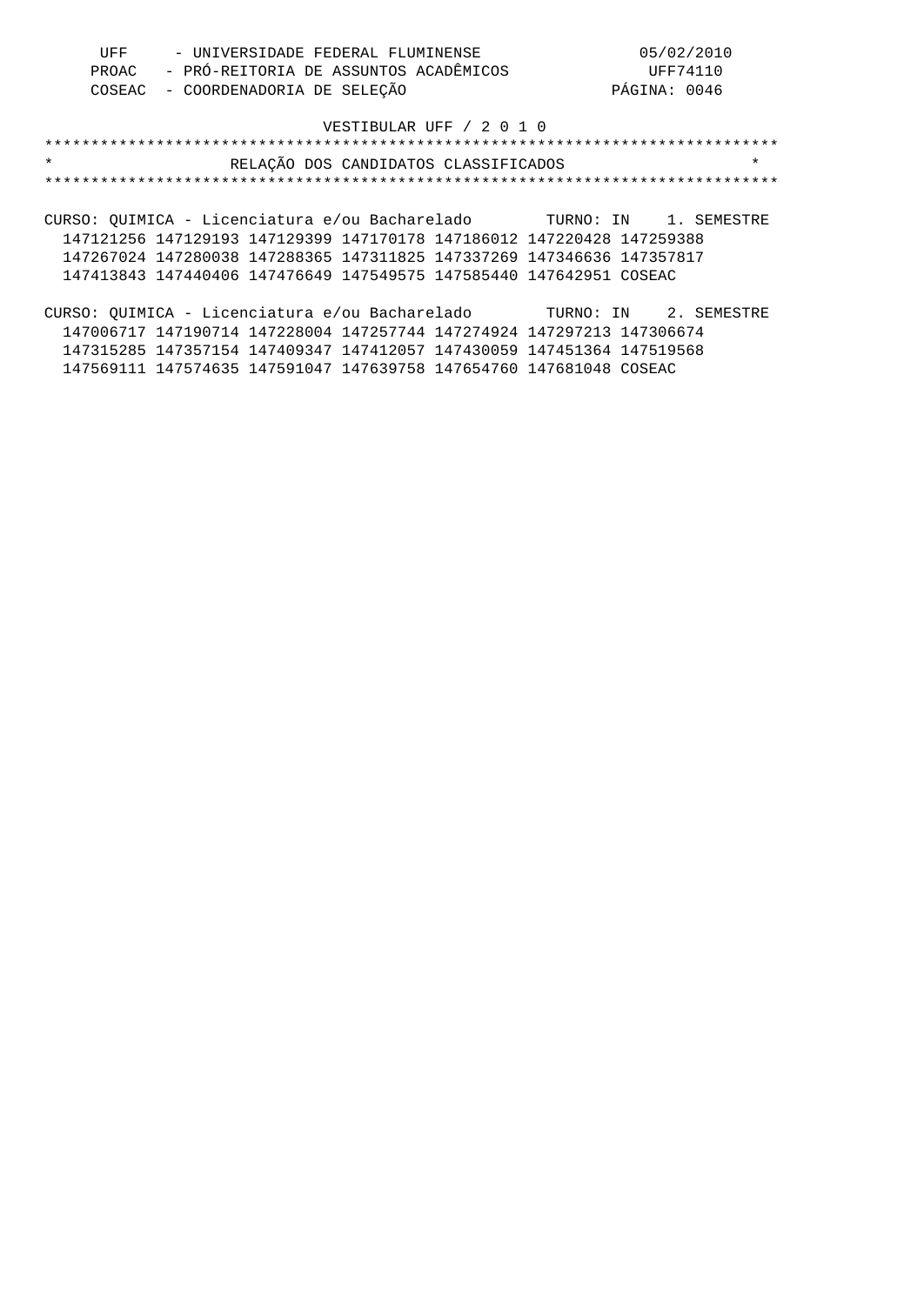| UFF | - UNIVERSIDADE FEDERAL FLUMINENSE           | 05/02/2010   |
|-----|---------------------------------------------|--------------|
|     | PROAC - PRÓ-REITORIA DE ASSUNTOS ACADÊMICOS | UFF74110     |
|     | COSEAC - COORDENADORIA DE SELEÇÃO           | PÁGINA: 0046 |

|  | RELAÇÃO DOS CANDIDATOS CLASSIFICADOS |  |
|--|--------------------------------------|--|
|  |                                      |  |

CURSO: QUIMICA - Licenciatura e/ou Bacharelado TURNO: IN 1. SEMESTRE 147121256 147129193 147129399 147170178 147186012 147220428 147259388 147267024 147280038 147288365 147311825 147337269 147346636 147357817 147413843 147440406 147476649 147549575 147585440 147642951 COSEAC

| CURSO: OUIMICA - Licenciatura e/ou Bacharelado |                                                                       |  |  | TURNO: IN 2. SEMESTRE |
|------------------------------------------------|-----------------------------------------------------------------------|--|--|-----------------------|
|                                                | 147006717 147190714 147228004 147257744 147274924 147297213 147306674 |  |  |                       |
|                                                | 147315285 147357154 147409347 147412057 147430059 147451364 147519568 |  |  |                       |
|                                                | 147569111 147574635 147591047 147639758 147654760 147681048 COSEAC    |  |  |                       |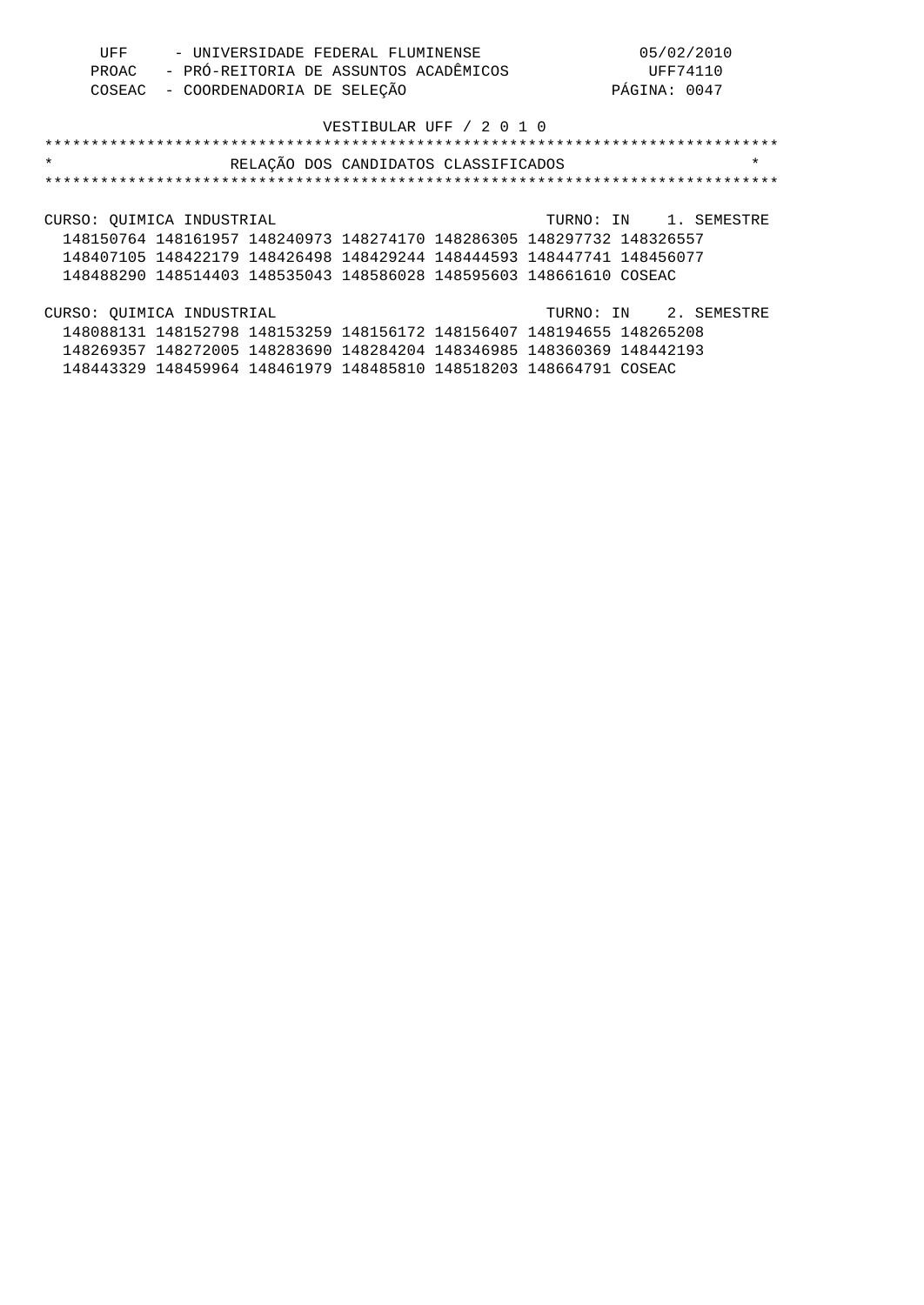| UFF | - UNIVERSIDADE FEDERAL FLUMINENSE           | 05/02/2010   |
|-----|---------------------------------------------|--------------|
|     | PROAC - PRÓ-REITORIA DE ASSUNTOS ACADÊMICOS | UFF74110     |
|     | COSEAC - COORDENADORIA DE SELEÇÃO           | PÁGINA: 0047 |

| $\star$<br>RELAÇÃO DOS CANDIDATOS CLASSIFICADOS                       | $\star$               |
|-----------------------------------------------------------------------|-----------------------|
|                                                                       |                       |
|                                                                       |                       |
| CURSO: OUIMICA INDUSTRIAL                                             | TURNO: IN 1. SEMESTRE |
| 148150764 148161957 148240973 148274170 148286305 148297732 148326557 |                       |
| 148407105 148422179 148426498 148429244 148444593 148447741 148456077 |                       |
| 148488290 148514403 148535043 148586028 148595603 148661610 COSEAC    |                       |
|                                                                       |                       |
| CURSO: OUIMICA INDUSTRIAL                                             | TURNO: IN 2. SEMESTRE |

 148088131 148152798 148153259 148156172 148156407 148194655 148265208 148269357 148272005 148283690 148284204 148346985 148360369 148442193 148443329 148459964 148461979 148485810 148518203 148664791 COSEAC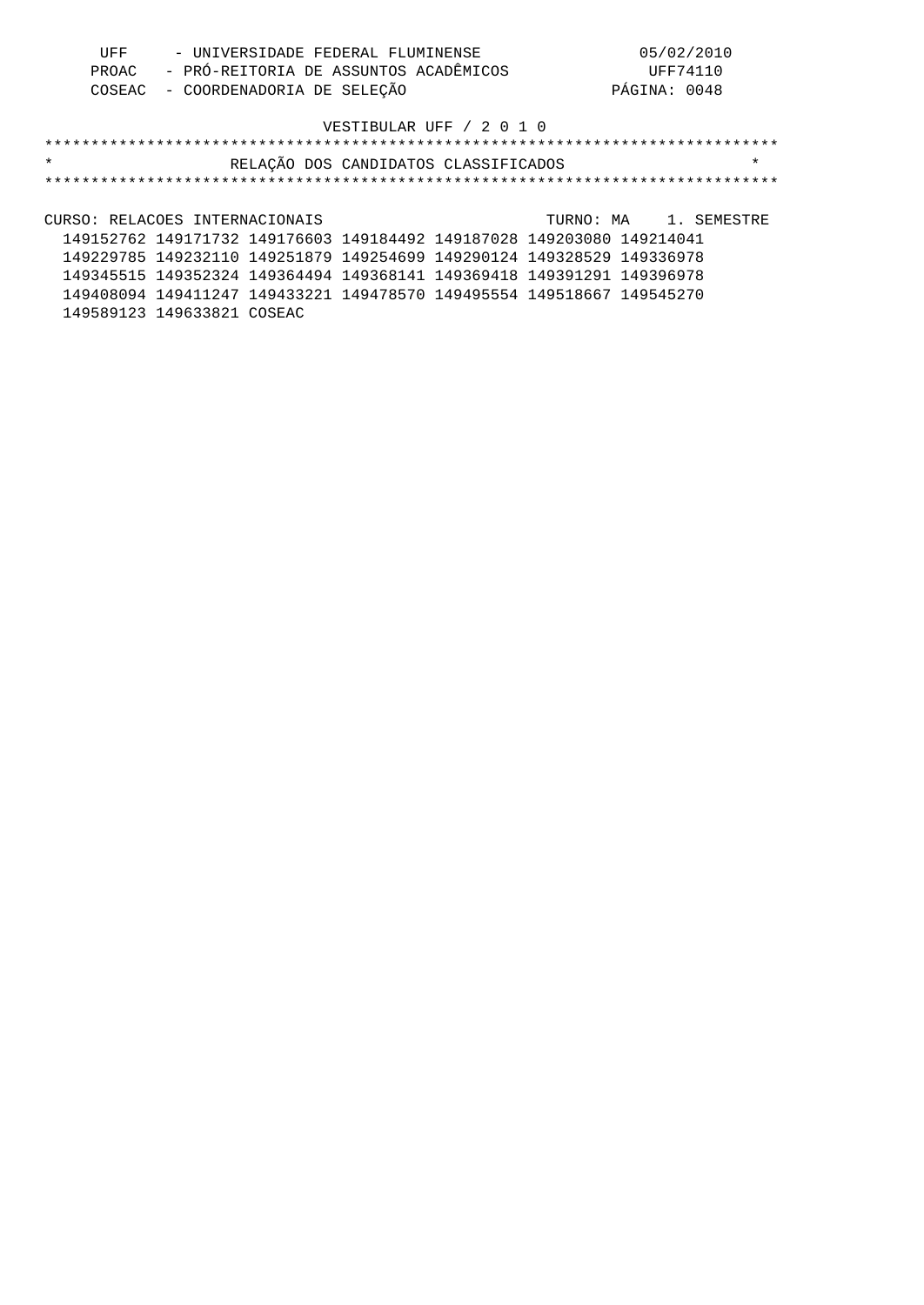| UFF | - UNIVERSIDADE FEDERAL FLUMINENSE           | 05/02/2010   |
|-----|---------------------------------------------|--------------|
|     | PROAC - PRÓ-REITORIA DE ASSUNTOS ACADÊMICOS | UFF74110     |
|     | COSEAC - COORDENADORIA DE SELEÇÃO           | PÁGINA: 0048 |

| $\star$                                                               | RELAÇÃO DOS CANDIDATOS CLASSIFICADOS | $\star$               |
|-----------------------------------------------------------------------|--------------------------------------|-----------------------|
|                                                                       |                                      |                       |
|                                                                       |                                      |                       |
| CURSO: RELACOES INTERNACIONAIS                                        |                                      | TURNO: MA 1. SEMESTRE |
| 149152762 149171732 149176603 149184492 149187028 149203080 149214041 |                                      |                       |
| 149229785 149232110 149251879 149254699 149290124 149328529 149336978 |                                      |                       |
| 149345515 149352324 149364494 149368141 149369418 149391291 149396978 |                                      |                       |
| 149408094 149411247 149433221 149478570 149495554 149518667 149545270 |                                      |                       |
| 149589123 149633821 COSEAC                                            |                                      |                       |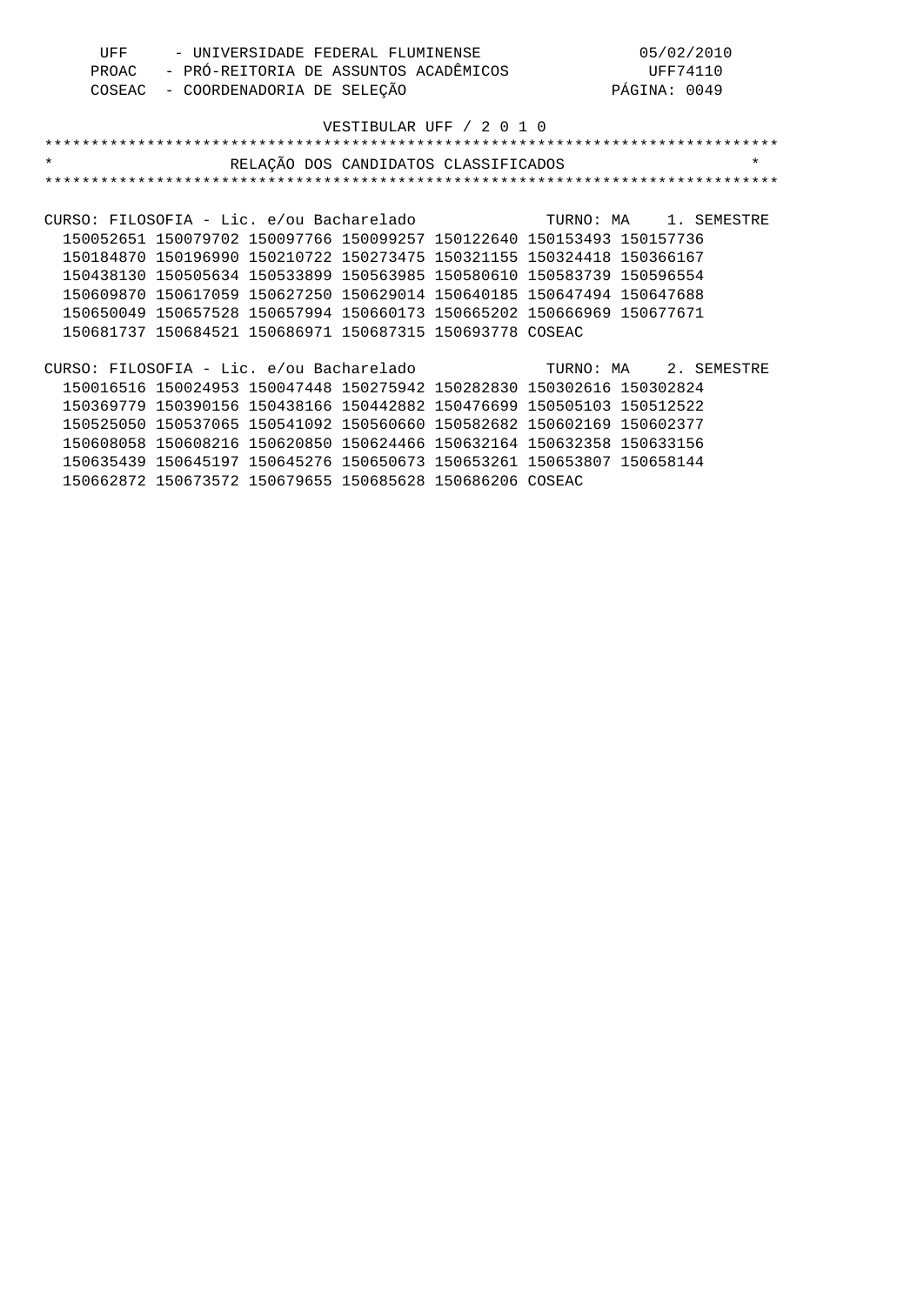| UFF | - UNIVERSIDADE FEDERAL FLUMINENSE           | 05/02/2010   |
|-----|---------------------------------------------|--------------|
|     | PROAC - PRÓ-REITORIA DE ASSUNTOS ACADÊMICOS | UFF74110     |
|     | COSEAC - COORDENADORIA DE SELEÇÃO           | PÁGINA: 0049 |

| $\star$<br>RELAÇÃO DOS CANDIDATOS CLASSIFICADOS                        | $\star$ |
|------------------------------------------------------------------------|---------|
|                                                                        |         |
|                                                                        |         |
| CURSO: FILOSOFIA - Lic. e/ou Bacharelado Manuel TURNO: MAnuel SEMESTRE |         |
| 150052651 150079702 150097766 150099257 150122640 150153493 150157736  |         |
| 150184870 150196990 150210722 150273475 150321155 150324418 150366167  |         |
| 150438130 150505634 150533899 150563985 150580610 150583739 150596554  |         |
| 150609870 150617059 150627250 150629014 150640185 150647494 150647688  |         |
| 150650049 150657528 150657994 150660173 150665202 150666969 150677671  |         |
| 150681737 150684521 150686971 150687315 150693778 COSEAC               |         |
|                                                                        |         |
| CURSO: FILOSOFIA - Lic. e/ou Bacharelado Marti TURNO: MA 2. SEMESTRE   |         |
| 150016516 150024953 150047448 150275942 150282830 150302616 150302824  |         |
| 150369779 150390156 150438166 150442882 150476699 150505103 150512522  |         |
| 150525050 150537065 150541092 150560660 150582682 150602169 150602377  |         |
| 150608058 150608216 150620850 150624466 150632164 150632358 150633156  |         |
| 150635439 150645197 150645276 150650673 150653261 150653807 150658144  |         |
| 150662872 150673572 150679655 150685628 150686206 COSEAC               |         |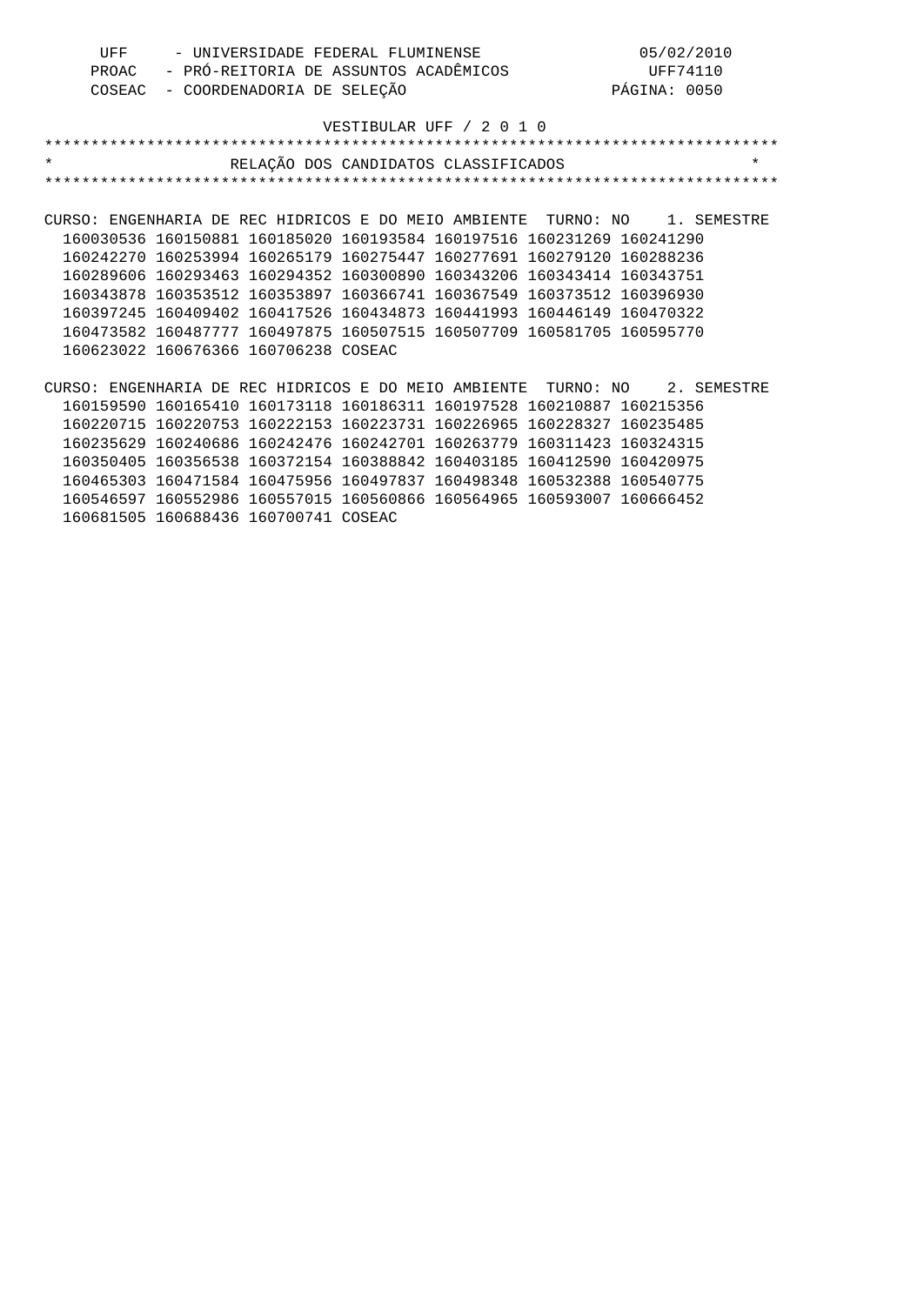| UFF | - UNIVERSIDADE FEDERAL FLUMINENSE           | 05/02/2010   |
|-----|---------------------------------------------|--------------|
|     | PROAC - PRÓ-REITORIA DE ASSUNTOS ACADÊMICOS | UFF74110     |
|     | COSEAC - COORDENADORIA DE SELEÇÃO           | PÁGINA: 0050 |

| $\star$                              | RELAÇÃO DOS CANDIDATOS CLASSIFICADOS                                       | $\star$ |
|--------------------------------------|----------------------------------------------------------------------------|---------|
|                                      |                                                                            |         |
|                                      |                                                                            |         |
|                                      | CURSO: ENGENHARIA DE REC HIDRICOS E DO MEIO AMBIENTE TURNO: NO 1. SEMESTRE |         |
|                                      | 160030536 160150881 160185020 160193584 160197516 160231269 160241290      |         |
|                                      | 160242270 160253994 160265179 160275447 160277691 160279120 160288236      |         |
|                                      | 160289606 160293463 160294352 160300890 160343206 160343414 160343751      |         |
|                                      | 160343878 160353512 160353897 160366741 160367549 160373512 160396930      |         |
|                                      | 160397245 160409402 160417526 160434873 160441993 160446149 160470322      |         |
|                                      | 160473582 160487777 160497875 160507515 160507709 160581705 160595770      |         |
| 160623022 160676366 160706238 COSEAC |                                                                            |         |
|                                      |                                                                            |         |

CURSO: ENGENHARIA DE REC HIDRICOS E DO MEIO AMBIENTE TURNO: NO 2. SEMESTRE 160159590 160165410 160173118 160186311 160197528 160210887 160215356 160220715 160220753 160222153 160223731 160226965 160228327 160235485 160235629 160240686 160242476 160242701 160263779 160311423 160324315 160350405 160356538 160372154 160388842 160403185 160412590 160420975 160465303 160471584 160475956 160497837 160498348 160532388 160540775 160546597 160552986 160557015 160560866 160564965 160593007 160666452 160681505 160688436 160700741 COSEAC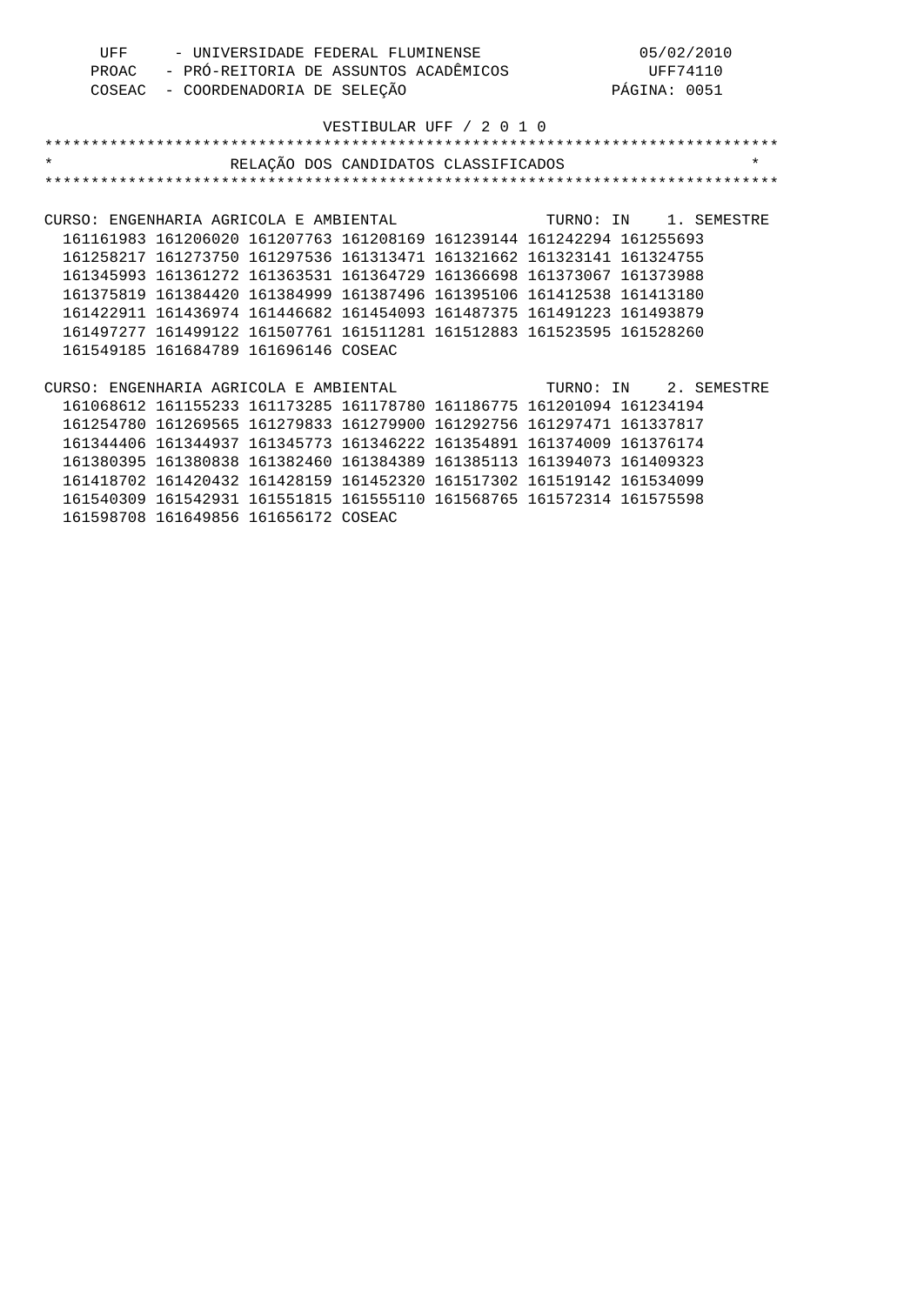| UFF<br>- UNIVERSIDADE FEDERAL FLUMINENSE<br>- PRÓ-REITORIA DE ASSUNTOS ACADÊMICOS<br>PROAC<br>- COORDENADORIA DE SELEÇÃO<br>COSEAC |                                                                       |  | 05/02/2010<br>UFF74110<br>PÁGINA: 0051 |  |  |                       |
|------------------------------------------------------------------------------------------------------------------------------------|-----------------------------------------------------------------------|--|----------------------------------------|--|--|-----------------------|
|                                                                                                                                    |                                                                       |  | VESTIBULAR UFF / 2 0 1 0               |  |  |                       |
|                                                                                                                                    |                                                                       |  |                                        |  |  |                       |
| $\star$                                                                                                                            |                                                                       |  | RELAÇÃO DOS CANDIDATOS CLASSIFICADOS   |  |  | $\star$               |
|                                                                                                                                    |                                                                       |  |                                        |  |  |                       |
|                                                                                                                                    |                                                                       |  |                                        |  |  |                       |
| CURSO: ENGENHARIA AGRICOLA E AMBIENTAL                                                                                             |                                                                       |  |                                        |  |  | TURNO: IN 1. SEMESTRE |
|                                                                                                                                    | 161161983 161206020 161207763 161208169 161239144 161242294 161255693 |  |                                        |  |  |                       |
|                                                                                                                                    | 161258217 161273750 161297536 161313471 161321662 161323141 161324755 |  |                                        |  |  |                       |
|                                                                                                                                    | 161345993 161361272 161363531 161364729 161366698 161373067 161373988 |  |                                        |  |  |                       |
|                                                                                                                                    | 161375819 161384420 161384999 161387496 161395106 161412538 161413180 |  |                                        |  |  |                       |
|                                                                                                                                    | 161422911 161436974 161446682 161454093 161487375 161491223 161493879 |  |                                        |  |  |                       |
|                                                                                                                                    |                                                                       |  |                                        |  |  |                       |
|                                                                                                                                    | 161497277 161499122 161507761 161511281 161512883 161523595 161528260 |  |                                        |  |  |                       |
|                                                                                                                                    | 161549185 161684789 161696146 COSEAC                                  |  |                                        |  |  |                       |
|                                                                                                                                    |                                                                       |  |                                        |  |  |                       |
| CURSO: ENGENHARIA AGRICOLA E AMBIENTAL                                                                                             |                                                                       |  |                                        |  |  | TURNO: IN 2. SEMESTRE |
|                                                                                                                                    | 161068612 161155233 161173285 161178780 161186775 161201094 161234194 |  |                                        |  |  |                       |
|                                                                                                                                    | 161254780 161269565 161279833 161279900 161292756 161297471 161337817 |  |                                        |  |  |                       |
|                                                                                                                                    | 161344406 161344937 161345773 161346222 161354891 161374009 161376174 |  |                                        |  |  |                       |
|                                                                                                                                    | 161380395 161380838 161382460 161384389 161385113 161394073 161409323 |  |                                        |  |  |                       |

 161418702 161420432 161428159 161452320 161517302 161519142 161534099 161540309 161542931 161551815 161555110 161568765 161572314 161575598 161598708 161649856 161656172 COSEAC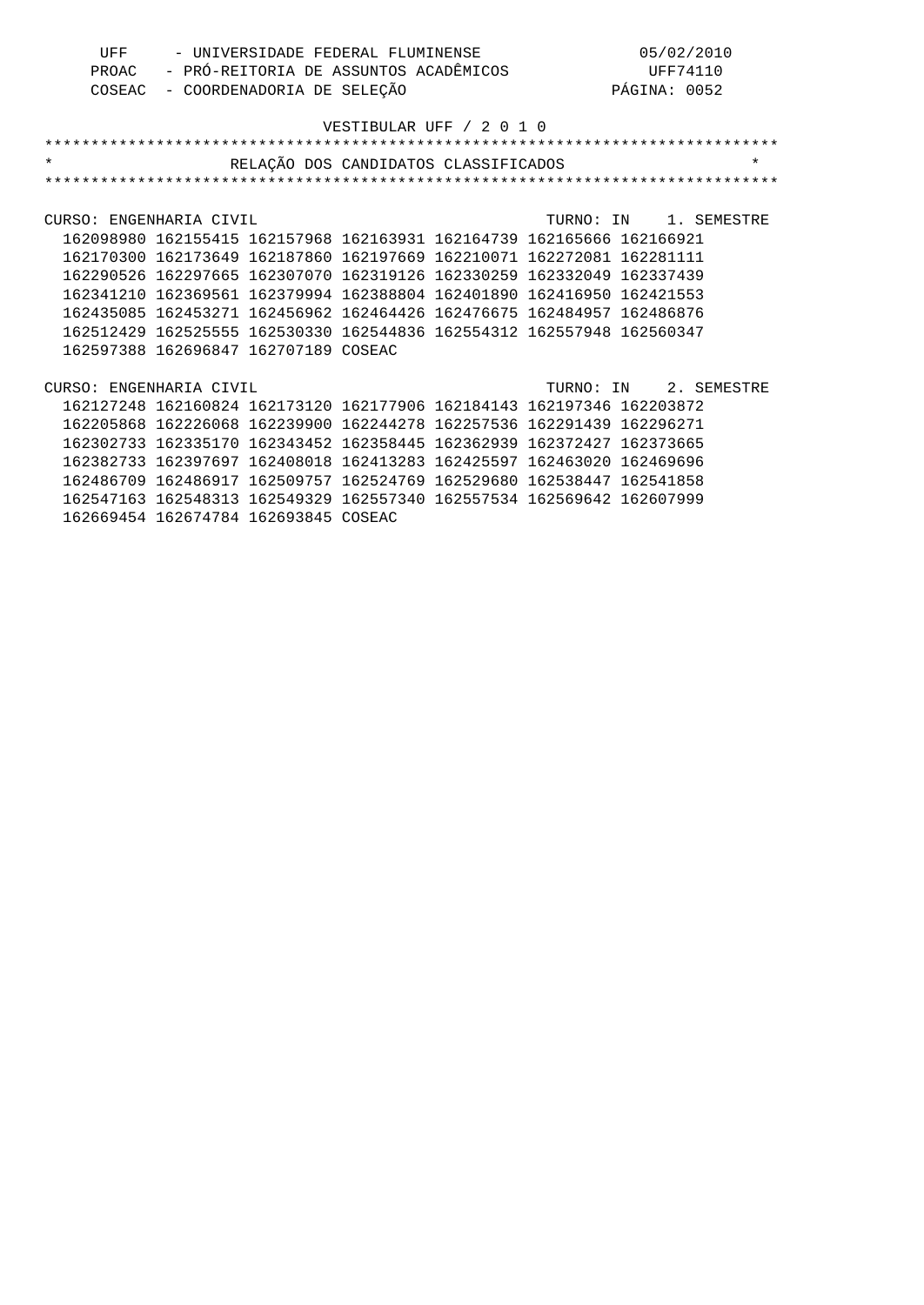| UFF | - UNIVERSIDADE FEDERAL FLUMINENSE           | 05/02/2010   |
|-----|---------------------------------------------|--------------|
|     | PROAC - PRÓ-REITORIA DE ASSUNTOS ACADÊMICOS | UFF74110     |
|     | COSEAC - COORDENADORIA DE SELEÇÃO           | PÁGINA: 0052 |

| $\star$                 |                     | RELAÇÃO DOS CANDIDATOS CLASSIFICADOS                                  |  |                       | $\star$ |
|-------------------------|---------------------|-----------------------------------------------------------------------|--|-----------------------|---------|
|                         |                     |                                                                       |  |                       |         |
|                         |                     |                                                                       |  |                       |         |
| CURSO: ENGENHARIA CIVIL |                     |                                                                       |  | TURNO: IN 1. SEMESTRE |         |
|                         |                     | 162098980 162155415 162157968 162163931 162164739 162165666 162166921 |  |                       |         |
|                         |                     | 162170300 162173649 162187860 162197669 162210071 162272081 162281111 |  |                       |         |
|                         |                     | 162290526 162297665 162307070 162319126 162330259 162332049 162337439 |  |                       |         |
|                         |                     | 162341210 162369561 162379994 162388804 162401890 162416950 162421553 |  |                       |         |
|                         |                     | 162435085 162453271 162456962 162464426 162476675 162484957 162486876 |  |                       |         |
|                         |                     | 162512429 162525555 162530330 162544836 162554312 162557948 162560347 |  |                       |         |
|                         |                     | 162597388 162696847 162707189 COSEAC                                  |  |                       |         |
|                         |                     |                                                                       |  |                       |         |
| CURSO: ENGENHARIA CIVIL |                     |                                                                       |  | TURNO: IN 2. SEMESTRE |         |
|                         |                     | 162127248 162160824 162173120 162177906 162184143 162197346 162203872 |  |                       |         |
|                         |                     | 162205868 162226068 162239900 162244278 162257536 162291439           |  | 162296271             |         |
|                         |                     | 162302733 162335170 162343452 162358445 162362939 162372427           |  | 162373665             |         |
|                         |                     | 162382733 162397697 162408018 162413283 162425597 162463020 162469696 |  |                       |         |
|                         |                     | 162486709 162486917 162509757 162524769 162529680 162538447 162541858 |  |                       |         |
|                         | 162547163 162548313 | 162549329 162557340 162557534 162569642 162607999                     |  |                       |         |
|                         |                     | 162669454 162674784 162693845 COSEAC                                  |  |                       |         |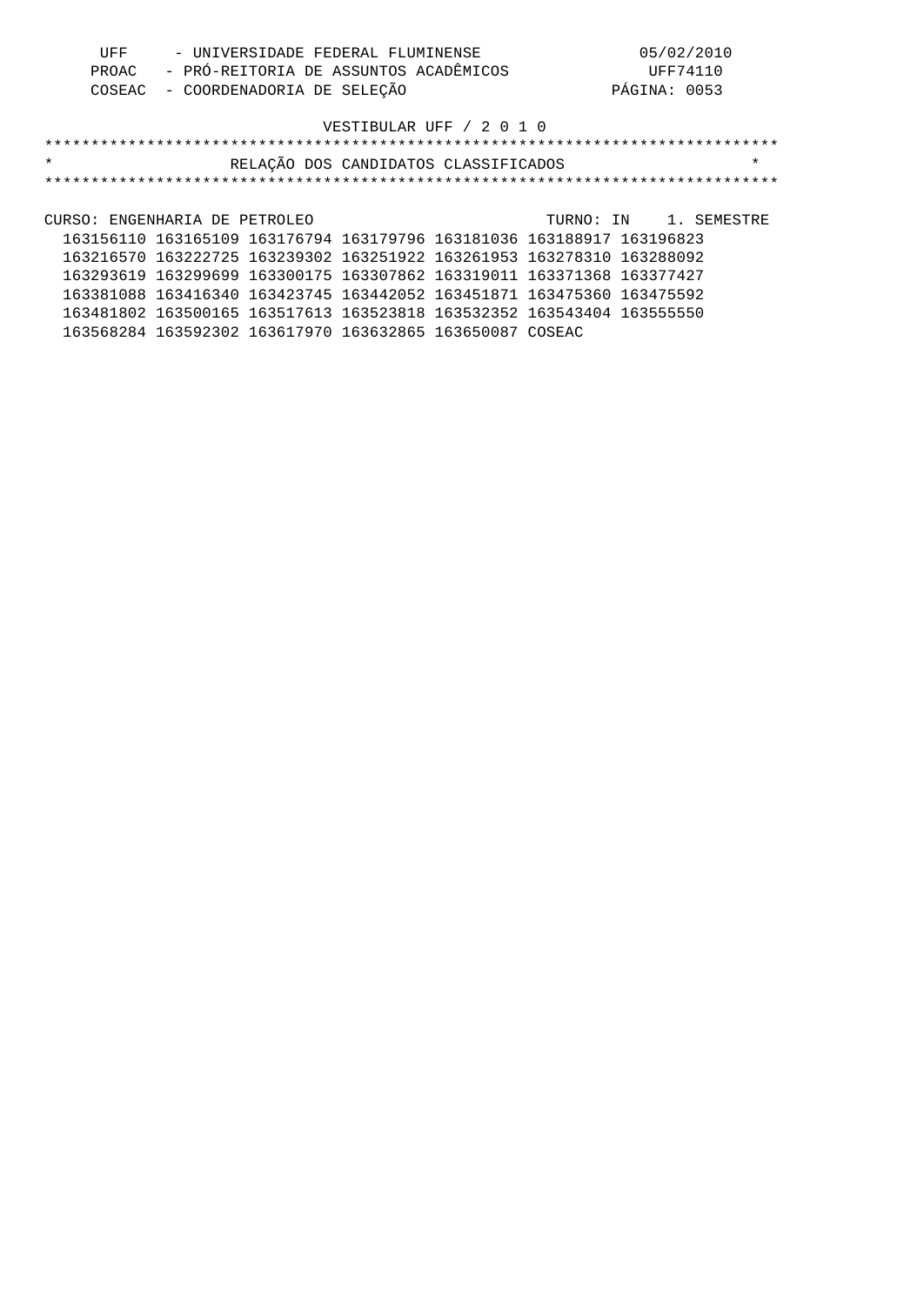| UFF | - UNIVERSIDADE FEDERAL FLUMINENSE           | 05/02/2010   |
|-----|---------------------------------------------|--------------|
|     | PROAC - PRÓ-REITORIA DE ASSUNTOS ACADÊMICOS | UFF74110     |
|     | COSEAC - COORDENADORIA DE SELECÃO           | PÁGINA: 0053 |

| $\star$                                                               | RELAÇÃO DOS CANDIDATOS CLASSIFICADOS |  |                       | $\star$ |
|-----------------------------------------------------------------------|--------------------------------------|--|-----------------------|---------|
|                                                                       |                                      |  |                       |         |
|                                                                       |                                      |  |                       |         |
| CURSO: ENGENHARIA DE PETROLEO                                         |                                      |  | TURNO: IN 1. SEMESTRE |         |
| 163156110 163165109 163176794 163179796 163181036 163188917 163196823 |                                      |  |                       |         |
| 163216570 163222725 163239302 163251922 163261953 163278310 163288092 |                                      |  |                       |         |
| 163293619 163299699 163300175 163307862 163319011 163371368 163377427 |                                      |  |                       |         |
| 163381088 163416340 163423745 163442052 163451871 163475360 163475592 |                                      |  |                       |         |
| 163481802 163500165 163517613 163523818 163532352 163543404 163555550 |                                      |  |                       |         |
| 163568284 163592302 163617970 163632865 163650087 COSEAC              |                                      |  |                       |         |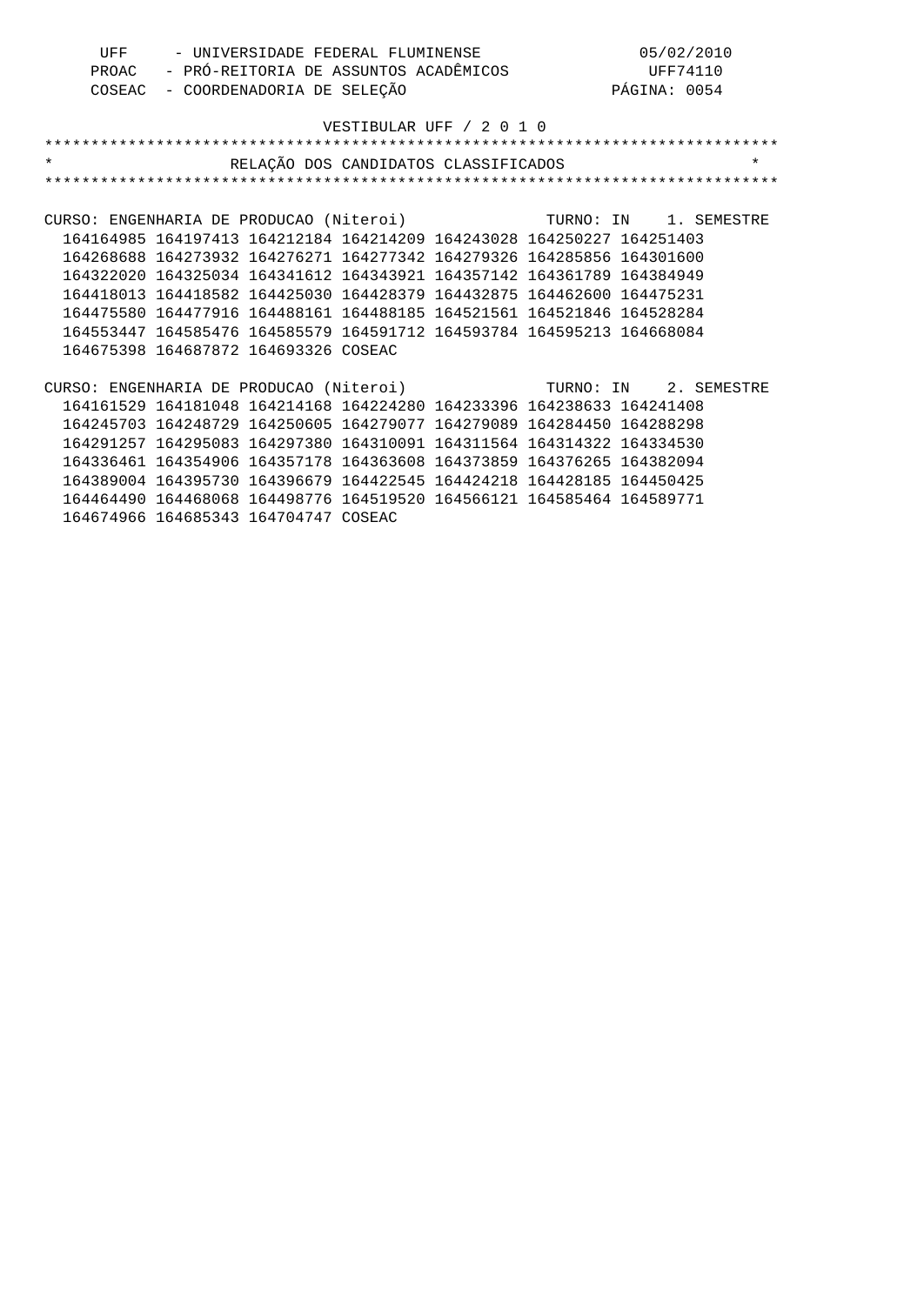|                                                                  | UFF - UNIVERSIDADE FEDERAL FLUMINENSE |  |                                                                                                       | 05/02/2010 |         |
|------------------------------------------------------------------|---------------------------------------|--|-------------------------------------------------------------------------------------------------------|------------|---------|
|                                                                  |                                       |  | PROAC - PRÓ-REITORIA DE ASSUNTOS ACADÊMICOS (PROAC - COORDENADORIA DE SELEÇÃO (PASSUNTOS PÁGINA: 0054 |            |         |
|                                                                  |                                       |  |                                                                                                       |            |         |
|                                                                  |                                       |  |                                                                                                       |            |         |
|                                                                  |                                       |  | VESTIBULAR UFF / 2 0 1 0                                                                              |            |         |
|                                                                  |                                       |  |                                                                                                       |            |         |
| $\star$                                                          |                                       |  | RELAÇÃO DOS CANDIDATOS CLASSIFICADOS                                                                  |            | $\star$ |
|                                                                  |                                       |  |                                                                                                       |            |         |
|                                                                  |                                       |  |                                                                                                       |            |         |
| CURSO: ENGENHARIA DE PRODUCAO (Niteroi)<br>TURNO: IN 1. SEMESTRE |                                       |  |                                                                                                       |            |         |
|                                                                  |                                       |  | 164164985 164197413 164212184 164214209 164243028 164250227 164251403                                 |            |         |
|                                                                  |                                       |  | 164268688 164273932 164276271 164277342 164279326 164285856 164301600                                 |            |         |
|                                                                  |                                       |  | 164322020 164325034 164341612 164343921 164357142 164361789 164384949                                 |            |         |
|                                                                  |                                       |  | 164418013 164418582 164425030 164428379 164432875 164462600 164475231                                 |            |         |
|                                                                  |                                       |  | 164475580 164477916 164488161 164488185 164521561 164521846 164528284                                 |            |         |
|                                                                  |                                       |  | 164553447 164585476 164585579 164591712 164593784 164595213 164668084                                 |            |         |
|                                                                  | 164675398 164687872 164693326 COSEAC  |  |                                                                                                       |            |         |
|                                                                  |                                       |  |                                                                                                       |            |         |
| CURSO: ENGENHARIA DE PRODUCAO (Niteroi) (CURSO: IN 2. SEMESTRE   |                                       |  |                                                                                                       |            |         |
|                                                                  |                                       |  | 164161529 164181048 164214168 164224280 164233396 164238633 164241408                                 |            |         |
|                                                                  |                                       |  | 164245703 164248729 164250605 164279077 164279089 164284450 164288298                                 |            |         |
|                                                                  |                                       |  | 164291257 164295083 164297380 164310091 164311564 164314322 164334530                                 |            |         |
|                                                                  |                                       |  | 164336461 164354906 164357178 164363608 164373859 164376265 164382094                                 |            |         |
|                                                                  |                                       |  | 164389004 164395730 164396679 164422545 164424218 164428185 164450425                                 |            |         |
|                                                                  |                                       |  | 164464490 164468068 164498776 164519520 164566121 164585464 164589771                                 |            |         |
|                                                                  | 164674966 164685343 164704747 COSEAC  |  |                                                                                                       |            |         |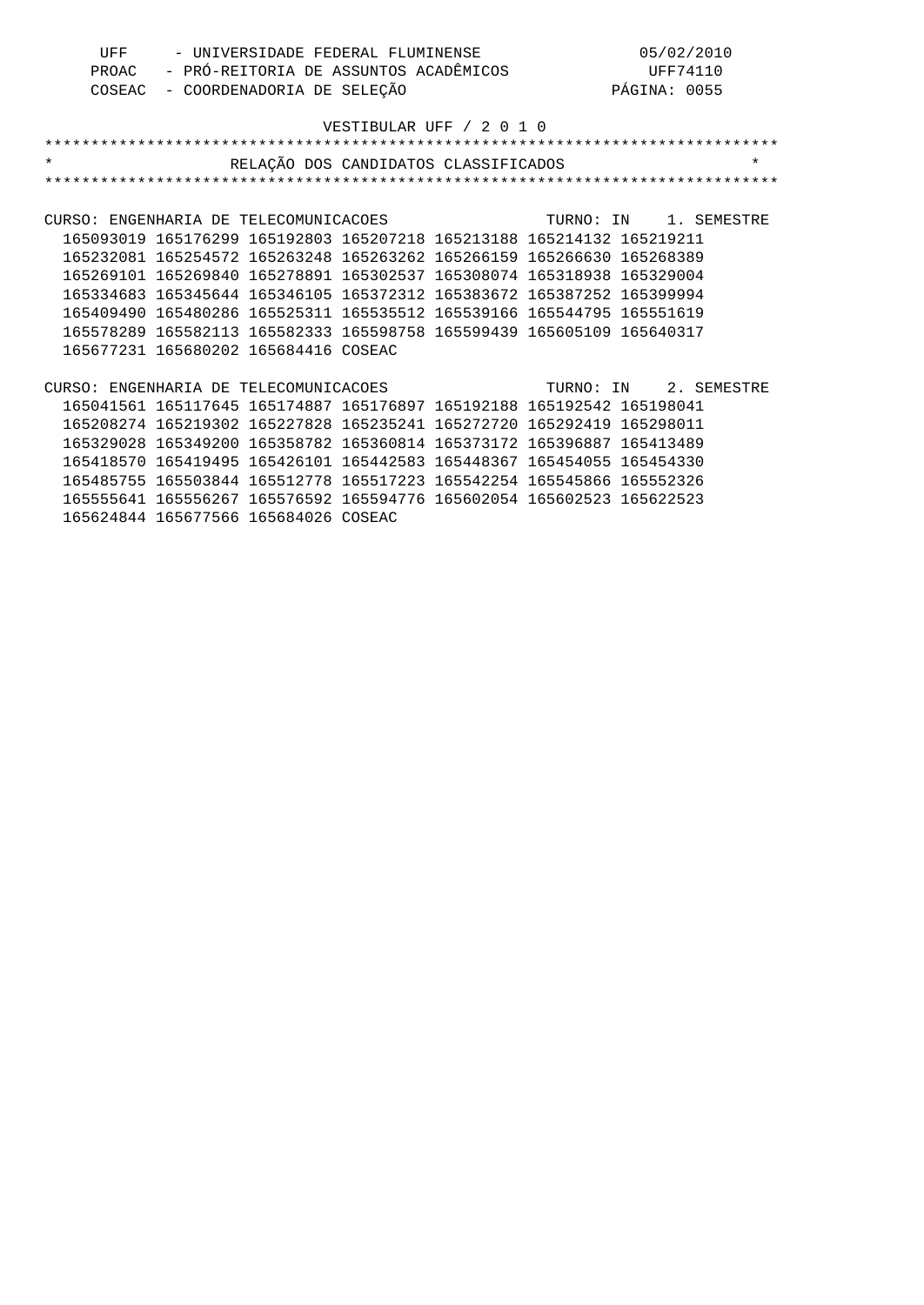| UFF     | - UNIVERSIDADE FEDERAL FLUMINENSE                                                                                  |                          | 05/02/2010            |
|---------|--------------------------------------------------------------------------------------------------------------------|--------------------------|-----------------------|
|         | PROAC - PRÓ-REITORIA DE ASSUNTOS ACADÊMICOS (UFF74110<br>COSEAC - COORDENADORIA DE SELECÃO (PARTES DE PÁGINA: 0055 |                          |                       |
| COSEAC  | - COORDENADORIA DE SELEÇÃO                                                                                         |                          | PÁGINA: 0055          |
|         |                                                                                                                    |                          |                       |
|         |                                                                                                                    | VESTIBULAR UFF / 2 0 1 0 |                       |
|         |                                                                                                                    |                          |                       |
| $\star$ | RELAÇÃO DOS CANDIDATOS CLASSIFICADOS                                                                               |                          | $\star$               |
|         |                                                                                                                    |                          |                       |
|         |                                                                                                                    |                          |                       |
|         | CURSO: ENGENHARIA DE TELECOMUNICACOES                                                                              |                          | TURNO: IN 1. SEMESTRE |
|         | 165093019 165176299 165192803 165207218 165213188 165214132 165219211                                              |                          |                       |
|         | 165232081 165254572 165263248 165263262 165266159 165266630 165268389                                              |                          |                       |
|         | 165269101 165269840 165278891 165302537 165308074 165318938 165329004                                              |                          |                       |
|         | 165334683 165345644 165346105 165372312 165383672 165387252 165399994                                              |                          |                       |
|         | 165409490 165480286 165525311 165535512 165539166 165544795 165551619                                              |                          |                       |
|         | 165578289 165582113 165582333 165598758 165599439 165605109 165640317                                              |                          |                       |
|         | 165677231 165680202 165684416 COSEAC                                                                               |                          |                       |
|         |                                                                                                                    |                          |                       |
|         | CURSO: ENGENHARIA DE TELECOMUNICACOES                                                                              | TURNO: IN 2. SEMESTRE    |                       |
|         | 165041561 165117645 165174887 165176897 165192188 165192542 165198041                                              |                          |                       |
|         | 165208274 165219302 165227828 165235241 165272720 165292419 165298011                                              |                          |                       |
|         | 165329028 165349200 165358782 165360814 165373172 165396887 165413489                                              |                          |                       |
|         | 165418570 165419495 165426101 165442583 165448367 165454055 165454330                                              |                          |                       |
|         | 165485755 165503844 165512778 165517223 165542254 165545866 165552326                                              |                          |                       |
|         | 165555641 165556267 165576592 165594776 165602054 165602523 165622523                                              |                          |                       |
|         | 165624844 165677566 165684026 COSEAC                                                                               |                          |                       |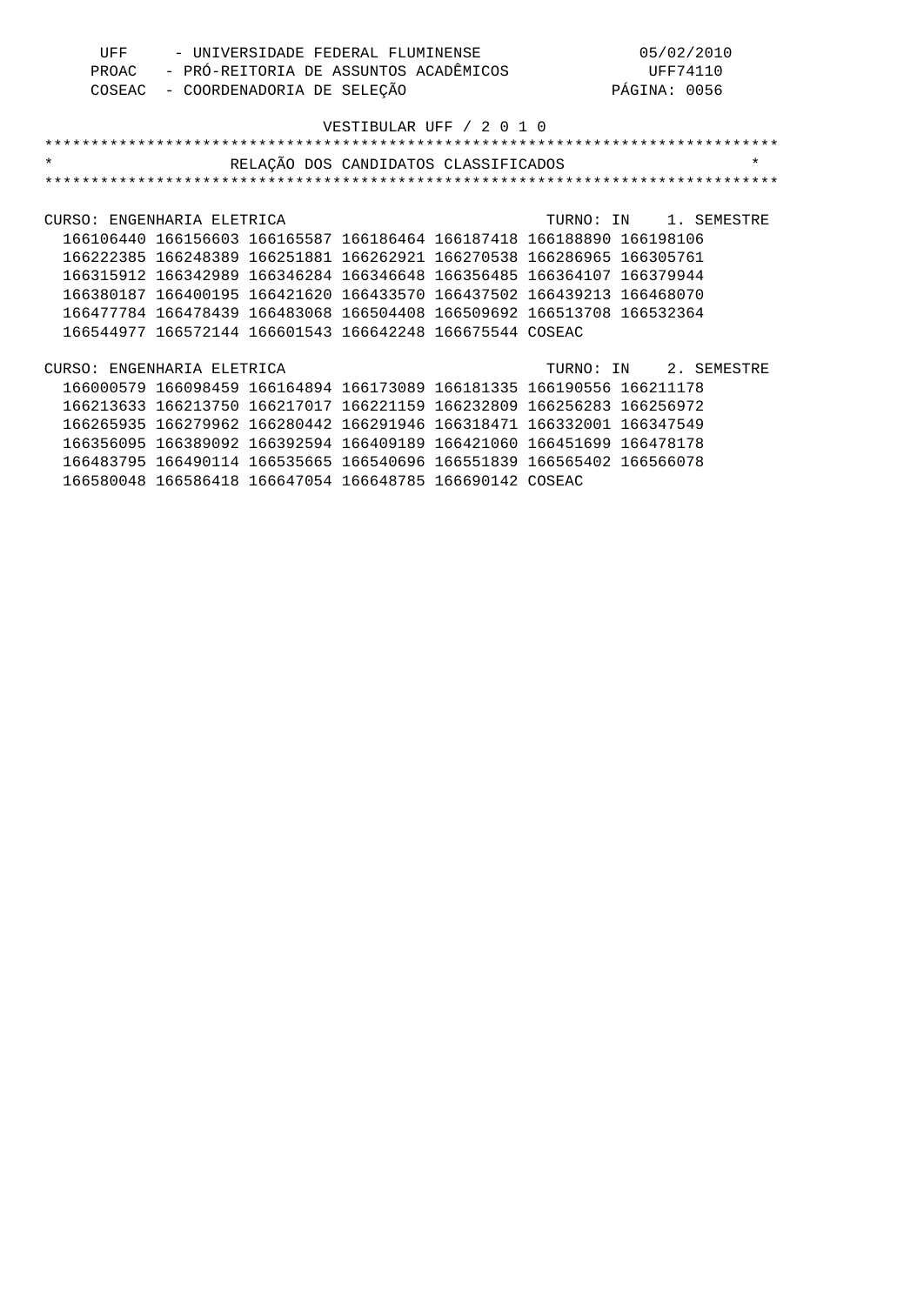| UFF | - UNIVERSIDADE FEDERAL FLUMINENSE           | 05/02/2010   |
|-----|---------------------------------------------|--------------|
|     | PROAC - PRÓ-REITORIA DE ASSUNTOS ACADÊMICOS | UFF74110     |
|     | COSEAC - COORDENADORIA DE SELEÇÃO           | PÁGINA: 0056 |

| $\star$                    |                                                          | RELAÇÃO DOS CANDIDATOS CLASSIFICADOS |  |                                                                       | $\star$ |
|----------------------------|----------------------------------------------------------|--------------------------------------|--|-----------------------------------------------------------------------|---------|
|                            |                                                          |                                      |  |                                                                       |         |
|                            |                                                          |                                      |  |                                                                       |         |
| CURSO: ENGENHARIA ELETRICA |                                                          |                                      |  | TURNO: IN 1. SEMESTRE                                                 |         |
|                            |                                                          |                                      |  | 166106440 166156603 166165587 166186464 166187418 166188890 166198106 |         |
|                            |                                                          |                                      |  | 166222385 166248389 166251881 166262921 166270538 166286965 166305761 |         |
|                            |                                                          |                                      |  | 166315912 166342989 166346284 166346648 166356485 166364107 166379944 |         |
|                            |                                                          |                                      |  | 166380187 166400195 166421620 166433570 166437502 166439213 166468070 |         |
|                            |                                                          |                                      |  | 166477784 166478439 166483068 166504408 166509692 166513708 166532364 |         |
|                            | 166544977 166572144 166601543 166642248 166675544 COSEAC |                                      |  |                                                                       |         |
|                            |                                                          |                                      |  |                                                                       |         |
| CURSO: ENGENHARIA ELETRICA |                                                          |                                      |  | TURNO: IN 2. SEMESTRE                                                 |         |
|                            |                                                          |                                      |  | 166000579 166098459 166164894 166173089 166181335 166190556 166211178 |         |
|                            |                                                          |                                      |  | 166213633 166213750 166217017 166221159 166232809 166256283 166256972 |         |
|                            |                                                          |                                      |  | 166265935 166279962 166280442 166291946 166318471 166332001 166347549 |         |
|                            |                                                          |                                      |  | 166356095 166389092 166392594 166409189 166421060 166451699 166478178 |         |
|                            |                                                          |                                      |  | 166483795 166490114 166535665 166540696 166551839 166565402 166566078 |         |
|                            | 166580048 166586418 166647054 166648785 166690142 COSEAC |                                      |  |                                                                       |         |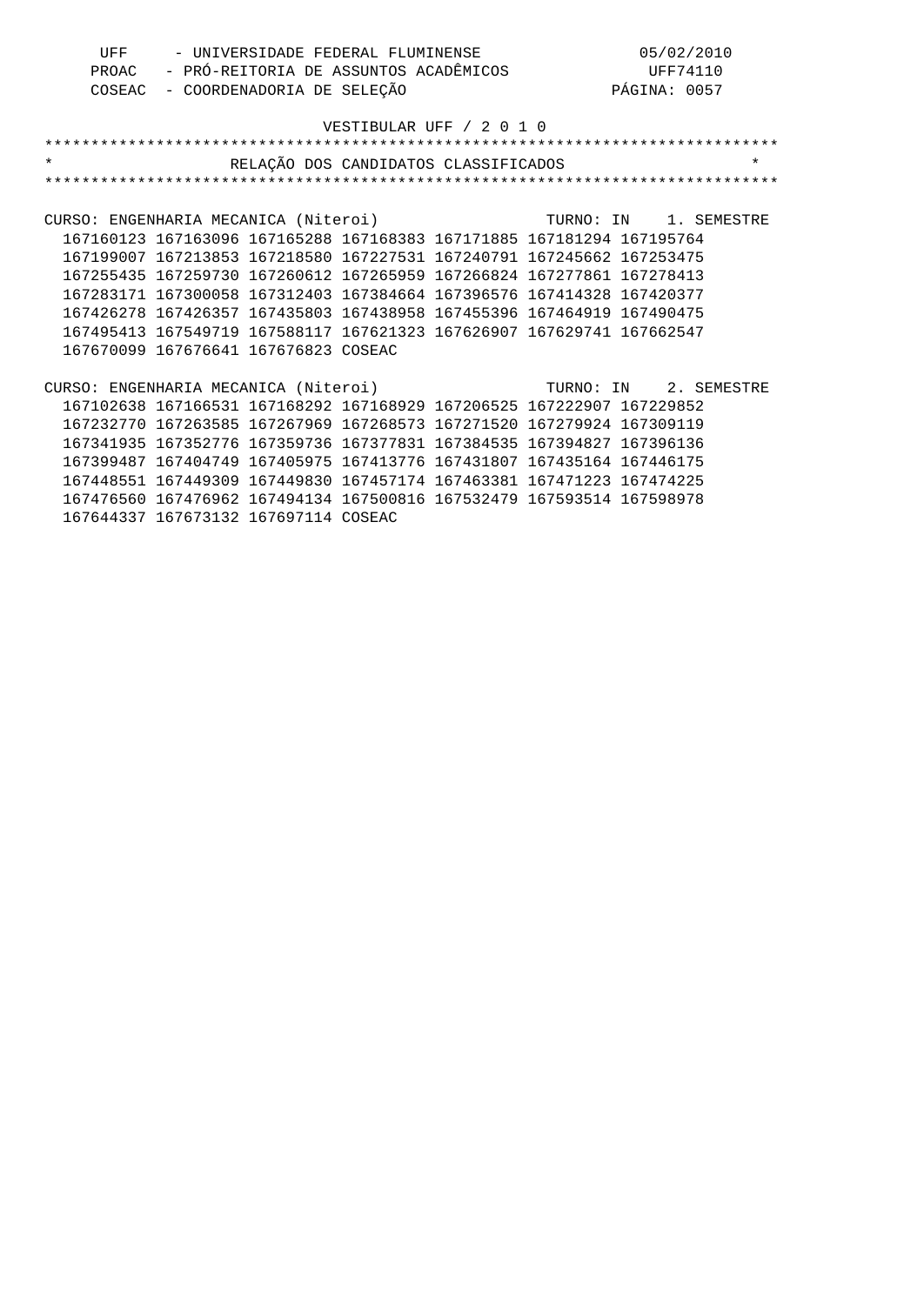| UFF   | - UNIVERSIDADE FEDERAL FLUMINENSE     | 05/02/2010   |
|-------|---------------------------------------|--------------|
| PROAC | - PRÓ-REITORIA DE ASSUNTOS ACADÊMICOS | UFF74110     |
|       | COSEAC - COORDENADORIA DE SELEÇÃO     | PÁGINA: 0057 |

| $\star$<br>RELAÇÃO DOS CANDIDATOS CLASSIFICADOS                       |  |                       | $\star$ |
|-----------------------------------------------------------------------|--|-----------------------|---------|
|                                                                       |  |                       |         |
|                                                                       |  |                       |         |
| CURSO: ENGENHARIA MECANICA (Niteroi)                                  |  | TURNO: IN 1. SEMESTRE |         |
| 167160123 167163096 167165288 167168383 167171885 167181294 167195764 |  |                       |         |
| 167199007 167213853 167218580 167227531 167240791 167245662 167253475 |  |                       |         |
| 167255435 167259730 167260612 167265959 167266824 167277861 167278413 |  |                       |         |
| 167283171 167300058 167312403 167384664 167396576 167414328 167420377 |  |                       |         |
| 167426278 167426357 167435803 167438958 167455396 167464919 167490475 |  |                       |         |
| 167495413 167549719 167588117 167621323 167626907 167629741 167662547 |  |                       |         |
| 167670099 167676641 167676823 COSEAC                                  |  |                       |         |
|                                                                       |  |                       |         |
| CURSO: ENGENHARIA MECANICA (Niteroi)                                  |  | TURNO: IN 2. SEMESTRE |         |
| 167102638 167166531 167168292 167168929 167206525 167222907 167229852 |  |                       |         |
| 167232770 167263585 167267969 167268573 167271520 167279924 167309119 |  |                       |         |
| 167341935 167352776 167359736 167377831 167384535 167394827 167396136 |  |                       |         |
| 167399487 167404749 167405975 167413776 167431807 167435164 167446175 |  |                       |         |
| 167448551 167449309 167449830 167457174 167463381 167471223 167474225 |  |                       |         |
| 167476560 167476962 167494134 167500816 167532479 167593514 167598978 |  |                       |         |
| 167644337 167673132 167697114 COSEAC                                  |  |                       |         |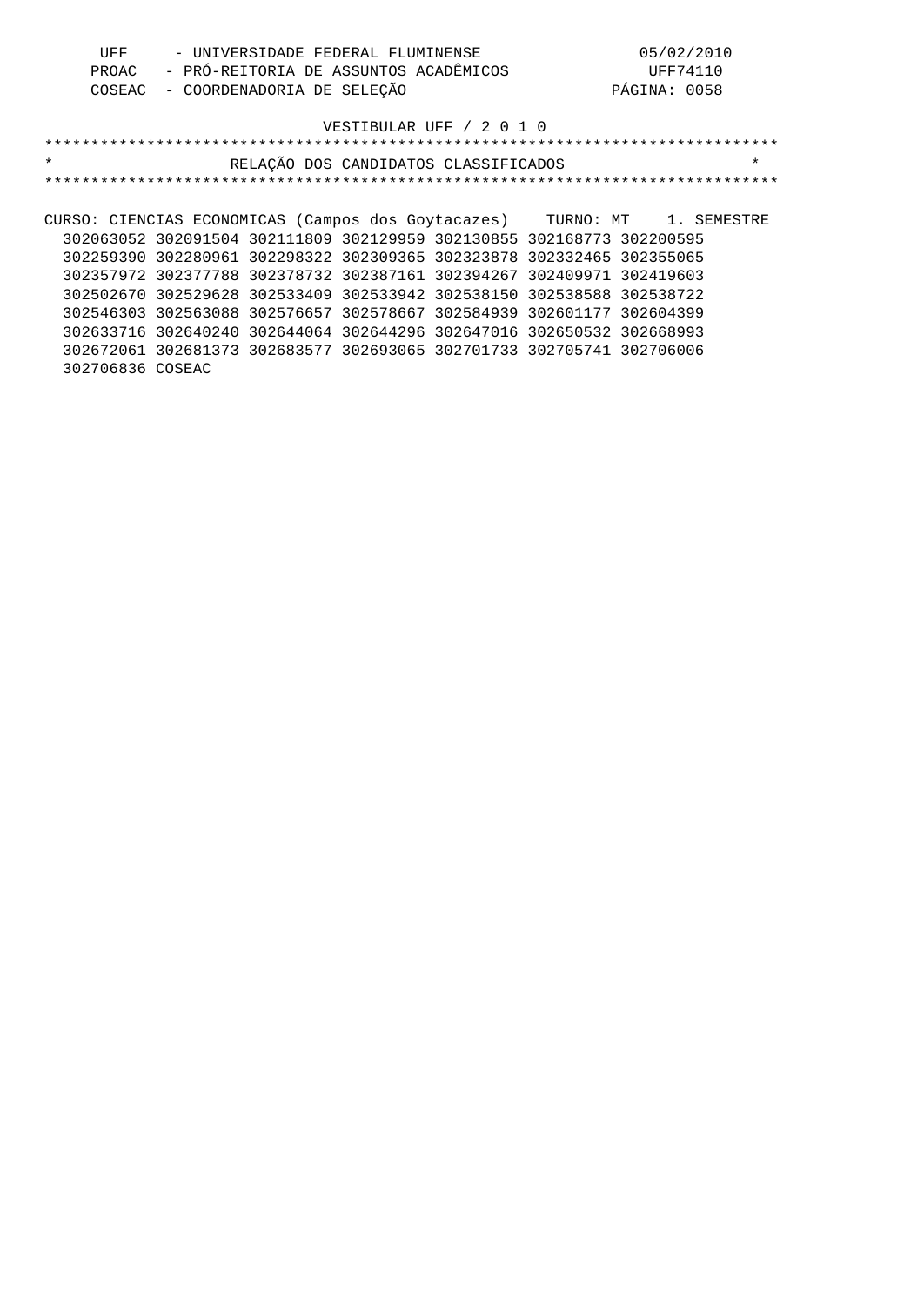| UFF | - UNIVERSIDADE FEDERAL FLUMINENSE           | 05/02/2010   |
|-----|---------------------------------------------|--------------|
|     | PROAC - PRÓ-REITORIA DE ASSUNTOS ACADÊMICOS | UFF74110     |
|     | COSEAC - COORDENADORIA DE SELEÇÃO           | PÁGINA: 0058 |

| $\star$                                                                  |                                                                       | RELAÇÃO DOS CANDIDATOS CLASSIFICADOS |  |  | $\star$ |
|--------------------------------------------------------------------------|-----------------------------------------------------------------------|--------------------------------------|--|--|---------|
|                                                                          |                                                                       |                                      |  |  |         |
|                                                                          |                                                                       |                                      |  |  |         |
| CURSO: CIENCIAS ECONOMICAS (Campos dos Goytacazes) TURNO: MT 1. SEMESTRE |                                                                       |                                      |  |  |         |
|                                                                          | 302063052 302091504 302111809 302129959 302130855 302168773 302200595 |                                      |  |  |         |
|                                                                          | 302259390 302280961 302298322 302309365 302323878 302332465 302355065 |                                      |  |  |         |
|                                                                          | 302357972 302377788 302378732 302387161 302394267 302409971 302419603 |                                      |  |  |         |
|                                                                          | 302502670 302529628 302533409 302533942 302538150 302538588 302538722 |                                      |  |  |         |
|                                                                          | 302546303 302563088 302576657 302578667 302584939 302601177 302604399 |                                      |  |  |         |
|                                                                          | 302633716 302640240 302644064 302644296 302647016 302650532 302668993 |                                      |  |  |         |
|                                                                          | 302672061 302681373 302683577 302693065 302701733 302705741 302706006 |                                      |  |  |         |
| 302706836 COSEAC                                                         |                                                                       |                                      |  |  |         |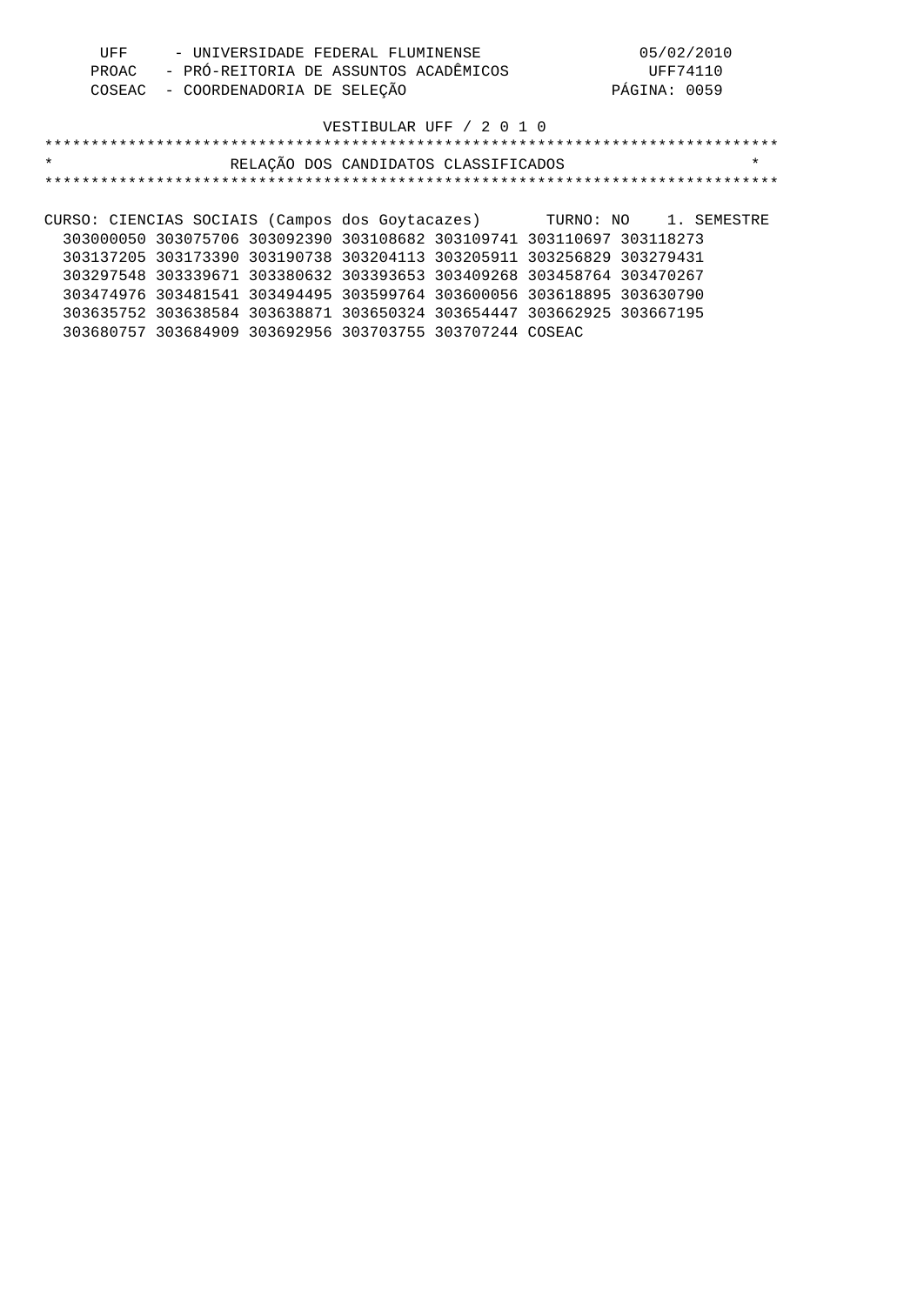| UFF | - UNIVERSIDADE FEDERAL FLUMINENSE           | 05/02/2010   |
|-----|---------------------------------------------|--------------|
|     | PROAC - PRÓ-REITORIA DE ASSUNTOS ACADÊMICOS | UFF74110     |
|     | COSEAC - COORDENADORIA DE SELEÇÃO           | PÁGINA: 0059 |

| $\star$                                                               |                                                                       | RELAÇÃO DOS CANDIDATOS CLASSIFICADOS |  | $\star$ |
|-----------------------------------------------------------------------|-----------------------------------------------------------------------|--------------------------------------|--|---------|
|                                                                       |                                                                       |                                      |  |         |
|                                                                       |                                                                       |                                      |  |         |
| CURSO: CIENCIAS SOCIAIS (Campos dos Goytacazes) TURNO: NO 1. SEMESTRE |                                                                       |                                      |  |         |
|                                                                       | 303000050 303075706 303092390 303108682 303109741 303110697 303118273 |                                      |  |         |
|                                                                       | 303137205 303173390 303190738 303204113 303205911 303256829 303279431 |                                      |  |         |
|                                                                       | 303297548 303339671 303380632 303393653 303409268 303458764 303470267 |                                      |  |         |
|                                                                       | 303474976 303481541 303494495 303599764 303600056 303618895 303630790 |                                      |  |         |
|                                                                       | 303635752 303638584 303638871 303650324 303654447 303662925 303667195 |                                      |  |         |
|                                                                       | 303680757 303684909 303692956 303703755 303707244 COSEAC              |                                      |  |         |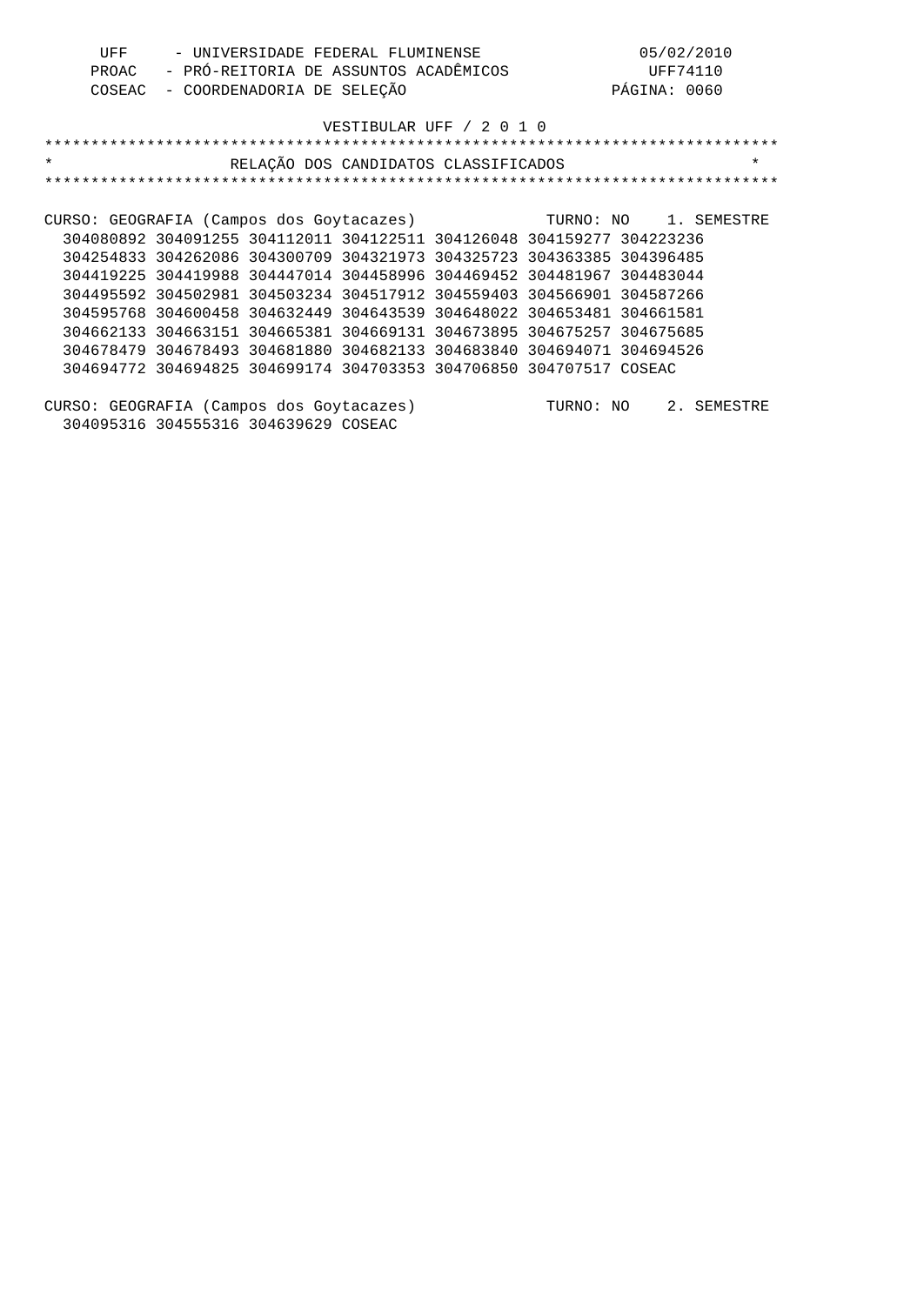| UFF                                                            |                                                                       |                            | - UNIVERSIDADE FEDERAL FLUMINENSE    |          |           | 05/02/2010   |             |
|----------------------------------------------------------------|-----------------------------------------------------------------------|----------------------------|--------------------------------------|----------|-----------|--------------|-------------|
| - PRÓ-REITORIA DE ASSUNTOS ACADÊMICOS<br>PROAC                 |                                                                       |                            |                                      | UFF74110 |           |              |             |
| COSEAC                                                         |                                                                       | - COORDENADORIA DE SELEÇÃO |                                      |          |           | PÁGINA: 0060 |             |
|                                                                |                                                                       |                            |                                      |          |           |              |             |
|                                                                |                                                                       |                            | VESTIBULAR UFF / 2 0 1 0             |          |           |              |             |
|                                                                |                                                                       |                            |                                      |          |           |              |             |
| $\star$                                                        |                                                                       |                            | RELAÇÃO DOS CANDIDATOS CLASSIFICADOS |          |           |              | $\star$     |
|                                                                |                                                                       |                            |                                      |          |           |              |             |
|                                                                |                                                                       |                            |                                      |          |           |              |             |
| CURSO: GEOGRAFIA (Campos dos Goytacazes) TURNO: NO 1. SEMESTRE |                                                                       |                            |                                      |          |           |              |             |
|                                                                | 304080892 304091255 304112011 304122511 304126048 304159277 304223236 |                            |                                      |          |           |              |             |
|                                                                | 304254833 304262086 304300709 304321973 304325723 304363385 304396485 |                            |                                      |          |           |              |             |
|                                                                | 304419225 304419988 304447014 304458996 304469452 304481967 304483044 |                            |                                      |          |           |              |             |
|                                                                | 304495592 304502981 304503234 304517912 304559403 304566901 304587266 |                            |                                      |          |           |              |             |
|                                                                | 304595768 304600458 304632449 304643539 304648022 304653481 304661581 |                            |                                      |          |           |              |             |
|                                                                | 304662133 304663151 304665381 304669131 304673895 304675257 304675685 |                            |                                      |          |           |              |             |
|                                                                | 304678479 304678493 304681880 304682133 304683840 304694071 304694526 |                            |                                      |          |           |              |             |
|                                                                | 304694772 304694825 304699174 304703353 304706850 304707517 COSEAC    |                            |                                      |          |           |              |             |
|                                                                |                                                                       |                            |                                      |          |           |              |             |
| CURSO: GEOGRAFIA (Campos dos Goytacazes)                       |                                                                       |                            |                                      |          | TURNO: NO |              | 2. SEMESTRE |
|                                                                | 304095316 304555316 304639629 COSEAC                                  |                            |                                      |          |           |              |             |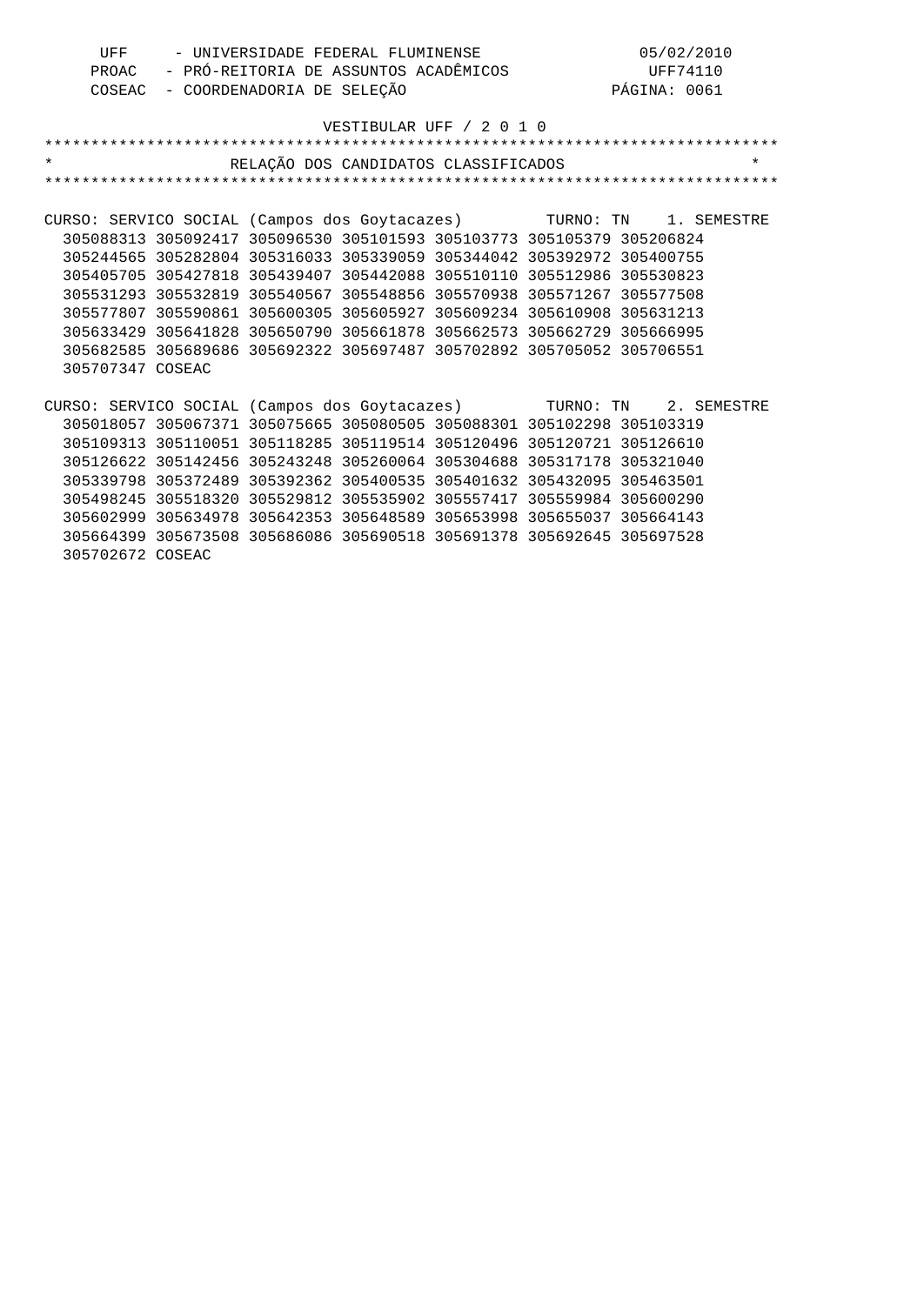| UFF                                                     |                                                                       | - UNIVERSIDADE FEDERAL FLUMINENSE     |                          |                 | 05/02/2010   |             |
|---------------------------------------------------------|-----------------------------------------------------------------------|---------------------------------------|--------------------------|-----------------|--------------|-------------|
| PROAC                                                   |                                                                       | - PRÓ-REITORIA DE ASSUNTOS ACADÊMICOS |                          | <b>UFF74110</b> |              |             |
| COSEAC                                                  |                                                                       | - COORDENADORIA DE SELEÇÃO            |                          |                 | PÁGINA: 0061 |             |
|                                                         |                                                                       |                                       |                          |                 |              |             |
|                                                         |                                                                       |                                       | VESTIBULAR UFF / 2 0 1 0 |                 |              |             |
|                                                         |                                                                       |                                       |                          |                 |              |             |
| $\star$                                                 |                                                                       | RELAÇÃO DOS CANDIDATOS CLASSIFICADOS  |                          |                 |              | $\star$     |
|                                                         |                                                                       |                                       |                          |                 |              |             |
|                                                         |                                                                       |                                       |                          |                 |              |             |
| CURSO: SERVICO SOCIAL (Campos dos Goytacazes) TURNO: TN |                                                                       |                                       |                          |                 |              | 1. SEMESTRE |
|                                                         | 305088313 305092417 305096530 305101593 305103773 305105379 305206824 |                                       |                          |                 |              |             |
|                                                         | 305244565 305282804 305316033 305339059 305344042 305392972 305400755 |                                       |                          |                 |              |             |
|                                                         | 305405705 305427818 305439407 305442088 305510110 305512986 305530823 |                                       |                          |                 |              |             |
|                                                         | 305531293 305532819 305540567 305548856 305570938 305571267 305577508 |                                       |                          |                 |              |             |
|                                                         | 305577807 305590861 305600305 305605927 305609234 305610908 305631213 |                                       |                          |                 |              |             |
|                                                         | 305633429 305641828 305650790 305661878 305662573 305662729 305666995 |                                       |                          |                 |              |             |
|                                                         | 305682585 305689686 305692322 305697487 305702892 305705052 305706551 |                                       |                          |                 |              |             |
| 305707347 COSEAC                                        |                                                                       |                                       |                          |                 |              |             |
|                                                         |                                                                       |                                       |                          |                 |              |             |
| CURSO: SERVICO SOCIAL (Campos dos Goytacazes) TURNO: TN |                                                                       |                                       |                          |                 |              | 2. SEMESTRE |
|                                                         | 305018057 305067371 305075665 305080505 305088301 305102298 305103319 |                                       |                          |                 |              |             |
|                                                         | 305109313 305110051 305118285 305119514 305120496 305120721 305126610 |                                       |                          |                 |              |             |
|                                                         | 305126622 305142456 305243248 305260064 305304688 305317178 305321040 |                                       |                          |                 |              |             |
|                                                         | 305339798 305372489 305392362 305400535 305401632 305432095 305463501 |                                       |                          |                 |              |             |
|                                                         | 305498245 305518320 305529812 305535902 305557417 305559984 305600290 |                                       |                          |                 |              |             |
|                                                         | 305602999 305634978 305642353 305648589 305653998 305655037 305664143 |                                       |                          |                 |              |             |
|                                                         | 305664399 305673508 305686086 305690518 305691378 305692645 305697528 |                                       |                          |                 |              |             |
| 305702672 COSEAC                                        |                                                                       |                                       |                          |                 |              |             |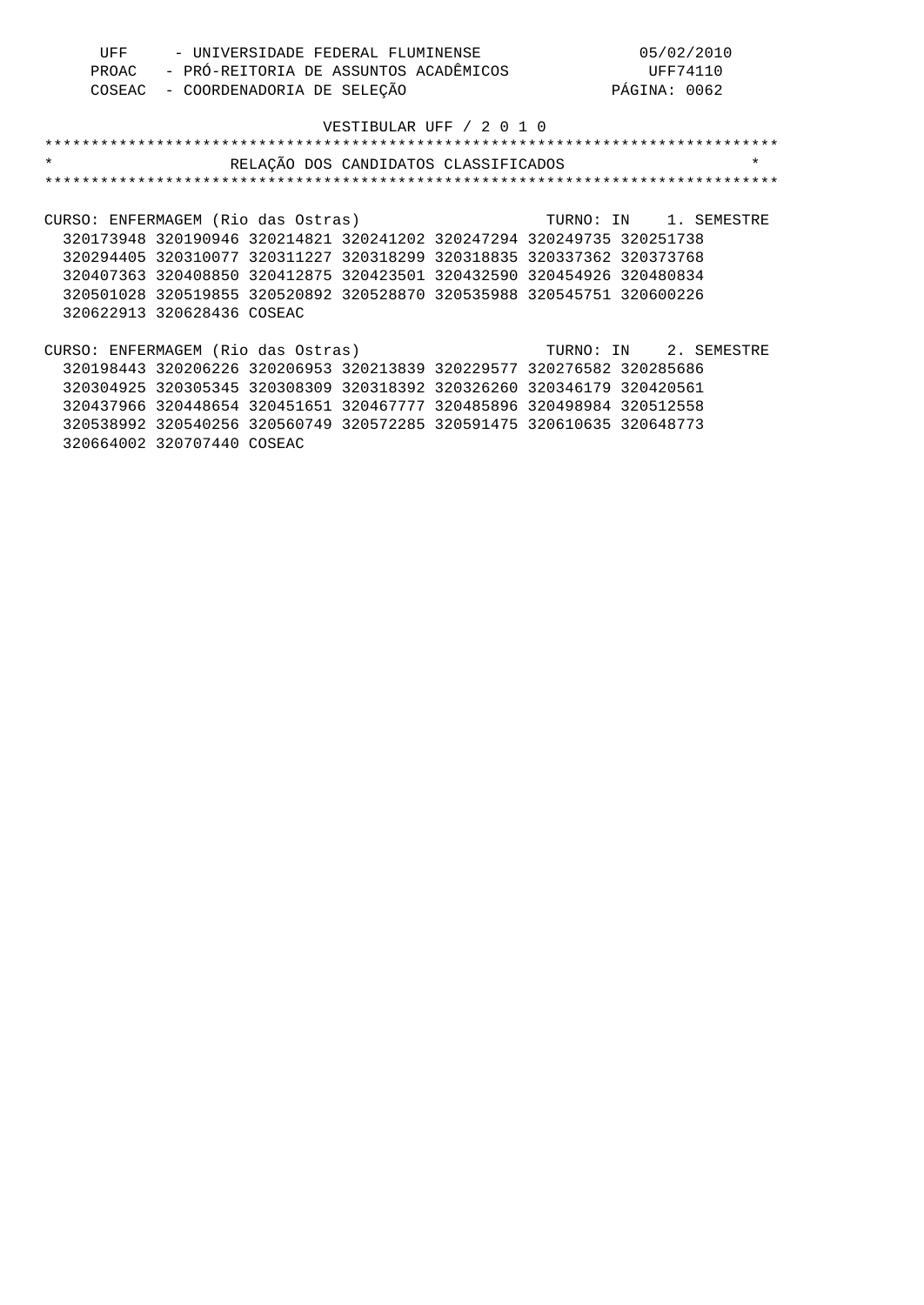| UFF | - UNIVERSIDADE FEDERAL FLUMINENSE           | 05/02/2010   |
|-----|---------------------------------------------|--------------|
|     | PROAC - PRÓ-REITORIA DE ASSUNTOS ACADÊMICOS | UFF74110     |
|     | COSEAC - COORDENADORIA DE SELEÇÃO           | PÁGINA: 0062 |

| $\star$                                                               | RELAÇÃO DOS CANDIDATOS CLASSIFICADOS |                       |  | $\star$                   |
|-----------------------------------------------------------------------|--------------------------------------|-----------------------|--|---------------------------|
|                                                                       |                                      |                       |  | ************************* |
|                                                                       |                                      |                       |  |                           |
| CURSO: ENFERMAGEM (Rio das Ostras)                                    |                                      |                       |  | TURNO: IN 1. SEMESTRE     |
| 320173948 320190946 320214821 320241202 320247294 320249735 320251738 |                                      |                       |  |                           |
| 320294405 320310077 320311227 320318299 320318835 320337362 320373768 |                                      |                       |  |                           |
| 320407363 320408850 320412875 320423501 320432590 320454926 320480834 |                                      |                       |  |                           |
| 320501028 320519855 320520892 320528870 320535988 320545751 320600226 |                                      |                       |  |                           |
| 320622913 320628436 COSEAC                                            |                                      |                       |  |                           |
|                                                                       |                                      |                       |  |                           |
| CURSO: ENFERMAGEM (Rio das Ostras)                                    |                                      | TURNO: IN 2. SEMESTRE |  |                           |
| 320198443 320206226 320206953 320213839 320229577 320276582 320285686 |                                      |                       |  |                           |
| 320304925 320305345 320308309 320318392 320326260 320346179 320420561 |                                      |                       |  |                           |
| 320437966 320448654 320451651 320467777 320485896 320498984 320512558 |                                      |                       |  |                           |
| 320538992 320540256 320560749 320572285 320591475 320610635 320648773 |                                      |                       |  |                           |
| 320664002 320707440 COSEAC                                            |                                      |                       |  |                           |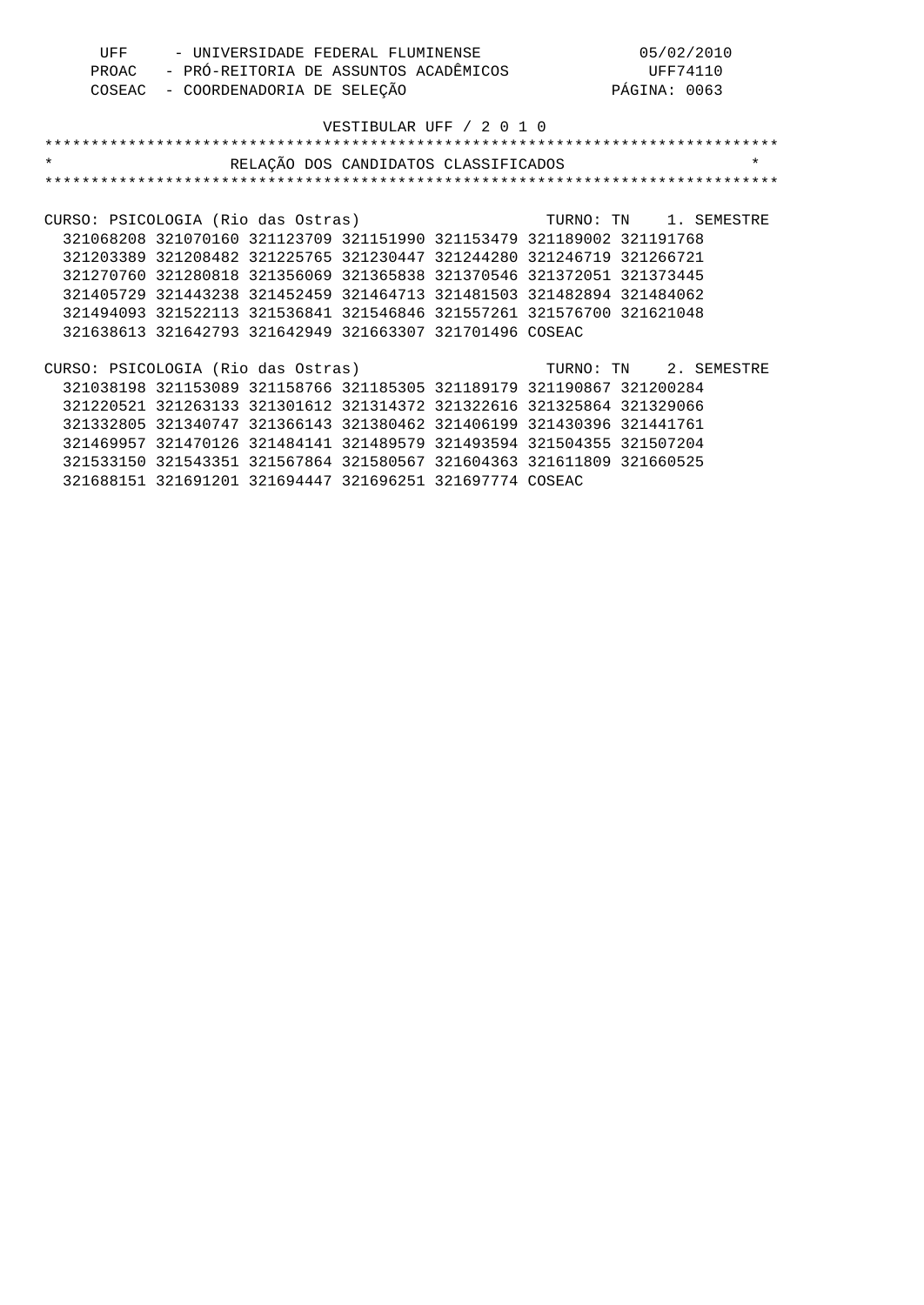| UFF | - UNIVERSIDADE FEDERAL FLUMINENSE           | 05/02/2010   |
|-----|---------------------------------------------|--------------|
|     | PROAC - PRÓ-REITORIA DE ASSUNTOS ACADÊMICOS | UFF74110     |
|     | COSEAC - COORDENADORIA DE SELEÇÃO           | PÁGINA: 0063 |

| $\star$                                                  |                                                                       | RELAÇÃO DOS CANDIDATOS CLASSIFICADOS |                       | $\star$ |
|----------------------------------------------------------|-----------------------------------------------------------------------|--------------------------------------|-----------------------|---------|
|                                                          |                                                                       |                                      |                       |         |
|                                                          |                                                                       |                                      |                       |         |
| CURSO: PSICOLOGIA (Rio das Ostras)                       |                                                                       |                                      | TURNO: TN 1. SEMESTRE |         |
|                                                          | 321068208 321070160 321123709 321151990 321153479 321189002 321191768 |                                      |                       |         |
|                                                          | 321203389 321208482 321225765 321230447 321244280 321246719 321266721 |                                      |                       |         |
|                                                          | 321270760 321280818 321356069 321365838 321370546 321372051 321373445 |                                      |                       |         |
|                                                          | 321405729 321443238 321452459 321464713 321481503 321482894 321484062 |                                      |                       |         |
|                                                          | 321494093 321522113 321536841 321546846 321557261 321576700 321621048 |                                      |                       |         |
|                                                          | 321638613 321642793 321642949 321663307 321701496 COSEAC              |                                      |                       |         |
|                                                          |                                                                       |                                      |                       |         |
| CURSO: PSICOLOGIA (Rio das Ostras) TURNO: TN 2. SEMESTRE |                                                                       |                                      |                       |         |
|                                                          | 321038198 321153089 321158766 321185305 321189179 321190867 321200284 |                                      |                       |         |
|                                                          | 321220521 321263133 321301612 321314372 321322616 321325864 321329066 |                                      |                       |         |
|                                                          | 321332805 321340747 321366143 321380462 321406199 321430396 321441761 |                                      |                       |         |
|                                                          | 321469957 321470126 321484141 321489579 321493594 321504355 321507204 |                                      |                       |         |
|                                                          | 321533150 321543351 321567864 321580567 321604363 321611809 321660525 |                                      |                       |         |
|                                                          | 321688151 321691201 321694447 321696251 321697774 COSEAC              |                                      |                       |         |
|                                                          |                                                                       |                                      |                       |         |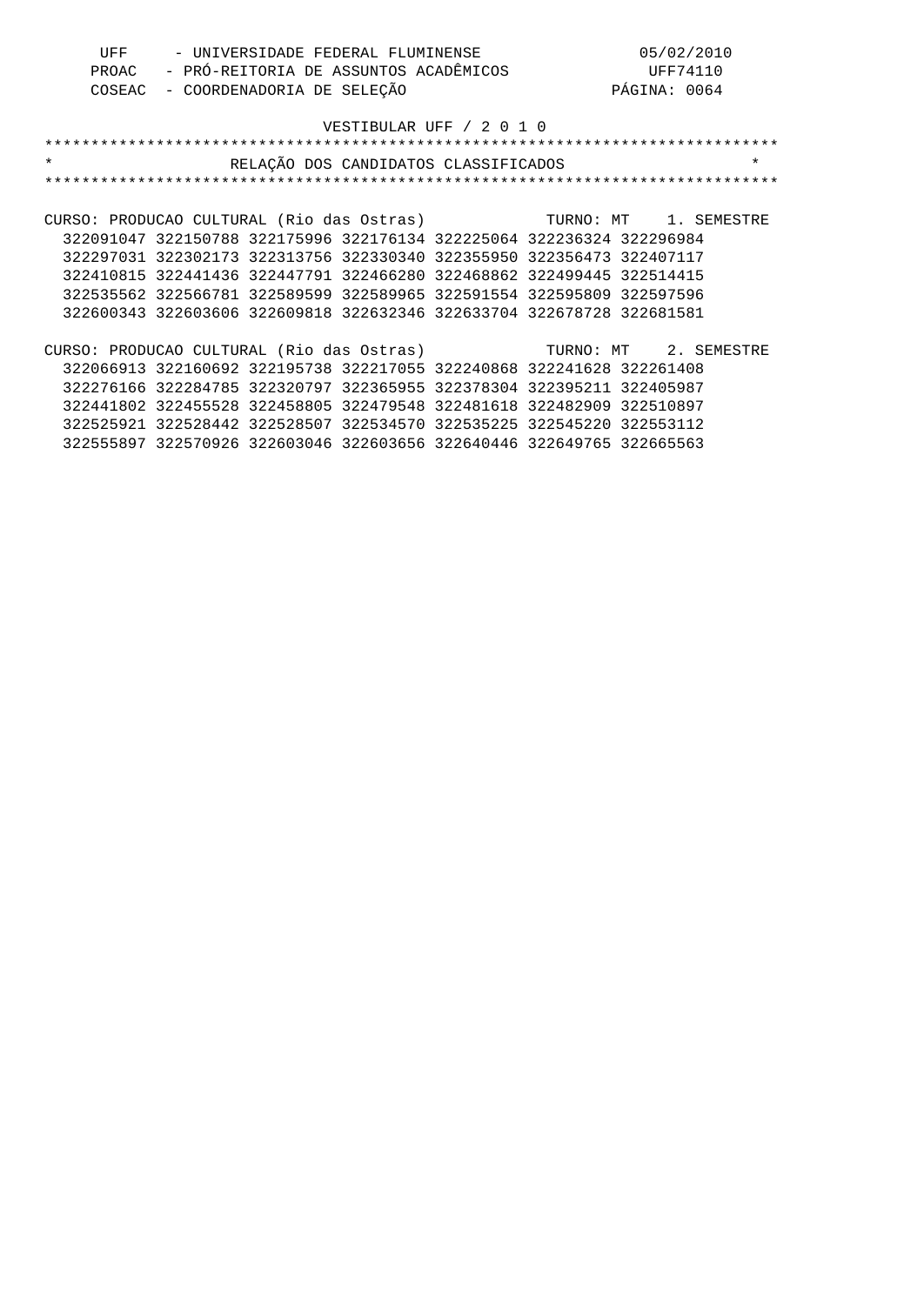| UFF   | - UNIVERSIDADE FEDERAL FLUMINENSE     | 05/02/2010   |
|-------|---------------------------------------|--------------|
| PROAC | - PRÓ-REITORIA DE ASSUNTOS ACADÊMICOS | UFF74110     |
|       | COSEAC - COORDENADORIA DE SELECÃO     | PÁGINA: 0064 |

#### VESTIBULAR UFF / 2 0 1 0 \*\*\*\*\*\*\*\*\*\*\*\*\*\*\*\*\*\*\*\*\*\*\*\*\*\*\*\*\*\*\*\*\*\*\*\*\*\*\*\*\*\*\*\*\*\*\*\*\*\*\*\*\*\*\*\*\*\*\*\*\*\*\*\*\*\*\*\*\*\*\*\*\*\*\*\*\*\*\*

| $\star$                                                         |                                                                       |  | RELAÇÃO DOS CANDIDATOS CLASSIFICADOS |  | $\star$ |
|-----------------------------------------------------------------|-----------------------------------------------------------------------|--|--------------------------------------|--|---------|
|                                                                 |                                                                       |  |                                      |  |         |
|                                                                 |                                                                       |  |                                      |  |         |
| CURSO: PRODUCAO CULTURAL (Rio das Ostras) TURNO: MT 1. SEMESTRE |                                                                       |  |                                      |  |         |
|                                                                 | 322091047 322150788 322175996 322176134 322225064 322236324 322296984 |  |                                      |  |         |
|                                                                 | 322297031 322302173 322313756 322330340 322355950 322356473 322407117 |  |                                      |  |         |
|                                                                 | 322410815 322441436 322447791 322466280 322468862 322499445 322514415 |  |                                      |  |         |
|                                                                 | 322535562 322566781 322589599 322589965 322591554 322595809 322597596 |  |                                      |  |         |
|                                                                 | 322600343 322603606 322609818 322632346 322633704 322678728 322681581 |  |                                      |  |         |
|                                                                 |                                                                       |  |                                      |  |         |
| CURSO: PRODUCAO CULTURAL (Rio das Ostras) TURNO: MT 2. SEMESTRE |                                                                       |  |                                      |  |         |
|                                                                 | 322066913 322160692 322195738 322217055 322240868 322241628 322261408 |  |                                      |  |         |
|                                                                 | 322276166 322284785 322320797 322365955 322378304 322395211 322405987 |  |                                      |  |         |
|                                                                 | 322441802 322455528 322458805 322479548 322481618 322482909 322510897 |  |                                      |  |         |
|                                                                 | 322525921 322528442 322528507 322534570 322535225 322545220 322553112 |  |                                      |  |         |
|                                                                 | 322555897 322570926 322603046 322603656 322640446 322649765 322665563 |  |                                      |  |         |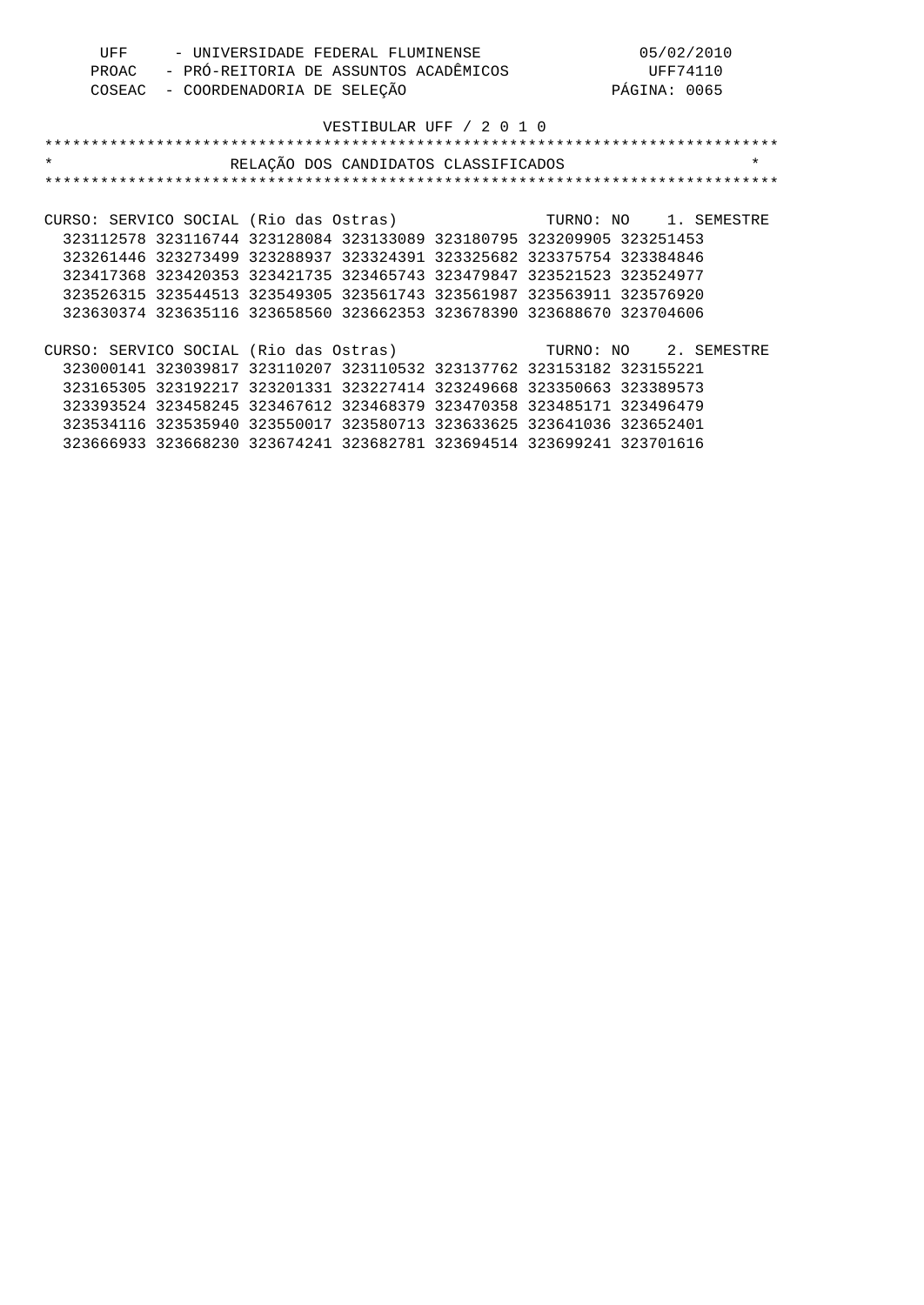| UFF | - UNIVERSIDADE FEDERAL FLUMINENSE           | 05/02/2010   |
|-----|---------------------------------------------|--------------|
|     | PROAC - PRÓ-REITORIA DE ASSUNTOS ACADÊMICOS | UFF74110     |
|     | COSEAC - COORDENADORIA DE SELEÇÃO           | PÁGINA: 0065 |

| $\star$                                | RELAÇÃO DOS CANDIDATOS CLASSIFICADOS                                  |                       | $\star$ |
|----------------------------------------|-----------------------------------------------------------------------|-----------------------|---------|
|                                        |                                                                       |                       |         |
|                                        |                                                                       |                       |         |
| CURSO: SERVICO SOCIAL (Rio das Ostras) |                                                                       | TURNO: NO 1. SEMESTRE |         |
|                                        | 323112578 323116744 323128084 323133089 323180795 323209905 323251453 |                       |         |
|                                        | 323261446 323273499 323288937 323324391 323325682 323375754 323384846 |                       |         |
|                                        | 323417368 323420353 323421735 323465743 323479847 323521523 323524977 |                       |         |
|                                        | 323526315 323544513 323549305 323561743 323561987 323563911 323576920 |                       |         |
|                                        | 323630374 323635116 323658560 323662353 323678390 323688670 323704606 |                       |         |
|                                        |                                                                       |                       |         |
| CURSO: SERVICO SOCIAL (Rio das Ostras) |                                                                       | TURNO: NO 2. SEMESTRE |         |
|                                        | 323000141 323039817 323110207 323110532 323137762 323153182 323155221 |                       |         |
|                                        | 323165305 323192217 323201331 323227414 323249668 323350663 323389573 |                       |         |
|                                        | 323393524 323458245 323467612 323468379 323470358 323485171 323496479 |                       |         |
|                                        | 323534116 323535940 323550017 323580713 323633625 323641036 323652401 |                       |         |
|                                        | 323666933 323668230 323674241 323682781 323694514 323699241 323701616 |                       |         |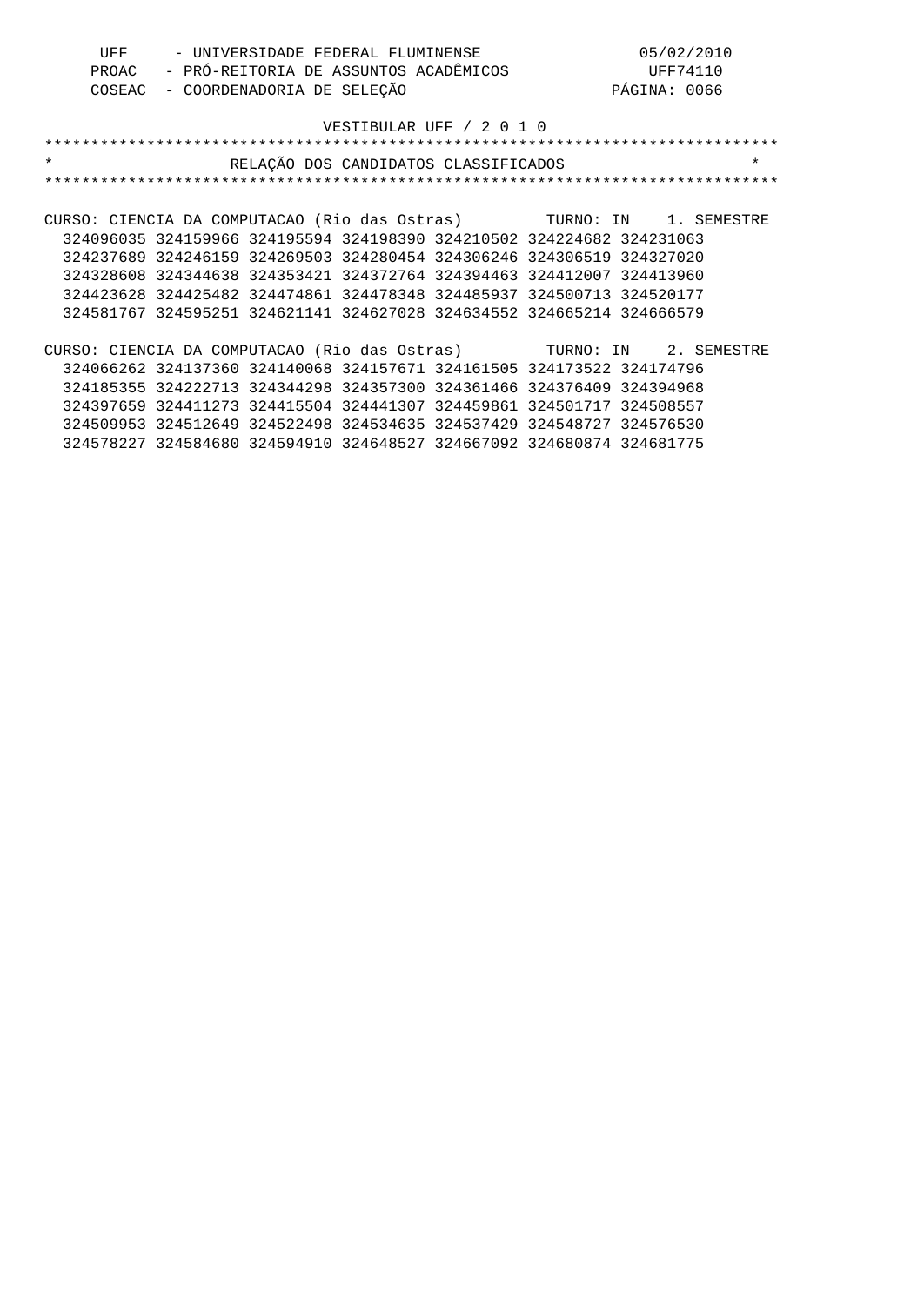| UFF   | - UNIVERSIDADE FEDERAL FLUMINENSE     | 05/02/2010   |
|-------|---------------------------------------|--------------|
| PROAC | - PRÓ-REITORIA DE ASSUNTOS ACADÊMICOS | UFF74110     |
|       | COSEAC - COORDENADORIA DE SELEÇÃO     | PÁGINA: 0066 |

| $\star$                                                               | RELAÇÃO DOS CANDIDATOS CLASSIFICADOS |  |  | $\star$ |
|-----------------------------------------------------------------------|--------------------------------------|--|--|---------|
|                                                                       |                                      |  |  |         |
|                                                                       |                                      |  |  |         |
| CURSO: CIENCIA DA COMPUTACAO (Rio das Ostras) TURNO: IN 1. SEMESTRE   |                                      |  |  |         |
| 324096035 324159966 324195594 324198390 324210502 324224682 324231063 |                                      |  |  |         |
| 324237689 324246159 324269503 324280454 324306246 324306519 324327020 |                                      |  |  |         |
| 324328608 324344638 324353421 324372764 324394463 324412007 324413960 |                                      |  |  |         |
| 324423628 324425482 324474861 324478348 324485937 324500713 324520177 |                                      |  |  |         |
| 324581767 324595251 324621141 324627028 324634552 324665214 324666579 |                                      |  |  |         |
|                                                                       |                                      |  |  |         |
| CURSO: CIENCIA DA COMPUTACAO (Rio das Ostras) TURNO: IN 2. SEMESTRE   |                                      |  |  |         |
| 324066262 324137360 324140068 324157671 324161505 324173522 324174796 |                                      |  |  |         |
| 324185355 324222713 324344298 324357300 324361466 324376409 324394968 |                                      |  |  |         |
| 324397659 324411273 324415504 324441307 324459861 324501717 324508557 |                                      |  |  |         |
| 324509953 324512649 324522498 324534635 324537429 324548727 324576530 |                                      |  |  |         |
| 324578227 324584680 324594910 324648527 324667092 324680874 324681775 |                                      |  |  |         |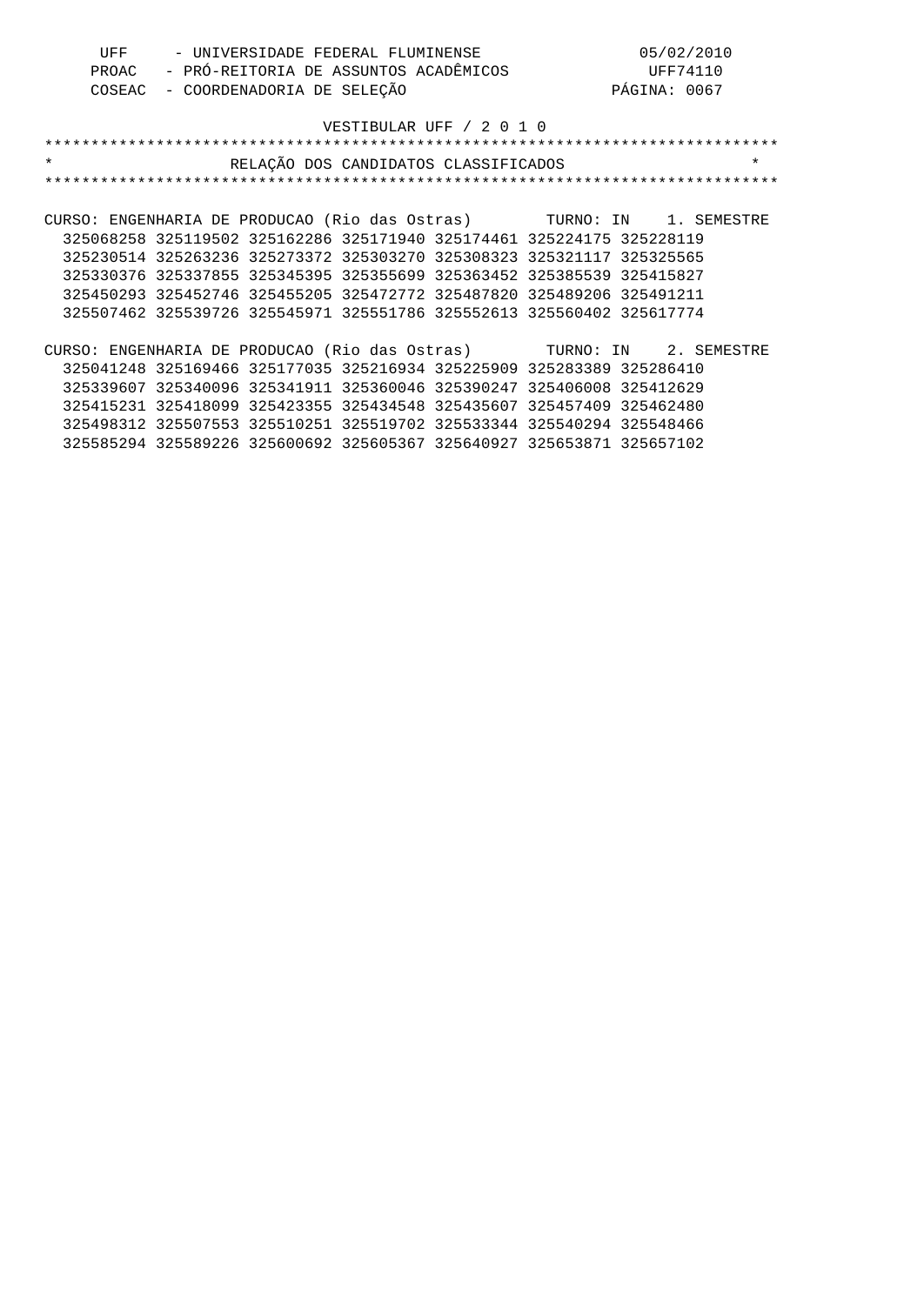| UFF | - UNIVERSIDADE FEDERAL FLUMINENSE           | 05/02/2010   |
|-----|---------------------------------------------|--------------|
|     | PROAC - PRÓ-REITORIA DE ASSUNTOS ACADÊMICOS | UFF74110     |
|     | COSEAC - COORDENADORIA DE SELEÇÃO           | PÁGINA: 0067 |

# VESTIBULAR UFF / 2 0 1 0 \*\*\*\*\*\*\*\*\*\*\*\*\*\*\*\*\*\*\*\*\*\*\*\*\*\*\*\*\*\*\*\*\*\*\*\*\*\*\*\*\*\*\*\*\*\*\*\*\*\*\*\*\*\*\*\*\*\*\*\*\*\*\*\*\*\*\*\*\*\*\*\*\*\*\*\*\*\*\* \* RELAÇÃO DOS CANDIDATOS CLASSIFICADOS \* \*\*\*\*\*\*\*\*\*\*\*\*\*\*\*\*\*\*\*\*\*\*\*\*\*\*\*\*\*\*\*\*\*\*\*\*\*\*\*\*\*\*\*\*\*\*\*\*\*\*\*\*\*\*\*\*\*\*\*\*\*\*\*\*\*\*\*\*\*\*\*\*\*\*\*\*\*\*\* CURSO: ENGENHARIA DE PRODUCAO (Rio das Ostras) TURNO: IN 1. SEMESTRE 325068258 325119502 325162286 325171940 325174461 325224175 325228119 325230514 325263236 325273372 325303270 325308323 325321117 325325565 325330376 325337855 325345395 325355699 325363452 325385539 325415827 325450293 325452746 325455205 325472772 325487820 325489206 325491211 325507462 325539726 325545971 325551786 325552613 325560402 325617774 CURSO: ENGENHARIA DE PRODUCAO (Rio das Ostras) TURNO: IN 2. SEMESTRE 325041248 325169466 325177035 325216934 325225909 325283389 325286410 325339607 325340096 325341911 325360046 325390247 325406008 325412629

 325415231 325418099 325423355 325434548 325435607 325457409 325462480 325498312 325507553 325510251 325519702 325533344 325540294 325548466 325585294 325589226 325600692 325605367 325640927 325653871 325657102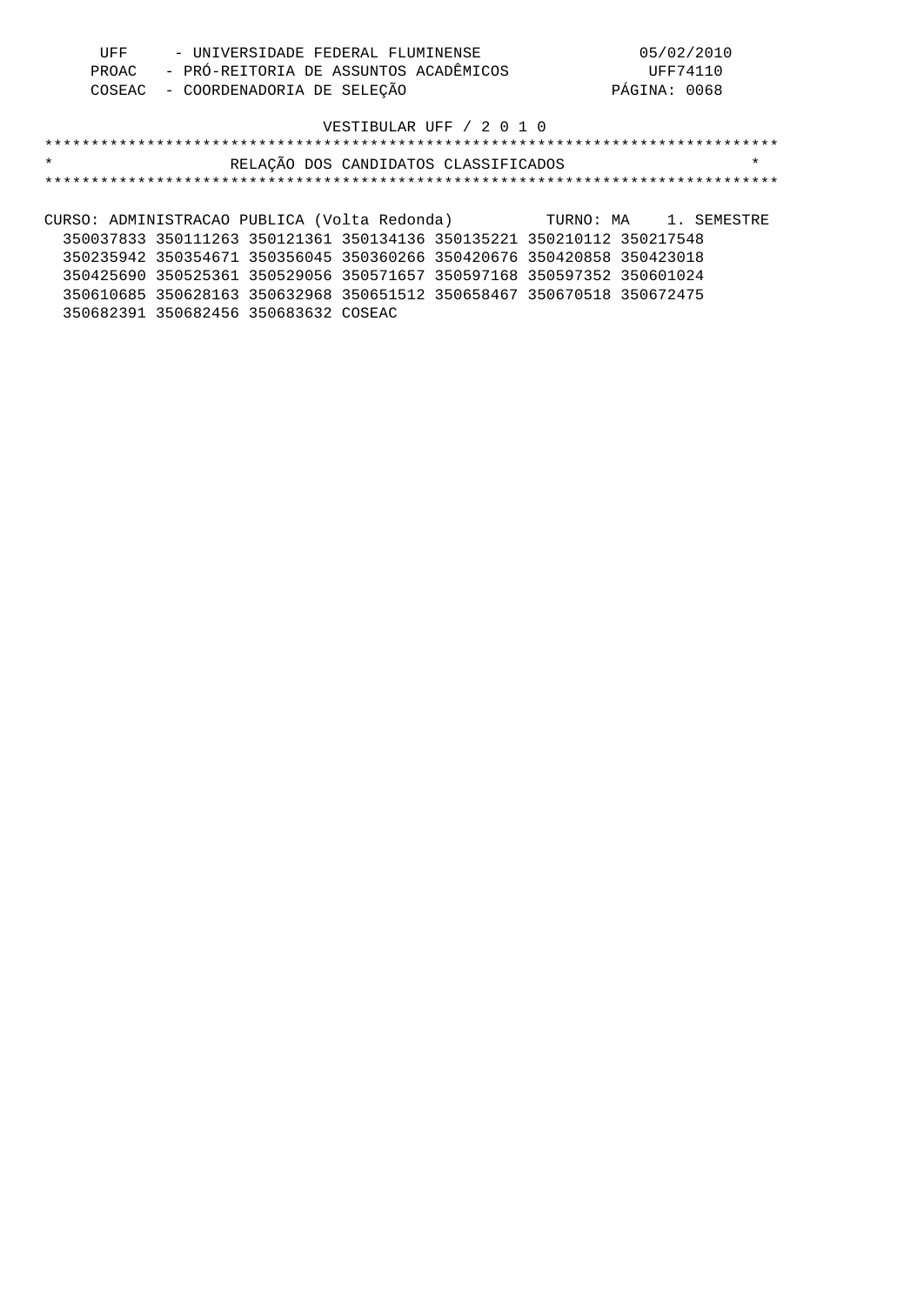| UFF | - UNIVERSIDADE FEDERAL FLUMINENSE           | 05/02/2010   |
|-----|---------------------------------------------|--------------|
|     | PROAC - PRÓ-REITORIA DE ASSUNTOS ACADÊMICOS | UFF74110     |
|     | COSEAC - COORDENADORIA DE SELEÇÃO           | PÁGINA: 0068 |

# \*\*\*\*\*\*\*\*\*\*\*\*\*\*\*\*\*\*\*\*\*\*\*\*\*\*\*\*\*\*\*\*\*\*\*\*\*\*\*\*\*\*\*\*\*\*\*\*\*\*\*\*\*\*\*\*\*\*\*\*\*\*\*\*\*\*\*\*\*\*\*\*\*\*\*\*\*\*\* \* RELAÇÃO DOS CANDIDATOS CLASSIFICADOS \* \*\*\*\*\*\*\*\*\*\*\*\*\*\*\*\*\*\*\*\*\*\*\*\*\*\*\*\*\*\*\*\*\*\*\*\*\*\*\*\*\*\*\*\*\*\*\*\*\*\*\*\*\*\*\*\*\*\*\*\*\*\*\*\*\*\*\*\*\*\*\*\*\*\*\*\*\*\*\* CURSO: ADMINISTRACAO PUBLICA (Volta Redonda) TURNO: MA 1. SEMESTRE 350037833 350111263 350121361 350134136 350135221 350210112 350217548 350235942 350354671 350356045 350360266 350420676 350420858 350423018

 350425690 350525361 350529056 350571657 350597168 350597352 350601024 350610685 350628163 350632968 350651512 350658467 350670518 350672475 350682391 350682456 350683632 COSEAC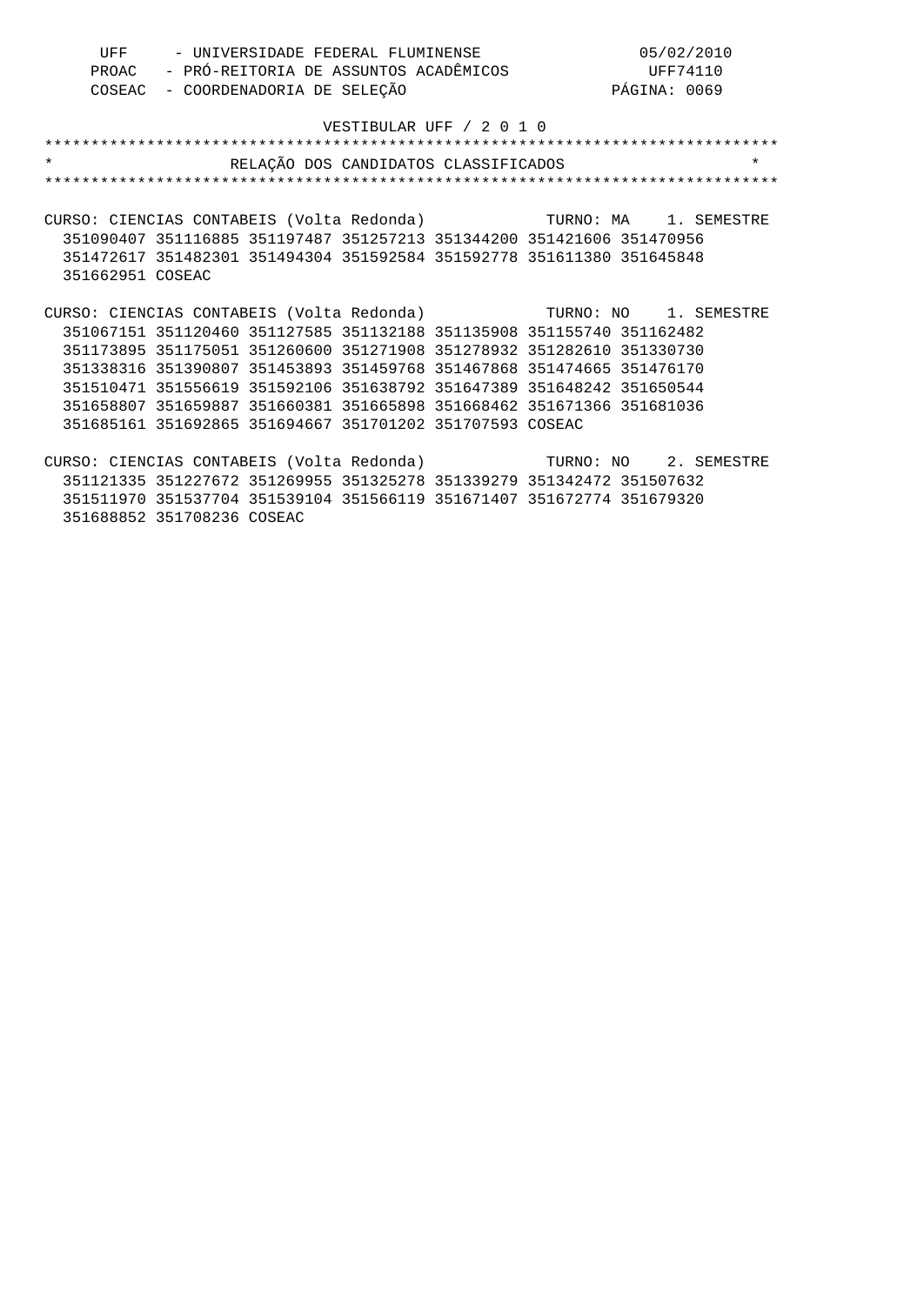| UFF | - UNIVERSIDADE FEDERAL FLUMINENSE           | 05/02/2010   |
|-----|---------------------------------------------|--------------|
|     | PROAC - PRÓ-REITORIA DE ASSUNTOS ACADÊMICOS | UFF74110     |
|     | COSEAC - COORDENADORIA DE SELEÇÃO           | PÁGINA: 0069 |

# VESTIBULAR UFF / 2 0 1 0 \*\*\*\*\*\*\*\*\*\*\*\*\*\*\*\*\*\*\*\*\*\*\*\*\*\*\*\*\*\*\*\*\*\*\*\*\*\*\*\*\*\*\*\*\*\*\*\*\*\*\*\*\*\*\*\*\*\*\*\*\*\*\*\*\*\*\*\*\*\*\*\*\*\*\*\*\*\*\* \* RELAÇÃO DOS CANDIDATOS CLASSIFICADOS \* \*\*\*\*\*\*\*\*\*\*\*\*\*\*\*\*\*\*\*\*\*\*\*\*\*\*\*\*\*\*\*\*\*\*\*\*\*\*\*\*\*\*\*\*\*\*\*\*\*\*\*\*\*\*\*\*\*\*\*\*\*\*\*\*\*\*\*\*\*\*\*\*\*\*\*\*\*\*\* CURSO: CIENCIAS CONTABEIS (Volta Redonda) TURNO: MA 1. SEMESTRE 351090407 351116885 351197487 351257213 351344200 351421606 351470956 351472617 351482301 351494304 351592584 351592778 351611380 351645848 351662951 COSEAC CURSO: CIENCIAS CONTABEIS (Volta Redonda) TURNO: NO 1. SEMESTRE 351067151 351120460 351127585 351132188 351135908 351155740 351162482 351173895 351175051 351260600 351271908 351278932 351282610 351330730 351338316 351390807 351453893 351459768 351467868 351474665 351476170 351510471 351556619 351592106 351638792 351647389 351648242 351650544 351658807 351659887 351660381 351665898 351668462 351671366 351681036 351685161 351692865 351694667 351701202 351707593 COSEAC CURSO: CIENCIAS CONTABEIS (Volta Redonda) TURNO: NO 2. SEMESTRE 351121335 351227672 351269955 351325278 351339279 351342472 351507632

 351511970 351537704 351539104 351566119 351671407 351672774 351679320 351688852 351708236 COSEAC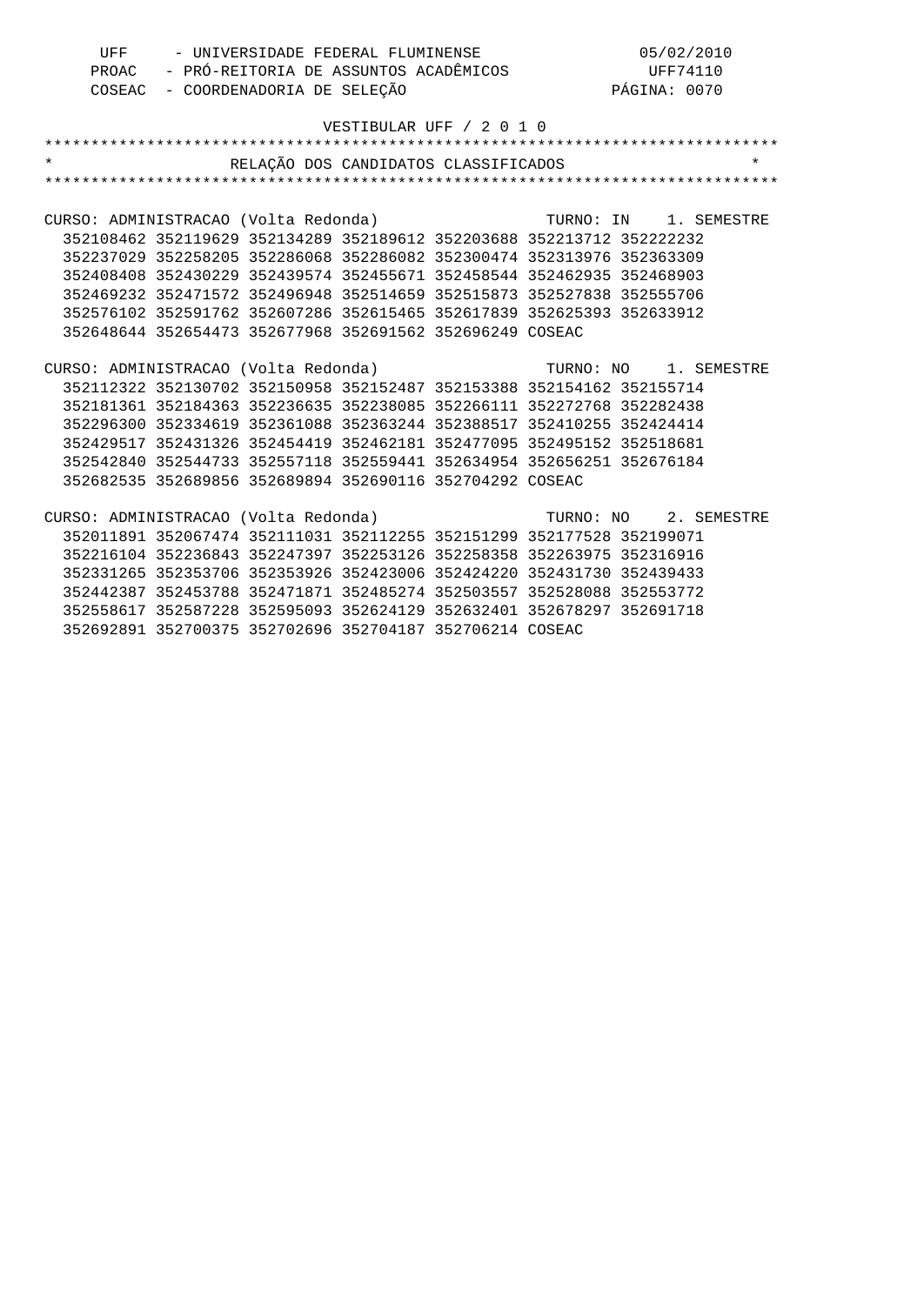|                                      | PROAC - PRÓ-REITORIA DE ASSUNTOS ACADÊMICOS (DE DE DE DE DE DE DE DE DE DE DE DE DE COSEAC - COORDENADORIA DE SELEÇÃO (DE PÁGINA: 0070 |                                                                       |                          |  |                       |         |
|--------------------------------------|----------------------------------------------------------------------------------------------------------------------------------------|-----------------------------------------------------------------------|--------------------------|--|-----------------------|---------|
|                                      |                                                                                                                                        |                                                                       |                          |  |                       |         |
|                                      |                                                                                                                                        |                                                                       | VESTIBULAR UFF / 2 0 1 0 |  |                       |         |
|                                      |                                                                                                                                        |                                                                       |                          |  |                       |         |
| $\star$                              |                                                                                                                                        | RELAÇÃO DOS CANDIDATOS CLASSIFICADOS                                  |                          |  |                       | $\star$ |
|                                      |                                                                                                                                        |                                                                       |                          |  |                       |         |
|                                      |                                                                                                                                        |                                                                       |                          |  |                       |         |
| CURSO: ADMINISTRACAO (Volta Redonda) |                                                                                                                                        |                                                                       |                          |  | TURNO: IN 1. SEMESTRE |         |
|                                      |                                                                                                                                        | 352108462 352119629 352134289 352189612 352203688 352213712 352222232 |                          |  |                       |         |
|                                      |                                                                                                                                        | 352237029 352258205 352286068 352286082 352300474 352313976 352363309 |                          |  |                       |         |
|                                      |                                                                                                                                        | 352408408 352430229 352439574 352455671 352458544 352462935 352468903 |                          |  |                       |         |
|                                      |                                                                                                                                        | 352469232 352471572 352496948 352514659 352515873 352527838 352555706 |                          |  |                       |         |
|                                      |                                                                                                                                        | 352576102 352591762 352607286 352615465 352617839 352625393 352633912 |                          |  |                       |         |
|                                      |                                                                                                                                        | 352648644 352654473 352677968 352691562 352696249 COSEAC              |                          |  |                       |         |
|                                      |                                                                                                                                        |                                                                       |                          |  |                       |         |
| CURSO: ADMINISTRACAO (Volta Redonda) |                                                                                                                                        |                                                                       |                          |  | TURNO: NO 1. SEMESTRE |         |
|                                      |                                                                                                                                        | 352112322 352130702 352150958 352152487 352153388 352154162 352155714 |                          |  |                       |         |
|                                      |                                                                                                                                        | 352181361 352184363 352236635 352238085 352266111 352272768 352282438 |                          |  |                       |         |
|                                      |                                                                                                                                        | 352296300 352334619 352361088 352363244 352388517 352410255 352424414 |                          |  |                       |         |
|                                      |                                                                                                                                        | 352429517 352431326 352454419 352462181 352477095 352495152 352518681 |                          |  |                       |         |
|                                      |                                                                                                                                        | 352542840 352544733 352557118 352559441 352634954 352656251 352676184 |                          |  |                       |         |
|                                      |                                                                                                                                        | 352682535 352689856 352689894 352690116 352704292 COSEAC              |                          |  |                       |         |
|                                      |                                                                                                                                        |                                                                       |                          |  |                       |         |
|                                      |                                                                                                                                        |                                                                       |                          |  |                       |         |
|                                      |                                                                                                                                        | 352011891 352067474 352111031 352112255 352151299 352177528 352199071 |                          |  |                       |         |
|                                      |                                                                                                                                        | 352216104 352236843 352247397 352253126 352258358 352263975 352316916 |                          |  |                       |         |
|                                      |                                                                                                                                        | 352331265 352353706 352353926 352423006 352424220 352431730 352439433 |                          |  |                       |         |
|                                      |                                                                                                                                        | 352442387 352453788 352471871 352485274 352503557 352528088 352553772 |                          |  |                       |         |
|                                      |                                                                                                                                        | 352558617 352587228 352595093 352624129 352632401 352678297 352691718 |                          |  |                       |         |
|                                      |                                                                                                                                        | 352692891 352700375 352702696 352704187 352706214 COSEAC              |                          |  |                       |         |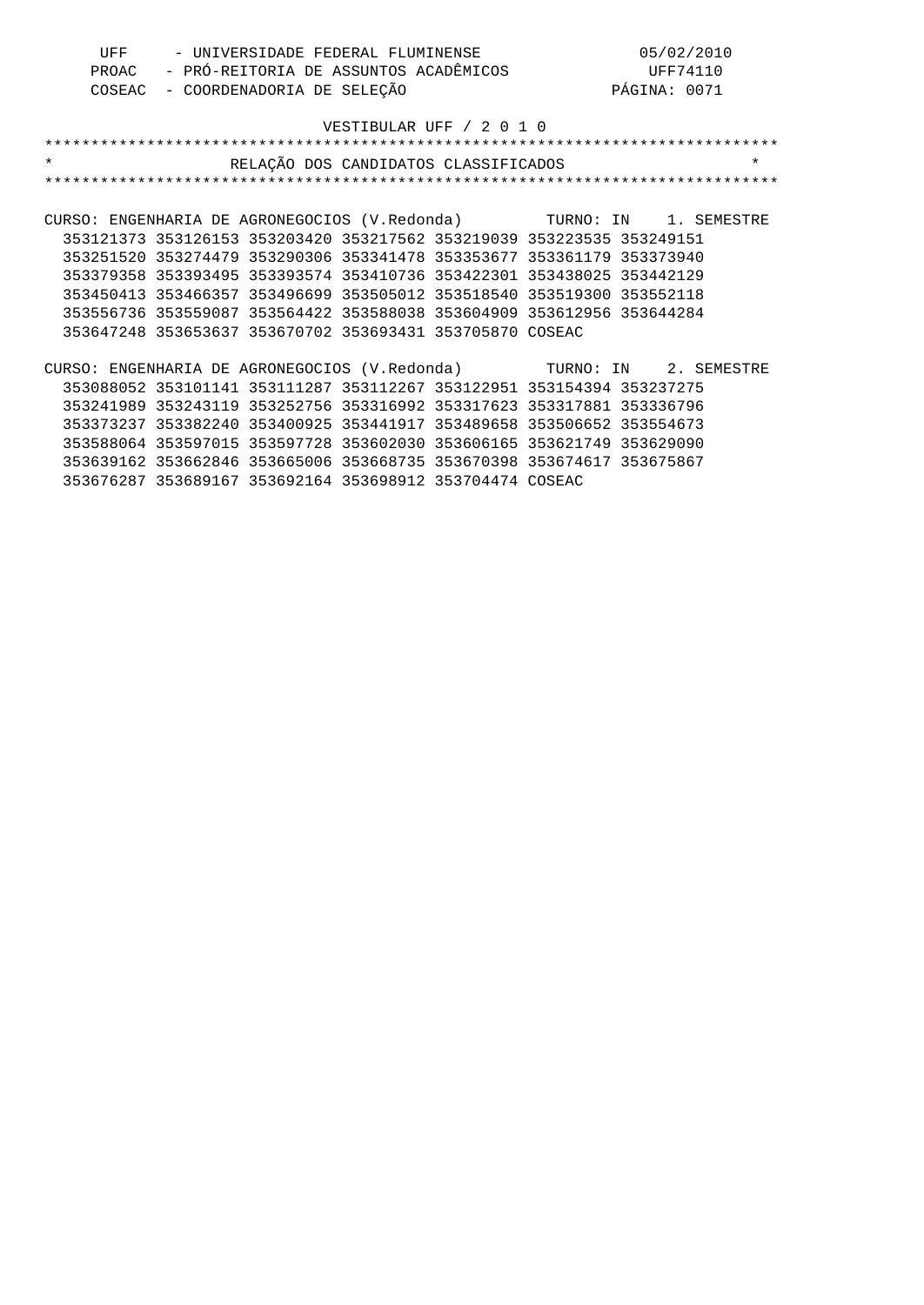|         | UFF<br>PROAC | - UNIVERSIDADE FEDERAL FLUMINENSE<br>- PRÓ-REITORIA DE ASSUNTOS ACADÊMICOS                                                                                                                                                                                                                                                                                                                                                                                                              |                          |              | 05/02/2010<br>UFF74110 |
|---------|--------------|-----------------------------------------------------------------------------------------------------------------------------------------------------------------------------------------------------------------------------------------------------------------------------------------------------------------------------------------------------------------------------------------------------------------------------------------------------------------------------------------|--------------------------|--------------|------------------------|
|         | COSEAC       | - COORDENADORIA DE SELEÇÃO                                                                                                                                                                                                                                                                                                                                                                                                                                                              |                          | PÁGINA: 0071 |                        |
|         |              |                                                                                                                                                                                                                                                                                                                                                                                                                                                                                         | VESTIBULAR UFF / 2 0 1 0 |              |                        |
|         |              |                                                                                                                                                                                                                                                                                                                                                                                                                                                                                         |                          |              |                        |
| $\star$ |              | RELAÇÃO DOS CANDIDATOS CLASSIFICADOS                                                                                                                                                                                                                                                                                                                                                                                                                                                    |                          |              | $\star$                |
|         |              |                                                                                                                                                                                                                                                                                                                                                                                                                                                                                         |                          |              |                        |
|         |              |                                                                                                                                                                                                                                                                                                                                                                                                                                                                                         |                          |              |                        |
|         |              | CURSO: ENGENHARIA DE AGRONEGOCIOS (V.Redonda) TURNO: IN 1. SEMESTRE                                                                                                                                                                                                                                                                                                                                                                                                                     |                          |              |                        |
|         |              | 353121373 353126153 353203420 353217562 353219039 353223535 353249151                                                                                                                                                                                                                                                                                                                                                                                                                   |                          |              |                        |
|         |              | 353251520 353274479 353290306 353341478 353353677 353361179 353373940                                                                                                                                                                                                                                                                                                                                                                                                                   |                          |              |                        |
|         |              | 353379358 353393495 353393574 353410736 353422301 353438025 353442129                                                                                                                                                                                                                                                                                                                                                                                                                   |                          |              |                        |
|         |              | 353450413 353466357 353496699 353505012 353518540 353519300 353552118                                                                                                                                                                                                                                                                                                                                                                                                                   |                          |              |                        |
|         |              | 353556736 353559087 353564422 353588038 353604909 353612956 353644284                                                                                                                                                                                                                                                                                                                                                                                                                   |                          |              |                        |
|         |              | 353647248 353653637 353670702 353693431 353705870 COSEAC                                                                                                                                                                                                                                                                                                                                                                                                                                |                          |              |                        |
|         |              |                                                                                                                                                                                                                                                                                                                                                                                                                                                                                         |                          |              |                        |
|         |              | CURSO: ENGENHARIA DE AGRONEGOCIOS (V.Redonda)       TURNO: IN   2. SEMESTRE                                                                                                                                                                                                                                                                                                                                                                                                             |                          |              |                        |
|         |              | 353088052 353101141 353111287 353112267 353122951 353154394 353237275                                                                                                                                                                                                                                                                                                                                                                                                                   |                          |              |                        |
|         |              | $\begin{array}{c} \n \multicolumn{1}{c} \multicolumn{1}{c} \multicolumn{1}{c} \multicolumn{1}{c} \multicolumn{1}{c} \multicolumn{1}{c} \multicolumn{1}{c} \multicolumn{1}{c} \multicolumn{1}{c} \multicolumn{1}{c} \multicolumn{1}{c} \multicolumn{1}{c} \multicolumn{1}{c} \multicolumn{1}{c} \multicolumn{1}{c} \multicolumn{1}{c} \multicolumn{1}{c} \multicolumn{1}{c} \multicolumn{1}{c} \multicolumn{1}{c} \multicolumn{1}{c} \multicolumn{1}{c} \multicolumn{1}{c} \multicolumn$ |                          |              |                        |

 353241989 353243119 353252756 353316992 353317623 353317881 353336796 353373237 353382240 353400925 353441917 353489658 353506652 353554673 353588064 353597015 353597728 353602030 353606165 353621749 353629090 353639162 353662846 353665006 353668735 353670398 353674617 353675867 353676287 353689167 353692164 353698912 353704474 COSEAC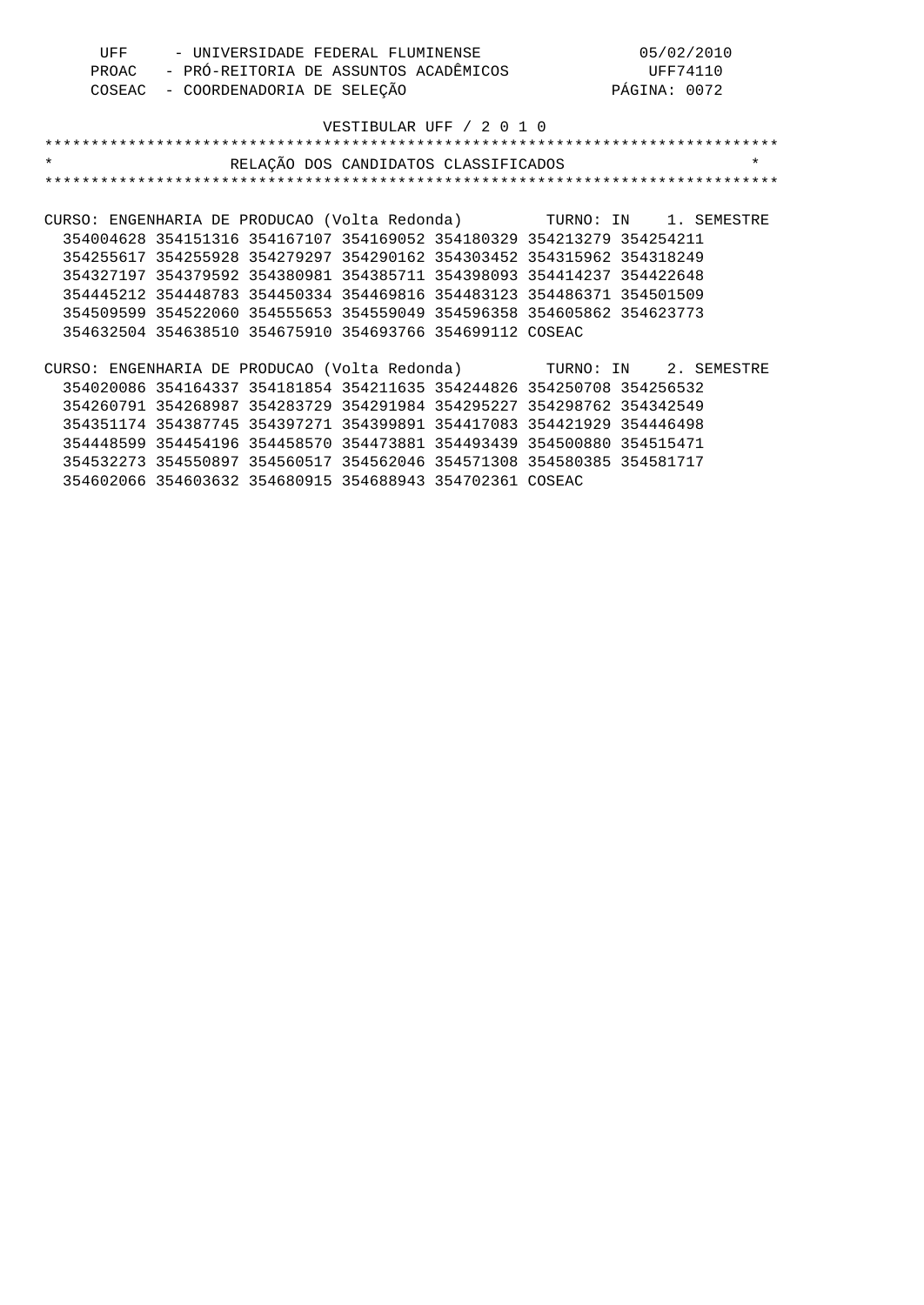| UFF                                                                  | - UNIVERSIDADE FEDERAL FLUMINENSE     |                            |                                                                       |  | 05/02/2010            |              |          |
|----------------------------------------------------------------------|---------------------------------------|----------------------------|-----------------------------------------------------------------------|--|-----------------------|--------------|----------|
| PROAC                                                                | - PRÓ-REITORIA DE ASSUNTOS ACADÊMICOS |                            |                                                                       |  |                       | UFF74110     |          |
| COSEAC                                                               |                                       | - COORDENADORIA DE SELEÇÃO |                                                                       |  |                       | PÁGINA: 0072 |          |
|                                                                      |                                       |                            |                                                                       |  |                       |              |          |
|                                                                      |                                       |                            | VESTIBULAR UFF / 2 0 1 0                                              |  |                       |              |          |
|                                                                      |                                       |                            |                                                                       |  |                       |              |          |
| $\star$                                                              |                                       |                            | RELAÇÃO DOS CANDIDATOS CLASSIFICADOS                                  |  |                       |              | $^\star$ |
|                                                                      |                                       |                            |                                                                       |  |                       |              |          |
|                                                                      |                                       |                            |                                                                       |  |                       |              |          |
| CURSO: ENGENHARIA DE PRODUCAO (Volta Redonda) (CURNO: IN 1. SEMESTRE |                                       |                            |                                                                       |  |                       |              |          |
|                                                                      |                                       |                            | 354004628 354151316 354167107 354169052 354180329 354213279 354254211 |  |                       |              |          |
|                                                                      |                                       |                            | 354255617 354255928 354279297 354290162 354303452 354315962 354318249 |  |                       |              |          |
|                                                                      |                                       |                            | 354327197 354379592 354380981 354385711 354398093 354414237 354422648 |  |                       |              |          |
|                                                                      |                                       |                            | 354445212 354448783 354450334 354469816 354483123 354486371 354501509 |  |                       |              |          |
|                                                                      |                                       |                            | 354509599 354522060 354555653 354559049 354596358 354605862 354623773 |  |                       |              |          |
|                                                                      |                                       |                            | 354632504 354638510 354675910 354693766 354699112 COSEAC              |  |                       |              |          |
|                                                                      |                                       |                            |                                                                       |  |                       |              |          |
| CURSO: ENGENHARIA DE PRODUCAO (Volta Redonda)                        |                                       |                            |                                                                       |  | TURNO: IN 2. SEMESTRE |              |          |
|                                                                      |                                       |                            | 354020086 354164337 354181854 354211635 354244826 354250708 354256532 |  |                       |              |          |
|                                                                      |                                       |                            | 354260791 354268987 354283729 354291984 354295227 354298762 354342549 |  |                       |              |          |
|                                                                      |                                       |                            | 354351174 354387745 354397271 354399891 354417083 354421929 354446498 |  |                       |              |          |
|                                                                      |                                       |                            | 354448599 354454196 354458570 354473881 354493439 354500880 354515471 |  |                       |              |          |
|                                                                      |                                       |                            | 354532273 354550897 354560517 354562046 354571308 354580385 354581717 |  |                       |              |          |
|                                                                      |                                       |                            | 354602066 354603632 354680915 354688943 354702361 COSEAC              |  |                       |              |          |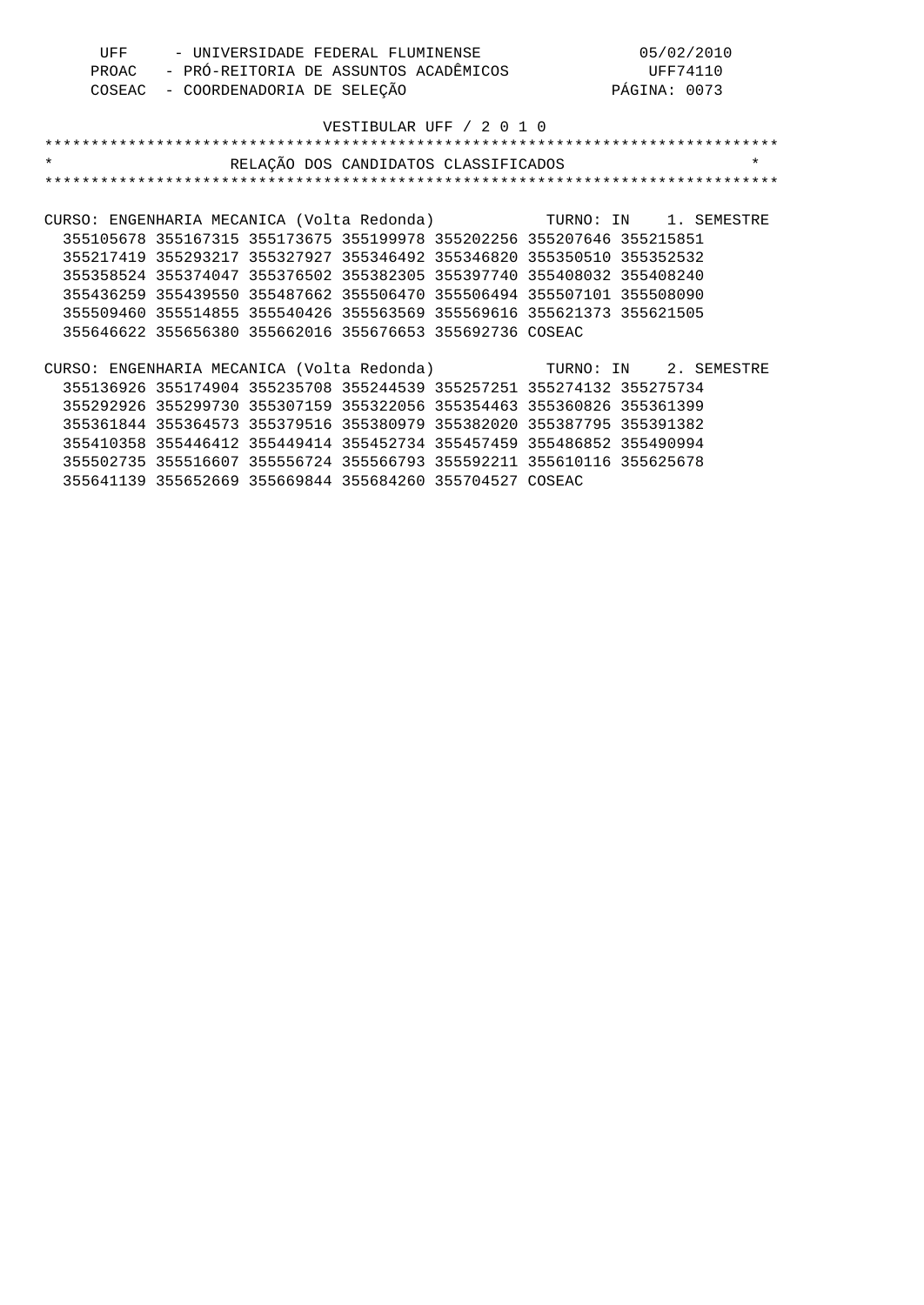| UFF     |                                       |                            | - UNIVERSIDADE FEDERAL FLUMINENSE                                     |          | 05/02/2010                                                       |         |
|---------|---------------------------------------|----------------------------|-----------------------------------------------------------------------|----------|------------------------------------------------------------------|---------|
| PROAC   | - PRÓ-REITORIA DE ASSUNTOS ACADÊMICOS |                            |                                                                       | UFF74110 |                                                                  |         |
| COSEAC  |                                       | - COORDENADORIA DE SELEÇÃO |                                                                       |          | PÁGINA: 0073                                                     |         |
|         |                                       |                            |                                                                       |          |                                                                  |         |
|         |                                       |                            | VESTIBULAR UFF / 2 0 1 0                                              |          |                                                                  |         |
|         |                                       |                            |                                                                       |          |                                                                  |         |
| $\star$ |                                       |                            | RELAÇÃO DOS CANDIDATOS CLASSIFICADOS                                  |          |                                                                  | $\star$ |
|         |                                       |                            |                                                                       |          |                                                                  |         |
|         |                                       |                            |                                                                       |          |                                                                  |         |
|         |                                       |                            |                                                                       |          | CURSO: ENGENHARIA MECANICA (Volta Redonda) TURNO: IN 1. SEMESTRE |         |
|         |                                       |                            | 355105678 355167315 355173675 355199978 355202256 355207646 355215851 |          |                                                                  |         |
|         |                                       |                            | 355217419 355293217 355327927 355346492 355346820 355350510 355352532 |          |                                                                  |         |
|         |                                       |                            | 355358524 355374047 355376502 355382305 355397740 355408032 355408240 |          |                                                                  |         |
|         |                                       |                            | 355436259 355439550 355487662 355506470 355506494 355507101 355508090 |          |                                                                  |         |
|         |                                       |                            | 355509460 355514855 355540426 355563569 355569616 355621373 355621505 |          |                                                                  |         |
|         |                                       |                            | 355646622 355656380 355662016 355676653 355692736 COSEAC              |          |                                                                  |         |
|         |                                       |                            |                                                                       |          |                                                                  |         |
|         |                                       |                            |                                                                       |          | CURSO: ENGENHARIA MECANICA (Volta Redonda) TURNO: IN 2. SEMESTRE |         |
|         |                                       |                            | 355136926 355174904 355235708 355244539 355257251 355274132 355275734 |          |                                                                  |         |
|         |                                       |                            | 355292926 355299730 355307159 355322056 355354463 355360826 355361399 |          |                                                                  |         |
|         |                                       |                            | 355361844 355364573 355379516 355380979 355382020 355387795 355391382 |          |                                                                  |         |
|         |                                       |                            | 355410358 355446412 355449414 355452734 355457459 355486852 355490994 |          |                                                                  |         |
|         |                                       |                            | 355502735 355516607 355556724 355566793 355592211 355610116 355625678 |          |                                                                  |         |
|         |                                       |                            | 355641139 355652669 355669844 355684260 355704527 COSEAC              |          |                                                                  |         |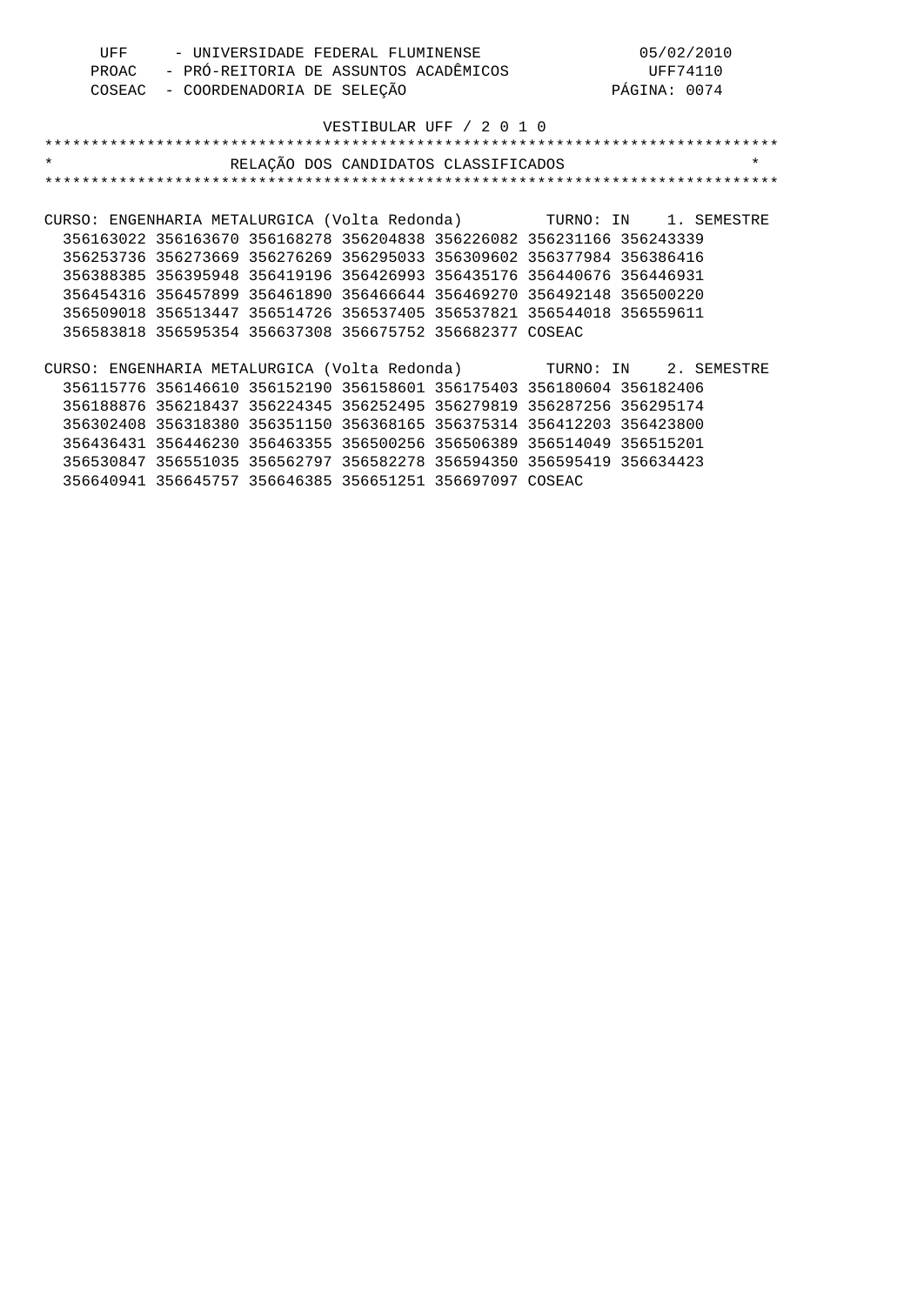| UFF                                                                 |                                                                       |                            | - UNIVERSIDADE FEDERAL FLUMINENSE     |  | 05/02/2010   |         |
|---------------------------------------------------------------------|-----------------------------------------------------------------------|----------------------------|---------------------------------------|--|--------------|---------|
| PROAC                                                               |                                                                       |                            | - PRÓ-REITORIA DE ASSUNTOS ACADÊMICOS |  | UFF74110     |         |
| COSEAC                                                              |                                                                       | - COORDENADORIA DE SELEÇÃO |                                       |  | PÁGINA: 0074 |         |
|                                                                     |                                                                       |                            |                                       |  |              |         |
|                                                                     |                                                                       |                            | VESTIBULAR UFF / 2 0 1 0              |  |              |         |
|                                                                     |                                                                       |                            |                                       |  |              |         |
| $\star$                                                             |                                                                       |                            | RELAÇÃO DOS CANDIDATOS CLASSIFICADOS  |  |              | $\star$ |
|                                                                     |                                                                       |                            |                                       |  |              |         |
|                                                                     |                                                                       |                            |                                       |  |              |         |
| CURSO: ENGENHARIA METALURGICA (Volta Redonda) TURNO: IN 1. SEMESTRE |                                                                       |                            |                                       |  |              |         |
|                                                                     | 356163022 356163670 356168278 356204838 356226082 356231166 356243339 |                            |                                       |  |              |         |
|                                                                     | 356253736 356273669 356276269 356295033 356309602 356377984 356386416 |                            |                                       |  |              |         |
|                                                                     | 356388385 356395948 356419196 356426993 356435176 356440676 356446931 |                            |                                       |  |              |         |
|                                                                     | 356454316 356457899 356461890 356466644 356469270 356492148 356500220 |                            |                                       |  |              |         |
|                                                                     | 356509018 356513447 356514726 356537405 356537821 356544018 356559611 |                            |                                       |  |              |         |
|                                                                     | 356583818 356595354 356637308 356675752 356682377 COSEAC              |                            |                                       |  |              |         |
|                                                                     |                                                                       |                            |                                       |  |              |         |
| CURSO: ENGENHARIA METALURGICA (Volta Redonda) TURNO: IN 2. SEMESTRE |                                                                       |                            |                                       |  |              |         |
|                                                                     | 356115776 356146610 356152190 356158601 356175403 356180604 356182406 |                            |                                       |  |              |         |
|                                                                     | 356188876 356218437 356224345 356252495 356279819 356287256 356295174 |                            |                                       |  |              |         |
|                                                                     | 356302408 356318380 356351150 356368165 356375314 356412203 356423800 |                            |                                       |  |              |         |
|                                                                     | 356436431 356446230 356463355 356500256 356506389 356514049 356515201 |                            |                                       |  |              |         |
|                                                                     | 356530847 356551035 356562797 356582278 356594350 356595419 356634423 |                            |                                       |  |              |         |
|                                                                     | 356640941 356645757 356646385 356651251 356697097 COSEAC              |                            |                                       |  |              |         |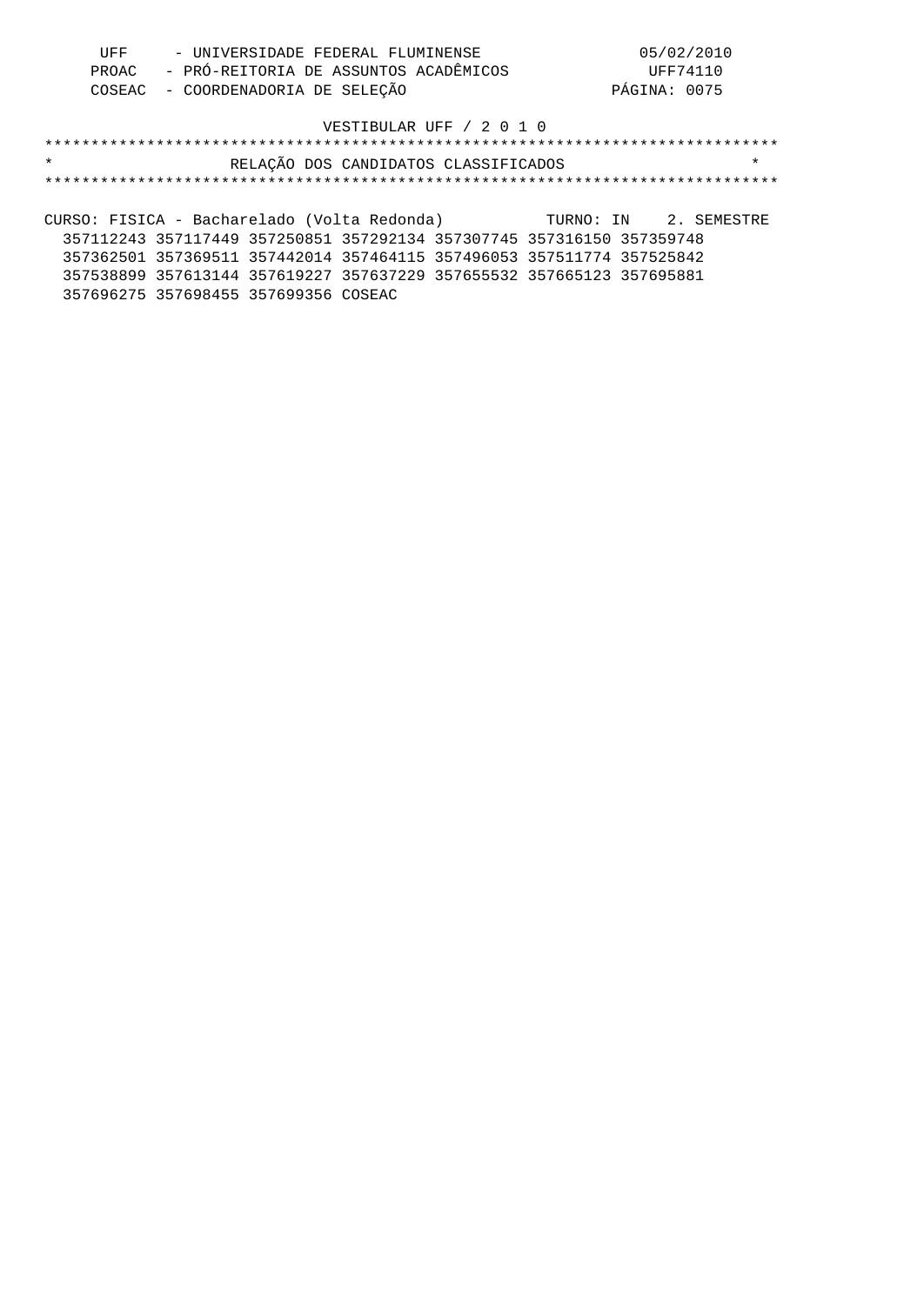| UFF | - UNIVERSIDADE FEDERAL FLUMINENSE           | 05/02/2010   |
|-----|---------------------------------------------|--------------|
|     | PROAC - PRÓ-REITORIA DE ASSUNTOS ACADÊMICOS | UFF74110     |
|     | COSEAC - COORDENADORIA DE SELEÇÃO           | PÁGINA: 0075 |

# \*\*\*\*\*\*\*\*\*\*\*\*\*\*\*\*\*\*\*\*\*\*\*\*\*\*\*\*\*\*\*\*\*\*\*\*\*\*\*\*\*\*\*\*\*\*\*\*\*\*\*\*\*\*\*\*\*\*\*\*\*\*\*\*\*\*\*\*\*\*\*\*\*\*\*\*\*\*\* \* RELAÇÃO DOS CANDIDATOS CLASSIFICADOS \* \*\*\*\*\*\*\*\*\*\*\*\*\*\*\*\*\*\*\*\*\*\*\*\*\*\*\*\*\*\*\*\*\*\*\*\*\*\*\*\*\*\*\*\*\*\*\*\*\*\*\*\*\*\*\*\*\*\*\*\*\*\*\*\*\*\*\*\*\*\*\*\*\*\*\*\*\*\*\*

CURSO: FISICA - Bacharelado (Volta Redonda) TURNO: IN 2. SEMESTRE 357112243 357117449 357250851 357292134 357307745 357316150 357359748 357362501 357369511 357442014 357464115 357496053 357511774 357525842 357538899 357613144 357619227 357637229 357655532 357665123 357695881 357696275 357698455 357699356 COSEAC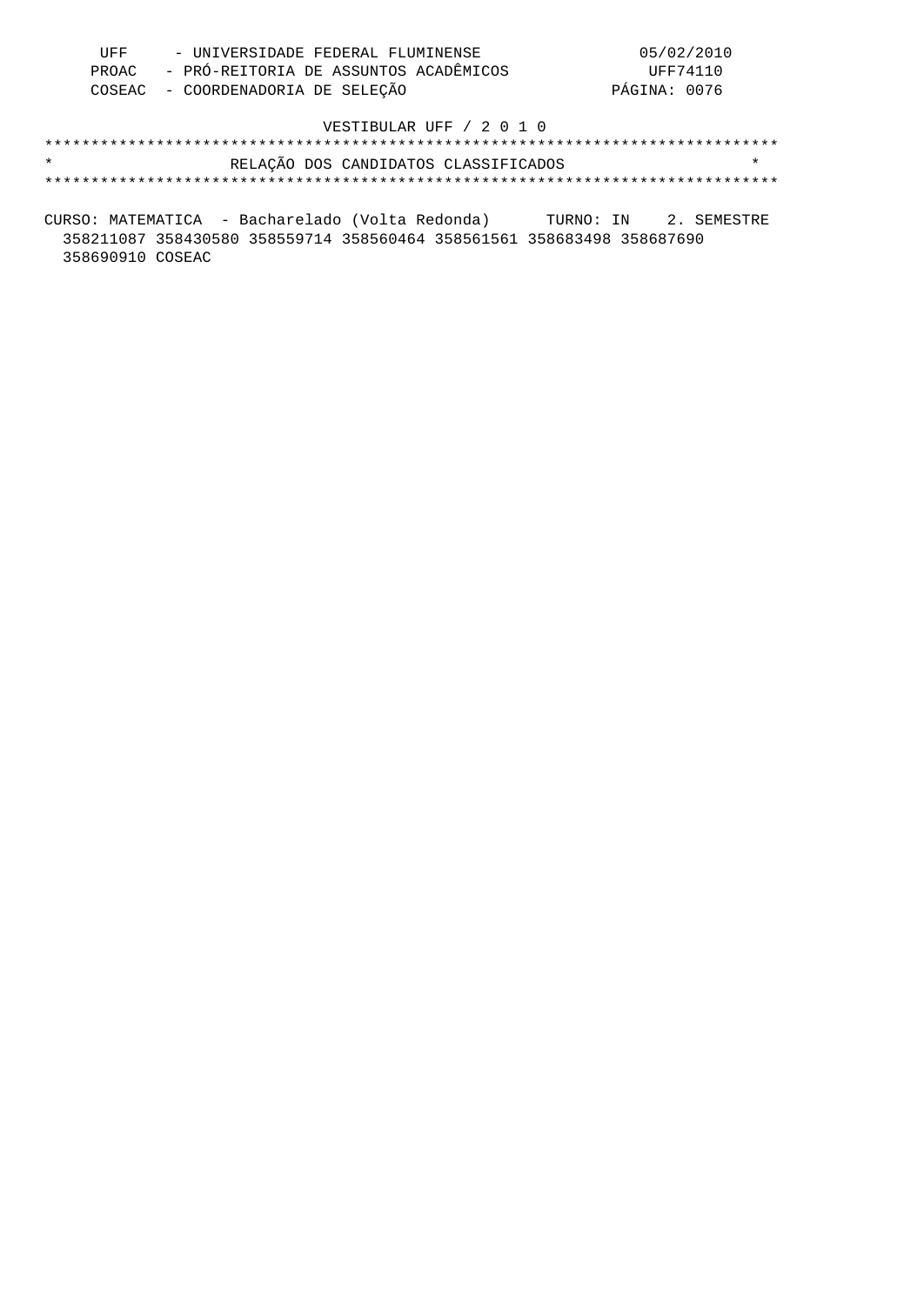| UFF | - UNIVERSIDADE FEDERAL FLUMINENSE           | 05/02/2010   |
|-----|---------------------------------------------|--------------|
|     | PROAC - PRÓ-REITORIA DE ASSUNTOS ACADÊMICOS | UFF74110     |
|     | COSEAC - COORDENADORIA DE SELEÇÃO           | PÁGINA: 0076 |

| $\star$ |  | RELAÇÃO DOS CANDIDATOS CLASSIFICADOS |  |
|---------|--|--------------------------------------|--|
|         |  |                                      |  |

CURSO: MATEMATICA - Bacharelado (Volta Redonda) TURNO: IN 2. SEMESTRE 358211087 358430580 358559714 358560464 358561561 358683498 358687690 358690910 COSEAC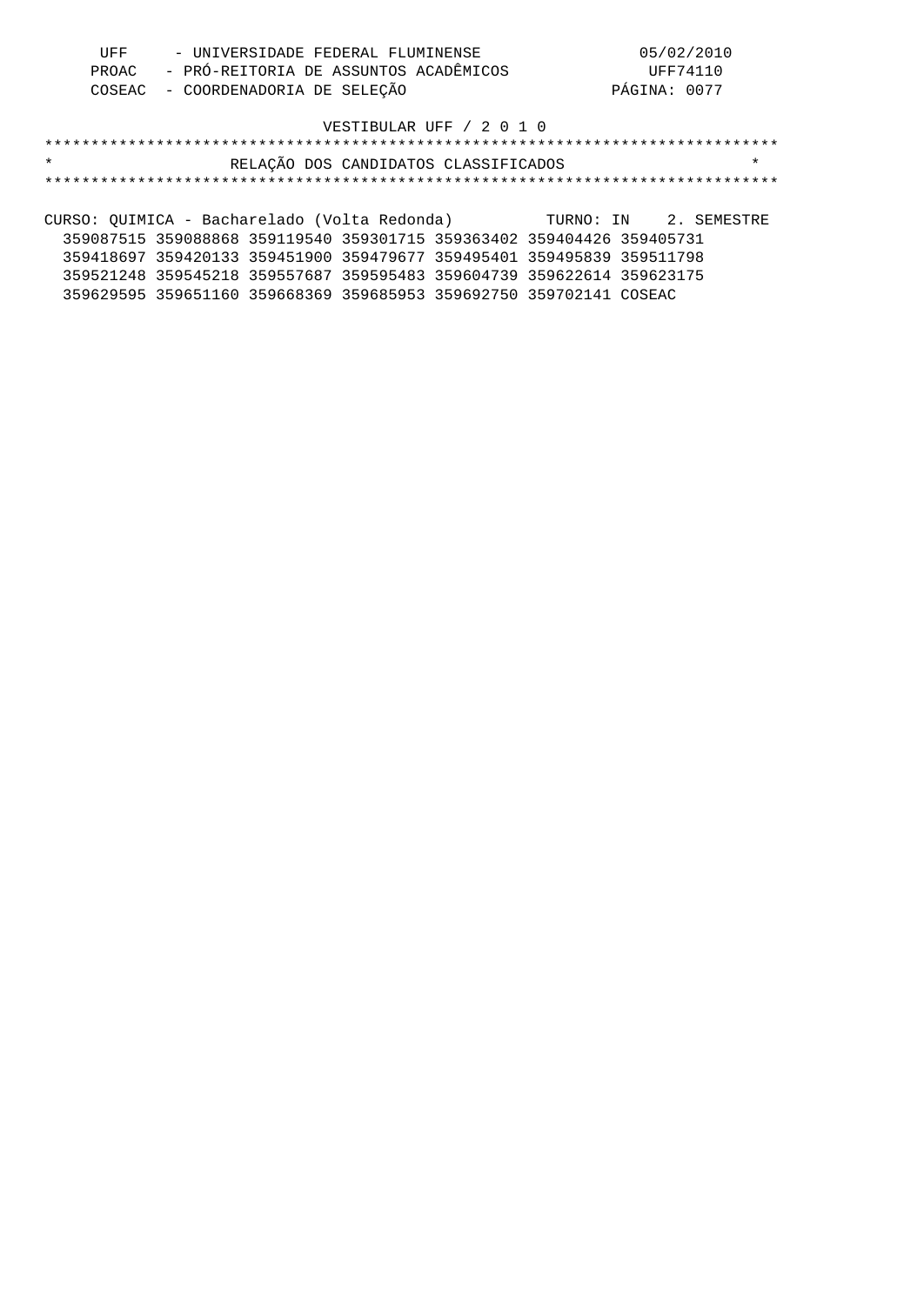| UFF | - UNIVERSIDADE FEDERAL FLUMINENSE           | 05/02/2010   |
|-----|---------------------------------------------|--------------|
|     | PROAC - PRÓ-REITORIA DE ASSUNTOS ACADÊMICOS | UFF74110     |
|     | COSEAC - COORDENADORIA DE SELEÇÃO           | PÁGINA: 0077 |

# \*\*\*\*\*\*\*\*\*\*\*\*\*\*\*\*\*\*\*\*\*\*\*\*\*\*\*\*\*\*\*\*\*\*\*\*\*\*\*\*\*\*\*\*\*\*\*\*\*\*\*\*\*\*\*\*\*\*\*\*\*\*\*\*\*\*\*\*\*\*\*\*\*\*\*\*\*\*\* \* RELAÇÃO DOS CANDIDATOS CLASSIFICADOS \* \*\*\*\*\*\*\*\*\*\*\*\*\*\*\*\*\*\*\*\*\*\*\*\*\*\*\*\*\*\*\*\*\*\*\*\*\*\*\*\*\*\*\*\*\*\*\*\*\*\*\*\*\*\*\*\*\*\*\*\*\*\*\*\*\*\*\*\*\*\*\*\*\*\*\*\*\*\*\*

CURSO: QUIMICA - Bacharelado (Volta Redonda) TURNO: IN 2. SEMESTRE 359087515 359088868 359119540 359301715 359363402 359404426 359405731 359418697 359420133 359451900 359479677 359495401 359495839 359511798 359521248 359545218 359557687 359595483 359604739 359622614 359623175 359629595 359651160 359668369 359685953 359692750 359702141 COSEAC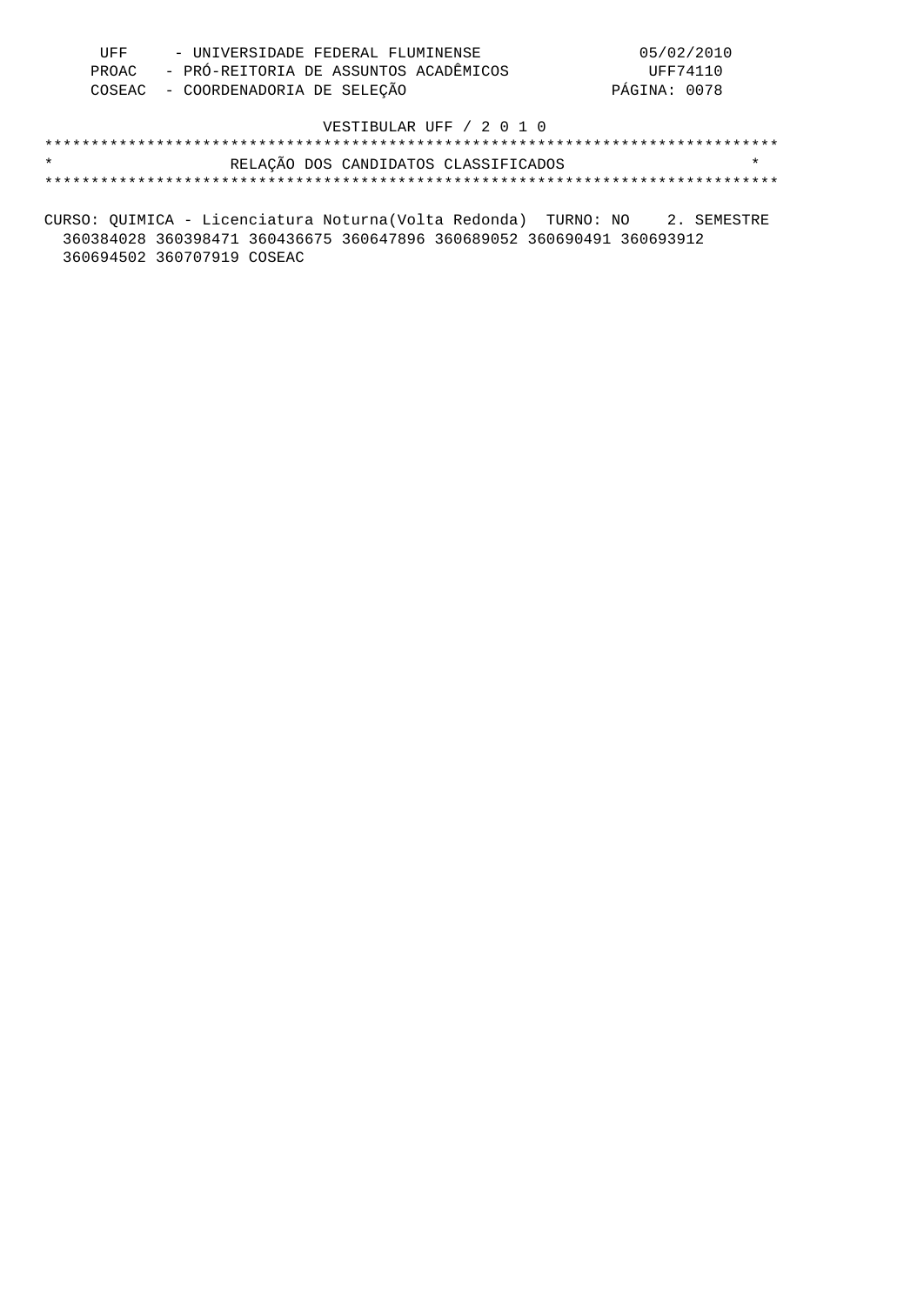| UFF | - UNIVERSIDADE FEDERAL FLUMINENSE           | 05/02/2010   |
|-----|---------------------------------------------|--------------|
|     | PROAC - PRÓ-REITORIA DE ASSUNTOS ACADÊMICOS | UFF74110     |
|     | COSEAC - COORDENADORIA DE SELECÃO           | PÁGINA: 0078 |

| $\star$ |  | RELAÇÃO DOS CANDIDATOS CLASSIFICADOS |  |
|---------|--|--------------------------------------|--|
|         |  |                                      |  |

CURSO: QUIMICA - Licenciatura Noturna(Volta Redonda) TURNO: NO 2. SEMESTRE 360384028 360398471 360436675 360647896 360689052 360690491 360693912 360694502 360707919 COSEAC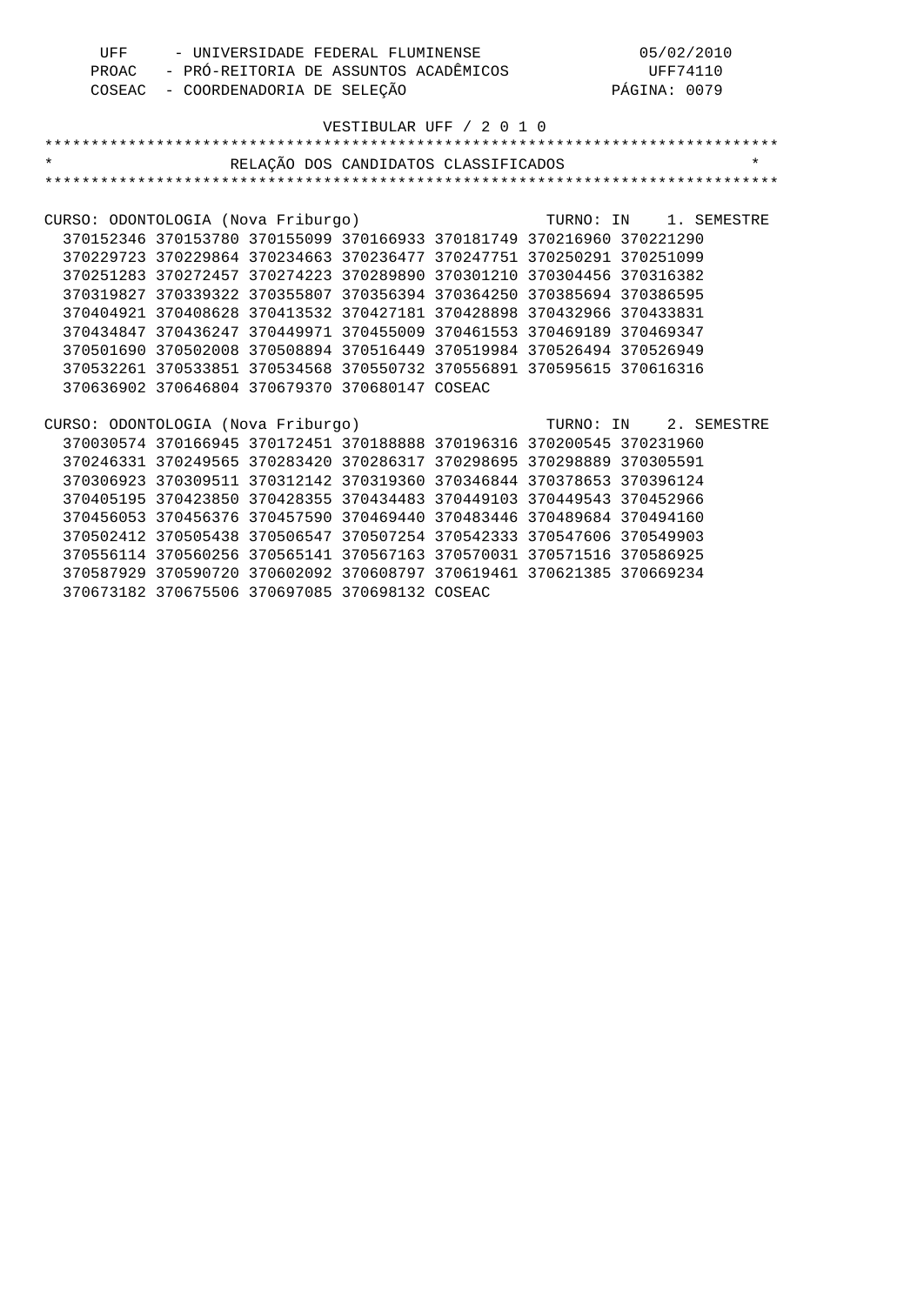| UFF                                | - UNIVERSIDADE FEDERAL FLUMINENSE                                     |                                      | 05/02/2010                                               |  |
|------------------------------------|-----------------------------------------------------------------------|--------------------------------------|----------------------------------------------------------|--|
|                                    |                                                                       |                                      | PROAC - PRÓ-REITORIA DE ASSUNTOS ACADÊMICOS UFF74110     |  |
|                                    | COSEAC - COORDENADORIA DE SELEÇÃO                                     |                                      | PÁGINA: 0079                                             |  |
|                                    |                                                                       |                                      |                                                          |  |
|                                    |                                                                       | VESTIBULAR UFF / 2 0 1 0             |                                                          |  |
|                                    |                                                                       |                                      |                                                          |  |
| $\star$                            |                                                                       | RELAÇÃO DOS CANDIDATOS CLASSIFICADOS | $\star$                                                  |  |
|                                    |                                                                       |                                      |                                                          |  |
|                                    |                                                                       |                                      |                                                          |  |
|                                    |                                                                       |                                      | CURSO: ODONTOLOGIA (Nova Friburgo) TURNO: IN 1. SEMESTRE |  |
|                                    | 370152346 370153780 370155099 370166933 370181749 370216960 370221290 |                                      |                                                          |  |
|                                    | 370229723 370229864 370234663 370236477 370247751 370250291 370251099 |                                      |                                                          |  |
|                                    | 370251283 370272457 370274223 370289890 370301210 370304456 370316382 |                                      |                                                          |  |
|                                    | 370319827 370339322 370355807 370356394 370364250 370385694 370386595 |                                      |                                                          |  |
|                                    | 370404921 370408628 370413532 370427181 370428898 370432966 370433831 |                                      |                                                          |  |
|                                    | 370434847 370436247 370449971 370455009 370461553 370469189 370469347 |                                      |                                                          |  |
|                                    | 370501690 370502008 370508894 370516449 370519984 370526494 370526949 |                                      |                                                          |  |
|                                    | 370532261 370533851 370534568 370550732 370556891 370595615 370616316 |                                      |                                                          |  |
|                                    | 370636902 370646804 370679370 370680147 COSEAC                        |                                      |                                                          |  |
|                                    |                                                                       |                                      |                                                          |  |
| CURSO: ODONTOLOGIA (Nova Friburgo) |                                                                       |                                      | TURNO: IN 2. SEMESTRE                                    |  |
|                                    | 370030574 370166945 370172451 370188888 370196316 370200545 370231960 |                                      |                                                          |  |
|                                    | 370246331 370249565 370283420 370286317 370298695 370298889 370305591 |                                      |                                                          |  |
|                                    | 370306923 370309511 370312142 370319360 370346844 370378653 370396124 |                                      |                                                          |  |
|                                    | 370405195 370423850 370428355 370434483 370449103 370449543 370452966 |                                      |                                                          |  |
|                                    | 370456053 370456376 370457590 370469440 370483446 370489684 370494160 |                                      |                                                          |  |
|                                    | 370502412 370505438 370506547 370507254 370542333 370547606 370549903 |                                      |                                                          |  |
|                                    | 370556114 370560256 370565141 370567163 370570031 370571516 370586925 |                                      |                                                          |  |
|                                    | 370587929 370590720 370602092 370608797 370619461 370621385 370669234 |                                      |                                                          |  |
|                                    | 370673182 370675506 370697085 370698132 COSEAC                        |                                      |                                                          |  |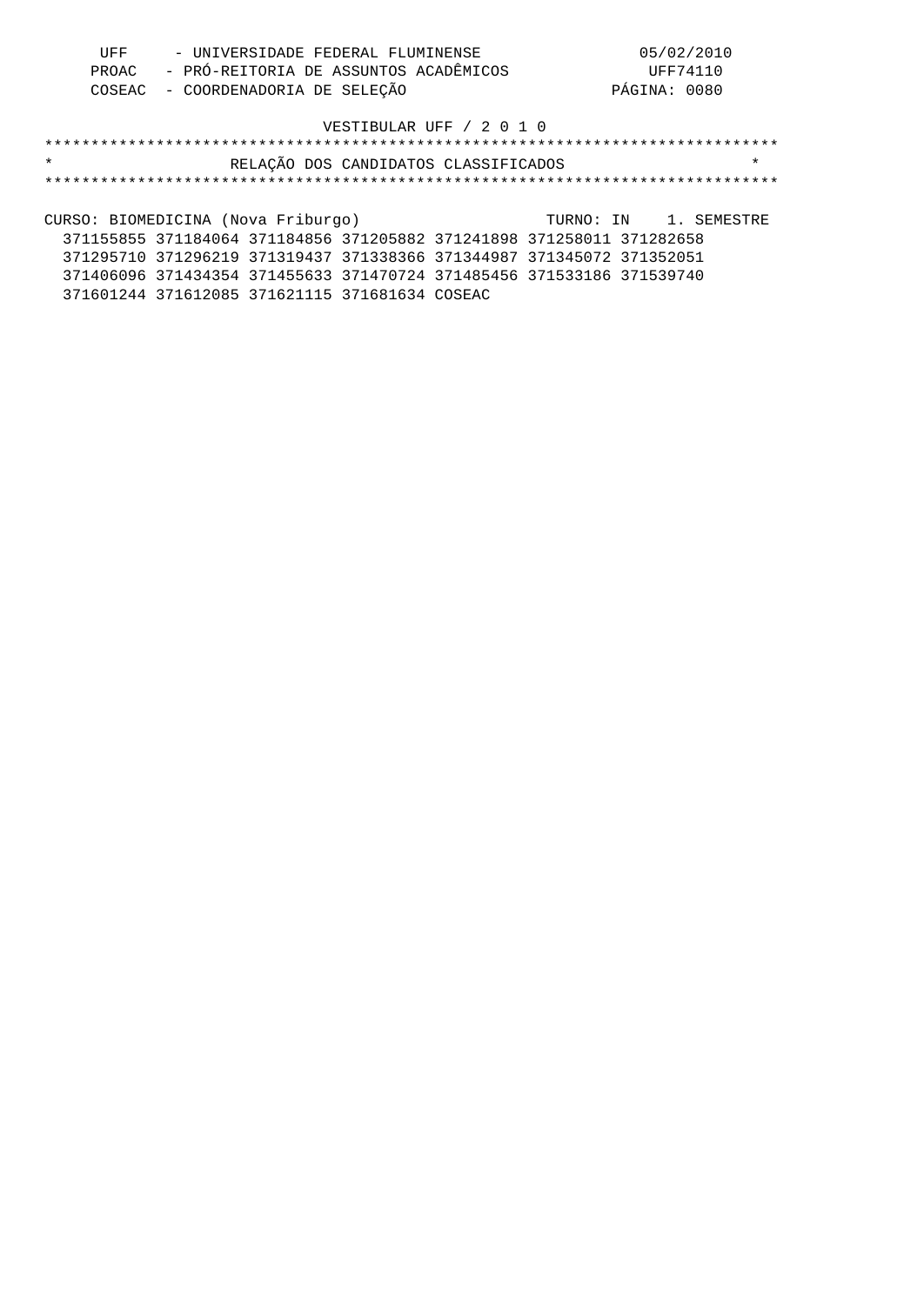| UFF | - UNIVERSIDADE FEDERAL FLUMINENSE           | 05/02/2010   |
|-----|---------------------------------------------|--------------|
|     | PROAC - PRÓ-REITORIA DE ASSUNTOS ACADÊMICOS | UFF74110     |
|     | COSEAC - COORDENADORIA DE SELEÇÃO           | PÁGINA: 0080 |

| $\star$                            | RELAÇÃO DOS CANDIDATOS CLASSIFICADOS                                  | $\star$               |
|------------------------------------|-----------------------------------------------------------------------|-----------------------|
|                                    |                                                                       |                       |
|                                    |                                                                       |                       |
| CURSO: BIOMEDICINA (Nova Friburgo) |                                                                       | TURNO: IN 1. SEMESTRE |
|                                    | 371155855 371184064 371184856 371205882 371241898 371258011 371282658 |                       |
|                                    | 371295710 371296219 371319437 371338366 371344987 371345072 371352051 |                       |

371406096 371434354 371455633 371470724 371485456 371533186 371539740

371601244 371612085 371621115 371681634 COSEAC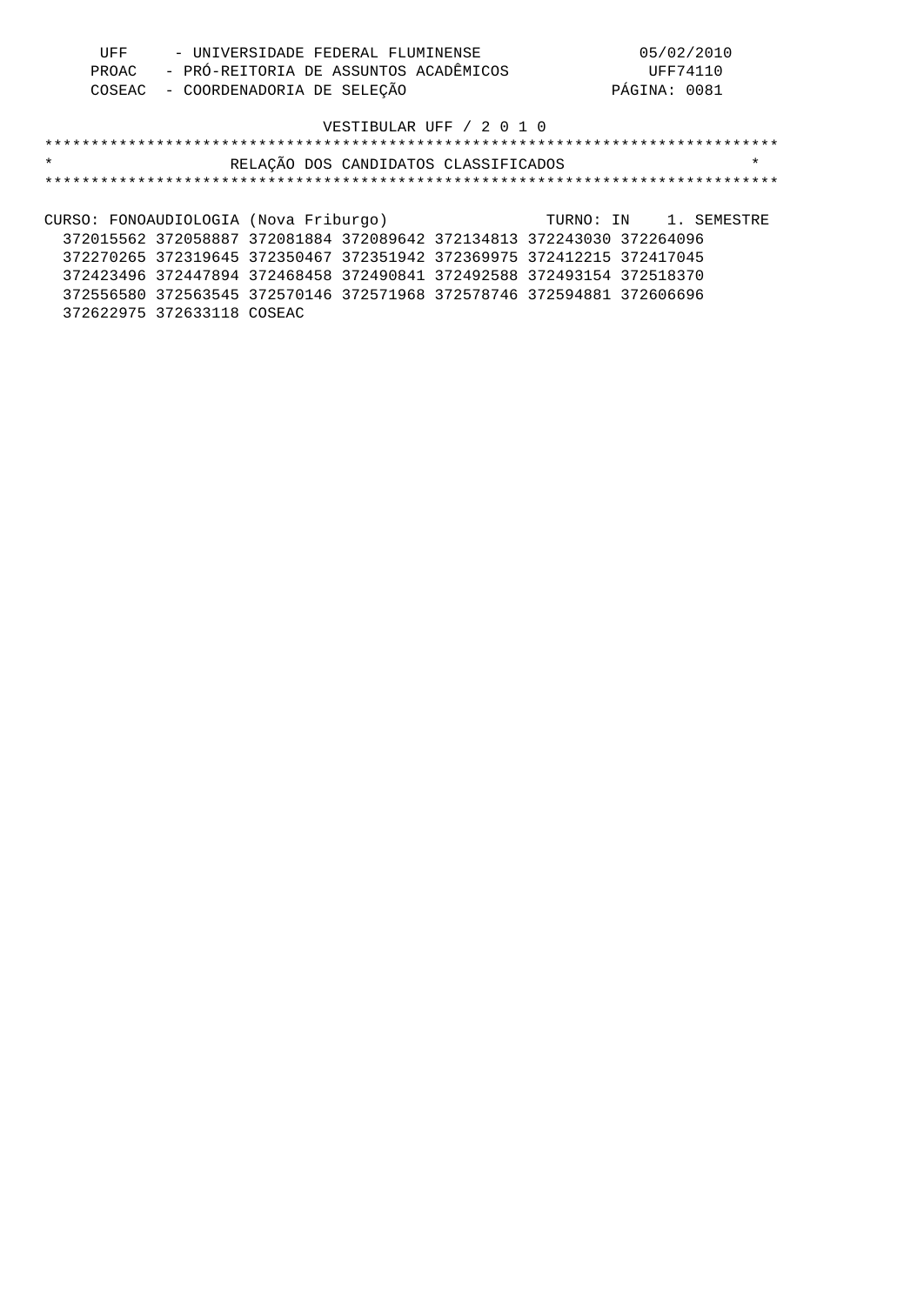| UFF | - UNIVERSIDADE FEDERAL FLUMINENSE           | 05/02/2010   |
|-----|---------------------------------------------|--------------|
|     | PROAC - PRÓ-REITORIA DE ASSUNTOS ACADÊMICOS | UFF74110     |
|     | COSEAC - COORDENADORIA DE SELECÃO           | PÁGINA: 0081 |

| $\star$                               | RELAÇÃO DOS CANDIDATOS CLASSIFICADOS                                  | $\star$               |
|---------------------------------------|-----------------------------------------------------------------------|-----------------------|
|                                       |                                                                       |                       |
|                                       |                                                                       |                       |
| CURSO: FONOAUDIOLOGIA (Nova Friburgo) |                                                                       | TURNO: IN 1. SEMESTRE |
|                                       | 372015562 372058887 372081884 372089642 372134813 372243030 372264096 |                       |
|                                       | 372270265 372319645 372350467 372351942 372369975 372412215 372417045 |                       |
|                                       | 372423496 372447894 372468458 372490841 372492588 372493154 372518370 |                       |
|                                       | 372556580 372563545 372570146 372571968 372578746 372594881 372606696 |                       |
| 372622975 372633118 COSEAC            |                                                                       |                       |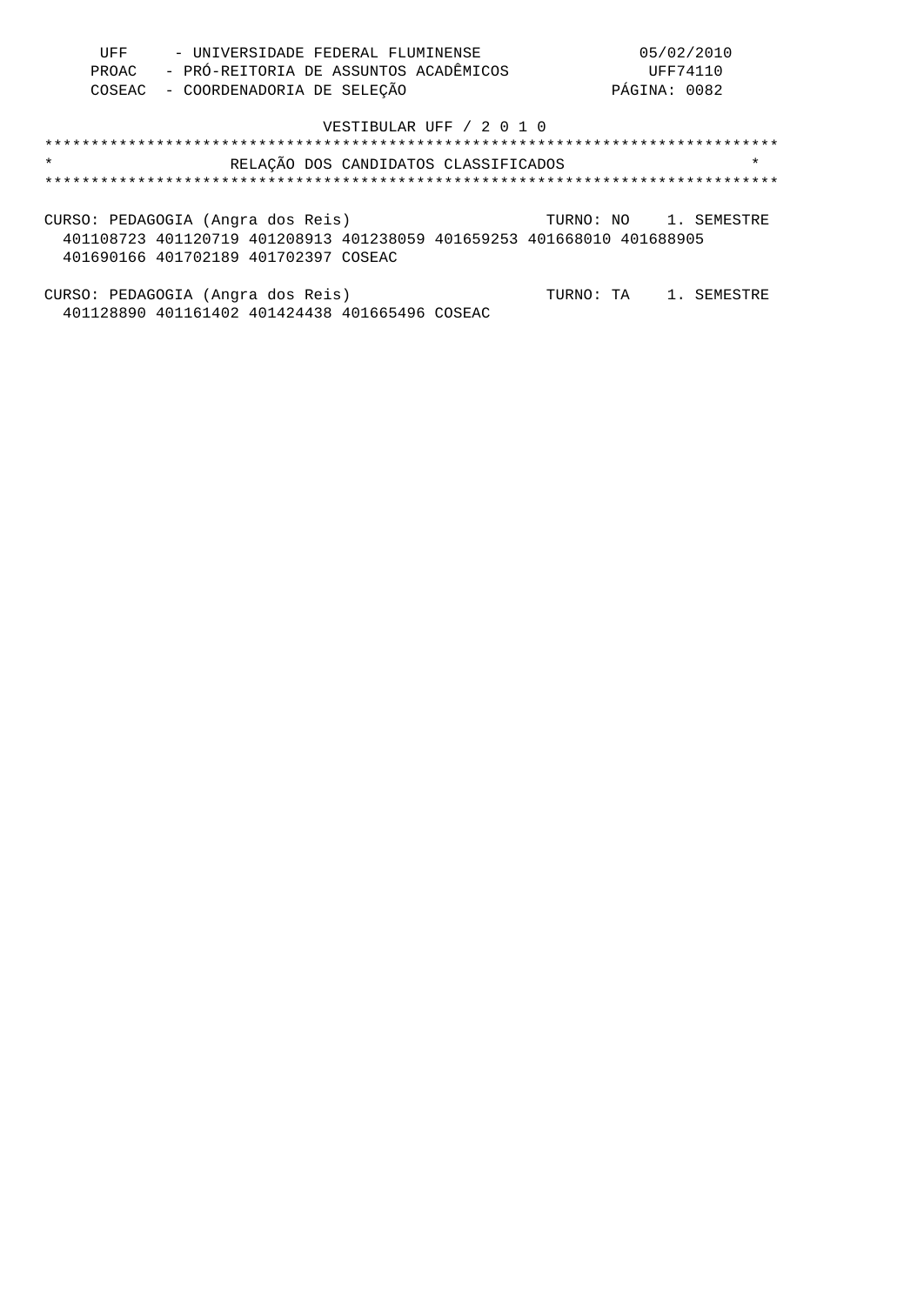| UFF | - UNIVERSIDADE FEDERAL FLUMINENSE           | 05/02/2010   |
|-----|---------------------------------------------|--------------|
|     | PROAC - PRÓ-REITORIA DE ASSUNTOS ACADÊMICOS | UFF74110     |
|     | COSEAC - COORDENADORIA DE SELEÇÃO           | PÁGINA: 0082 |

| $\star$                              | RELAÇÃO DOS CANDIDATOS CLASSIFICADOS                                  | $\star$               |
|--------------------------------------|-----------------------------------------------------------------------|-----------------------|
|                                      |                                                                       |                       |
|                                      |                                                                       |                       |
| CURSO: PEDAGOGIA (Angra dos Reis)    |                                                                       | TURNO: NO 1. SEMESTRE |
|                                      | 401108723 401120719 401208913 401238059 401659253 401668010 401688905 |                       |
| 401690166 401702189 401702397 COSEAC |                                                                       |                       |
|                                      |                                                                       |                       |

CURSO: PEDAGOGIA (Angra dos Reis) TURNO: TA 1. SEMESTRE 401128890 401161402 401424438 401665496 COSEAC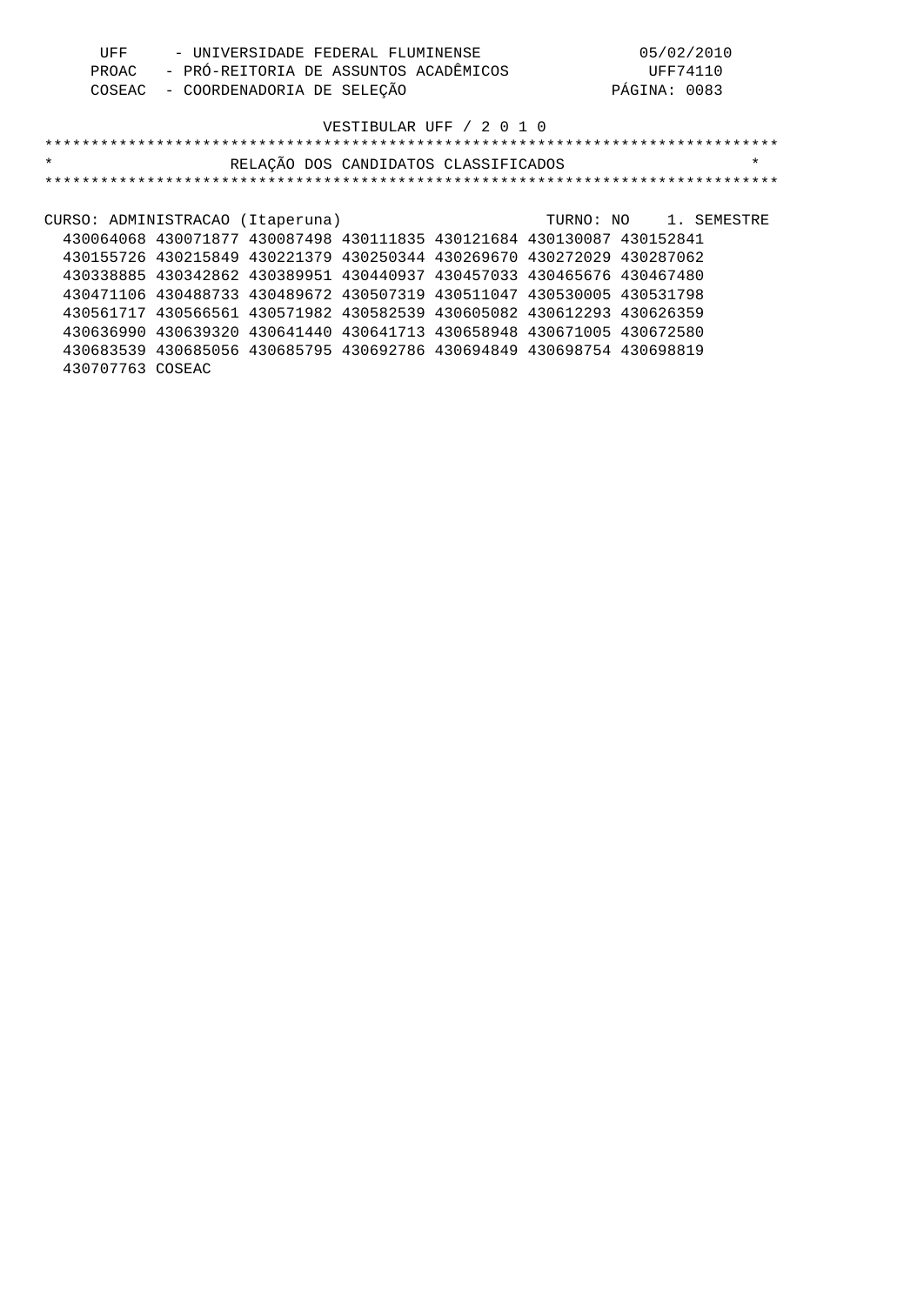| UFF | - UNIVERSIDADE FEDERAL FLUMINENSE           | 05/02/2010   |
|-----|---------------------------------------------|--------------|
|     | PROAC - PRÓ-REITORIA DE ASSUNTOS ACADÊMICOS | UFF74110     |
|     | COSEAC - COORDENADORIA DE SELECÃO           | PÁGINA: 0083 |

| $\star$                          |                                                                       | RELAÇÃO DOS CANDIDATOS CLASSIFICADOS |  |                       | $\star$ |
|----------------------------------|-----------------------------------------------------------------------|--------------------------------------|--|-----------------------|---------|
|                                  |                                                                       |                                      |  |                       |         |
|                                  |                                                                       |                                      |  |                       |         |
| CURSO: ADMINISTRACAO (Itaperuna) |                                                                       |                                      |  | TURNO: NO 1. SEMESTRE |         |
|                                  | 430064068 430071877 430087498 430111835 430121684 430130087 430152841 |                                      |  |                       |         |
|                                  | 430155726 430215849 430221379 430250344 430269670 430272029 430287062 |                                      |  |                       |         |
|                                  | 430338885 430342862 430389951 430440937 430457033 430465676 430467480 |                                      |  |                       |         |
|                                  | 430471106 430488733 430489672 430507319 430511047 430530005 430531798 |                                      |  |                       |         |
|                                  | 430561717 430566561 430571982 430582539 430605082 430612293 430626359 |                                      |  |                       |         |
|                                  | 430636990 430639320 430641440 430641713 430658948 430671005 430672580 |                                      |  |                       |         |
|                                  | 430683539 430685056 430685795 430692786 430694849 430698754 430698819 |                                      |  |                       |         |
| 430707763 COSEAC                 |                                                                       |                                      |  |                       |         |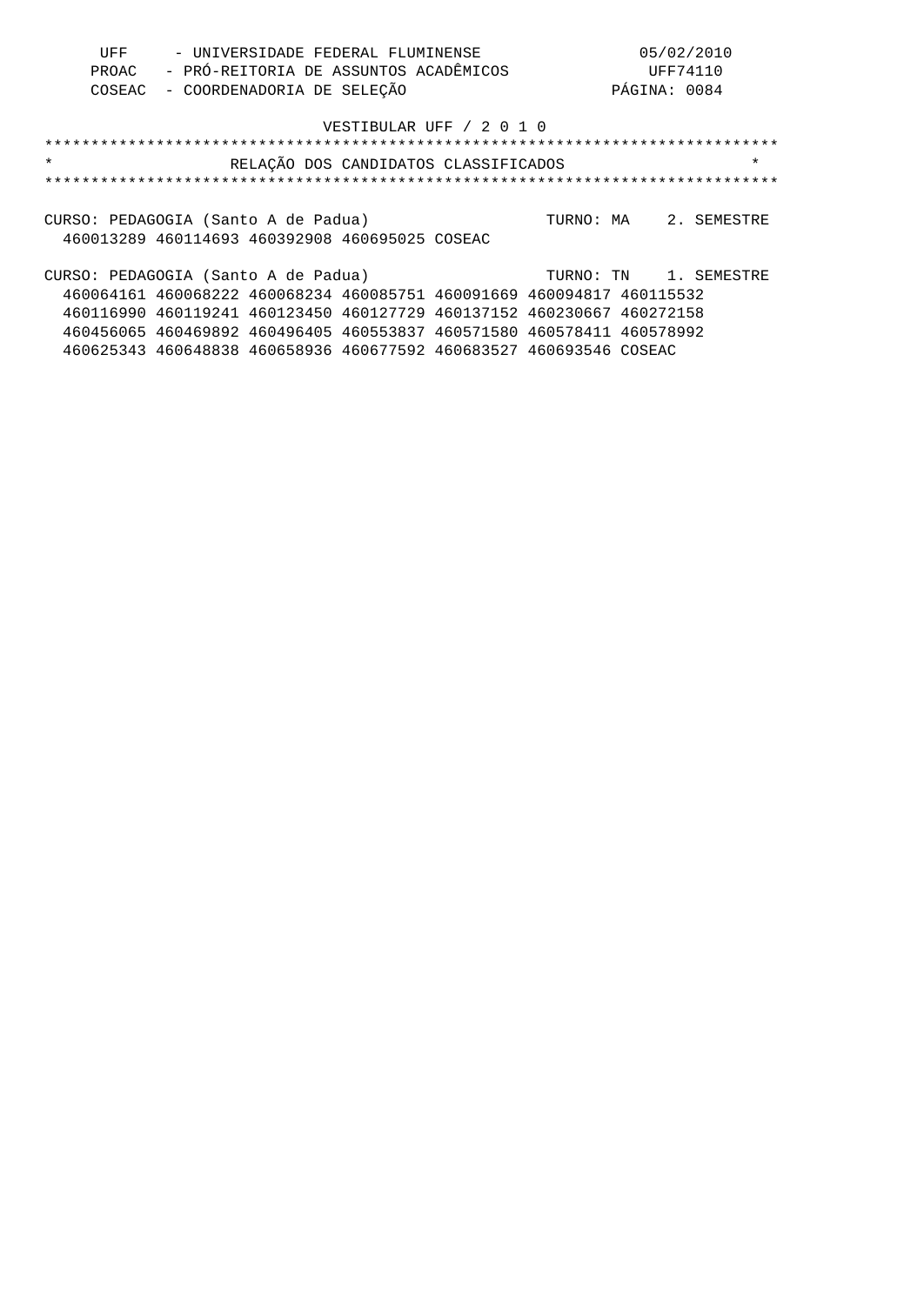| UFF                                 |                                                                       |                            | - UNIVERSIDADE FEDERAL FLUMINENSE     |                                      |              | 05/02/2010            |
|-------------------------------------|-----------------------------------------------------------------------|----------------------------|---------------------------------------|--------------------------------------|--------------|-----------------------|
| PROAC                               |                                                                       |                            | - PRÓ-REITORIA DE ASSUNTOS ACADÊMICOS |                                      |              | UFF74110              |
| COSEAC                              |                                                                       | - COORDENADORIA DE SELECÃO |                                       |                                      | PÁGINA: 0084 |                       |
|                                     |                                                                       |                            |                                       | VESTIBULAR UFF / 2 0 1 0             |              |                       |
|                                     |                                                                       |                            |                                       |                                      |              |                       |
| $\star$                             |                                                                       |                            |                                       | RELAÇÃO DOS CANDIDATOS CLASSIFICADOS |              | $\star$               |
|                                     |                                                                       |                            |                                       |                                      |              |                       |
| CURSO: PEDAGOGIA (Santo A de Padua) |                                                                       |                            |                                       |                                      |              | TURNO: MA 2. SEMESTRE |
|                                     | 460013289 460114693 460392908 460695025 COSEAC                        |                            |                                       |                                      |              |                       |
| CURSO: PEDAGOGIA (Santo A de Padua) |                                                                       |                            |                                       |                                      |              | TURNO: TN 1. SEMESTRE |
|                                     | 460064161 460068222 460068234 460085751 460091669 460094817 460115532 |                            |                                       |                                      |              |                       |
|                                     | 460116990 460119241 460123450 460127729 460137152 460230667 460272158 |                            |                                       |                                      |              |                       |
|                                     | 460456065 460469892 460496405 460553837 460571580 460578411 460578992 |                            |                                       |                                      |              |                       |
|                                     | 460625343 460648838 460658936 460677592 460683527 460693546 COSEAC    |                            |                                       |                                      |              |                       |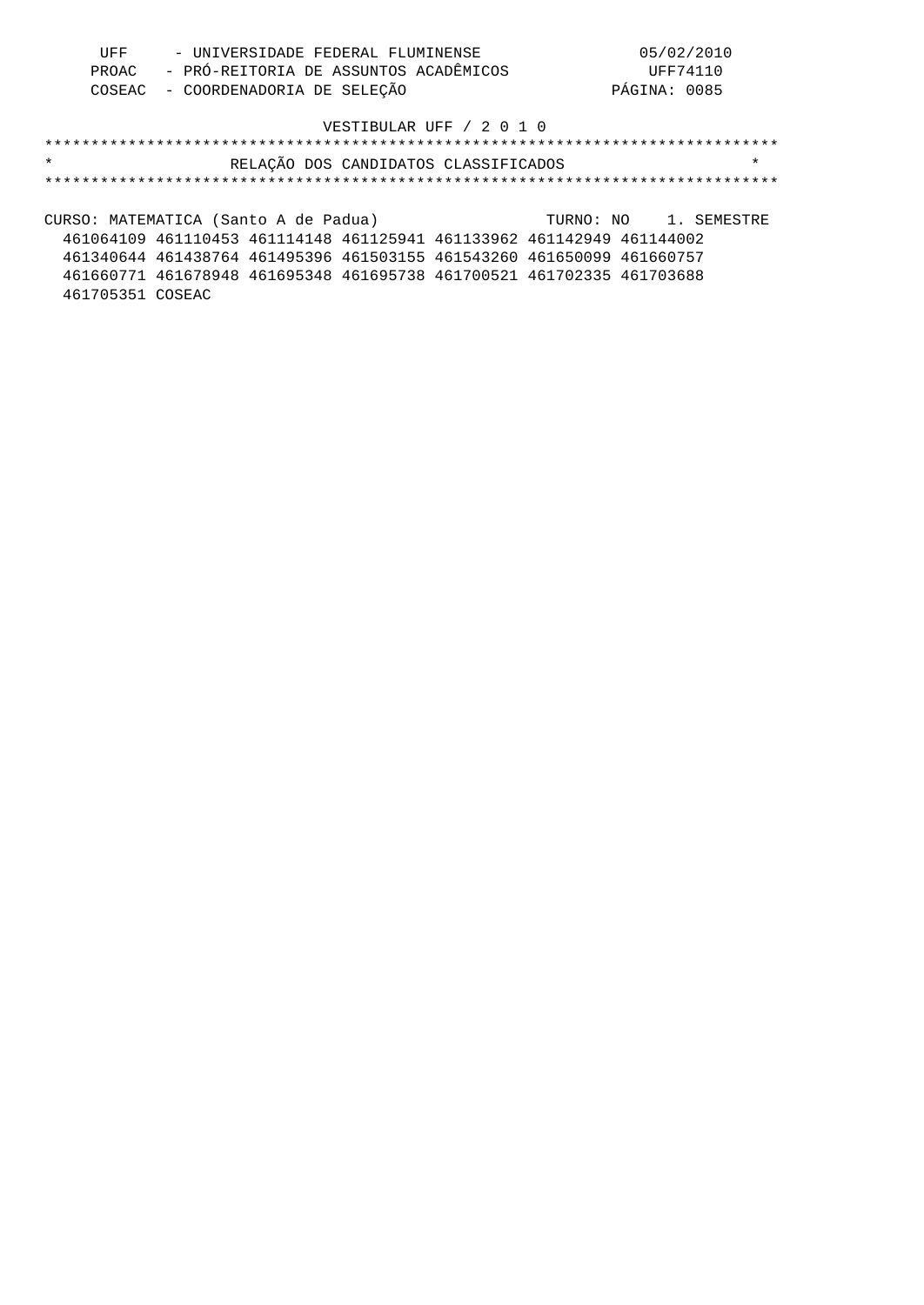| UFF | - UNIVERSIDADE FEDERAL FLUMINENSE           | 05/02/2010   |
|-----|---------------------------------------------|--------------|
|     | PROAC - PRÓ-REITORIA DE ASSUNTOS ACADÊMICOS | UFF74110     |
|     | COSEAC - COORDENADORIA DE SELEÇÃO           | PÁGINA: 0085 |

# \*\*\*\*\*\*\*\*\*\*\*\*\*\*\*\*\*\*\*\*\*\*\*\*\*\*\*\*\*\*\*\*\*\*\*\*\*\*\*\*\*\*\*\*\*\*\*\*\*\*\*\*\*\*\*\*\*\*\*\*\*\*\*\*\*\*\*\*\*\*\*\*\*\*\*\*\*\*\* \* RELAÇÃO DOS CANDIDATOS CLASSIFICADOS \* \*\*\*\*\*\*\*\*\*\*\*\*\*\*\*\*\*\*\*\*\*\*\*\*\*\*\*\*\*\*\*\*\*\*\*\*\*\*\*\*\*\*\*\*\*\*\*\*\*\*\*\*\*\*\*\*\*\*\*\*\*\*\*\*\*\*\*\*\*\*\*\*\*\*\*\*\*\*\*

CURSO: MATEMATICA (Santo A de Padua) TURNO: NO 1. SEMESTRE 461064109 461110453 461114148 461125941 461133962 461142949 461144002 461340644 461438764 461495396 461503155 461543260 461650099 461660757 461660771 461678948 461695348 461695738 461700521 461702335 461703688 461705351 COSEAC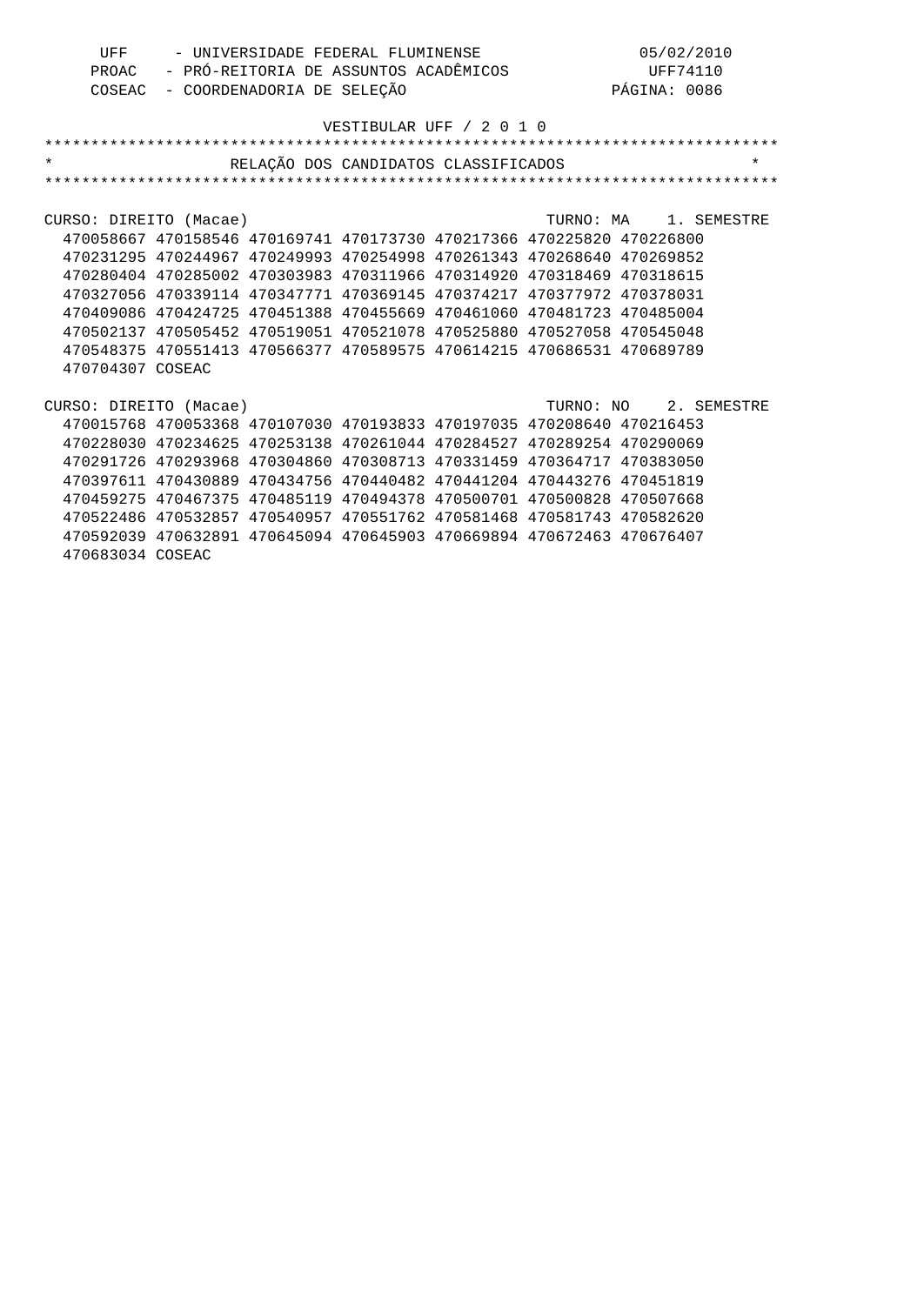| UFF | - UNIVERSIDADE FEDERAL FLUMINENSE           | 05/02/2010   |
|-----|---------------------------------------------|--------------|
|     | PROAC - PRÓ-REITORIA DE ASSUNTOS ACADÊMICOS | UFF74110     |
|     | COSEAC - COORDENADORIA DE SELEÇÃO           | PÁGINA: 0086 |

| $\star$                |                                                                       | RELAÇÃO DOS CANDIDATOS CLASSIFICADOS |  |                       | $\star$ |
|------------------------|-----------------------------------------------------------------------|--------------------------------------|--|-----------------------|---------|
|                        |                                                                       |                                      |  |                       |         |
|                        |                                                                       |                                      |  |                       |         |
| CURSO: DIREITO (Macae) |                                                                       |                                      |  | TURNO: MA 1. SEMESTRE |         |
|                        | 470058667 470158546 470169741 470173730 470217366 470225820 470226800 |                                      |  |                       |         |
|                        | 470231295 470244967 470249993 470254998 470261343 470268640 470269852 |                                      |  |                       |         |
|                        | 470280404 470285002 470303983 470311966 470314920 470318469 470318615 |                                      |  |                       |         |
|                        | 470327056 470339114 470347771 470369145 470374217 470377972 470378031 |                                      |  |                       |         |
|                        | 470409086 470424725 470451388 470455669 470461060 470481723 470485004 |                                      |  |                       |         |
|                        | 470502137 470505452 470519051 470521078 470525880 470527058 470545048 |                                      |  |                       |         |
|                        | 470548375 470551413 470566377 470589575 470614215 470686531 470689789 |                                      |  |                       |         |
| 470704307 COSEAC       |                                                                       |                                      |  |                       |         |
|                        |                                                                       |                                      |  |                       |         |
| CURSO: DIREITO (Macae) |                                                                       |                                      |  | TURNO: NO 2. SEMESTRE |         |
|                        | 470015768 470053368 470107030 470193833 470197035 470208640 470216453 |                                      |  |                       |         |
|                        | 470228030 470234625 470253138 470261044 470284527 470289254 470290069 |                                      |  |                       |         |
|                        | 470291726 470293968 470304860 470308713 470331459 470364717 470383050 |                                      |  |                       |         |
|                        | 470397611 470430889 470434756 470440482 470441204 470443276 470451819 |                                      |  |                       |         |
|                        | 470459275 470467375 470485119 470494378 470500701 470500828 470507668 |                                      |  |                       |         |
|                        | 470522486 470532857 470540957 470551762 470581468 470581743 470582620 |                                      |  |                       |         |
|                        | 470592039 470632891 470645094 470645903 470669894 470672463 470676407 |                                      |  |                       |         |
| 470683034 COSEAC       |                                                                       |                                      |  |                       |         |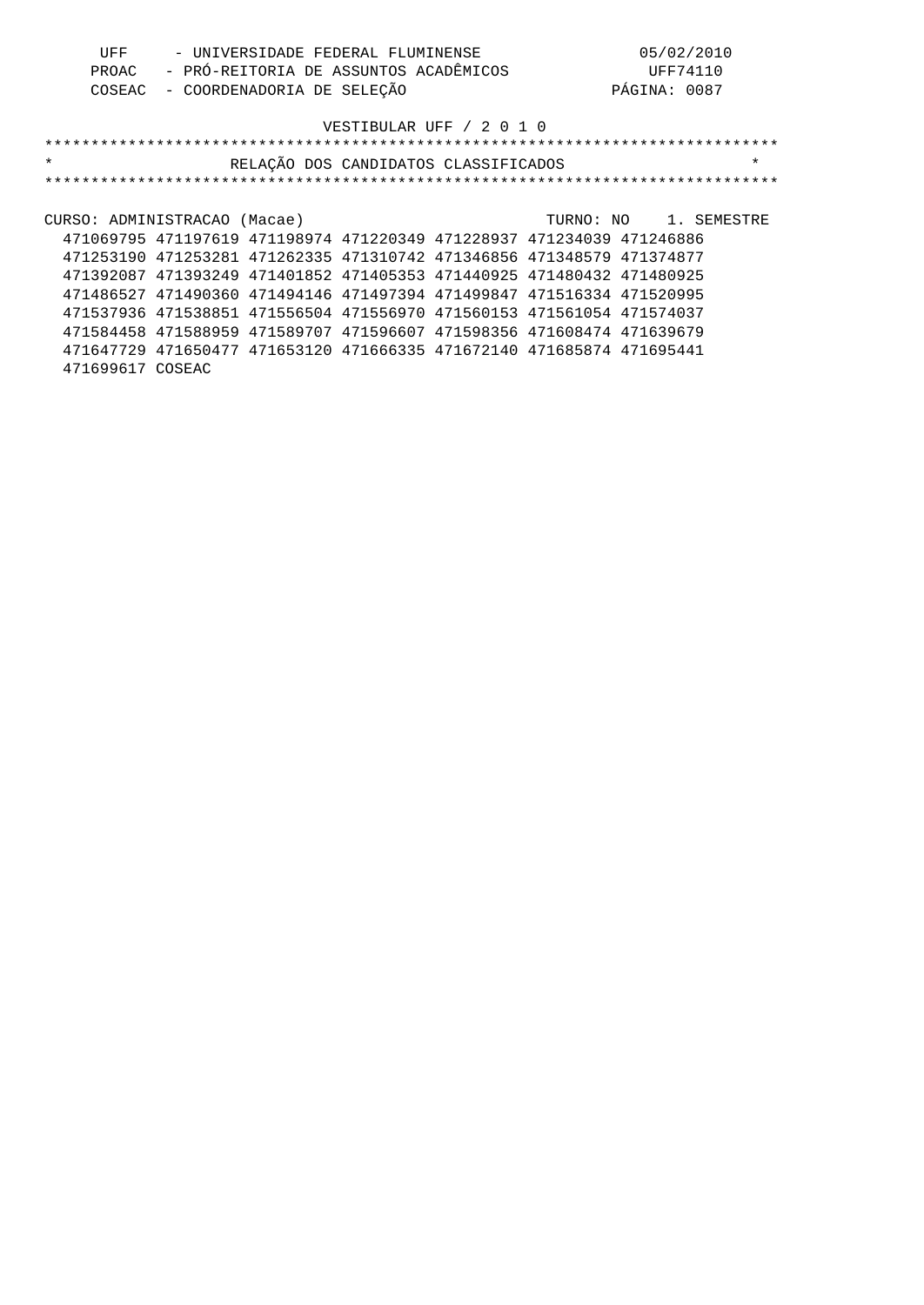| UFF   | - UNIVERSIDADE FEDERAL FLUMINENSE     | 05/02/2010   |
|-------|---------------------------------------|--------------|
| PROAC | - PRÓ-REITORIA DE ASSUNTOS ACADÊMICOS | UFF74110     |
|       | COSEAC - COORDENADORIA DE SELEÇÃO     | PÁGINA: 0087 |

| $\star$                      |                                                                       |  | RELAÇÃO DOS CANDIDATOS CLASSIFICADOS |                       | $\star$ |
|------------------------------|-----------------------------------------------------------------------|--|--------------------------------------|-----------------------|---------|
|                              |                                                                       |  |                                      |                       |         |
|                              |                                                                       |  |                                      |                       |         |
| CURSO: ADMINISTRACAO (Macae) |                                                                       |  |                                      | TURNO: NO 1. SEMESTRE |         |
|                              | 471069795 471197619 471198974 471220349 471228937 471234039 471246886 |  |                                      |                       |         |
|                              | 471253190 471253281 471262335 471310742 471346856 471348579 471374877 |  |                                      |                       |         |
|                              | 471392087 471393249 471401852 471405353 471440925 471480432 471480925 |  |                                      |                       |         |
|                              | 471486527 471490360 471494146 471497394 471499847 471516334 471520995 |  |                                      |                       |         |
|                              | 471537936 471538851 471556504 471556970 471560153 471561054 471574037 |  |                                      |                       |         |
|                              | 471584458 471588959 471589707 471596607 471598356 471608474 471639679 |  |                                      |                       |         |
|                              | 471647729 471650477 471653120 471666335 471672140 471685874 471695441 |  |                                      |                       |         |
| 471699617 COSEAC             |                                                                       |  |                                      |                       |         |
|                              |                                                                       |  |                                      |                       |         |